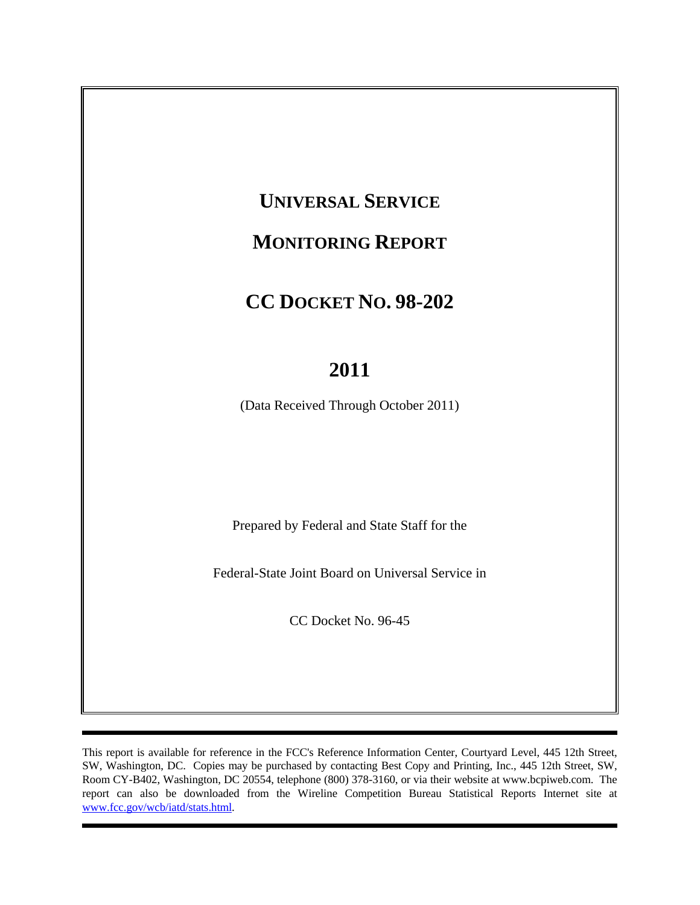# **UNIVERSAL SERVICE**

# **MONITORING REPORT**

# **CC DOCKET NO. 98-202**

# **2011**

(Data Received Through October 2011)

Prepared by Federal and State Staff for the

Federal-State Joint Board on Universal Service in

CC Docket No. 96-45

This report is available for reference in the FCC's Reference Information Center, Courtyard Level, 445 12th Street, SW, Washington, DC. Copies may be purchased by contacting Best Copy and Printing, Inc., 445 12th Street, SW, Room CY-B402, Washington, DC 20554, telephone (800) 378-3160, or via their website at www.bcpiweb.com. The report can also be downloaded from the Wireline Competition Bureau Statistical Reports Internet site at www.fcc.gov/wcb/iatd/stats.html.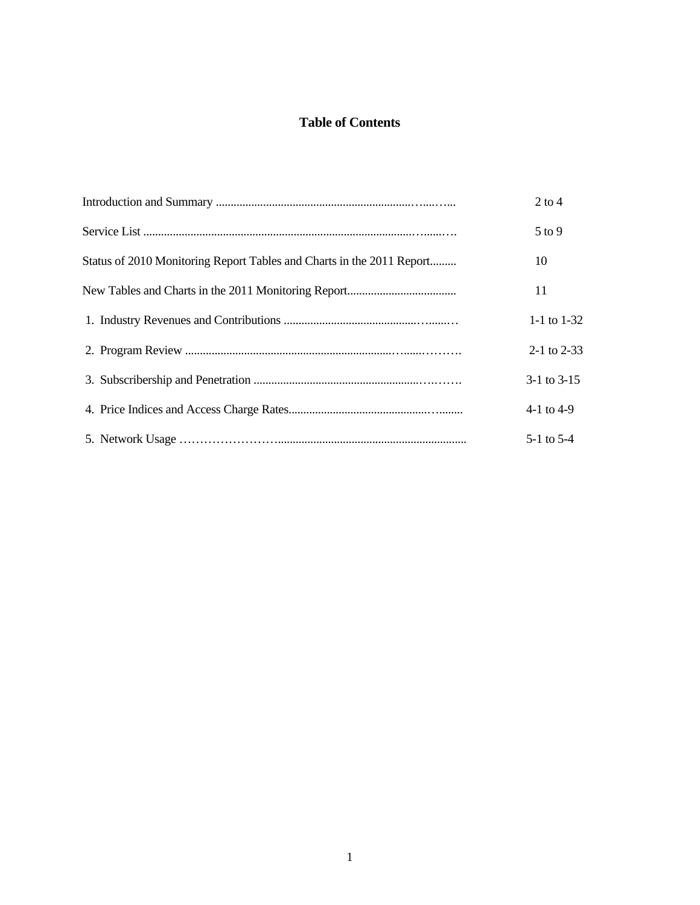# **Table of Contents**

|                                                                       | $2$ to 4        |
|-----------------------------------------------------------------------|-----------------|
|                                                                       | $5$ to 9        |
| Status of 2010 Monitoring Report Tables and Charts in the 2011 Report | 10              |
|                                                                       | 11              |
|                                                                       | 1-1 to $1-32$   |
|                                                                       | $2-1$ to $2-33$ |
|                                                                       | $3-1$ to $3-15$ |
|                                                                       | 4-1 to 4-9      |
|                                                                       | $5-1$ to $5-4$  |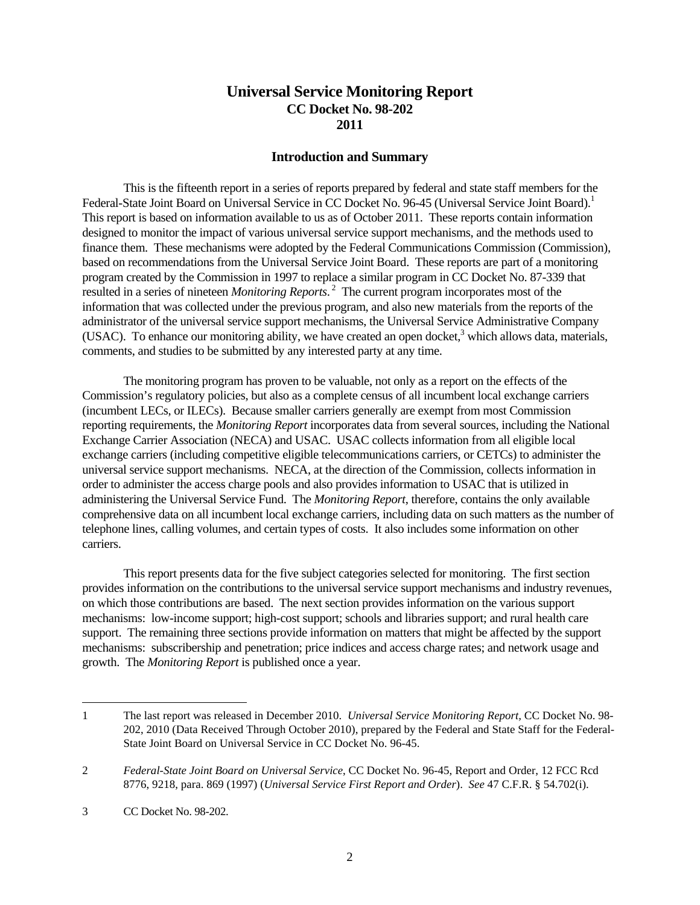# **Universal Service Monitoring Report CC Docket No. 98-202 2011**

# **Introduction and Summary**

 This is the fifteenth report in a series of reports prepared by federal and state staff members for the Federal-State Joint Board on Universal Service in CC Docket No. 96-45 (Universal Service Joint Board).<sup>1</sup> This report is based on information available to us as of October 2011. These reports contain information designed to monitor the impact of various universal service support mechanisms, and the methods used to finance them. These mechanisms were adopted by the Federal Communications Commission (Commission), based on recommendations from the Universal Service Joint Board. These reports are part of a monitoring program created by the Commission in 1997 to replace a similar program in CC Docket No. 87-339 that resulted in a series of nineteen *Monitoring Reports*. 2 The current program incorporates most of the information that was collected under the previous program, and also new materials from the reports of the administrator of the universal service support mechanisms, the Universal Service Administrative Company (USAC). To enhance our monitoring ability, we have created an open docket, $3$  which allows data, materials, comments, and studies to be submitted by any interested party at any time.

 The monitoring program has proven to be valuable, not only as a report on the effects of the Commission's regulatory policies, but also as a complete census of all incumbent local exchange carriers (incumbent LECs, or ILECs). Because smaller carriers generally are exempt from most Commission reporting requirements, the *Monitoring Report* incorporates data from several sources, including the National Exchange Carrier Association (NECA) and USAC. USAC collects information from all eligible local exchange carriers (including competitive eligible telecommunications carriers, or CETCs) to administer the universal service support mechanisms. NECA, at the direction of the Commission, collects information in order to administer the access charge pools and also provides information to USAC that is utilized in administering the Universal Service Fund. The *Monitoring Report*, therefore, contains the only available comprehensive data on all incumbent local exchange carriers, including data on such matters as the number of telephone lines, calling volumes, and certain types of costs. It also includes some information on other carriers.

 This report presents data for the five subject categories selected for monitoring. The first section provides information on the contributions to the universal service support mechanisms and industry revenues, on which those contributions are based. The next section provides information on the various support mechanisms: low-income support; high-cost support; schools and libraries support; and rural health care support. The remaining three sections provide information on matters that might be affected by the support mechanisms: subscribership and penetration; price indices and access charge rates; and network usage and growth. The *Monitoring Report* is published once a year.

<sup>1</sup> The last report was released in December 2010. *Universal Service Monitoring Report,* CC Docket No. 98- 202, 2010 (Data Received Through October 2010), prepared by the Federal and State Staff for the Federal-State Joint Board on Universal Service in CC Docket No. 96-45.

<sup>2</sup> *Federal-State Joint Board on Universal Service*, CC Docket No. 96-45, Report and Order, 12 FCC Rcd 8776, 9218, para. 869 (1997) (*Universal Service First Report and Order*). *See* 47 C.F.R. § 54.702(i).

<sup>3</sup> CC Docket No. 98-202.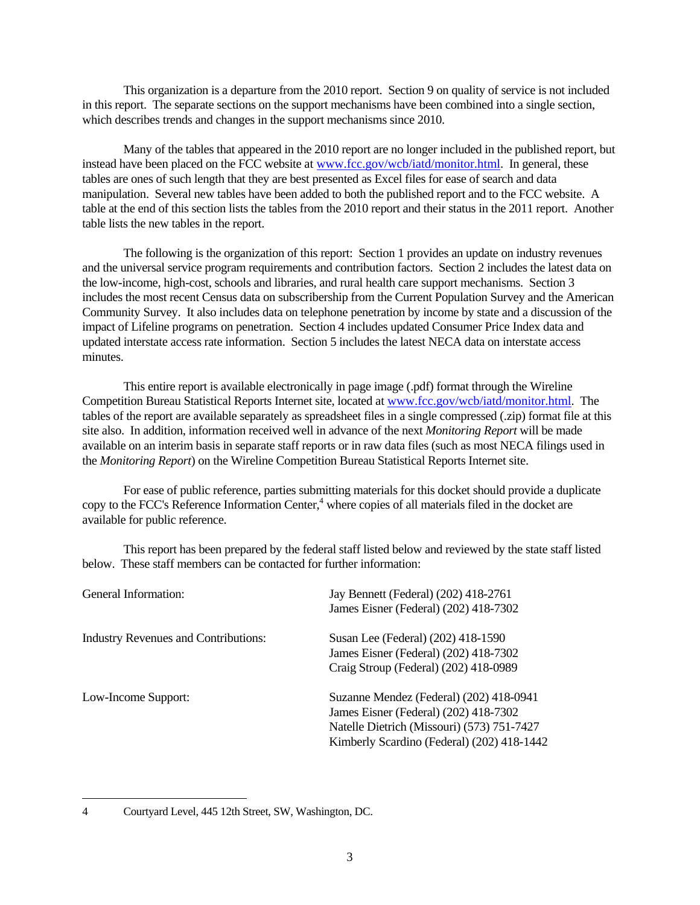This organization is a departure from the 2010 report. Section 9 on quality of service is not included in this report. The separate sections on the support mechanisms have been combined into a single section, which describes trends and changes in the support mechanisms since 2010.

 Many of the tables that appeared in the 2010 report are no longer included in the published report, but instead have been placed on the FCC website at www.fcc.gov/wcb/iatd/monitor.html. In general, these tables are ones of such length that they are best presented as Excel files for ease of search and data manipulation. Several new tables have been added to both the published report and to the FCC website. A table at the end of this section lists the tables from the 2010 report and their status in the 2011 report. Another table lists the new tables in the report.

 The following is the organization of this report: Section 1 provides an update on industry revenues and the universal service program requirements and contribution factors. Section 2 includes the latest data on the low-income, high-cost, schools and libraries, and rural health care support mechanisms. Section 3 includes the most recent Census data on subscribership from the Current Population Survey and the American Community Survey. It also includes data on telephone penetration by income by state and a discussion of the impact of Lifeline programs on penetration. Section 4 includes updated Consumer Price Index data and updated interstate access rate information. Section 5 includes the latest NECA data on interstate access minutes.

 This entire report is available electronically in page image (.pdf) format through the Wireline Competition Bureau Statistical Reports Internet site, located at www.fcc.gov/wcb/iatd/monitor.html. The tables of the report are available separately as spreadsheet files in a single compressed (.zip) format file at this site also. In addition, information received well in advance of the next *Monitoring Report* will be made available on an interim basis in separate staff reports or in raw data files (such as most NECA filings used in the *Monitoring Report*) on the Wireline Competition Bureau Statistical Reports Internet site.

 For ease of public reference, parties submitting materials for this docket should provide a duplicate copy to the FCC's Reference Information Center,<sup>4</sup> where copies of all materials filed in the docket are available for public reference.

 This report has been prepared by the federal staff listed below and reviewed by the state staff listed below. These staff members can be contacted for further information:

| General Information:                        | Jay Bennett (Federal) (202) 418-2761       |
|---------------------------------------------|--------------------------------------------|
|                                             | James Eisner (Federal) (202) 418-7302      |
| <b>Industry Revenues and Contributions:</b> | Susan Lee (Federal) (202) 418-1590         |
|                                             | James Eisner (Federal) (202) 418-7302      |
|                                             | Craig Stroup (Federal) (202) 418-0989      |
| Low-Income Support:                         | Suzanne Mendez (Federal) (202) 418-0941    |
|                                             | James Eisner (Federal) (202) 418-7302      |
|                                             | Natelle Dietrich (Missouri) (573) 751-7427 |
|                                             | Kimberly Scardino (Federal) (202) 418-1442 |

<sup>4</sup> Courtyard Level, 445 12th Street, SW, Washington, DC.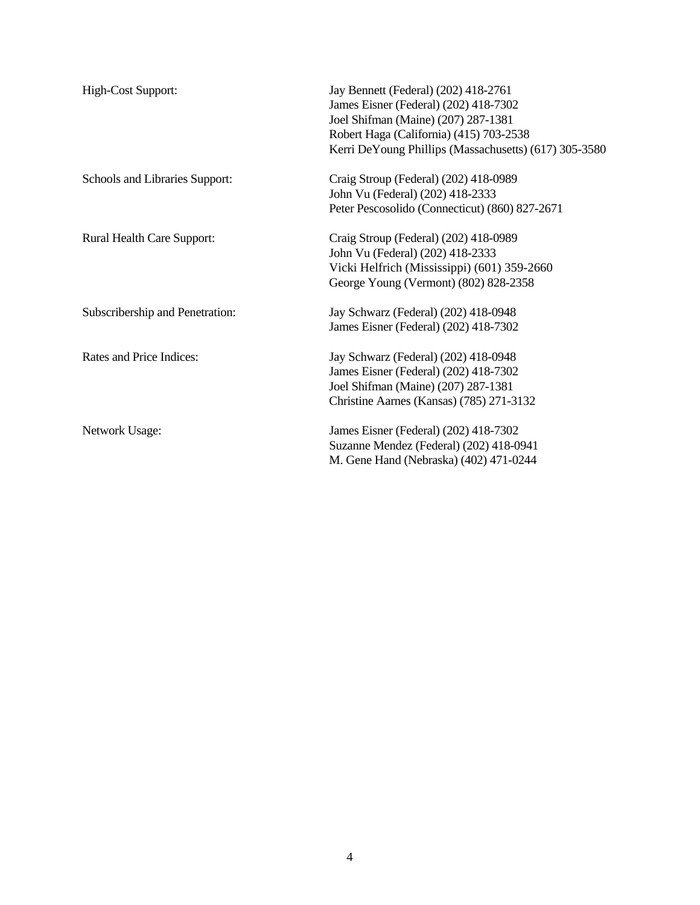| High-Cost Support:              | Jay Bennett (Federal) (202) 418-2761<br>James Eisner (Federal) (202) 418-7302<br>Joel Shifman (Maine) (207) 287-1381<br>Robert Haga (California) (415) 703-2538<br>Kerri DeYoung Phillips (Massachusetts) (617) 305-3580 |
|---------------------------------|--------------------------------------------------------------------------------------------------------------------------------------------------------------------------------------------------------------------------|
| Schools and Libraries Support:  | Craig Stroup (Federal) (202) 418-0989<br>John Vu (Federal) (202) 418-2333<br>Peter Pescosolido (Connecticut) (860) 827-2671                                                                                              |
| Rural Health Care Support:      | Craig Stroup (Federal) (202) 418-0989<br>John Vu (Federal) (202) 418-2333<br>Vicki Helfrich (Mississippi) (601) 359-2660<br>George Young (Vermont) (802) 828-2358                                                        |
| Subscribership and Penetration: | Jay Schwarz (Federal) (202) 418-0948<br>James Eisner (Federal) (202) 418-7302                                                                                                                                            |
| Rates and Price Indices:        | Jay Schwarz (Federal) (202) 418-0948<br>James Eisner (Federal) (202) 418-7302<br>Joel Shifman (Maine) (207) 287-1381<br>Christine Aarnes (Kansas) (785) 271-3132                                                         |
| <b>Network Usage:</b>           | James Eisner (Federal) (202) 418-7302<br>Suzanne Mendez (Federal) (202) 418-0941<br>M. Gene Hand (Nebraska) (402) 471-0244                                                                                               |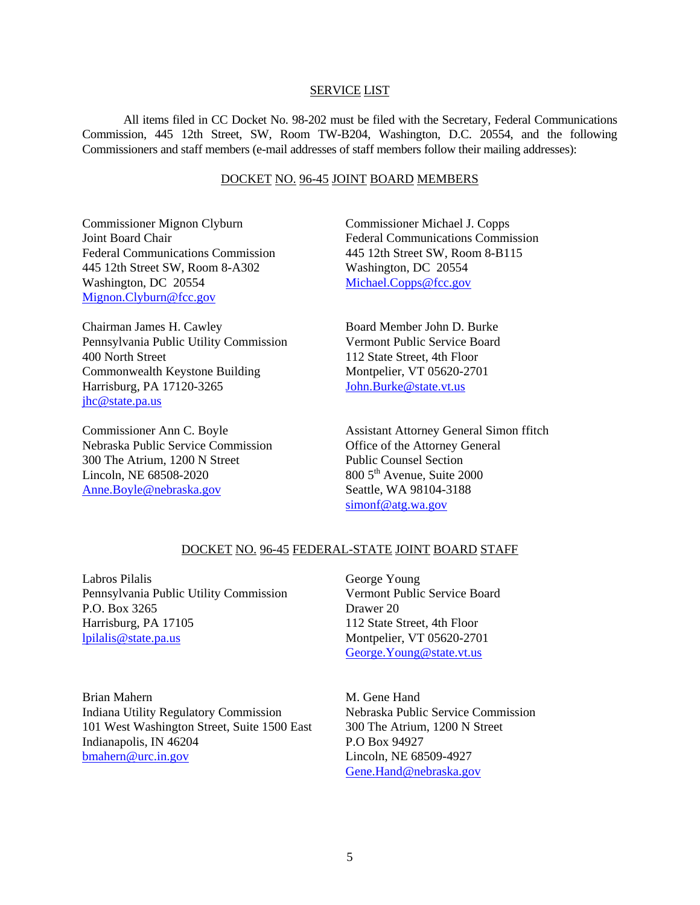### SERVICE LIST

 All items filed in CC Docket No. 98-202 must be filed with the Secretary, Federal Communications Commission, 445 12th Street, SW, Room TW-B204, Washington, D.C. 20554, and the following Commissioners and staff members (e-mail addresses of staff members follow their mailing addresses):

# DOCKET NO. 96-45 JOINT BOARD MEMBERS

Commissioner Mignon Clyburn Joint Board Chair Federal Communications Commission 445 12th Street SW, Room 8-A302 Washington, DC 20554 Mignon.Clyburn@fcc.gov

Chairman James H. Cawley Pennsylvania Public Utility Commission 400 North Street Commonwealth Keystone Building Harrisburg, PA 17120-3265 jhc@state.pa.us

Commissioner Ann C. Boyle Nebraska Public Service Commission 300 The Atrium, 1200 N Street Lincoln, NE 68508-2020 Anne.Boyle@nebraska.gov

Commissioner Michael J. Copps Federal Communications Commission 445 12th Street SW, Room 8-B115 Washington, DC 20554 Michael.Copps@fcc.gov

Board Member John D. Burke Vermont Public Service Board 112 State Street, 4th Floor Montpelier, VT 05620-2701 John.Burke@state.vt.us

Assistant Attorney General Simon ffitch Office of the Attorney General Public Counsel Section  $800.5<sup>th</sup>$  Avenue, Suite 2000 Seattle, WA 98104-3188 simonf@atg.wa.gov

# DOCKET NO. 96-45 FEDERAL-STATE JOINT BOARD STAFF

Labros Pilalis Pennsylvania Public Utility Commission P.O. Box 3265 Harrisburg, PA 17105 lpilalis@state.pa.us

George Young Vermont Public Service Board Drawer 20 112 State Street, 4th Floor Montpelier, VT 05620-2701 George.Young@state.vt.us

Brian Mahern Indiana Utility Regulatory Commission 101 West Washington Street, Suite 1500 East Indianapolis, IN 46204 bmahern@urc.in.gov

M. Gene Hand Nebraska Public Service Commission 300 The Atrium, 1200 N Street P.O Box 94927 Lincoln, NE 68509-4927 Gene.Hand@nebraska.gov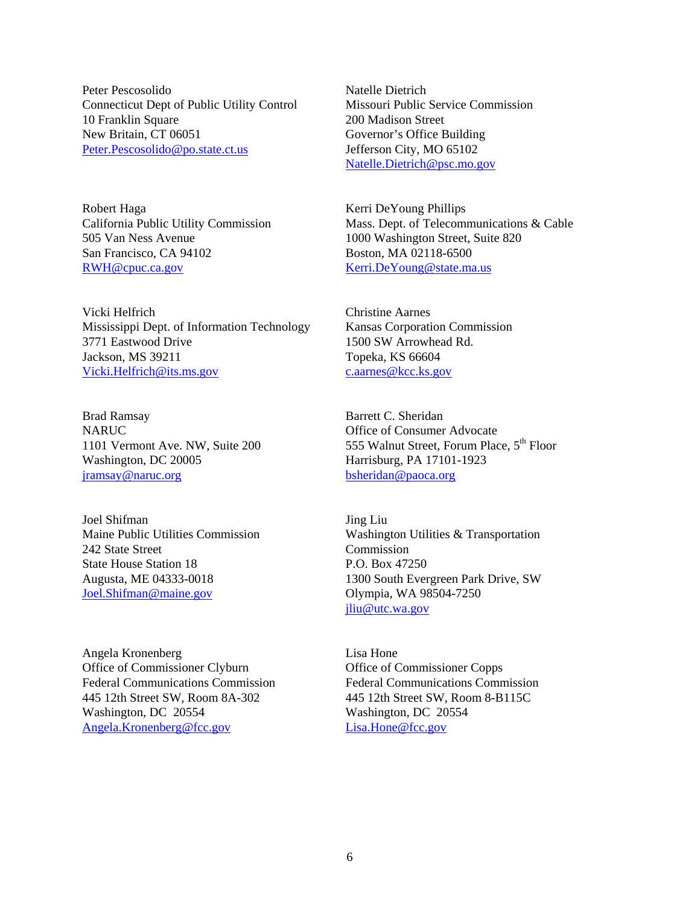Peter Pescosolido Connecticut Dept of Public Utility Control 10 Franklin Square New Britain, CT 06051 Peter.Pescosolido@po.state.ct.us

Robert Haga California Public Utility Commission 505 Van Ness Avenue San Francisco, CA 94102 RWH@cpuc.ca.gov

Vicki Helfrich Mississippi Dept. of Information Technology 3771 Eastwood Drive Jackson, MS 39211 Vicki.Helfrich@its.ms.gov

Brad Ramsay NARUC 1101 Vermont Ave. NW, Suite 200 Washington, DC 20005 jramsay@naruc.org

Joel Shifman Maine Public Utilities Commission 242 State Street State House Station 18 Augusta, ME 04333-0018 Joel.Shifman@maine.gov

Angela Kronenberg Office of Commissioner Clyburn Federal Communications Commission 445 12th Street SW, Room 8A-302 Washington, DC 20554 Angela.Kronenberg@fcc.gov

Natelle Dietrich Missouri Public Service Commission 200 Madison Street Governor's Office Building Jefferson City, MO 65102 Natelle.Dietrich@psc.mo.gov

Kerri DeYoung Phillips Mass. Dept. of Telecommunications & Cable 1000 Washington Street, Suite 820 Boston, MA 02118-6500 Kerri.DeYoung@state.ma.us

Christine Aarnes Kansas Corporation Commission 1500 SW Arrowhead Rd. Topeka, KS 66604 c.aarnes@kcc.ks.gov

Barrett C. Sheridan Office of Consumer Advocate 555 Walnut Street, Forum Place, 5<sup>th</sup> Floor Harrisburg, PA 17101-1923 bsheridan@paoca.org

Jing Liu Washington Utilities & Transportation Commission P.O. Box 47250 1300 South Evergreen Park Drive, SW Olympia, WA 98504-7250 jliu@utc.wa.gov

Lisa Hone Office of Commissioner Copps Federal Communications Commission 445 12th Street SW, Room 8-B115C Washington, DC 20554 Lisa.Hone@fcc.gov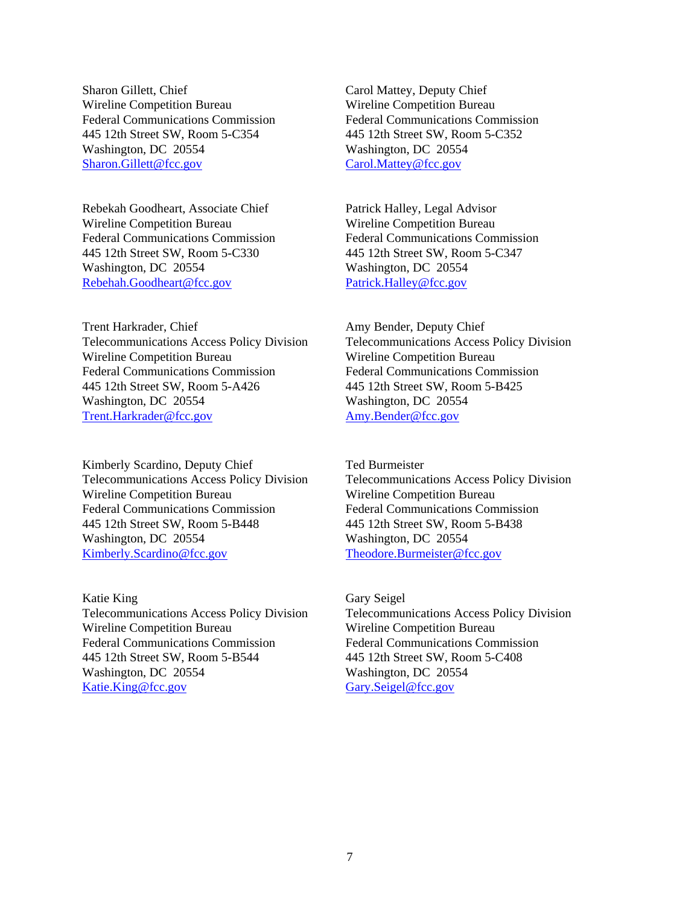Sharon Gillett, Chief Wireline Competition Bureau Federal Communications Commission 445 12th Street SW, Room 5-C354 Washington, DC 20554 Sharon.Gillett@fcc.gov

Rebekah Goodheart, Associate Chief Wireline Competition Bureau Federal Communications Commission 445 12th Street SW, Room 5-C330 Washington, DC 20554 Rebehah.Goodheart@fcc.gov

Trent Harkrader, Chief Telecommunications Access Policy Division Wireline Competition Bureau Federal Communications Commission 445 12th Street SW, Room 5-A426 Washington, DC 20554 Trent.Harkrader@fcc.gov

Kimberly Scardino, Deputy Chief Telecommunications Access Policy Division Wireline Competition Bureau Federal Communications Commission 445 12th Street SW, Room 5-B448 Washington, DC 20554 Kimberly.Scardino@fcc.gov

Katie King Telecommunications Access Policy Division Wireline Competition Bureau Federal Communications Commission 445 12th Street SW, Room 5-B544 Washington, DC 20554 Katie.King@fcc.gov

Carol Mattey, Deputy Chief Wireline Competition Bureau Federal Communications Commission 445 12th Street SW, Room 5-C352 Washington, DC 20554 Carol.Mattey@fcc.gov

Patrick Halley, Legal Advisor Wireline Competition Bureau Federal Communications Commission 445 12th Street SW, Room 5-C347 Washington, DC 20554 Patrick.Halley@fcc.gov

Amy Bender, Deputy Chief Telecommunications Access Policy Division Wireline Competition Bureau Federal Communications Commission 445 12th Street SW, Room 5-B425 Washington, DC 20554 Amy.Bender@fcc.gov

Ted Burmeister Telecommunications Access Policy Division Wireline Competition Bureau Federal Communications Commission 445 12th Street SW, Room 5-B438 Washington, DC 20554 Theodore.Burmeister@fcc.gov

Gary Seigel Telecommunications Access Policy Division Wireline Competition Bureau Federal Communications Commission 445 12th Street SW, Room 5-C408 Washington, DC 20554 Gary.Seigel@fcc.gov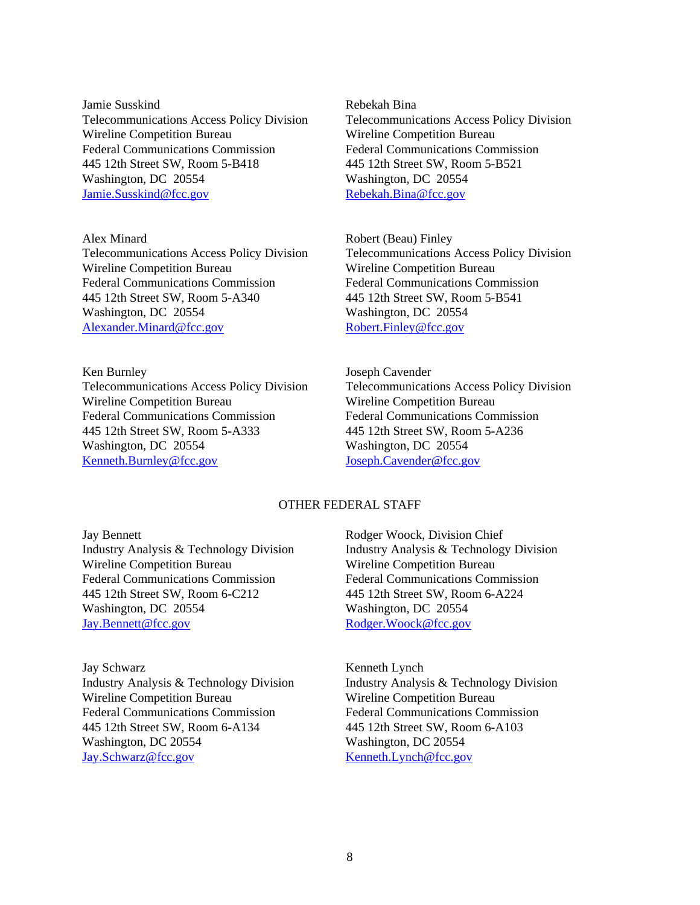Jamie Susskind Telecommunications Access Policy Division Wireline Competition Bureau Federal Communications Commission 445 12th Street SW, Room 5-B418 Washington, DC 20554 Jamie.Susskind@fcc.gov

Alex Minard Telecommunications Access Policy Division Wireline Competition Bureau Federal Communications Commission 445 12th Street SW, Room 5-A340 Washington, DC 20554 Alexander.Minard@fcc.gov

Ken Burnley Telecommunications Access Policy Division Wireline Competition Bureau Federal Communications Commission 445 12th Street SW, Room 5-A333 Washington, DC 20554 Kenneth.Burnley@fcc.gov

Rebekah Bina Telecommunications Access Policy Division Wireline Competition Bureau Federal Communications Commission 445 12th Street SW, Room 5-B521 Washington, DC 20554 Rebekah.Bina@fcc.gov

Robert (Beau) Finley Telecommunications Access Policy Division Wireline Competition Bureau Federal Communications Commission 445 12th Street SW, Room 5-B541 Washington, DC 20554 Robert.Finley@fcc.gov

Joseph Cavender Telecommunications Access Policy Division Wireline Competition Bureau Federal Communications Commission 445 12th Street SW, Room 5-A236 Washington, DC 20554 Joseph.Cavender@fcc.gov

# OTHER FEDERAL STAFF

Jay Bennett Industry Analysis & Technology Division Wireline Competition Bureau Federal Communications Commission 445 12th Street SW, Room 6-C212 Washington, DC 20554 Jay.Bennett@fcc.gov

Jay Schwarz Industry Analysis & Technology Division Wireline Competition Bureau Federal Communications Commission 445 12th Street SW, Room 6-A134 Washington, DC 20554 Jay.Schwarz@fcc.gov

Rodger Woock, Division Chief Industry Analysis & Technology Division Wireline Competition Bureau Federal Communications Commission 445 12th Street SW, Room 6-A224 Washington, DC 20554 Rodger.Woock@fcc.gov

Kenneth Lynch Industry Analysis & Technology Division Wireline Competition Bureau Federal Communications Commission 445 12th Street SW, Room 6-A103 Washington, DC 20554 Kenneth.Lynch@fcc.gov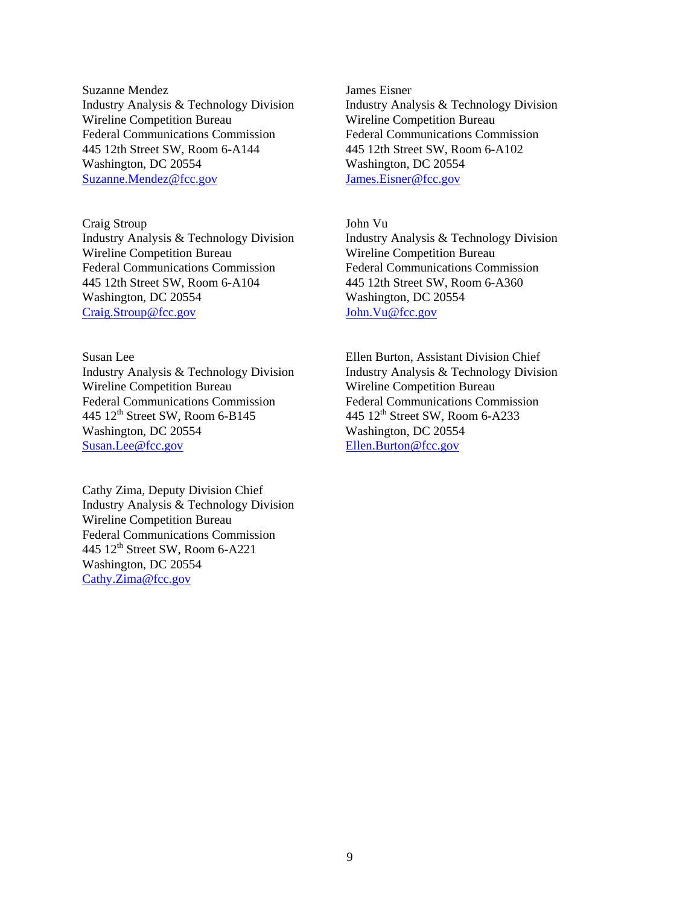Suzanne Mendez Industry Analysis & Technology Division Wireline Competition Bureau Federal Communications Commission 445 12th Street SW, Room 6-A144 Washington, DC 20554 Suzanne.Mendez@fcc.gov

Craig Stroup Industry Analysis & Technology Division Wireline Competition Bureau Federal Communications Commission 445 12th Street SW, Room 6-A104 Washington, DC 20554 Craig.Stroup@fcc.gov

Susan Lee Industry Analysis & Technology Division Wireline Competition Bureau Federal Communications Commission 445  $12<sup>th</sup>$  Street SW, Room 6-B145 Washington, DC 20554 Susan.Lee@fcc.gov

Cathy Zima, Deputy Division Chief Industry Analysis & Technology Division Wireline Competition Bureau Federal Communications Commission 445 12th Street SW, Room 6-A221 Washington, DC 20554 Cathy.Zima@fcc.gov

James Eisner Industry Analysis & Technology Division Wireline Competition Bureau Federal Communications Commission 445 12th Street SW, Room 6-A102 Washington, DC 20554 James.Eisner@fcc.gov

John Vu Industry Analysis & Technology Division Wireline Competition Bureau Federal Communications Commission 445 12th Street SW, Room 6-A360 Washington, DC 20554 John.Vu@fcc.gov

Ellen Burton, Assistant Division Chief Industry Analysis & Technology Division Wireline Competition Bureau Federal Communications Commission 445 12<sup>th</sup> Street SW, Room 6-A233 Washington, DC 20554 Ellen.Burton@fcc.gov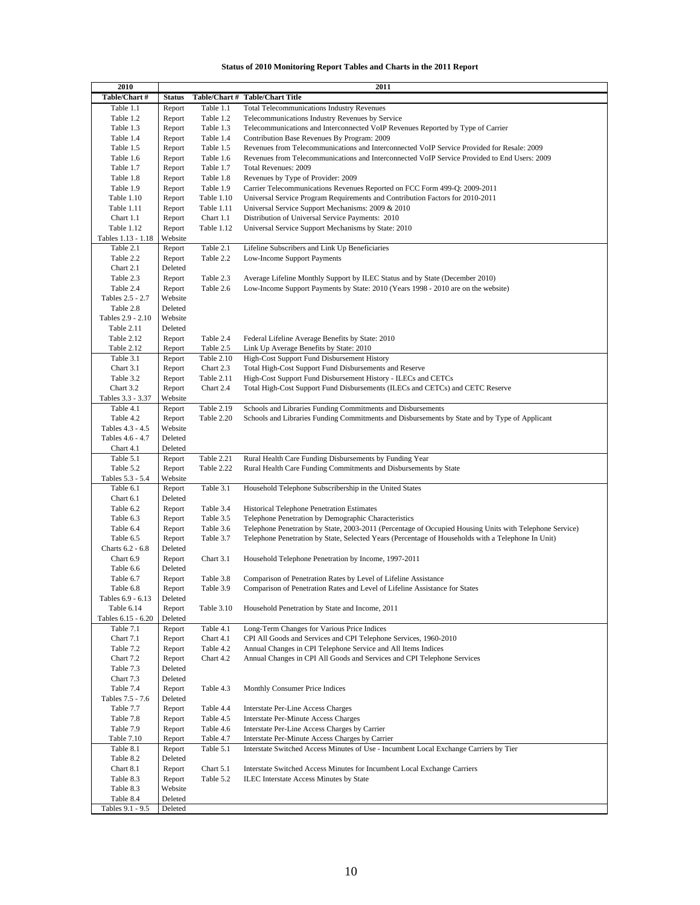#### **Status of 2010 Monitoring Report Tables and Charts in the 2011 Report**

| 2010               |               |            | 2011                                                                                                    |
|--------------------|---------------|------------|---------------------------------------------------------------------------------------------------------|
| Table/Chart#       | <b>Status</b> |            | Table/Chart # Table/Chart Title                                                                         |
| Table 1.1          | Report        | Table 1.1  | <b>Total Telecommunications Industry Revenues</b>                                                       |
| Table 1.2          | Report        | Table 1.2  | Telecommunications Industry Revenues by Service                                                         |
| Table 1.3          | Report        | Table 1.3  | Telecommunications and Interconnected VoIP Revenues Reported by Type of Carrier                         |
| Table 1.4          | Report        | Table 1.4  | Contribution Base Revenues By Program: 2009                                                             |
| Table 1.5          | Report        | Table 1.5  | Revenues from Telecommunications and Interconnected VoIP Service Provided for Resale: 2009              |
|                    |               |            |                                                                                                         |
| Table 1.6          | Report        | Table 1.6  | Revenues from Telecommunications and Interconnected VoIP Service Provided to End Users: 2009            |
| Table 1.7          | Report        | Table 1.7  | Total Revenues: 2009                                                                                    |
| Table 1.8          | Report        | Table 1.8  | Revenues by Type of Provider: 2009                                                                      |
| Table 1.9          | Report        | Table 1.9  | Carrier Telecommunications Revenues Reported on FCC Form 499-Q: 2009-2011                               |
| Table 1.10         | Report        | Table 1.10 | Universal Service Program Requirements and Contribution Factors for 2010-2011                           |
| Table 1.11         | Report        | Table 1.11 | Universal Service Support Mechanisms: 2009 & 2010                                                       |
| Chart 1.1          | Report        | Chart 1.1  | Distribution of Universal Service Payments: 2010                                                        |
| Table 1.12         | Report        | Table 1.12 | Universal Service Support Mechanisms by State: 2010                                                     |
| Tables 1.13 - 1.18 | Website       |            |                                                                                                         |
| Table 2.1          | Report        | Table 2.1  | Lifeline Subscribers and Link Up Beneficiaries                                                          |
| Table 2.2          | Report        | Table 2.2  | Low-Income Support Payments                                                                             |
| Chart 2.1          | Deleted       |            |                                                                                                         |
| Table 2.3          | Report        | Table 2.3  | Average Lifeline Monthly Support by ILEC Status and by State (December 2010)                            |
|                    |               |            |                                                                                                         |
| Table 2.4          | Report        | Table 2.6  | Low-Income Support Payments by State: 2010 (Years 1998 - 2010 are on the website)                       |
| Tables 2.5 - 2.7   | Website       |            |                                                                                                         |
| Table 2.8          | Deleted       |            |                                                                                                         |
| Tables 2.9 - 2.10  | Website       |            |                                                                                                         |
| Table 2.11         | Deleted       |            |                                                                                                         |
| Table 2.12         | Report        | Table 2.4  | Federal Lifeline Average Benefits by State: 2010                                                        |
| Table 2.12         | Report        | Table 2.5  | Link Up Average Benefits by State: 2010                                                                 |
| Table 3.1          | Report        | Table 2.10 | High-Cost Support Fund Disbursement History                                                             |
| Chart 3.1          | Report        | Chart 2.3  | Total High-Cost Support Fund Disbursements and Reserve                                                  |
| Table 3.2          | Report        | Table 2.11 | High-Cost Support Fund Disbursement History - ILECs and CETCs                                           |
| Chart 3.2          | Report        | Chart 2.4  | Total High-Cost Support Fund Disbursements (ILECs and CETCs) and CETC Reserve                           |
| Tables 3.3 - 3.37  | Website       |            |                                                                                                         |
| Table 4.1          | Report        | Table 2.19 | Schools and Libraries Funding Commitments and Disbursements                                             |
| Table 4.2          |               | Table 2.20 | Schools and Libraries Funding Commitments and Disbursements by State and by Type of Applicant           |
|                    | Report        |            |                                                                                                         |
| Tables 4.3 - 4.5   | Website       |            |                                                                                                         |
| Tables 4.6 - 4.7   | Deleted       |            |                                                                                                         |
| Chart 4.1          | Deleted       |            |                                                                                                         |
| Table 5.1          | Report        | Table 2.21 | Rural Health Care Funding Disbursements by Funding Year                                                 |
| Table 5.2          | Report        | Table 2.22 | Rural Health Care Funding Commitments and Disbursements by State                                        |
| Tables 5.3 - 5.4   | Website       |            |                                                                                                         |
| Table 6.1          | Report        | Table 3.1  | Household Telephone Subscribership in the United States                                                 |
| Chart 6.1          | Deleted       |            |                                                                                                         |
| Table 6.2          | Report        | Table 3.4  | Historical Telephone Penetration Estimates                                                              |
| Table 6.3          | Report        | Table 3.5  | Telephone Penetration by Demographic Characteristics                                                    |
| Table 6.4          | Report        | Table 3.6  | Telephone Penetration by State, 2003-2011 (Percentage of Occupied Housing Units with Telephone Service) |
| Table 6.5          | Report        | Table 3.7  | Telephone Penetration by State, Selected Years (Percentage of Households with a Telephone In Unit)      |
| Charts 6.2 - 6.8   | Deleted       |            |                                                                                                         |
| Chart 6.9          | Report        | Chart 3.1  | Household Telephone Penetration by Income, 1997-2011                                                    |
|                    |               |            |                                                                                                         |
| Table 6.6          | Deleted       |            |                                                                                                         |
| Table 6.7          | Report        | Table 3.8  | Comparison of Penetration Rates by Level of Lifeline Assistance                                         |
| Table 6.8          | Report        | Table 3.9  | Comparison of Penetration Rates and Level of Lifeline Assistance for States                             |
| Tables 6.9 - 6.13  | Deleted       |            |                                                                                                         |
| Table 6.14         | Report        | Table 3.10 | Household Penetration by State and Income, 2011                                                         |
| Tables 6.15 - 6.20 | Deleted       |            |                                                                                                         |
| Table 7.1          | Report        | Table 4.1  | Long-Term Changes for Various Price Indices                                                             |
| Chart 7.1          | Report        | Chart 4.1  | CPI All Goods and Services and CPI Telephone Services, 1960-2010                                        |
| Table 7.2          | Report        | Table 4.2  | Annual Changes in CPI Telephone Service and All Items Indices                                           |
| Chart 7.2          | Report        | Chart 4.2  | Annual Changes in CPI All Goods and Services and CPI Telephone Services                                 |
| Table 7.3          | Deleted       |            |                                                                                                         |
| Chart 7.3          | Deleted       |            |                                                                                                         |
| Table 7.4          | Report        | Table 4.3  | Monthly Consumer Price Indices                                                                          |
|                    |               |            |                                                                                                         |
| Tables 7.5 - 7.6   | Deleted       |            |                                                                                                         |
| Table 7.7          | Report        | Table 4.4  | Interstate Per-Line Access Charges                                                                      |
| Table 7.8          | Report        | Table 4.5  | Interstate Per-Minute Access Charges                                                                    |
| Table 7.9          | Report        | Table 4.6  | Interstate Per-Line Access Charges by Carrier                                                           |
| <b>Table 7.10</b>  | Report        | Table 4.7  | Interstate Per-Minute Access Charges by Carrier                                                         |
| Table 8.1          | Report        | Table 5.1  | Interstate Switched Access Minutes of Use - Incumbent Local Exchange Carriers by Tier                   |
| Table 8.2          | Deleted       |            |                                                                                                         |
| Chart 8.1          | Report        | Chart 5.1  | Interstate Switched Access Minutes for Incumbent Local Exchange Carriers                                |
| Table 8.3          | Report        | Table 5.2  | ILEC Interstate Access Minutes by State                                                                 |
| Table 8.3          | Website       |            |                                                                                                         |
| Table 8.4          | Deleted       |            |                                                                                                         |
| Tables 9.1 - 9.5   | Deleted       |            |                                                                                                         |
|                    |               |            |                                                                                                         |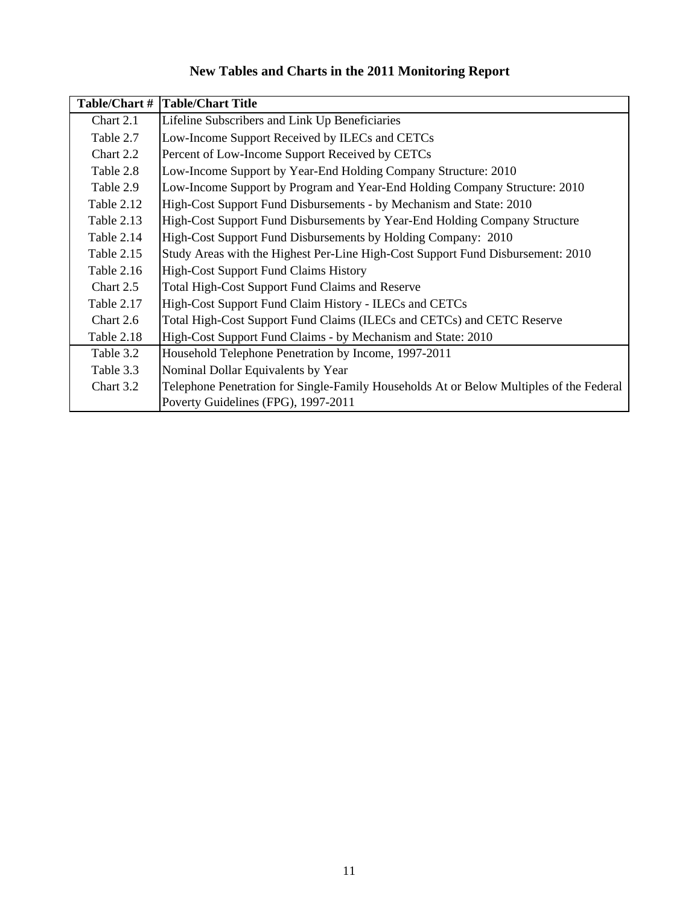# **New Tables and Charts in the 2011 Monitoring Report**

| Table/Chart #     | <b>Table/Chart Title</b>                                                                |
|-------------------|-----------------------------------------------------------------------------------------|
| Chart 2.1         | Lifeline Subscribers and Link Up Beneficiaries                                          |
| Table 2.7         | Low-Income Support Received by ILECs and CETCs                                          |
| Chart 2.2         | Percent of Low-Income Support Received by CETCs                                         |
| Table 2.8         | Low-Income Support by Year-End Holding Company Structure: 2010                          |
| Table 2.9         | Low-Income Support by Program and Year-End Holding Company Structure: 2010              |
| Table 2.12        | High-Cost Support Fund Disbursements - by Mechanism and State: 2010                     |
| Table 2.13        | High-Cost Support Fund Disbursements by Year-End Holding Company Structure              |
| Table 2.14        | High-Cost Support Fund Disbursements by Holding Company: 2010                           |
| Table 2.15        | Study Areas with the Highest Per-Line High-Cost Support Fund Disbursement: 2010         |
| <b>Table 2.16</b> | <b>High-Cost Support Fund Claims History</b>                                            |
| Chart 2.5         | <b>Total High-Cost Support Fund Claims and Reserve</b>                                  |
| Table 2.17        | High-Cost Support Fund Claim History - ILECs and CETCs                                  |
| Chart 2.6         | Total High-Cost Support Fund Claims (ILECs and CETCs) and CETC Reserve                  |
| Table 2.18        | High-Cost Support Fund Claims - by Mechanism and State: 2010                            |
| Table 3.2         | Household Telephone Penetration by Income, 1997-2011                                    |
| Table 3.3         | Nominal Dollar Equivalents by Year                                                      |
| Chart 3.2         | Telephone Penetration for Single-Family Households At or Below Multiples of the Federal |
|                   | Poverty Guidelines (FPG), 1997-2011                                                     |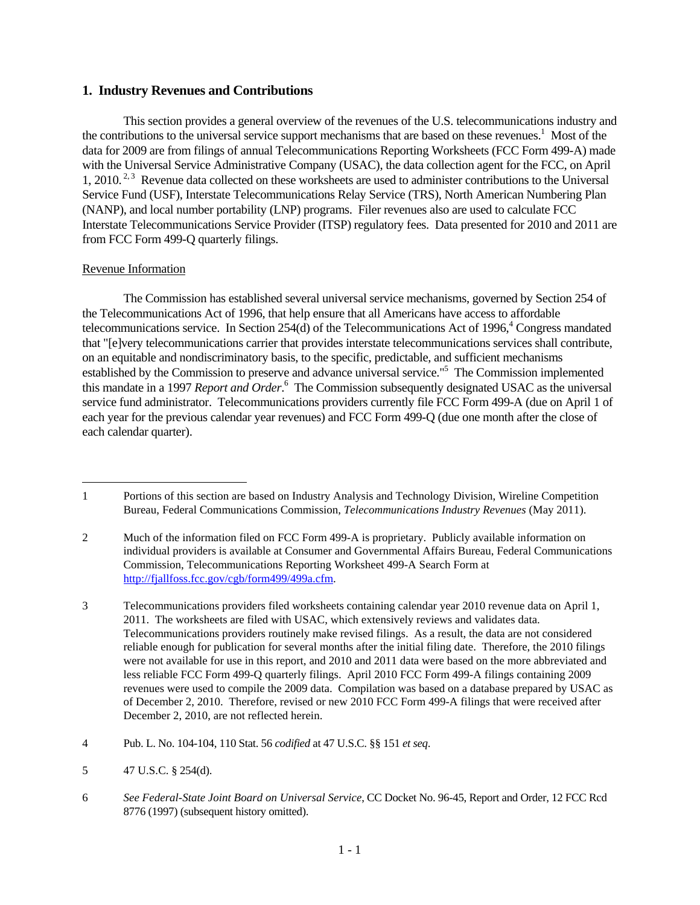# **1. Industry Revenues and Contributions**

This section provides a general overview of the revenues of the U.S. telecommunications industry and the contributions to the universal service support mechanisms that are based on these revenues.<sup>1</sup> Most of the data for 2009 are from filings of annual Telecommunications Reporting Worksheets (FCC Form 499-A) made with the Universal Service Administrative Company (USAC), the data collection agent for the FCC, on April 1, 2010.<sup>2, 3</sup> Revenue data collected on these worksheets are used to administer contributions to the Universal Service Fund (USF), Interstate Telecommunications Relay Service (TRS), North American Numbering Plan (NANP), and local number portability (LNP) programs. Filer revenues also are used to calculate FCC Interstate Telecommunications Service Provider (ITSP) regulatory fees. Data presented for 2010 and 2011 are from FCC Form 499-Q quarterly filings.

# Revenue Information

 $\overline{a}$ 

The Commission has established several universal service mechanisms, governed by Section 254 of the Telecommunications Act of 1996, that help ensure that all Americans have access to affordable telecommunications service. In Section  $254(d)$  of the Telecommunications Act of 1996,<sup>4</sup> Congress mandated that "[e]very telecommunications carrier that provides interstate telecommunications services shall contribute, on an equitable and nondiscriminatory basis, to the specific, predictable, and sufficient mechanisms established by the Commission to preserve and advance universal service."<sup>5</sup> The Commission implemented this mandate in a 1997 *Report and Order*. 6 The Commission subsequently designated USAC as the universal service fund administrator. Telecommunications providers currently file FCC Form 499-A (due on April 1 of each year for the previous calendar year revenues) and FCC Form 499-Q (due one month after the close of each calendar quarter).

<sup>1</sup> Portions of this section are based on Industry Analysis and Technology Division, Wireline Competition Bureau, Federal Communications Commission, *Telecommunications Industry Revenues* (May 2011).

<sup>2</sup> Much of the information filed on FCC Form 499-A is proprietary. Publicly available information on individual providers is available at Consumer and Governmental Affairs Bureau, Federal Communications Commission, Telecommunications Reporting Worksheet 499-A Search Form at http://fjallfoss.fcc.gov/cgb/form499/499a.cfm.

<sup>3</sup> Telecommunications providers filed worksheets containing calendar year 2010 revenue data on April 1, 2011. The worksheets are filed with USAC, which extensively reviews and validates data. Telecommunications providers routinely make revised filings. As a result, the data are not considered reliable enough for publication for several months after the initial filing date. Therefore, the 2010 filings were not available for use in this report, and 2010 and 2011 data were based on the more abbreviated and less reliable FCC Form 499-Q quarterly filings. April 2010 FCC Form 499-A filings containing 2009 revenues were used to compile the 2009 data. Compilation was based on a database prepared by USAC as of December 2, 2010. Therefore, revised or new 2010 FCC Form 499-A filings that were received after December 2, 2010, are not reflected herein.

<sup>4</sup> Pub. L. No. 104-104, 110 Stat. 56 *codified* at 47 U.S.C. §§ 151 *et seq*.

<sup>5 47</sup> U.S.C. § 254(d).

<sup>6</sup> *See Federal-State Joint Board on Universal Service*, CC Docket No. 96-45, Report and Order, 12 FCC Rcd 8776 (1997) (subsequent history omitted).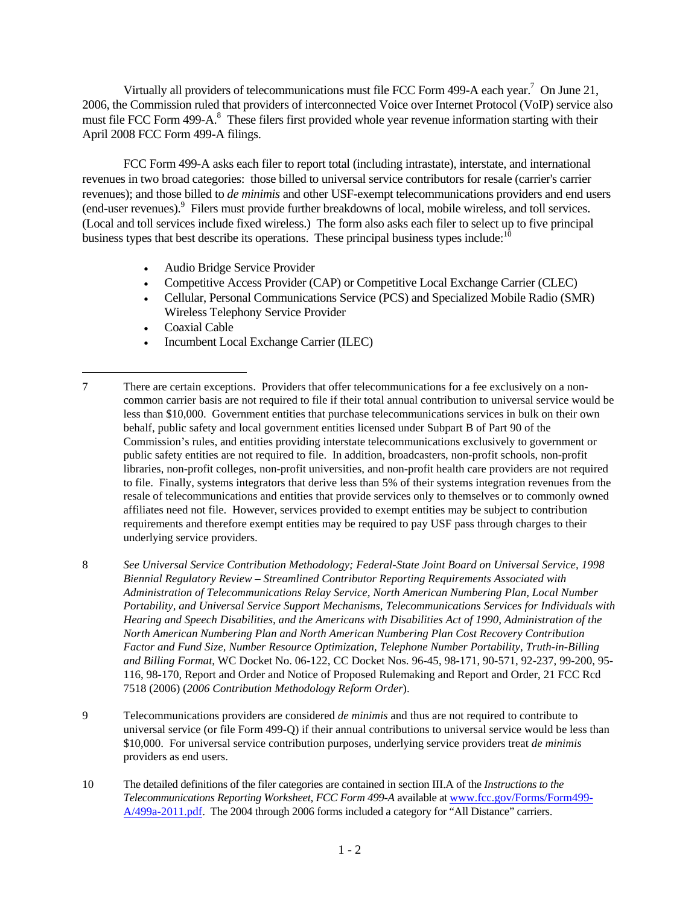Virtually all providers of telecommunications must file FCC Form 499-A each year.<sup>7</sup> On June 21, 2006, the Commission ruled that providers of interconnected Voice over Internet Protocol (VoIP) service also must file FCC Form 499-A.<sup>8</sup> These filers first provided whole year revenue information starting with their April 2008 FCC Form 499-A filings.

FCC Form 499-A asks each filer to report total (including intrastate), interstate, and international revenues in two broad categories: those billed to universal service contributors for resale (carrier's carrier revenues); and those billed to *de minimis* and other USF-exempt telecommunications providers and end users (end-user revenues). Filers must provide further breakdowns of local, mobile wireless, and toll services. (Local and toll services include fixed wireless.) The form also asks each filer to select up to five principal business types that best describe its operations. These principal business types include: $10$ 

- Audio Bridge Service Provider
- Competitive Access Provider (CAP) or Competitive Local Exchange Carrier (CLEC)
- Cellular, Personal Communications Service (PCS) and Specialized Mobile Radio (SMR) Wireless Telephony Service Provider
- Coaxial Cable

 $\overline{a}$ 

• Incumbent Local Exchange Carrier (ILEC)

- 9 Telecommunications providers are considered *de minimis* and thus are not required to contribute to universal service (or file Form 499-Q) if their annual contributions to universal service would be less than \$10,000. For universal service contribution purposes, underlying service providers treat *de minimis* providers as end users.
- 10 The detailed definitions of the filer categories are contained in section III.A of the *Instructions to the Telecommunications Reporting Worksheet, FCC Form 499-A* available at www.fcc.gov/Forms/Form499- A/499a-2011.pdf. The 2004 through 2006 forms included a category for "All Distance" carriers.

<sup>7</sup> There are certain exceptions. Providers that offer telecommunications for a fee exclusively on a noncommon carrier basis are not required to file if their total annual contribution to universal service would be less than \$10,000. Government entities that purchase telecommunications services in bulk on their own behalf, public safety and local government entities licensed under Subpart B of Part 90 of the Commission's rules, and entities providing interstate telecommunications exclusively to government or public safety entities are not required to file. In addition, broadcasters, non-profit schools, non-profit libraries, non-profit colleges, non-profit universities, and non-profit health care providers are not required to file. Finally, systems integrators that derive less than 5% of their systems integration revenues from the resale of telecommunications and entities that provide services only to themselves or to commonly owned affiliates need not file. However, services provided to exempt entities may be subject to contribution requirements and therefore exempt entities may be required to pay USF pass through charges to their underlying service providers.

<sup>8</sup> *See Universal Service Contribution Methodology; Federal-State Joint Board on Universal Service, 1998 Biennial Regulatory Review – Streamlined Contributor Reporting Requirements Associated with Administration of Telecommunications Relay Service, North American Numbering Plan, Local Number Portability, and Universal Service Support Mechanisms, Telecommunications Services for Individuals with Hearing and Speech Disabilities, and the Americans with Disabilities Act of 1990, Administration of the North American Numbering Plan and North American Numbering Plan Cost Recovery Contribution Factor and Fund Size, Number Resource Optimization, Telephone Number Portability, Truth-in-Billing and Billing Format*, WC Docket No. 06-122, CC Docket Nos. 96-45, 98-171, 90-571, 92-237, 99-200, 95- 116, 98-170, Report and Order and Notice of Proposed Rulemaking and Report and Order, 21 FCC Rcd 7518 (2006) (*2006 Contribution Methodology Reform Order*).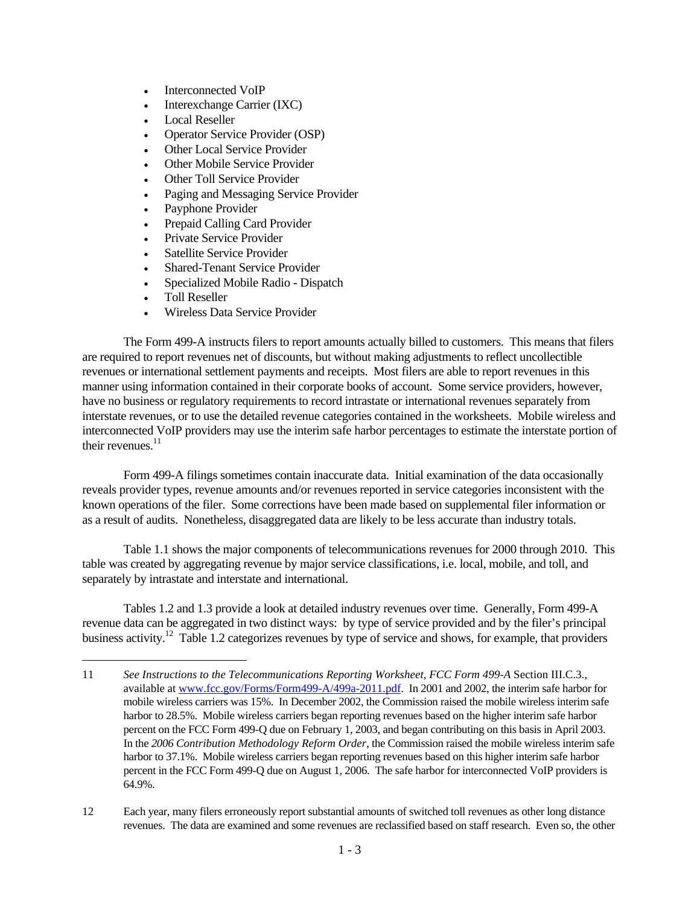- Interconnected VoIP
- Interexchange Carrier (IXC)
- Local Reseller
- Operator Service Provider (OSP)
- Other Local Service Provider
- **Other Mobile Service Provider**
- Other Toll Service Provider
- Paging and Messaging Service Provider
- Payphone Provider
- Prepaid Calling Card Provider
- Private Service Provider
- Satellite Service Provider
- Shared-Tenant Service Provider
- Specialized Mobile Radio Dispatch
- Toll Reseller

 $\overline{a}$ 

• Wireless Data Service Provider

The Form 499-A instructs filers to report amounts actually billed to customers. This means that filers are required to report revenues net of discounts, but without making adjustments to reflect uncollectible revenues or international settlement payments and receipts. Most filers are able to report revenues in this manner using information contained in their corporate books of account. Some service providers, however, have no business or regulatory requirements to record intrastate or international revenues separately from interstate revenues, or to use the detailed revenue categories contained in the worksheets. Mobile wireless and interconnected VoIP providers may use the interim safe harbor percentages to estimate the interstate portion of their revenues. $11$ 

Form 499-A filings sometimes contain inaccurate data. Initial examination of the data occasionally reveals provider types, revenue amounts and/or revenues reported in service categories inconsistent with the known operations of the filer. Some corrections have been made based on supplemental filer information or as a result of audits. Nonetheless, disaggregated data are likely to be less accurate than industry totals.

Table 1.1 shows the major components of telecommunications revenues for 2000 through 2010. This table was created by aggregating revenue by major service classifications, i.e. local, mobile, and toll, and separately by intrastate and interstate and international.

 Tables 1.2 and 1.3 provide a look at detailed industry revenues over time. Generally, Form 499-A revenue data can be aggregated in two distinct ways: by type of service provided and by the filer's principal business activity.<sup>12</sup> Table 1.2 categorizes revenues by type of service and shows, for example, that providers

<sup>11</sup> *See Instructions to the Telecommunications Reporting Worksheet, FCC Form 499-A* Section III.C.3., available at www.fcc.gov/Forms/Form499-A/499a-2011.pdf. In 2001 and 2002, the interim safe harbor for mobile wireless carriers was 15%. In December 2002, the Commission raised the mobile wireless interim safe harbor to 28.5%. Mobile wireless carriers began reporting revenues based on the higher interim safe harbor percent on the FCC Form 499-Q due on February 1, 2003, and began contributing on this basis in April 2003. In the *2006 Contribution Methodology Reform Order*, the Commission raised the mobile wireless interim safe harbor to 37.1%. Mobile wireless carriers began reporting revenues based on this higher interim safe harbor percent in the FCC Form 499-Q due on August 1, 2006. The safe harbor for interconnected VoIP providers is 64.9%.

<sup>12</sup> Each year, many filers erroneously report substantial amounts of switched toll revenues as other long distance revenues. The data are examined and some revenues are reclassified based on staff research. Even so, the other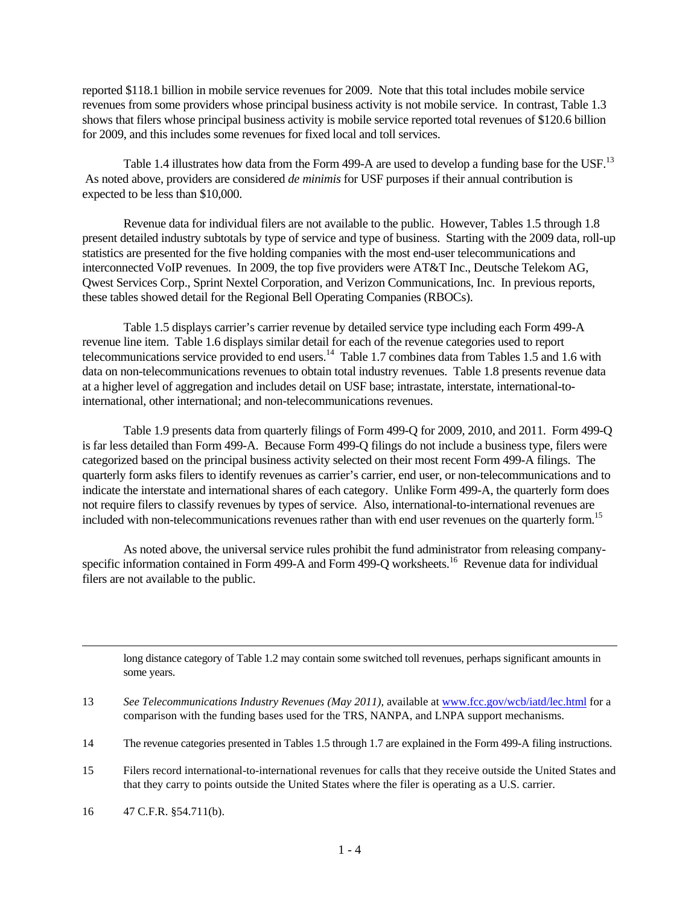reported \$118.1 billion in mobile service revenues for 2009. Note that this total includes mobile service revenues from some providers whose principal business activity is not mobile service. In contrast, Table 1.3 shows that filers whose principal business activity is mobile service reported total revenues of \$120.6 billion for 2009, and this includes some revenues for fixed local and toll services.

Table 1.4 illustrates how data from the Form 499-A are used to develop a funding base for the USF.<sup>13</sup> As noted above, providers are considered *de minimis* for USF purposes if their annual contribution is expected to be less than \$10,000.

 Revenue data for individual filers are not available to the public. However, Tables 1.5 through 1.8 present detailed industry subtotals by type of service and type of business. Starting with the 2009 data, roll-up statistics are presented for the five holding companies with the most end-user telecommunications and interconnected VoIP revenues. In 2009, the top five providers were AT&T Inc., Deutsche Telekom AG, Qwest Services Corp., Sprint Nextel Corporation, and Verizon Communications, Inc. In previous reports, these tables showed detail for the Regional Bell Operating Companies (RBOCs).

Table 1.5 displays carrier's carrier revenue by detailed service type including each Form 499-A revenue line item. Table 1.6 displays similar detail for each of the revenue categories used to report telecommunications service provided to end users.<sup>14</sup> Table 1.7 combines data from Tables 1.5 and 1.6 with data on non-telecommunications revenues to obtain total industry revenues. Table 1.8 presents revenue data at a higher level of aggregation and includes detail on USF base; intrastate, interstate, international-tointernational, other international; and non-telecommunications revenues.

Table 1.9 presents data from quarterly filings of Form 499-Q for 2009, 2010, and 2011. Form 499-Q is far less detailed than Form 499-A. Because Form 499-Q filings do not include a business type, filers were categorized based on the principal business activity selected on their most recent Form 499-A filings. The quarterly form asks filers to identify revenues as carrier's carrier, end user, or non-telecommunications and to indicate the interstate and international shares of each category. Unlike Form 499-A, the quarterly form does not require filers to classify revenues by types of service. Also, international-to-international revenues are included with non-telecommunications revenues rather than with end user revenues on the quarterly form.<sup>15</sup>

 As noted above, the universal service rules prohibit the fund administrator from releasing companyspecific information contained in Form 499-A and Form 499-Q worksheets.<sup>16</sup> Revenue data for individual filers are not available to the public.

long distance category of Table 1.2 may contain some switched toll revenues, perhaps significant amounts in some years.

13 *See Telecommunications Industry Revenues (May 2011),* available at www.fcc.gov/wcb/iatd/lec.html for a comparison with the funding bases used for the TRS, NANPA, and LNPA support mechanisms.

15 Filers record international-to-international revenues for calls that they receive outside the United States and that they carry to points outside the United States where the filer is operating as a U.S. carrier.

 $\overline{a}$ 

<sup>14</sup> The revenue categories presented in Tables 1.5 through 1.7 are explained in the Form 499-A filing instructions.

<sup>16 47</sup> C.F.R. §54.711(b).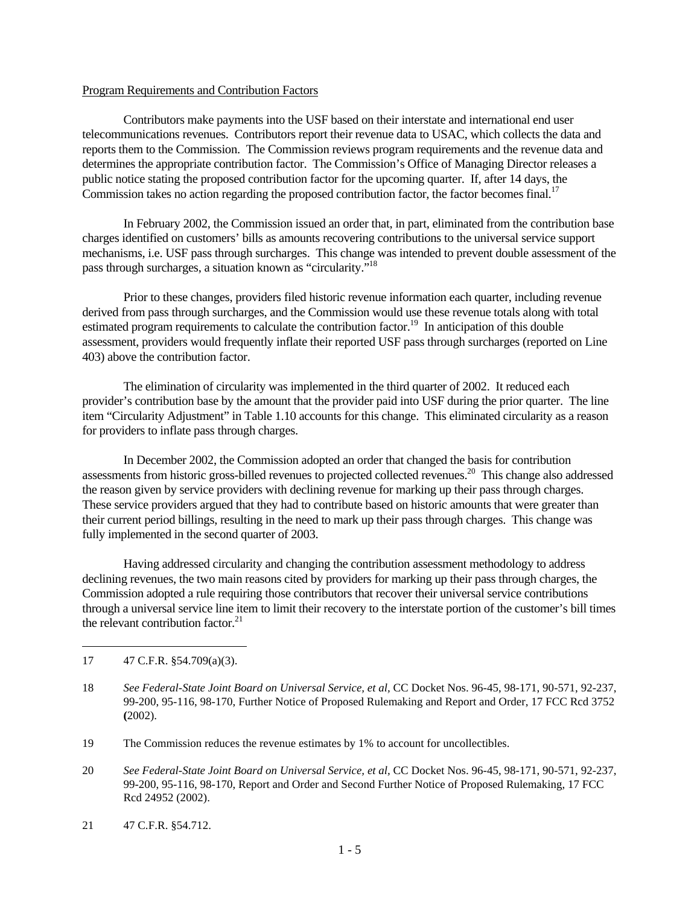## Program Requirements and Contribution Factors

 Contributors make payments into the USF based on their interstate and international end user telecommunications revenues. Contributors report their revenue data to USAC, which collects the data and reports them to the Commission. The Commission reviews program requirements and the revenue data and determines the appropriate contribution factor. The Commission's Office of Managing Director releases a public notice stating the proposed contribution factor for the upcoming quarter. If, after 14 days, the Commission takes no action regarding the proposed contribution factor, the factor becomes final.<sup>17</sup>

 In February 2002, the Commission issued an order that, in part, eliminated from the contribution base charges identified on customers' bills as amounts recovering contributions to the universal service support mechanisms, i.e. USF pass through surcharges. This change was intended to prevent double assessment of the pass through surcharges, a situation known as "circularity."18

 Prior to these changes, providers filed historic revenue information each quarter, including revenue derived from pass through surcharges, and the Commission would use these revenue totals along with total estimated program requirements to calculate the contribution factor.<sup>19</sup> In anticipation of this double assessment, providers would frequently inflate their reported USF pass through surcharges (reported on Line 403) above the contribution factor.

 The elimination of circularity was implemented in the third quarter of 2002. It reduced each provider's contribution base by the amount that the provider paid into USF during the prior quarter. The line item "Circularity Adjustment" in Table 1.10 accounts for this change. This eliminated circularity as a reason for providers to inflate pass through charges.

 In December 2002, the Commission adopted an order that changed the basis for contribution assessments from historic gross-billed revenues to projected collected revenues.<sup>20</sup> This change also addressed the reason given by service providers with declining revenue for marking up their pass through charges. These service providers argued that they had to contribute based on historic amounts that were greater than their current period billings, resulting in the need to mark up their pass through charges. This change was fully implemented in the second quarter of 2003.

 Having addressed circularity and changing the contribution assessment methodology to address declining revenues, the two main reasons cited by providers for marking up their pass through charges, the Commission adopted a rule requiring those contributors that recover their universal service contributions through a universal service line item to limit their recovery to the interstate portion of the customer's bill times the relevant contribution factor. $21$ 

17 47 C.F.R. §54.709(a)(3).

 $\overline{a}$ 

- 18 *See Federal-State Joint Board on Universal Service, et al,* CC Docket Nos. 96-45, 98-171, 90-571, 92-237, 99-200, 95-116, 98-170, Further Notice of Proposed Rulemaking and Report and Order, 17 FCC Rcd 3752 **(**2002).
- 19 The Commission reduces the revenue estimates by 1% to account for uncollectibles.
- 20 *See Federal-State Joint Board on Universal Service, et al,* CC Docket Nos. 96-45, 98-171, 90-571, 92-237, 99-200, 95-116, 98-170, Report and Order and Second Further Notice of Proposed Rulemaking, 17 FCC Rcd 24952 (2002).
- 21 47 C.F.R. §54.712.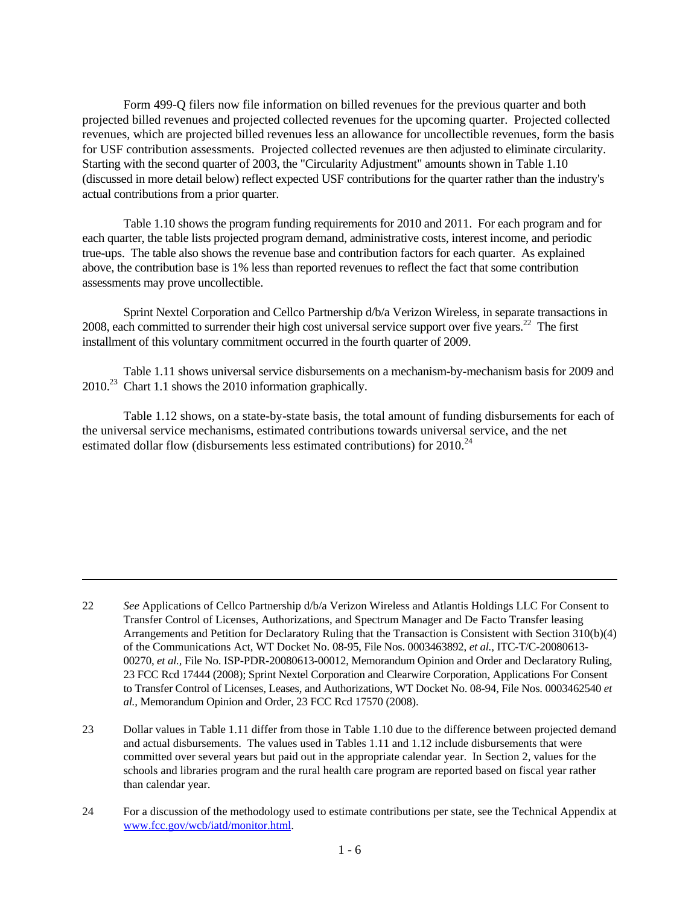Form 499-Q filers now file information on billed revenues for the previous quarter and both projected billed revenues and projected collected revenues for the upcoming quarter. Projected collected revenues, which are projected billed revenues less an allowance for uncollectible revenues, form the basis for USF contribution assessments. Projected collected revenues are then adjusted to eliminate circularity. Starting with the second quarter of 2003, the "Circularity Adjustment" amounts shown in Table 1.10 (discussed in more detail below) reflect expected USF contributions for the quarter rather than the industry's actual contributions from a prior quarter.

 Table 1.10 shows the program funding requirements for 2010 and 2011. For each program and for each quarter, the table lists projected program demand, administrative costs, interest income, and periodic true-ups. The table also shows the revenue base and contribution factors for each quarter. As explained above, the contribution base is 1% less than reported revenues to reflect the fact that some contribution assessments may prove uncollectible.

 Sprint Nextel Corporation and Cellco Partnership d/b/a Verizon Wireless, in separate transactions in 2008, each committed to surrender their high cost universal service support over five years.<sup>22</sup> The first installment of this voluntary commitment occurred in the fourth quarter of 2009.

 Table 1.11 shows universal service disbursements on a mechanism-by-mechanism basis for 2009 and 2010.23 Chart 1.1 shows the 2010 information graphically.

 Table 1.12 shows, on a state-by-state basis, the total amount of funding disbursements for each of the universal service mechanisms, estimated contributions towards universal service, and the net estimated dollar flow (disbursements less estimated contributions) for  $2010^{24}$ 

 $\overline{a}$ 

<sup>22</sup> *See* Applications of Cellco Partnership d/b/a Verizon Wireless and Atlantis Holdings LLC For Consent to Transfer Control of Licenses, Authorizations, and Spectrum Manager and De Facto Transfer leasing Arrangements and Petition for Declaratory Ruling that the Transaction is Consistent with Section 310(b)(4) of the Communications Act, WT Docket No. 08-95, File Nos. 0003463892, *et al.,* ITC-T/C-20080613- 00270, *et al.,* File No. ISP-PDR-20080613-00012, Memorandum Opinion and Order and Declaratory Ruling, 23 FCC Rcd 17444 (2008); Sprint Nextel Corporation and Clearwire Corporation, Applications For Consent to Transfer Control of Licenses, Leases, and Authorizations, WT Docket No. 08-94, File Nos. 0003462540 *et al.,* Memorandum Opinion and Order, 23 FCC Rcd 17570 (2008).

<sup>23</sup> Dollar values in Table 1.11 differ from those in Table 1.10 due to the difference between projected demand and actual disbursements. The values used in Tables 1.11 and 1.12 include disbursements that were committed over several years but paid out in the appropriate calendar year. In Section 2, values for the schools and libraries program and the rural health care program are reported based on fiscal year rather than calendar year.

<sup>24</sup> For a discussion of the methodology used to estimate contributions per state, see the Technical Appendix at www.fcc.gov/wcb/iatd/monitor.html.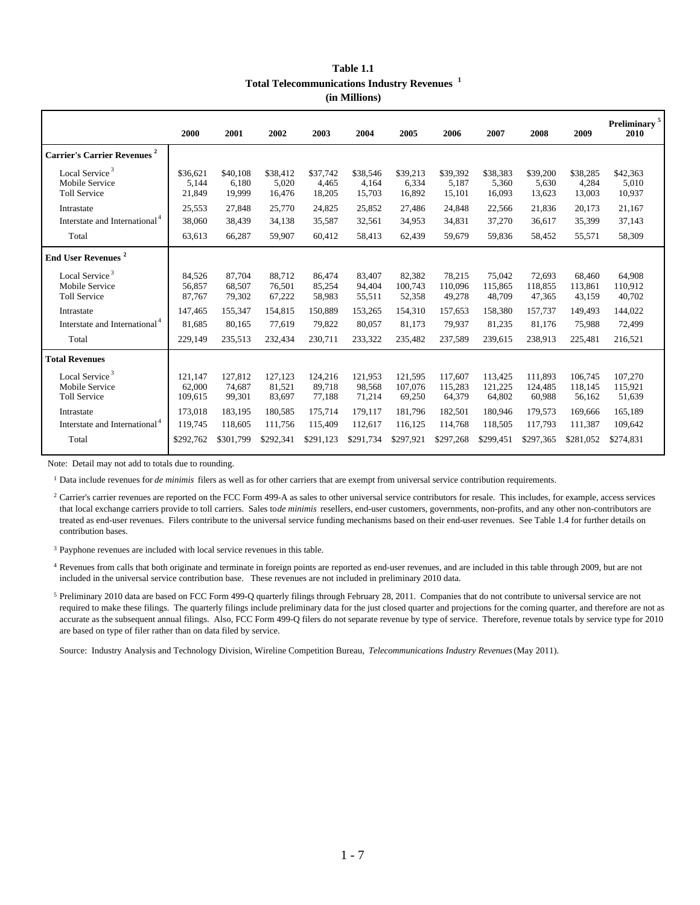| Table 1.1                                               |  |
|---------------------------------------------------------|--|
| Total Telecommunications Industry Revenues <sup>1</sup> |  |
| (in Millions)                                           |  |

|                                                                     | 2000                         | 2001                        | 2002                        | 2003                        | 2004                        | 2005                         | 2006                         | 2007                         | 2008                         | 2009                         | Preliminary <sup>5</sup><br>2010 |
|---------------------------------------------------------------------|------------------------------|-----------------------------|-----------------------------|-----------------------------|-----------------------------|------------------------------|------------------------------|------------------------------|------------------------------|------------------------------|----------------------------------|
| <b>Carrier's Carrier Revenues<sup>2</sup></b>                       |                              |                             |                             |                             |                             |                              |                              |                              |                              |                              |                                  |
| Local Service <sup>3</sup><br>Mobile Service<br><b>Toll Service</b> | \$36,621<br>5,144<br>21,849  | \$40,108<br>6,180<br>19.999 | \$38,412<br>5,020<br>16,476 | \$37,742<br>4.465<br>18,205 | \$38,546<br>4,164<br>15,703 | \$39,213<br>6,334<br>16,892  | \$39,392<br>5.187<br>15,101  | \$38,383<br>5,360<br>16,093  | \$39,200<br>5.630<br>13,623  | \$38,285<br>4,284<br>13,003  | \$42,363<br>5,010<br>10,937      |
| Intrastate                                                          | 25,553                       | 27,848                      | 25,770                      | 24,825                      | 25,852                      | 27,486                       | 24,848                       | 22,566                       | 21,836                       | 20,173                       | 21,167                           |
| Interstate and International <sup>4</sup>                           | 38,060                       | 38,439                      | 34,138                      | 35,587                      | 32,561                      | 34,953                       | 34,831                       | 37,270                       | 36,617                       | 35,399                       | 37,143                           |
| Total                                                               | 63,613                       | 66,287                      | 59,907                      | 60,412                      | 58,413                      | 62,439                       | 59,679                       | 59,836                       | 58,452                       | 55,571                       | 58,309                           |
| <b>End User Revenues</b> <sup>2</sup>                               |                              |                             |                             |                             |                             |                              |                              |                              |                              |                              |                                  |
| Local Service <sup>3</sup><br>Mobile Service<br><b>Toll Service</b> | 84,526<br>56,857<br>87,767   | 87,704<br>68,507<br>79,302  | 88,712<br>76,501<br>67,222  | 86,474<br>85,254<br>58,983  | 83,407<br>94,404<br>55,511  | 82,382<br>100,743<br>52,358  | 78,215<br>110,096<br>49,278  | 75,042<br>115,865<br>48,709  | 72,693<br>118,855<br>47,365  | 68,460<br>113,861<br>43,159  | 64,908<br>110,912<br>40,702      |
| Intrastate                                                          | 147,465                      | 155,347                     | 154,815                     | 150,889                     | 153,265                     | 154,310                      | 157,653                      | 158,380                      | 157,737                      | 149,493                      | 144,022                          |
| Interstate and International <sup>4</sup>                           | 81,685                       | 80,165                      | 77,619                      | 79,822                      | 80,057                      | 81,173                       | 79,937                       | 81,235                       | 81,176                       | 75,988                       | 72,499                           |
| Total                                                               | 229,149                      | 235,513                     | 232,434                     | 230,711                     | 233,322                     | 235,482                      | 237,589                      | 239,615                      | 238,913                      | 225,481                      | 216,521                          |
| <b>Total Revenues</b>                                               |                              |                             |                             |                             |                             |                              |                              |                              |                              |                              |                                  |
| Local Service <sup>3</sup><br>Mobile Service<br><b>Toll Service</b> | 121,147<br>62.000<br>109,615 | 127,812<br>74.687<br>99,301 | 127,123<br>81,521<br>83,697 | 124,216<br>89.718<br>77,188 | 121,953<br>98,568<br>71,214 | 121,595<br>107,076<br>69,250 | 117,607<br>115,283<br>64,379 | 113,425<br>121,225<br>64,802 | 111.893<br>124,485<br>60,988 | 106,745<br>118,145<br>56,162 | 107,270<br>115,921<br>51,639     |
| Intrastate                                                          | 173,018                      | 183,195                     | 180,585                     | 175,714                     | 179,117                     | 181,796                      | 182,501                      | 180,946                      | 179,573                      | 169,666                      | 165,189                          |
| Interstate and International <sup>4</sup>                           | 119,745                      | 118,605                     | 111,756                     | 115,409                     | 112,617                     | 116,125                      | 114,768                      | 118,505                      | 117,793                      | 111,387                      | 109,642                          |
| Total                                                               | \$292,762                    | \$301.799                   | \$292,341                   | \$291,123                   | \$291,734                   | \$297,921                    | \$297,268                    | \$299,451                    | \$297,365                    | \$281,052                    | \$274,831                        |

Note: Detail may not add to totals due to rounding.

<sup>1</sup> Data include revenues for *de minimis* filers as well as for other carriers that are exempt from universal service contribution requirements.

<sup>2</sup> Carrier's carrier revenues are reported on the FCC Form 499-A as sales to other universal service contributors for resale. This includes, for example, access services that local exchange carriers provide to toll carriers. Sales to *de minimis* resellers, end-user customers, governments, non-profits, and any other non-contributors are treated as end-user revenues. Filers contribute to the universal service funding mechanisms based on their end-user revenues. See Table 1.4 for further details on contribution bases.

<sup>3</sup> Payphone revenues are included with local service revenues in this table.

<sup>4</sup> Revenues from calls that both originate and terminate in foreign points are reported as end-user revenues, and are included in this table through 2009, but are not included in the universal service contribution base. These revenues are not included in preliminary 2010 data.

<sup>5</sup> Preliminary 2010 data are based on FCC Form 499-Q quarterly filings through February 28, 2011. Companies that do not contribute to universal service are not required to make these filings. The quarterly filings include preliminary data for the just closed quarter and projections for the coming quarter, and therefore are not as accurate as the subsequent annual filings. Also, FCC Form 499-Q filers do not separate revenue by type of service. Therefore, revenue totals by service type for 2010 are based on type of filer rather than on data filed by service.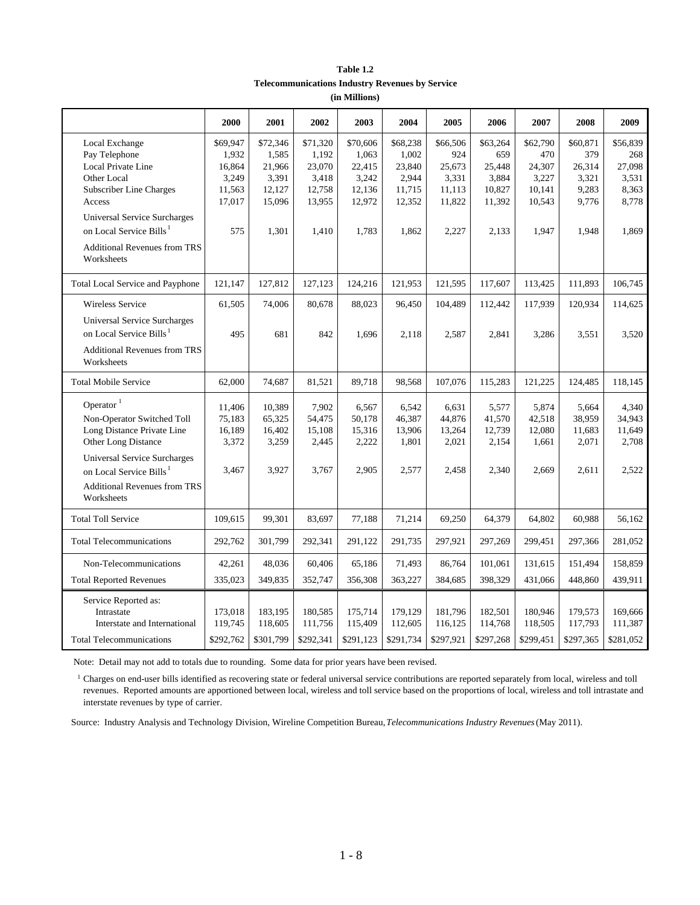| Table 1.2                                       |
|-------------------------------------------------|
| Telecommunications Industry Revenues by Service |
| (in Millions)                                   |

|                                                   | 2000               | 2001               | 2002      | 2003               | 2004               | 2005               | 2006               | 2007      | 2008               | 2009               |
|---------------------------------------------------|--------------------|--------------------|-----------|--------------------|--------------------|--------------------|--------------------|-----------|--------------------|--------------------|
| Local Exchange                                    | \$69,947           | \$72,346           | \$71,320  | \$70,606           | \$68,238           | \$66,506           | \$63,264           | \$62,790  | \$60,871           | \$56,839           |
| Pay Telephone                                     | 1,932              | 1,585              | 1,192     | 1,063              | 1,002              | 924                | 659                | 470       | 379                | 268                |
| Local Private Line                                | 16,864             | 21,966             | 23,070    | 22,415             | 23,840             | 25,673             | 25,448             | 24,307    | 26,314             | 27,098             |
| Other Local                                       | 3,249              | 3,391              | 3,418     | 3,242              | 2,944              | 3,331              | 3,884              | 3,227     | 3,321              | 3,531              |
| Subscriber Line Charges                           | 11,563             | 12,127             | 12,758    | 12,136             | 11,715             | 11,113             | 10,827             | 10,141    | 9,283              | 8,363              |
| Access                                            | 17,017             | 15,096             | 13,955    | 12,972             | 12,352             | 11,822             | 11,392             | 10,543    | 9,776              | 8,778              |
| Universal Service Surcharges                      |                    |                    |           |                    |                    |                    |                    |           |                    |                    |
| on Local Service Bills <sup>1</sup>               | 575                | 1,301              | 1,410     | 1,783              | 1,862              | 2,227              | 2,133              | 1,947     | 1,948              | 1,869              |
| <b>Additional Revenues from TRS</b><br>Worksheets |                    |                    |           |                    |                    |                    |                    |           |                    |                    |
| Total Local Service and Payphone                  | 121,147            | 127,812            | 127,123   | 124,216            | 121,953            | 121,595            | 117,607            | 113,425   | 111,893            | 106,745            |
| Wireless Service                                  | 61,505             | 74,006             | 80,678    | 88,023             | 96,450             | 104,489            | 112,442            | 117,939   | 120,934            | 114,625            |
| <b>Universal Service Surcharges</b>               |                    |                    |           |                    |                    |                    |                    |           |                    |                    |
| on Local Service Bills <sup>1</sup>               | 495                | 681                | 842       | 1,696              | 2,118              | 2,587              | 2,841              | 3,286     | 3,551              | 3,520              |
| <b>Additional Revenues from TRS</b><br>Worksheets |                    |                    |           |                    |                    |                    |                    |           |                    |                    |
| <b>Total Mobile Service</b>                       | 62,000             | 74,687             | 81,521    | 89,718             | 98,568             | 107,076            | 115,283            | 121,225   | 124,485            | 118,145            |
| Operator $1$                                      | 11,406             | 10,389             | 7,902     | 6,567              | 6,542              | 6,631              | 5,577              | 5,874     | 5,664              | 4,340              |
| Non-Operator Switched Toll                        | 75,183             | 65,325             | 54,475    | 50,178             | 46,387             | 44,876             | 41,570             | 42,518    | 38,959             | 34,943             |
| Long Distance Private Line                        | 16,189             | 16,402             | 15,108    | 15,316             | 13,906             | 13,264             | 12,739             | 12,080    | 11,683             | 11,649             |
| Other Long Distance                               | 3,372              | 3,259              | 2,445     | 2,222              | 1,801              | 2,021              | 2,154              | 1,661     | 2,071              | 2,708              |
|                                                   |                    |                    |           |                    |                    |                    |                    |           |                    |                    |
| <b>Universal Service Surcharges</b>               |                    |                    |           |                    |                    |                    |                    |           |                    |                    |
| on Local Service Bills <sup>1</sup>               | 3,467              | 3,927              | 3,767     | 2,905              | 2,577              | 2,458              | 2,340              | 2,669     | 2,611              | 2,522              |
| <b>Additional Revenues from TRS</b>               |                    |                    |           |                    |                    |                    |                    |           |                    |                    |
| Worksheets                                        |                    |                    |           |                    |                    |                    |                    |           |                    |                    |
| <b>Total Toll Service</b>                         | 109,615            | 99,301             | 83,697    | 77,188             | 71,214             | 69,250             | 64,379             | 64,802    | 60,988             | 56,162             |
| <b>Total Telecommunications</b>                   | 292,762            | 301,799            | 292,341   | 291,122            | 291,735            | 297,921            | 297,269            | 299,451   | 297,366            | 281,052            |
| Non-Telecommunications                            | 42,261             | 48,036             | 60,406    | 65,186             | 71,493             | 86,764             | 101,061            | 131,615   | 151,494            | 158,859            |
| <b>Total Reported Revenues</b>                    | 335,023            | 349,835            | 352,747   | 356,308            | 363,227            | 384,685            | 398,329            | 431,066   | 448,860            | 439,911            |
|                                                   |                    |                    |           |                    |                    |                    |                    |           |                    |                    |
| Service Reported as:                              |                    |                    | 180,585   |                    |                    |                    |                    | 180,946   |                    |                    |
| Intrastate<br>Interstate and International        | 173,018<br>119,745 | 183,195<br>118,605 | 111,756   | 175,714<br>115,409 | 179,129<br>112,605 | 181,796<br>116,125 | 182,501<br>114,768 | 118,505   | 179,573<br>117,793 | 169,666<br>111,387 |
|                                                   |                    |                    |           |                    |                    |                    |                    |           |                    |                    |
| <b>Total Telecommunications</b>                   | \$292,762          | \$301,799          | \$292,341 | \$291,123          | \$291,734          | \$297,921          | \$297,268          | \$299,451 | \$297,365          | \$281,052          |

Note: Detail may not add to totals due to rounding. Some data for prior years have been revised.

<sup>1</sup> Charges on end-user bills identified as recovering state or federal universal service contributions are reported separately from local, wireless and toll revenues. Reported amounts are apportioned between local, wireless and toll service based on the proportions of local, wireless and toll intrastate and interstate revenues by type of carrier.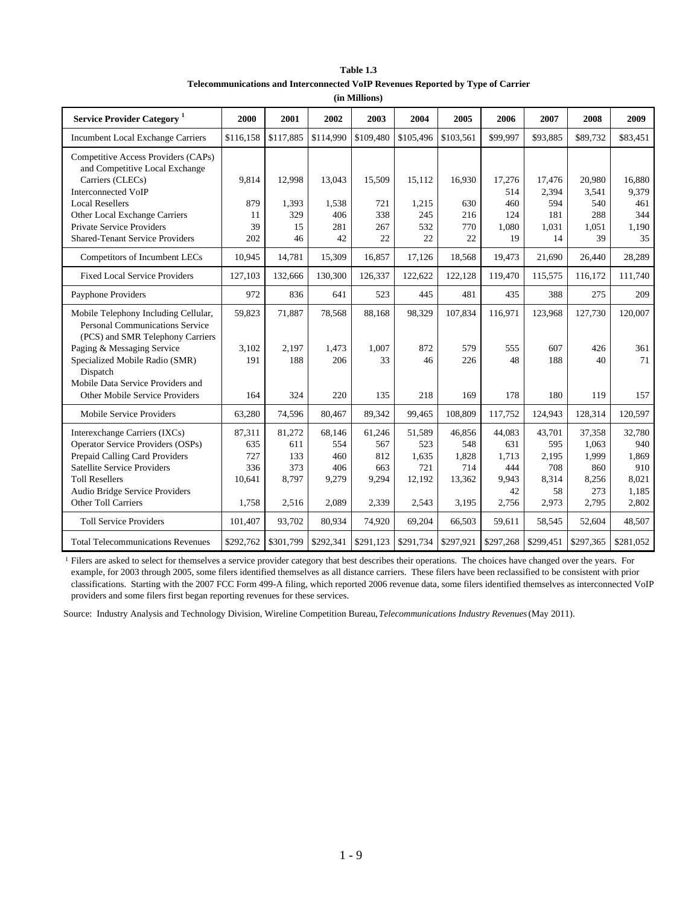| Table 1.3                                                                       |
|---------------------------------------------------------------------------------|
| Telecommunications and Interconnected VoIP Revenues Reported by Type of Carrier |

|  | (in Millions) |  |
|--|---------------|--|
|--|---------------|--|

| <b>Service Provider Category</b> <sup>1</sup>                                                                      | 2000         | 2001         | 2002         | 2003        | 2004      | 2005                             | 2006      | 2007       | 2008      | 2009      |
|--------------------------------------------------------------------------------------------------------------------|--------------|--------------|--------------|-------------|-----------|----------------------------------|-----------|------------|-----------|-----------|
| <b>Incumbent Local Exchange Carriers</b>                                                                           | \$116,158    | \$117,885    | \$114,990    | \$109,480   | \$105,496 | \$103,561                        | \$99.997  | \$93,885   | \$89,732  | \$83,451  |
| Competitive Access Providers (CAPs)<br>and Competitive Local Exchange<br>Carriers (CLECs)                          | 9,814        | 12,998       | 13,043       | 15,509      | 15,112    | 16,930                           | 17,276    | 17,476     | 20,980    | 16,880    |
| <b>Interconnected VoIP</b>                                                                                         |              |              |              |             |           |                                  | 514       | 2,394      | 3,541     | 9,379     |
| <b>Local Resellers</b>                                                                                             | 879          | 1,393        | 1,538        | 721         | 1,215     | 630                              | 460       | 594        | 540       | 461       |
| Other Local Exchange Carriers                                                                                      | 11           | 329          | 406          | 338         | 245       | 216                              | 124       | 181        | 288       | 344       |
| Private Service Providers                                                                                          | 39           | 15           | 281          | 267         | 532       | 770                              | 1,080     | 1,031      | 1,051     | 1,190     |
| <b>Shared-Tenant Service Providers</b>                                                                             | 202          | 46           | 42           | 22          | 22        | 22                               | 19        | 14         | 39        | 35        |
| Competitors of Incumbent LECs                                                                                      | 10,945       | 14,781       | 15,309       | 16,857      | 17,126    | 18,568                           | 19,473    | 21,690     | 26,440    | 28,289    |
| <b>Fixed Local Service Providers</b>                                                                               | 127,103      | 132,666      | 130,300      | 126,337     | 122,622   | 122,128                          | 119,470   | 115,575    | 116,172   | 111,740   |
| Payphone Providers                                                                                                 | 972          | 836          | 641          | 523         | 445       | 481                              | 435       | 388        | 275       | 209       |
| Mobile Telephony Including Cellular,<br><b>Personal Communications Service</b><br>(PCS) and SMR Telephony Carriers | 59,823       | 71,887       | 78,568       | 88,168      | 98,329    | 107,834                          | 116,971   | 123,968    | 127,730   | 120,007   |
| Paging & Messaging Service<br>Specialized Mobile Radio (SMR)<br>Dispatch<br>Mobile Data Service Providers and      | 3,102<br>191 | 2,197<br>188 | 1,473<br>206 | 1,007<br>33 | 872<br>46 | 579<br>226                       | 555<br>48 | 607<br>188 | 426<br>40 | 361<br>71 |
| Other Mobile Service Providers                                                                                     | 164          | 324          | 220          | 135         | 218       | 169                              | 178       | 180        | 119       | 157       |
| Mobile Service Providers                                                                                           | 63,280       | 74.596       | 80.467       | 89.342      | 99.465    | 108.809                          | 117,752   | 124,943    | 128,314   | 120,597   |
| Interexchange Carriers (IXCs)                                                                                      | 87,311       | 81,272       | 68,146       | 61,246      | 51,589    | 46,856                           | 44,083    | 43,701     | 37,358    | 32,780    |
| <b>Operator Service Providers (OSPs)</b>                                                                           | 635          | 611          | 554          | 567         | 523       | 548                              | 631       | 595        | 1,063     | 940       |
| Prepaid Calling Card Providers                                                                                     | 727          | 133          | 460          | 812         | 1,635     | 1,828                            | 1,713     | 2,195      | 1,999     | 1,869     |
| <b>Satellite Service Providers</b>                                                                                 | 336          | 373          | 406          | 663         | 721       | 714                              | 444       | 708        | 860       | 910       |
| <b>Toll Resellers</b>                                                                                              | 10,641       | 8,797        | 9,279        | 9,294       | 12,192    | 13,362                           | 9.943     | 8,314      | 8,256     | 8,021     |
| Audio Bridge Service Providers                                                                                     |              |              |              |             |           |                                  | 42        | 58         | 273       | 1,185     |
| Other Toll Carriers                                                                                                | 1,758        | 2,516        | 2,089        | 2,339       | 2,543     | 3,195                            | 2,756     | 2,973      | 2,795     | 2,802     |
| <b>Toll Service Providers</b>                                                                                      | 101,407      | 93,702       | 80,934       | 74,920      | 69,204    | 66,503                           | 59,611    | 58,545     | 52,604    | 48,507    |
| <b>Total Telecommunications Revenues</b>                                                                           | \$292,762    | \$301,799    | \$292,341    | \$291,123   |           | $$291,734$ $$297,921$ $$297,268$ |           | \$299,451  | \$297,365 | \$281,052 |

<sup>1</sup> Filers are asked to select for themselves a service provider category that best describes their operations. The choices have changed over the years. For example, for 2003 through 2005, some filers identified themselves as all distance carriers. These filers have been reclassified to be consistent with prior classifications. Starting with the 2007 FCC Form 499-A filing, which reported 2006 revenue data, some filers identified themselves as interconnected VoIP providers and some filers first began reporting revenues for these services.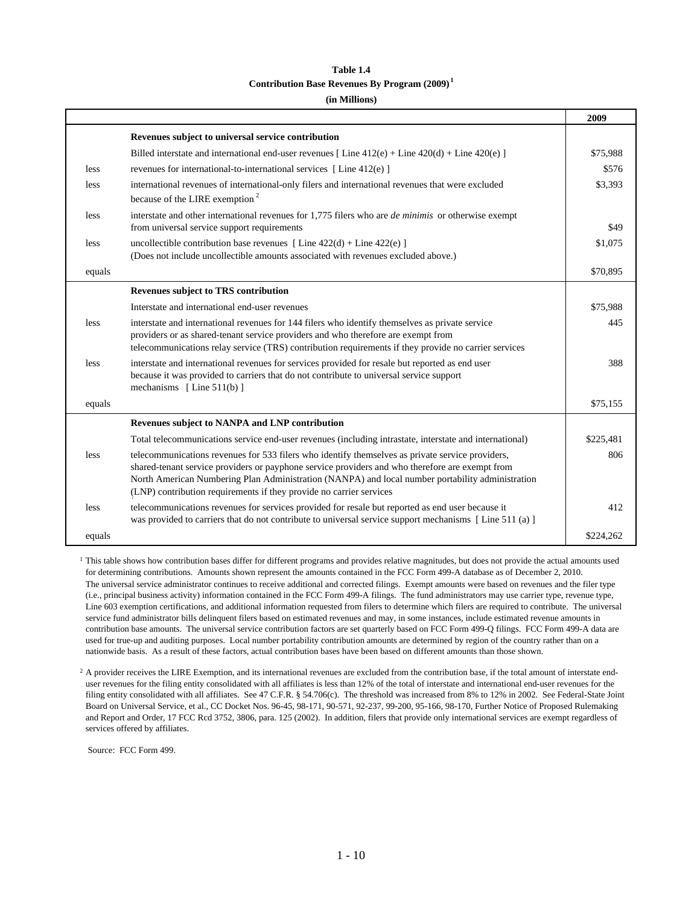# **Table 1.4 Contribution Base Revenues By Program (2009) <sup>1</sup>**

# **(in Millions)**

|        |                                                                                                                                                                                                            | 2009      |
|--------|------------------------------------------------------------------------------------------------------------------------------------------------------------------------------------------------------------|-----------|
|        | Revenues subject to universal service contribution                                                                                                                                                         |           |
|        | Billed interstate and international end-user revenues [Line $412(e) +$ Line $420(d) +$ Line $420(e)$ ]                                                                                                     | \$75,988  |
| less   | revenues for international-to-international services [Line 412(e)]                                                                                                                                         | \$576     |
| less   | international revenues of international-only filers and international revenues that were excluded                                                                                                          | \$3,393   |
|        | because of the LIRE exemption <sup>2</sup>                                                                                                                                                                 |           |
| less   | interstate and other international revenues for 1,775 filers who are <i>de minimis</i> or otherwise exempt                                                                                                 |           |
|        | from universal service support requirements                                                                                                                                                                | \$49      |
| less   | uncollectible contribution base revenues [Line $422(d) +$ Line $422(e)$ ]                                                                                                                                  | \$1,075   |
|        | (Does not include uncollectible amounts associated with revenues excluded above.)                                                                                                                          |           |
| equals |                                                                                                                                                                                                            | \$70,895  |
|        | <b>Revenues subject to TRS contribution</b>                                                                                                                                                                |           |
|        | Interstate and international end-user revenues                                                                                                                                                             | \$75,988  |
| less   | interstate and international revenues for 144 filers who identify themselves as private service                                                                                                            | 445       |
|        | providers or as shared-tenant service providers and who therefore are exempt from                                                                                                                          |           |
|        | telecommunications relay service (TRS) contribution requirements if they provide no carrier services                                                                                                       |           |
| less   | interstate and international revenues for services provided for resale but reported as end user<br>because it was provided to carriers that do not contribute to universal service support                 | 388       |
|        | mechanisms [Line $511(b)$ ]                                                                                                                                                                                |           |
| equals |                                                                                                                                                                                                            | \$75,155  |
|        | Revenues subject to NANPA and LNP contribution                                                                                                                                                             |           |
|        | Total telecommunications service end-user revenues (including intrastate, interstate and international)                                                                                                    | \$225,481 |
| less   | telecommunications revenues for 533 filers who identify themselves as private service providers,                                                                                                           | 806       |
|        | shared-tenant service providers or payphone service providers and who therefore are exempt from                                                                                                            |           |
|        | North American Numbering Plan Administration (NANPA) and local number portability administration                                                                                                           |           |
|        | (LNP) contribution requirements if they provide no carrier services                                                                                                                                        |           |
| less   | telecommunications revenues for services provided for resale but reported as end user because it<br>was provided to carriers that do not contribute to universal service support mechanisms [Line 511 (a)] | 412       |
| equals |                                                                                                                                                                                                            | \$224.262 |

<sup>1</sup> This table shows how contribution bases differ for different programs and provides relative magnitudes, but does not provide the actual amounts used for determining contributions. Amounts shown represent the amounts contained in the FCC Form 499-A database as of December 2, 2010. The universal service administrator continues to receive additional and corrected filings. Exempt amounts were based on revenues and the filer type (i.e., principal business activity) information contained in the FCC Form 499-A filings. The fund administrators may use carrier type, revenue type, Line 603 exemption certifications, and additional information requested from filers to determine which filers are required to contribute. The universal service fund administrator bills delinquent filers based on estimated revenues and may, in some instances, include estimated revenue amounts in contribution base amounts. The universal service contribution factors are set quarterly based on FCC Form 499-Q filings. FCC Form 499-A data are used for true-up and auditing purposes. Local number portability contribution amounts are determined by region of the country rather than on a nationwide basis. As a result of these factors, actual contribution bases have been based on different amounts than those shown.

<sup>2</sup> A provider receives the LIRE Exemption, and its international revenues are excluded from the contribution base, if the total amount of interstate enduser revenues for the filing entity consolidated with all affiliates is less than 12% of the total of interstate and international end-user revenues for the filing entity consolidated with all affiliates. See 47 C.F.R. § 54.706(c). The threshold was increased from 8% to 12% in 2002. See Federal-State Joint Board on Universal Service, et al., CC Docket Nos. 96-45, 98-171, 90-571, 92-237, 99-200, 95-166, 98-170, Further Notice of Proposed Rulemaking and Report and Order, 17 FCC Rcd 3752, 3806, para. 125 (2002). In addition, filers that provide only international services are exempt regardless of services offered by affiliates.

Source: FCC Form 499.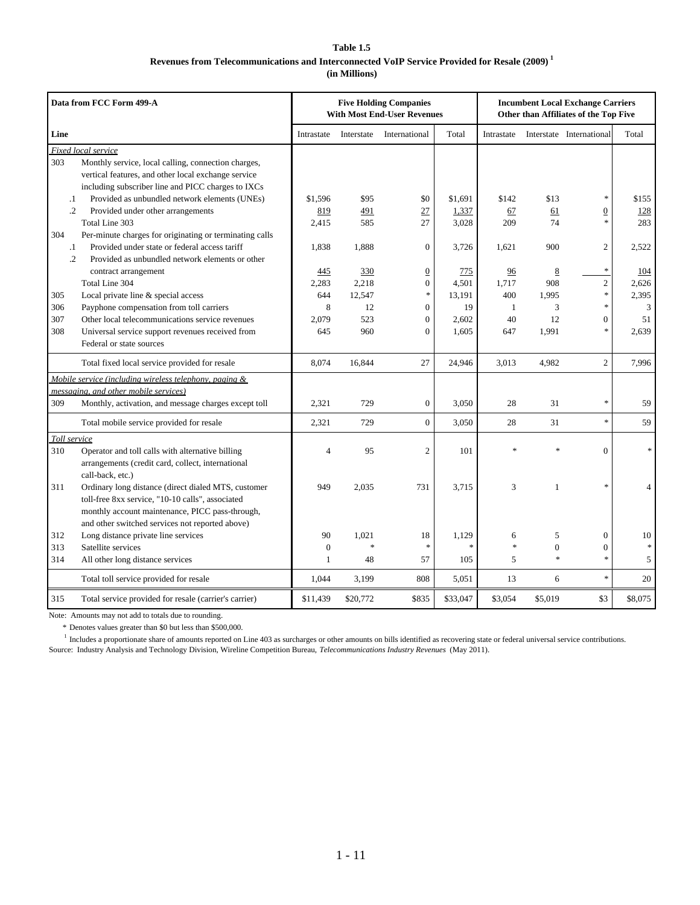# **Table 1.5 Revenues from Telecommunications and Interconnected VoIP Service Provided for Resale (2009) 1 (in Millions)**

|              | Data from FCC Form 499-A                                                                    |                  |              | <b>Five Holding Companies</b><br><b>With Most End-User Revenues</b> |              |                    |                | <b>Incumbent Local Exchange Carriers</b><br>Other than Affiliates of the Top Five |                |
|--------------|---------------------------------------------------------------------------------------------|------------------|--------------|---------------------------------------------------------------------|--------------|--------------------|----------------|-----------------------------------------------------------------------------------|----------------|
| Line         |                                                                                             | Intrastate       |              | Interstate International                                            | Total        | Intrastate         |                | Interstate International                                                          | Total          |
|              | Fixed local service                                                                         |                  |              |                                                                     |              |                    |                |                                                                                   |                |
| 303          | Monthly service, local calling, connection charges,                                         |                  |              |                                                                     |              |                    |                |                                                                                   |                |
|              | vertical features, and other local exchange service                                         |                  |              |                                                                     |              |                    |                |                                                                                   |                |
|              | including subscriber line and PICC charges to IXCs                                          |                  |              |                                                                     |              |                    |                |                                                                                   |                |
| $\cdot$      | Provided as unbundled network elements (UNEs)                                               | \$1.596          | \$95         | \$0                                                                 | \$1.691      | \$142              | \$13           | $\ast$                                                                            | \$155          |
| $\cdot$ .2   | Provided under other arrangements                                                           | 819              | 491          | 27                                                                  | 1,337        | 67                 | 61             | $\boldsymbol{0}$                                                                  | 128            |
|              | Total Line 303                                                                              | 2,415            | 585          | 27                                                                  | 3,028        | 209                | 74             | $\ast$                                                                            | 283            |
| 304          | Per-minute charges for originating or terminating calls                                     |                  |              |                                                                     |              |                    |                |                                                                                   |                |
| $\cdot$      | Provided under state or federal access tariff                                               | 1,838            | 1,888        | $\boldsymbol{0}$                                                    | 3,726        | 1,621              | 900            | $\overline{c}$                                                                    | 2,522          |
| $\cdot$ .2   | Provided as unbundled network elements or other                                             |                  |              |                                                                     |              |                    |                | $\ast$                                                                            |                |
|              | contract arrangement                                                                        | 445              | 330          | $\overline{0}$                                                      | 775          | 96                 | 8              |                                                                                   | 104            |
|              | Total Line 304                                                                              | 2,283            | 2,218        | $\overline{0}$<br>$\ast$                                            | 4.501        | 1.717              | 908            | $\overline{c}$<br>$\ast$                                                          | 2,626          |
| 305          | Local private line & special access                                                         | 644<br>8         | 12,547<br>12 | $\theta$                                                            | 13,191<br>19 | 400                | 1,995          | $\ast$                                                                            | 2,395          |
| 306<br>307   | Payphone compensation from toll carriers<br>Other local telecommunications service revenues | 2,079            | 523          | $\mathbf{0}$                                                        | 2,602        | $\mathbf{1}$<br>40 | 3<br>12        | $\Omega$                                                                          | 3<br>51        |
| 308          |                                                                                             | 645              | 960          | $\overline{0}$                                                      | 1,605        | 647                | 1,991          | $\ast$                                                                            | 2,639          |
|              | Universal service support revenues received from<br>Federal or state sources                |                  |              |                                                                     |              |                    |                |                                                                                   |                |
|              |                                                                                             |                  |              |                                                                     |              |                    |                |                                                                                   |                |
|              | Total fixed local service provided for resale                                               | 8,074            | 16,844       | 27                                                                  | 24,946       | 3,013              | 4,982          | $\overline{c}$                                                                    | 7,996          |
|              | Mobile service (including wireless telephony, paging &                                      |                  |              |                                                                     |              |                    |                |                                                                                   |                |
|              | messaging, and other mobile services)                                                       |                  |              |                                                                     |              |                    |                |                                                                                   |                |
| 309          | Monthly, activation, and message charges except toll                                        | 2,321            | 729          | $\mathbf{0}$                                                        | 3,050        | 28                 | 31             | *                                                                                 | 59             |
|              | Total mobile service provided for resale                                                    | 2,321            | 729          | $\overline{0}$                                                      | 3,050        | 28                 | 31             | $\ast$                                                                            | 59             |
| Toll service |                                                                                             |                  |              |                                                                     |              |                    |                |                                                                                   |                |
| 310          | Operator and toll calls with alternative billing                                            | 4                | 95           | $\overline{2}$                                                      | 101          |                    |                | $\overline{0}$                                                                    | $\ast$         |
|              | arrangements (credit card, collect, international                                           |                  |              |                                                                     |              |                    |                |                                                                                   |                |
|              | call-back, etc.)                                                                            |                  |              |                                                                     |              |                    |                |                                                                                   |                |
| 311          | Ordinary long distance (direct dialed MTS, customer                                         | 949              | 2,035        | 731                                                                 | 3,715        | 3                  | $\mathbf{1}$   | $\ast$                                                                            | $\overline{4}$ |
|              | toll-free 8xx service, "10-10 calls", associated                                            |                  |              |                                                                     |              |                    |                |                                                                                   |                |
|              | monthly account maintenance, PICC pass-through,                                             |                  |              |                                                                     |              |                    |                |                                                                                   |                |
|              | and other switched services not reported above)                                             |                  |              |                                                                     |              |                    |                |                                                                                   |                |
| 312          | Long distance private line services                                                         | 90               | 1,021        | 18                                                                  | 1,129        | 6                  | 5              | $\boldsymbol{0}$                                                                  | 10             |
| 313          | Satellite services                                                                          | $\boldsymbol{0}$ | *            | $\ast$                                                              | $\ast$       | $\ast$             | $\overline{0}$ | $\overline{0}$                                                                    | $\ast$         |
| 314          | All other long distance services                                                            | $\mathbf{1}$     | 48           | 57                                                                  | 105          | 5                  | $\ast$         | $\ast$                                                                            | 5              |
|              | Total toll service provided for resale                                                      | 1,044            | 3,199        | 808                                                                 | 5,051        | 13                 | 6              | $\ast$                                                                            | 20             |
| 315          | Total service provided for resale (carrier's carrier)                                       | \$11,439         | \$20,772     | \$835                                                               | \$33,047     | \$3,054            | \$5,019        | \$3                                                                               | \$8,075        |

Note: Amounts may not add to totals due to rounding.

\* Denotes values greater than \$0 but less than \$500,000.

<sup>1</sup> Includes a proportionate share of amounts reported on Line 403 as surcharges or other amounts on bills identified as recovering state or federal universal service contributions. Source: Industry Analysis and Technology Division, Wireline Competition Bureau, *Telecommunications Industry Revenues* (May 2011).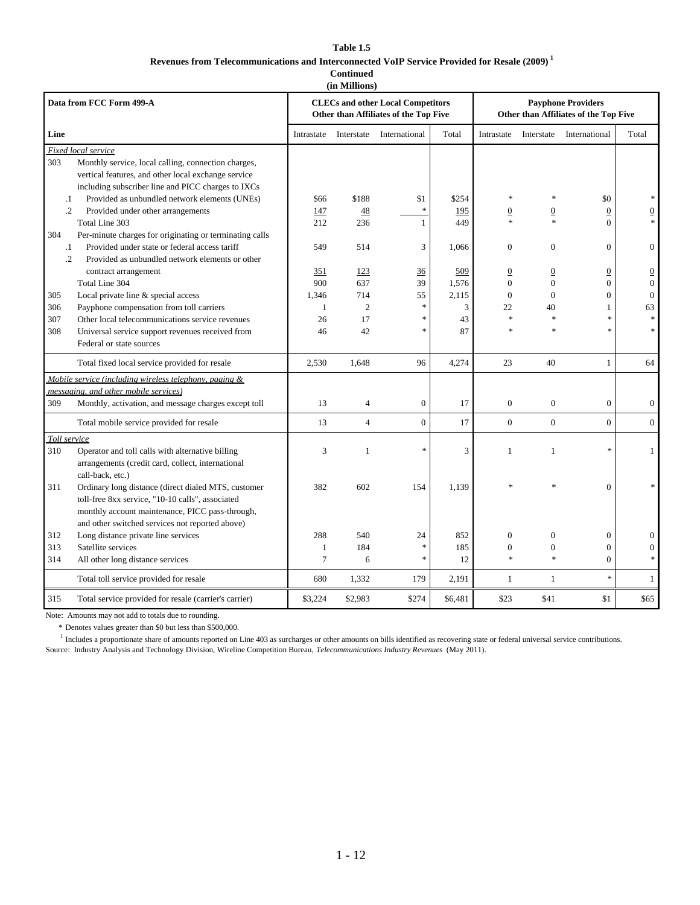## **Table 1.5 Revenues from Telecommunications and Interconnected VoIP Service Provided for Resale (2009) 1 Continued**

**(in Millions)**

|              | Data from FCC Form 499-A                                                                                   |                    |                       | <b>CLECs and other Local Competitors</b><br>Other than Affiliates of the Top Five |         |                    |                            | <b>Payphone Providers</b><br>Other than Affiliates of the Top Five |                  |
|--------------|------------------------------------------------------------------------------------------------------------|--------------------|-----------------------|-----------------------------------------------------------------------------------|---------|--------------------|----------------------------|--------------------------------------------------------------------|------------------|
| Line         |                                                                                                            | Intrastate         | Interstate            | International                                                                     | Total   | Intrastate         | Interstate                 | International                                                      | Total            |
|              | Fixed local service                                                                                        |                    |                       |                                                                                   |         |                    |                            |                                                                    |                  |
| 303          | Monthly service, local calling, connection charges,<br>vertical features, and other local exchange service |                    |                       |                                                                                   |         |                    |                            |                                                                    |                  |
|              | including subscriber line and PICC charges to IXCs                                                         |                    |                       |                                                                                   |         | $\ast$             |                            |                                                                    |                  |
| $\cdot$      | Provided as unbundled network elements (UNEs)                                                              | \$66               | \$188                 | \$1<br>š.                                                                         | \$254   |                    |                            | \$0                                                                |                  |
| $\cdot$      | Provided under other arrangements                                                                          | 147                | 48                    |                                                                                   | 195     | 0                  | $\boldsymbol{0}$<br>$\ast$ | $\overline{0}$                                                     |                  |
|              | Total Line 303                                                                                             | 212                | 236                   | 1                                                                                 | 449     |                    |                            | $\theta$                                                           |                  |
| 304          | Per-minute charges for originating or terminating calls                                                    |                    |                       |                                                                                   |         |                    |                            |                                                                    |                  |
| $\cdot$ 1    | Provided under state or federal access tariff                                                              | 549                | 514                   | 3                                                                                 | 1,066   | $\mathbf{0}$       | $\overline{0}$             | $\mathbf{0}$                                                       | $\mathbf{0}$     |
| $\cdot$      | Provided as unbundled network elements or other                                                            |                    |                       |                                                                                   |         |                    |                            |                                                                    |                  |
|              | contract arrangement                                                                                       | 351                | 123                   | 36                                                                                | 509     | $\overline{0}$     | $\boldsymbol{0}$           | $\boldsymbol{0}$                                                   | $\overline{0}$   |
|              | Total Line 304                                                                                             | 900                | 637                   | 39                                                                                | 1,576   | $\mathbf{0}$       | $\overline{0}$             | $\mathbf{0}$                                                       | $\overline{0}$   |
| 305          | Local private line & special access                                                                        | 1.346              | 714<br>$\overline{2}$ | 55<br>$\ast$                                                                      | 2,115   | $\mathbf{0}$<br>22 | $\overline{0}$             | $\Omega$<br>1                                                      | $\Omega$         |
| 306          | Payphone compensation from toll carriers                                                                   | $\mathbf{1}$<br>26 | 17                    | $\ast$                                                                            | 3<br>43 | $\ast$             | 40<br>$\ast$               | ×,                                                                 | 63               |
| 307          | Other local telecommunications service revenues                                                            | 46                 | 42                    | $\ast$                                                                            | 87      | $\ast$             |                            | $\ast$                                                             |                  |
| 308          | Universal service support revenues received from<br>Federal or state sources                               |                    |                       |                                                                                   |         |                    |                            |                                                                    |                  |
|              |                                                                                                            |                    |                       |                                                                                   |         |                    |                            |                                                                    |                  |
|              | Total fixed local service provided for resale                                                              | 2,530              | 1,648                 | 96                                                                                | 4,274   | 23                 | 40                         | $\mathbf{1}$                                                       | 64               |
|              | Mobile service (including wireless telephony, paging &                                                     |                    |                       |                                                                                   |         |                    |                            |                                                                    |                  |
|              | messaging, and other mobile services)                                                                      |                    |                       |                                                                                   |         |                    |                            |                                                                    |                  |
| 309          | Monthly, activation, and message charges except toll                                                       | 13                 | 4                     | $\boldsymbol{0}$                                                                  | 17      | $\boldsymbol{0}$   | $\overline{0}$             | $\boldsymbol{0}$                                                   | $\mathbf{0}$     |
|              | Total mobile service provided for resale                                                                   | 13                 | $\overline{4}$        | $\overline{0}$                                                                    | 17      | $\boldsymbol{0}$   | $\mathbf{0}$               | $\overline{0}$                                                     | $\boldsymbol{0}$ |
| Toll service |                                                                                                            |                    |                       |                                                                                   |         |                    |                            |                                                                    |                  |
| 310          | Operator and toll calls with alternative billing                                                           | 3                  | $\mathbf{1}$          | $\ast$                                                                            | 3       | 1                  | $\mathbf{1}$               | ×,                                                                 | 1                |
|              | arrangements (credit card, collect, international                                                          |                    |                       |                                                                                   |         |                    |                            |                                                                    |                  |
|              | call-back, etc.)                                                                                           |                    |                       |                                                                                   |         |                    |                            |                                                                    |                  |
| 311          | Ordinary long distance (direct dialed MTS, customer                                                        | 382                | 602                   | 154                                                                               | 1,139   |                    |                            | $\mathbf{0}$                                                       |                  |
|              | toll-free 8xx service, "10-10 calls", associated                                                           |                    |                       |                                                                                   |         |                    |                            |                                                                    |                  |
|              | monthly account maintenance, PICC pass-through,                                                            |                    |                       |                                                                                   |         |                    |                            |                                                                    |                  |
|              | and other switched services not reported above)                                                            |                    |                       |                                                                                   |         |                    |                            |                                                                    |                  |
| 312          | Long distance private line services                                                                        | 288                | 540                   | 24                                                                                | 852     | $\mathbf{0}$       | $\theta$                   | $\mathbf{0}$                                                       |                  |
| 313          | Satellite services                                                                                         | 1                  | 184                   | $\ast$                                                                            | 185     | $\boldsymbol{0}$   | $\boldsymbol{0}$           | $\boldsymbol{0}$                                                   | $\mathbf{0}$     |
| 314          | All other long distance services                                                                           | $\tau$             | 6                     | $\ast$                                                                            | 12      | $\ast$             | $\ast$                     | $\mathbf{0}$                                                       |                  |
|              | Total toll service provided for resale                                                                     | 680                | 1,332                 | 179                                                                               | 2,191   | $\mathbf{1}$       | 1                          | $\ast$                                                             | 1                |
| 315          | Total service provided for resale (carrier's carrier)                                                      | \$3,224            | \$2,983               | \$274                                                                             | \$6,481 | \$23               | \$41                       | \$1                                                                | \$65             |

Note: Amounts may not add to totals due to rounding.

\* Denotes values greater than \$0 but less than \$500,000.

<sup>1</sup> Includes a proportionate share of amounts reported on Line 403 as surcharges or other amounts on bills identified as recovering state or federal universal service contributions.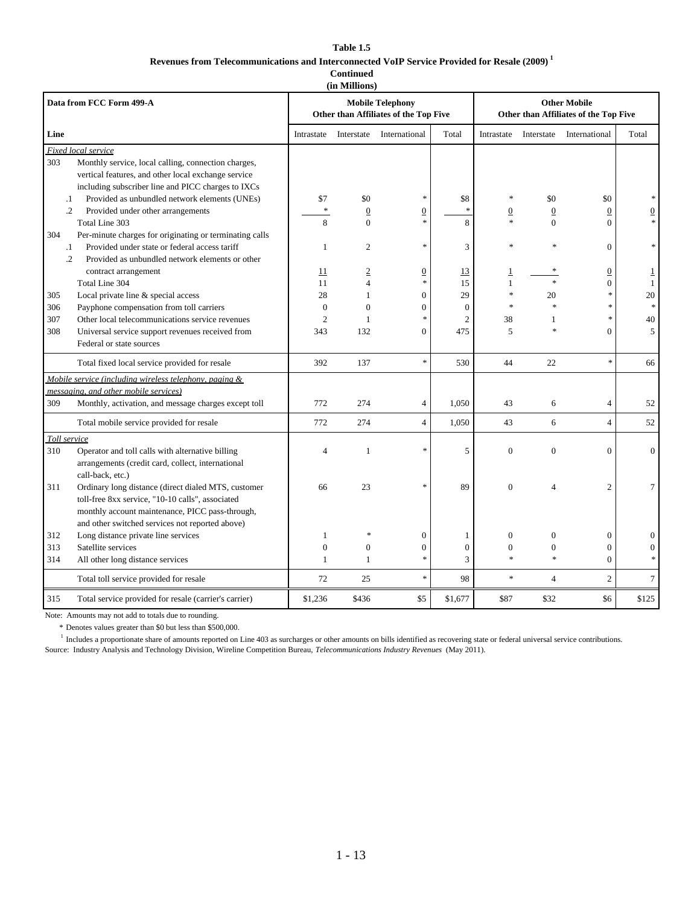#### **Table 1.5 Revenues from Telecommunications and Interconnected VoIP Service Provided for Resale (2009) 1 Continued**

| (in Millions) |  |  |  |
|---------------|--|--|--|

|              | Data from FCC Form 499-A                                                                         |                  |                 | <b>Mobile Telephony</b><br>Other than Affiliates of the Top Five |                |                        |                 | <b>Other Mobile</b><br>Other than Affiliates of the Top Five |                |
|--------------|--------------------------------------------------------------------------------------------------|------------------|-----------------|------------------------------------------------------------------|----------------|------------------------|-----------------|--------------------------------------------------------------|----------------|
| Line         |                                                                                                  | Intrastate       | Interstate      | International                                                    | Total          | Intrastate             | Interstate      | International                                                | Total          |
|              | Fixed local service                                                                              |                  |                 |                                                                  |                |                        |                 |                                                              |                |
| 303          | Monthly service, local calling, connection charges,                                              |                  |                 |                                                                  |                |                        |                 |                                                              |                |
|              | vertical features, and other local exchange service                                              |                  |                 |                                                                  |                |                        |                 |                                                              |                |
|              | including subscriber line and PICC charges to IXCs                                               |                  |                 | $\ast$                                                           |                | $\ast$                 |                 |                                                              |                |
| $\cdot$      | Provided as unbundled network elements (UNEs)                                                    | \$7<br>$\ast$    | \$0             |                                                                  | \$8<br>$\ast$  |                        | \$0             | \$0                                                          |                |
| $\cdot$      | Provided under other arrangements                                                                |                  | $\underline{0}$ | $\underline{0}$<br>$\ast$                                        |                | $\underline{0}$        | $\underline{0}$ | $\overline{0}$                                               |                |
|              | Total Line 303                                                                                   | 8                | $\Omega$        |                                                                  | 8              |                        | $\Omega$        | $\Omega$                                                     |                |
| 304          | Per-minute charges for originating or terminating calls                                          |                  |                 | $\ast$                                                           |                | $\ast$                 |                 |                                                              |                |
| $\cdot$      | Provided under state or federal access tariff<br>Provided as unbundled network elements or other | 1                | $\overline{2}$  |                                                                  | 3              |                        |                 | $\Omega$                                                     |                |
| $\cdot$ .2   |                                                                                                  |                  |                 |                                                                  |                |                        |                 |                                                              |                |
|              | contract arrangement                                                                             | 11               | $\underline{2}$ | $\overline{0}$<br>$\ast$                                         | 13             | $\overline{1}$         |                 | $\overline{0}$                                               |                |
|              | Total Line 304                                                                                   | 11               | $\overline{4}$  |                                                                  | 15<br>29       | $\mathbf{1}$<br>$\ast$ |                 | $\mathbf{0}$<br>$\ast$                                       | $\mathbf{1}$   |
| 305          | Local private line & special access                                                              | 28               | $\mathbf{1}$    | $\overline{0}$                                                   |                | $\ast$                 | 20              | $\ast$                                                       | 20             |
| 306          | Payphone compensation from toll carriers                                                         | $\theta$         | $\theta$        | $\overline{0}$<br>$\boldsymbol{\ast}$                            | $\theta$       |                        |                 | ×,                                                           |                |
| 307          | Other local telecommunications service revenues                                                  | $\overline{c}$   | $\mathbf{1}$    |                                                                  | $\overline{2}$ | 38                     |                 | $\theta$                                                     | 40             |
| 308          | Universal service support revenues received from                                                 | 343              | 132             | 0                                                                | 475            | 5                      |                 |                                                              | 5              |
|              | Federal or state sources                                                                         |                  |                 |                                                                  |                |                        |                 |                                                              |                |
|              | Total fixed local service provided for resale                                                    | 392              | 137             | $\ast$                                                           | 530            | 44                     | 22              | $\ast$                                                       | 66             |
|              | Mobile service (including wireless telephony, paging &                                           |                  |                 |                                                                  |                |                        |                 |                                                              |                |
|              | messaging, and other mobile services)                                                            |                  |                 |                                                                  |                |                        |                 |                                                              |                |
| 309          | Monthly, activation, and message charges except toll                                             | 772              | 274             | 4                                                                | 1,050          | 43                     | 6               | $\overline{4}$                                               | 52             |
|              | Total mobile service provided for resale                                                         | 772              | 274             | $\overline{4}$                                                   | 1,050          | 43                     | 6               | $\overline{4}$                                               | 52             |
| Toll service |                                                                                                  |                  |                 |                                                                  |                |                        |                 |                                                              |                |
| 310          | Operator and toll calls with alternative billing                                                 | 4                | 1               | $\ast$                                                           | 5              | $\boldsymbol{0}$       | $\mathbf{0}$    | $\mathbf{0}$                                                 | $\mathbf{0}$   |
|              | arrangements (credit card, collect, international                                                |                  |                 |                                                                  |                |                        |                 |                                                              |                |
|              | call-back, etc.)                                                                                 |                  |                 |                                                                  |                |                        |                 |                                                              |                |
| 311          | Ordinary long distance (direct dialed MTS, customer                                              | 66               | 23              | $\ast$                                                           | 89             | $\overline{0}$         | $\Delta$        | $\overline{2}$                                               | $\tau$         |
|              | toll-free 8xx service, "10-10 calls", associated                                                 |                  |                 |                                                                  |                |                        |                 |                                                              |                |
|              | monthly account maintenance, PICC pass-through,                                                  |                  |                 |                                                                  |                |                        |                 |                                                              |                |
|              | and other switched services not reported above)                                                  |                  |                 |                                                                  |                |                        |                 |                                                              |                |
| 312          | Long distance private line services                                                              | $\mathbf{1}$     |                 | $\mathbf{0}$                                                     | 1              | $\boldsymbol{0}$       | $\Omega$        | $\mathbf{0}$                                                 | $\Omega$       |
| 313          | Satellite services                                                                               | $\boldsymbol{0}$ | $\theta$        | $\boldsymbol{0}$                                                 | $\theta$       | $\boldsymbol{0}$       | $\theta$        | $\boldsymbol{0}$                                             | $\Omega$       |
| 314          | All other long distance services                                                                 | $\mathbf{1}$     | $\mathbf{1}$    | $\ast$                                                           | 3              | $\ast$                 | $\ast$          | $\Omega$                                                     |                |
|              | Total toll service provided for resale                                                           | 72               | 25              | $\ast$                                                           | 98             | $\ast$                 | $\overline{4}$  | $\overline{2}$                                               | $\overline{7}$ |
| 315          | Total service provided for resale (carrier's carrier)                                            | \$1.236          | \$436           | \$5                                                              | \$1,677        | \$87                   | \$32            | \$6                                                          | \$125          |

Note: Amounts may not add to totals due to rounding.

\* Denotes values greater than \$0 but less than \$500,000.

<sup>1</sup> Includes a proportionate share of amounts reported on Line 403 as surcharges or other amounts on bills identified as recovering state or federal universal service contributions.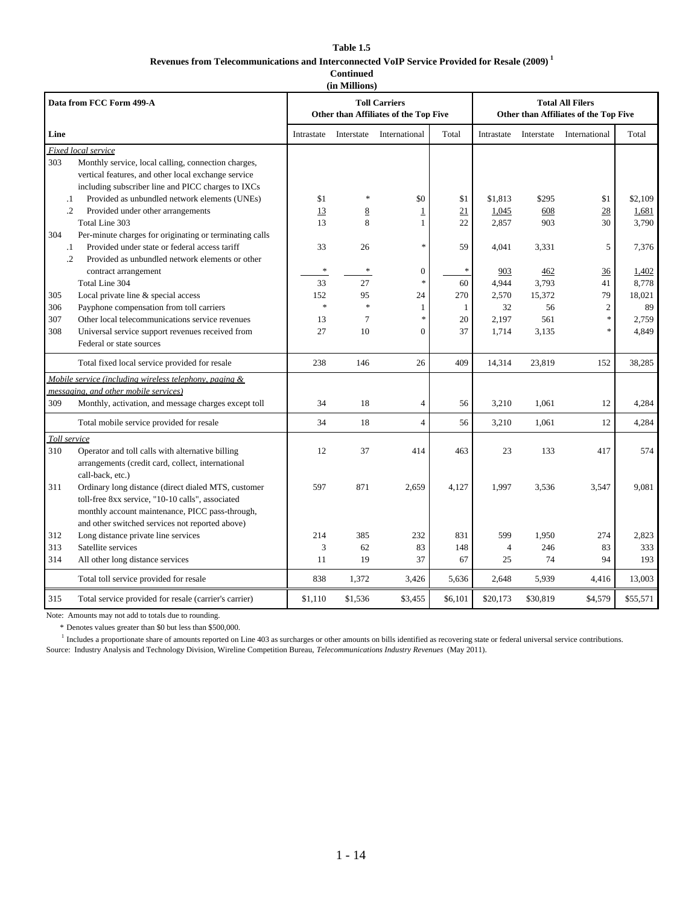#### **Table 1.5 Revenues from Telecommunications and Interconnected VoIP Service Provided for Resale (2009) 1 Continued**

**(in Millions)**

|                            | Data from FCC Form 499-A                                                                                                                                                                                      |                     |                                | <b>Toll Carriers</b><br>Other than Affiliates of the Top Five |                     |                               |                              | <b>Total All Filers</b><br>Other than Affiliates of the Top Five |                                |
|----------------------------|---------------------------------------------------------------------------------------------------------------------------------------------------------------------------------------------------------------|---------------------|--------------------------------|---------------------------------------------------------------|---------------------|-------------------------------|------------------------------|------------------------------------------------------------------|--------------------------------|
| Line                       |                                                                                                                                                                                                               | Intrastate          | Interstate                     | International                                                 | Total               | Intrastate                    | Interstate                   | International                                                    | Total                          |
| Fixed local service<br>303 | Monthly service, local calling, connection charges,<br>vertical features, and other local exchange service<br>including subscriber line and PICC charges to IXCs                                              |                     |                                |                                                               |                     |                               |                              |                                                                  |                                |
| $\cdot$<br>$\cdot$ .2      | Provided as unbundled network elements (UNEs)<br>Provided under other arrangements<br>Total Line 303                                                                                                          | \$1<br>13<br>13     | $\ast$<br>8<br>8               | \$0<br>$\overline{1}$<br>1                                    | \$1<br>21<br>22     | \$1,813<br>1,045<br>2,857     | \$295<br>608<br>903          | \$1<br>28<br>30                                                  | \$2,109<br>1,681<br>3,790      |
| 304<br>$\cdot$<br>$\cdot$  | Per-minute charges for originating or terminating calls<br>Provided under state or federal access tariff<br>Provided as unbundled network elements or other                                                   | 33                  | 26                             | ×                                                             | 59                  | 4,041                         | 3,331                        | 5                                                                | 7,376                          |
|                            | contract arrangement<br>Total Line 304                                                                                                                                                                        | $\ast$<br>33<br>152 | $\ast$<br>27<br>95             | $\boldsymbol{0}$<br>*                                         | $\ast$<br>60<br>270 | 903<br>4,944                  | 462<br>3,793                 | 36<br>41<br>79                                                   | 1,402<br>8,778                 |
| 305<br>306<br>307<br>308   | Local private line & special access<br>Payphone compensation from toll carriers<br>Other local telecommunications service revenues<br>Universal service support revenues received from                        | $\ast$<br>13<br>27  | $\ast$<br>$\overline{7}$<br>10 | 24<br>$\mathbf{1}$<br>$\ast$<br>$\theta$                      | 1<br>20<br>37       | 2,570<br>32<br>2,197<br>1,714 | 15,372<br>56<br>561<br>3,135 | $\overline{c}$<br>$\ast$<br>×                                    | 18,021<br>89<br>2,759<br>4,849 |
|                            | Federal or state sources<br>Total fixed local service provided for resale                                                                                                                                     | 238                 | 146                            | 26                                                            | 409                 | 14,314                        | 23,819                       | 152                                                              | 38,285                         |
|                            | Mobile service (including wireless telephony, paging &<br>messaging, and other mobile services)                                                                                                               |                     |                                |                                                               |                     |                               |                              |                                                                  |                                |
| 309                        | Monthly, activation, and message charges except toll                                                                                                                                                          | 34                  | 18                             | 4                                                             | 56                  | 3,210                         | 1,061                        | 12                                                               | 4,284                          |
|                            | Total mobile service provided for resale                                                                                                                                                                      | 34                  | 18                             | $\overline{4}$                                                | 56                  | 3,210                         | 1,061                        | 12                                                               | 4,284                          |
| Toll service<br>310        | Operator and toll calls with alternative billing<br>arrangements (credit card, collect, international<br>call-back, etc.)                                                                                     | 12                  | 37                             | 414                                                           | 463                 | 23                            | 133                          | 417                                                              | 574                            |
| 311                        | Ordinary long distance (direct dialed MTS, customer<br>toll-free 8xx service, "10-10 calls", associated<br>monthly account maintenance, PICC pass-through,<br>and other switched services not reported above) | 597                 | 871                            | 2,659                                                         | 4,127               | 1,997                         | 3,536                        | 3,547                                                            | 9,081                          |
| 312                        | Long distance private line services                                                                                                                                                                           | 214                 | 385                            | 232                                                           | 831                 | 599                           | 1,950                        | 274                                                              | 2,823                          |
| 313<br>314                 | Satellite services<br>All other long distance services                                                                                                                                                        | 3<br>11             | 62<br>19                       | 83<br>37                                                      | 148<br>67           | 4<br>25                       | 246<br>74                    | 83<br>94                                                         | 333<br>193                     |
|                            | Total toll service provided for resale                                                                                                                                                                        | 838                 | 1,372                          | 3,426                                                         | 5,636               | 2,648                         | 5,939                        | 4,416                                                            | 13,003                         |
| 315                        | Total service provided for resale (carrier's carrier)                                                                                                                                                         | \$1,110             | \$1,536                        | \$3,455                                                       | \$6,101             | \$20,173                      | \$30,819                     | \$4,579                                                          | \$55,571                       |

Note: Amounts may not add to totals due to rounding.

\* Denotes values greater than \$0 but less than \$500,000.

<sup>1</sup> Includes a proportionate share of amounts reported on Line 403 as surcharges or other amounts on bills identified as recovering state or federal universal service contributions.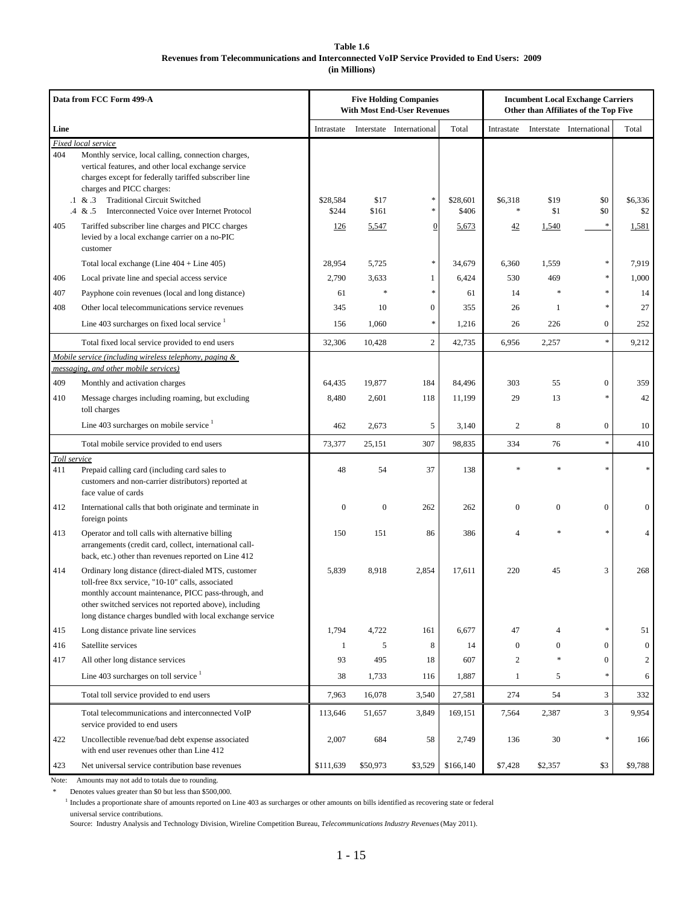#### **Table 1.6 Revenues from Telecommunications and Interconnected VoIP Service Provided to End Users: 2009 (in Millions)**

|              | Data from FCC Form 499-A                                                                                                                                                                                                                                                              |                   | <b>Five Holding Companies</b><br><b>Incumbent Local Exchange Carriers</b><br><b>With Most End-User Revenues</b><br>Other than Affiliates of the Top Five |                          |                   |                |              |                          |                |
|--------------|---------------------------------------------------------------------------------------------------------------------------------------------------------------------------------------------------------------------------------------------------------------------------------------|-------------------|----------------------------------------------------------------------------------------------------------------------------------------------------------|--------------------------|-------------------|----------------|--------------|--------------------------|----------------|
| Line         |                                                                                                                                                                                                                                                                                       | Intrastate        |                                                                                                                                                          | Interstate International | Total             | Intrastate     |              | Interstate International | Total          |
| 404          | Fixed local service<br>Monthly service, local calling, connection charges,<br>vertical features, and other local exchange service<br>charges except for federally tariffed subscriber line<br>charges and PICC charges:                                                               |                   |                                                                                                                                                          |                          |                   |                |              |                          |                |
|              | <b>Traditional Circuit Switched</b><br>$.1 \& .3$<br>Interconnected Voice over Internet Protocol<br>$.4 \& .5$                                                                                                                                                                        | \$28,584<br>\$244 | \$17<br>\$161                                                                                                                                            | $\ast$<br>*              | \$28,601<br>\$406 | \$6,318<br>*   | \$19<br>\$1  | \$0<br>\$0               | \$6,336<br>\$2 |
| 405          | Tariffed subscriber line charges and PICC charges<br>levied by a local exchange carrier on a no-PIC<br>customer                                                                                                                                                                       | 126               | 5,547                                                                                                                                                    | $\boldsymbol{0}$         | 5,673             | 42             | 1,540        | $\ast$                   | 1,581          |
|              | Total local exchange (Line $404 +$ Line $405$ )                                                                                                                                                                                                                                       | 28,954            | 5,725                                                                                                                                                    | $\ast$                   | 34,679            | 6,360          | 1,559        | *                        | 7,919          |
| 406          | Local private line and special access service                                                                                                                                                                                                                                         | 2,790             | 3,633                                                                                                                                                    | 1                        | 6,424             | 530            | 469          | *                        | 1,000          |
| 407          | Payphone coin revenues (local and long distance)                                                                                                                                                                                                                                      | 61                | 字                                                                                                                                                        | $\ast$                   | 61                | 14             |              | *                        | 14             |
| 408          | Other local telecommunications service revenues                                                                                                                                                                                                                                       | 345               | 10                                                                                                                                                       | $\mathbf{0}$             | 355               | 26             | $\mathbf{1}$ | *                        | 27             |
|              | Line 403 surcharges on fixed local service $1$                                                                                                                                                                                                                                        | 156               | 1,060                                                                                                                                                    | $\ast$                   | 1,216             | 26             | 226          | $\overline{0}$           | 252            |
|              | Total fixed local service provided to end users                                                                                                                                                                                                                                       | 32,306            | 10,428                                                                                                                                                   | $\overline{c}$           | 42,735            | 6,956          | 2,257        | ×.                       | 9,212          |
|              | Mobile service (including wireless telephony, paging &<br>messaging, and other mobile services)                                                                                                                                                                                       |                   |                                                                                                                                                          |                          |                   |                |              |                          |                |
| 409          | Monthly and activation charges                                                                                                                                                                                                                                                        | 64,435            | 19,877                                                                                                                                                   | 184                      | 84,496            | 303            | 55           | $\overline{0}$           | 359            |
| 410          | Message charges including roaming, but excluding<br>toll charges                                                                                                                                                                                                                      | 8,480             | 2,601                                                                                                                                                    | 118                      | 11,199            | 29             | 13           | sk.                      | 42             |
|              | Line 403 surcharges on mobile service $1$                                                                                                                                                                                                                                             | 462               | 2,673                                                                                                                                                    | 5                        | 3,140             | $\overline{c}$ | 8            | $\boldsymbol{0}$         | 10             |
|              | Total mobile service provided to end users                                                                                                                                                                                                                                            | 73,377            | 25,151                                                                                                                                                   | 307                      | 98,835            | 334            | 76           | \$                       | 410            |
| Toll service |                                                                                                                                                                                                                                                                                       |                   |                                                                                                                                                          |                          |                   |                |              |                          |                |
| 411          | Prepaid calling card (including card sales to<br>customers and non-carrier distributors) reported at<br>face value of cards                                                                                                                                                           | 48                | 54                                                                                                                                                       | 37                       | 138               |                |              |                          |                |
| 412          | International calls that both originate and terminate in<br>foreign points                                                                                                                                                                                                            | $\boldsymbol{0}$  | $\boldsymbol{0}$                                                                                                                                         | 262                      | 262               | $\mathbf{0}$   | $\mathbf{0}$ | $\overline{0}$           | $\mathbf{0}$   |
| 413          | Operator and toll calls with alternative billing<br>arrangements (credit card, collect, international call-<br>back, etc.) other than revenues reported on Line 412                                                                                                                   | 150               | 151                                                                                                                                                      | 86                       | 386               | $\overline{4}$ |              | ×.                       | 4              |
| 414          | Ordinary long distance (direct-dialed MTS, customer<br>toll-free 8xx service, "10-10" calls, associated<br>monthly account maintenance, PICC pass-through, and<br>other switched services not reported above), including<br>long distance charges bundled with local exchange service | 5,839             | 8,918                                                                                                                                                    | 2,854                    | 17,611            | 220            | 45           | 3                        | 268            |
| 415          | Long distance private line services                                                                                                                                                                                                                                                   | 1,794             | 4,722                                                                                                                                                    | 161                      | 6,677             | 47             | 4            | *                        | 51             |
| 416          | Satellite services                                                                                                                                                                                                                                                                    | $\mathbf{1}$      | 5                                                                                                                                                        | 8                        | 14                | $\overline{0}$ | $\mathbf{0}$ | $\overline{0}$           | $\mathbf{0}$   |
| 417          | All other long distance services                                                                                                                                                                                                                                                      | 93                | 495                                                                                                                                                      | 18                       | 607               | 2              | $\ast$       | $\mathbf{0}$             | 2              |
|              | Line 403 surcharges on toll service $1$                                                                                                                                                                                                                                               | 38                | 1,733                                                                                                                                                    | 116                      | 1,887             | $\mathbf{1}$   | 5            | ×.                       | 6              |
|              | Total toll service provided to end users                                                                                                                                                                                                                                              | 7,963             | 16,078                                                                                                                                                   | 3,540                    | 27,581            | 274            | 54           | 3                        | 332            |
|              | Total telecommunications and interconnected VoIP<br>service provided to end users                                                                                                                                                                                                     | 113,646           | 51,657                                                                                                                                                   | 3,849                    | 169,151           | 7,564          | 2,387        | 3                        | 9,954          |
| 422          | Uncollectible revenue/bad debt expense associated<br>with end user revenues other than Line 412                                                                                                                                                                                       | 2,007             | 684                                                                                                                                                      | 58                       | 2,749             | 136            | 30           | *                        | 166            |
| 423          | Net universal service contribution base revenues                                                                                                                                                                                                                                      | \$111,639         | \$50,973                                                                                                                                                 | \$3,529                  | \$166,140         | \$7,428        | \$2,357      | \$3                      | \$9,788        |

Note: Amounts may not add to totals due to rounding.

Denotes values greater than \$0 but less than \$500,000.

<sup>1</sup> Includes a proportionate share of amounts reported on Line 403 as surcharges or other amounts on bills identified as recovering state or federal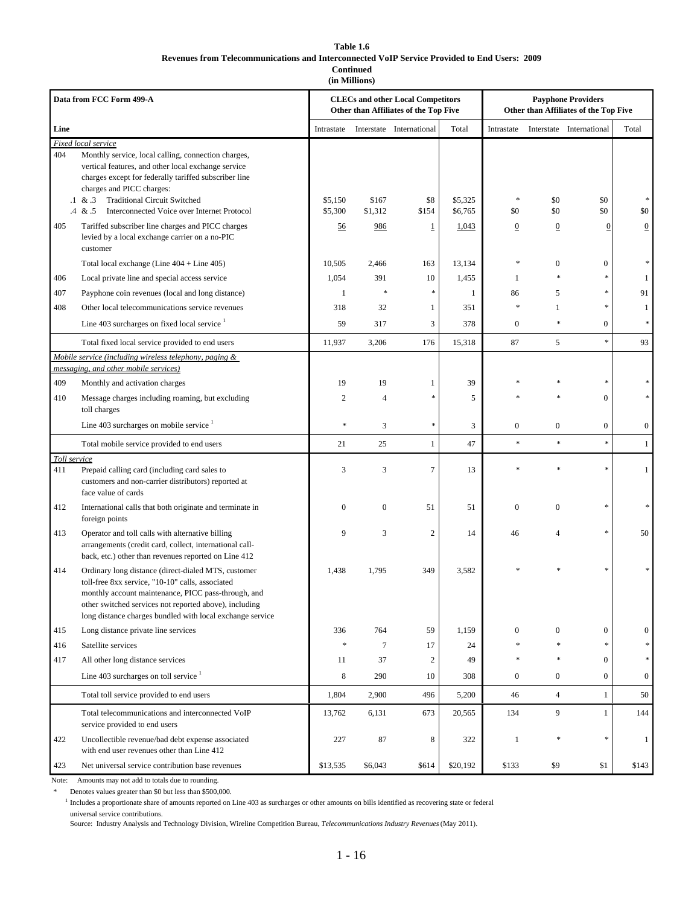#### **Table 1.6 Revenues from Telecommunications and Interconnected VoIP Service Provided to End Users: 2009 Continued**

**(in Millions)**

|              | Data from FCC Form 499-A                                                                                                                                                                                                                                                              |                  |                  | <b>CLECs and other Local Competitors</b><br>Other than Affiliates of the Top Five |              |                                   |                  | <b>Payphone Providers</b><br>Other than Affiliates of the Top Five |                  |
|--------------|---------------------------------------------------------------------------------------------------------------------------------------------------------------------------------------------------------------------------------------------------------------------------------------|------------------|------------------|-----------------------------------------------------------------------------------|--------------|-----------------------------------|------------------|--------------------------------------------------------------------|------------------|
| Line         |                                                                                                                                                                                                                                                                                       | Intrastate       |                  | Interstate International                                                          | Total        | Intrastate                        |                  | Interstate International                                           | Total            |
| 404          | Fixed local service<br>Monthly service, local calling, connection charges,<br>vertical features, and other local exchange service<br>charges except for federally tariffed subscriber line<br>charges and PICC charges:                                                               |                  |                  |                                                                                   |              |                                   |                  |                                                                    |                  |
|              | <b>Traditional Circuit Switched</b><br>$.1 \& .3$                                                                                                                                                                                                                                     | \$5,150          | \$167            | \$8                                                                               | \$5,325      | *                                 | \$0              | \$0                                                                |                  |
|              | $.4 \& .5$<br>Interconnected Voice over Internet Protocol                                                                                                                                                                                                                             | \$5,300          | \$1,312          | \$154                                                                             | \$6,765      | \$0                               | \$0              | \$0                                                                | \$0              |
| 405          | Tariffed subscriber line charges and PICC charges<br>levied by a local exchange carrier on a no-PIC<br>customer                                                                                                                                                                       | <u>56</u>        | 986              | $\overline{1}$                                                                    | 1,043        | $\boldsymbol{0}$                  | $\overline{0}$   | $\mathbf{0}$                                                       | $\boldsymbol{0}$ |
|              | Total local exchange (Line $404 +$ Line $405$ )                                                                                                                                                                                                                                       | 10,505           | 2,466            | 163                                                                               | 13,134       | 宋                                 | $\overline{0}$   | $\boldsymbol{0}$                                                   |                  |
| 406          | Local private line and special access service                                                                                                                                                                                                                                         | 1,054            | 391              | 10                                                                                | 1,455        | 1                                 | $\frac{1}{2}$    | $\frac{1}{2}$                                                      | 1                |
| 407          | Payphone coin revenues (local and long distance)                                                                                                                                                                                                                                      | $\mathbf{1}$     | $\frac{1}{2^k}$  | $\frac{1}{2}$                                                                     | $\mathbf{1}$ | 86                                | 5                | $\frac{1}{2}$                                                      | 91               |
| 408          | Other local telecommunications service revenues                                                                                                                                                                                                                                       | 318              | 32               | $\mathbf{1}$                                                                      | 351          | *                                 | 1                | $\ast$                                                             | -1               |
|              | Line 403 surcharges on fixed local service <sup>1</sup>                                                                                                                                                                                                                               | 59               | 317              | 3                                                                                 | 378          | $\mathbf{0}$                      | $\frac{1}{2^k}$  | $\overline{0}$                                                     | $\ast$           |
|              | Total fixed local service provided to end users                                                                                                                                                                                                                                       | 11,937           | 3,206            | 176                                                                               | 15,318       | 87                                | 5                | $\ast$                                                             | 93               |
|              | Mobile service (including wireless telephony, paging &<br>messaging, and other mobile services)                                                                                                                                                                                       |                  |                  |                                                                                   |              |                                   |                  |                                                                    |                  |
| 409          | Monthly and activation charges                                                                                                                                                                                                                                                        | 19               | 19               | $\mathbf{1}$                                                                      | 39           |                                   |                  | *                                                                  |                  |
| 410          | Message charges including roaming, but excluding<br>toll charges                                                                                                                                                                                                                      | 2                | $\overline{4}$   | *                                                                                 | 5            |                                   | s).              | $\Omega$                                                           |                  |
|              | Line 403 surcharges on mobile service $1$                                                                                                                                                                                                                                             | \$               | 3                | ×.                                                                                | 3            | $\boldsymbol{0}$                  | $\boldsymbol{0}$ | $\mathbf{0}$                                                       | $\mathbf{0}$     |
|              | Total mobile service provided to end users                                                                                                                                                                                                                                            | 21               | 25               | $\mathbf{1}$                                                                      | 47           | $\frac{d\mathbf{x}}{d\mathbf{x}}$ | ×.               | $\ast$                                                             | $\mathbf{1}$     |
| Toll service |                                                                                                                                                                                                                                                                                       |                  |                  |                                                                                   |              |                                   |                  |                                                                    |                  |
| 411          | Prepaid calling card (including card sales to<br>customers and non-carrier distributors) reported at<br>face value of cards                                                                                                                                                           | 3                | 3                | $\tau$                                                                            | 13           |                                   |                  | $\frac{1}{2}$                                                      | 1                |
| 412          | International calls that both originate and terminate in<br>foreign points                                                                                                                                                                                                            | $\boldsymbol{0}$ | $\boldsymbol{0}$ | 51                                                                                | 51           | $\mathbf{0}$                      | $\mathbf{0}$     |                                                                    |                  |
| 413          | Operator and toll calls with alternative billing<br>arrangements (credit card, collect, international call-<br>back, etc.) other than revenues reported on Line 412                                                                                                                   | 9                | 3                | $\overline{c}$                                                                    | 14           | 46                                | 4                | $\ast$                                                             | 50               |
| 414          | Ordinary long distance (direct-dialed MTS, customer<br>toll-free 8xx service, "10-10" calls, associated<br>monthly account maintenance, PICC pass-through, and<br>other switched services not reported above), including<br>long distance charges bundled with local exchange service | 1,438            | 1,795            | 349                                                                               | 3,582        |                                   |                  | $\frac{1}{2}$                                                      |                  |
| 415          | Long distance private line services                                                                                                                                                                                                                                                   | 336              | 764              | 59                                                                                | 1,159        | 0                                 | $\boldsymbol{0}$ | $\mathbf{0}$                                                       | $\mathbf{0}$     |
| 416          | Satellite services                                                                                                                                                                                                                                                                    | $\ast$           | $7\phantom{.0}$  | 17                                                                                | 24           | $\frac{d\mathbf{x}}{d\mathbf{x}}$ | $\ast$           | $\ast$                                                             | *                |
| 417          | All other long distance services                                                                                                                                                                                                                                                      | 11               | 37               | $\overline{c}$                                                                    | 49           | *                                 | $\frac{1}{2}$    | $\overline{0}$                                                     | $\ast$           |
|              | Line 403 surcharges on toll service $1$                                                                                                                                                                                                                                               | $\,$ 8 $\,$      | 290              | 10                                                                                | 308          | 0                                 | $\overline{0}$   | $\overline{0}$                                                     | 0                |
|              | Total toll service provided to end users                                                                                                                                                                                                                                              | 1,804            | 2,900            | 496                                                                               | 5,200        | 46                                | $\overline{4}$   | $\mathbf{1}$                                                       | 50               |
|              | Total telecommunications and interconnected VoIP<br>service provided to end users                                                                                                                                                                                                     | 13,762           | 6,131            | 673                                                                               | 20,565       | 134                               | 9                | $\mathbf{1}$                                                       | 144              |
| 422          | Uncollectible revenue/bad debt expense associated<br>with end user revenues other than Line 412                                                                                                                                                                                       | 227              | 87               | 8                                                                                 | 322          | 1                                 | *                | *                                                                  | -1               |
| 423          | Net universal service contribution base revenues                                                                                                                                                                                                                                      | \$13,535         | \$6,043          | \$614                                                                             | \$20,192     | \$133                             | \$9              | \$1                                                                | \$143            |

Note: Amounts may not add to totals due to rounding.

Denotes values greater than  $\$0$  but less than  $\$500,\!000.$ 

<sup>1</sup> Includes a proportionate share of amounts reported on Line 403 as surcharges or other amounts on bills identified as recovering state or federal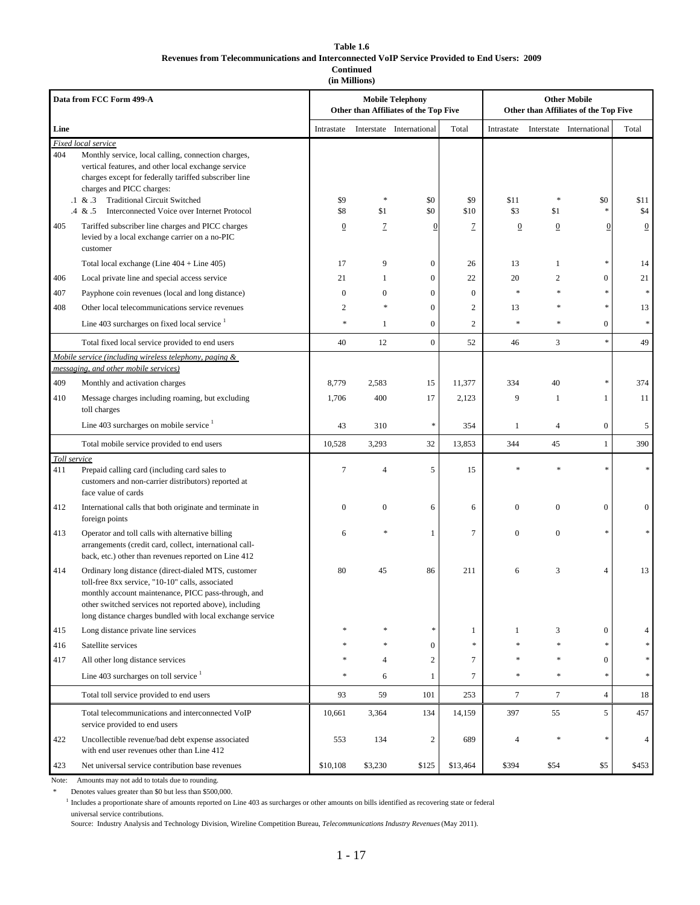#### **Table 1.6 Revenues from Telecommunications and Interconnected VoIP Service Provided to End Users: 2009 Continued**

**(in Millions)**

|              | Data from FCC Form 499-A                                                                                                                                                                                                                                                                                           |                |                  | <b>Mobile Telephony</b><br>Other than Affiliates of the Top Five |               | <b>Other Mobile</b><br>Other than Affiliates of the Top Five |                |                          |                |
|--------------|--------------------------------------------------------------------------------------------------------------------------------------------------------------------------------------------------------------------------------------------------------------------------------------------------------------------|----------------|------------------|------------------------------------------------------------------|---------------|--------------------------------------------------------------|----------------|--------------------------|----------------|
| Line         |                                                                                                                                                                                                                                                                                                                    | Intrastate     |                  | Interstate International                                         | Total         | Intrastate                                                   |                | Interstate International | Total          |
|              | Fixed local service                                                                                                                                                                                                                                                                                                |                |                  |                                                                  |               |                                                              |                |                          |                |
| 404          | Monthly service, local calling, connection charges,<br>vertical features, and other local exchange service<br>charges except for federally tariffed subscriber line<br>charges and PICC charges:<br><b>Traditional Circuit Switched</b><br>$.1 \& .3$<br>Interconnected Voice over Internet Protocol<br>$.4 \& .5$ | \$9<br>\$8     | *<br>\$1         | \$0<br>\$0                                                       | \$9<br>\$10   | \$11<br>\$3                                                  | \$1            | \$0                      | \$11<br>\$4    |
| 405          | Tariffed subscriber line charges and PICC charges<br>levied by a local exchange carrier on a no-PIC<br>customer                                                                                                                                                                                                    | $\overline{0}$ | $\overline{1}$   | $\overline{0}$                                                   | 7             | $\overline{0}$                                               | $\overline{0}$ | 0                        | $\overline{0}$ |
|              | Total local exchange (Line $404 +$ Line $405$ )                                                                                                                                                                                                                                                                    | 17             | 9                | 0                                                                | 26            | 13                                                           | $\mathbf{1}$   |                          | 14             |
| 406          | Local private line and special access service                                                                                                                                                                                                                                                                      | 21             | $\mathbf{1}$     | $\overline{0}$                                                   | 22            | 20                                                           | $\overline{c}$ | $\mathbf{0}$             | 21             |
| 407          | Payphone coin revenues (local and long distance)                                                                                                                                                                                                                                                                   | $\mathbf{0}$   | $\mathbf{0}$     | $\overline{0}$                                                   | $\mathbf{0}$  |                                                              |                |                          |                |
| 408          | Other local telecommunications service revenues                                                                                                                                                                                                                                                                    | 2              | $\frac{1}{2}$    | $\boldsymbol{0}$                                                 | 2             | 13                                                           |                |                          | 13             |
|              | Line 403 surcharges on fixed local service $1$                                                                                                                                                                                                                                                                     | $\ast$         | $\mathbf{1}$     | $\overline{0}$                                                   | 2             | $\frac{1}{2}$                                                | $\ast$         | $\mathbf{0}$             | $\frac{1}{2}$  |
|              | Total fixed local service provided to end users                                                                                                                                                                                                                                                                    | 40             | 12               | $\overline{0}$                                                   | 52            | 46                                                           | 3              | sk.                      | 49             |
|              | Mobile service (including wireless telephony, paging &                                                                                                                                                                                                                                                             |                |                  |                                                                  |               |                                                              |                |                          |                |
|              | messaging, and other mobile services)                                                                                                                                                                                                                                                                              |                |                  |                                                                  |               |                                                              |                |                          |                |
| 409          | Monthly and activation charges                                                                                                                                                                                                                                                                                     | 8,779          | 2,583            | 15                                                               | 11,377        | 334                                                          | 40             |                          | 374            |
| 410          | Message charges including roaming, but excluding<br>toll charges                                                                                                                                                                                                                                                   | 1,706          | 400              | 17                                                               | 2,123         | 9                                                            | $\mathbf{1}$   | 1                        | 11             |
|              | Line 403 surcharges on mobile service $1$                                                                                                                                                                                                                                                                          | 43             | 310              | $\ast$                                                           | 354           | $\mathbf{1}$                                                 | $\overline{4}$ | $\boldsymbol{0}$         | 5              |
|              | Total mobile service provided to end users                                                                                                                                                                                                                                                                         | 10,528         | 3,293            | 32                                                               | 13,853        | 344                                                          | 45             | $\mathbf{1}$             | 390            |
| Toll service |                                                                                                                                                                                                                                                                                                                    |                |                  |                                                                  |               |                                                              |                |                          |                |
| 411          | Prepaid calling card (including card sales to<br>customers and non-carrier distributors) reported at<br>face value of cards                                                                                                                                                                                        | 7              | $\overline{4}$   | 5                                                                | 15            |                                                              |                |                          |                |
| 412          | International calls that both originate and terminate in<br>foreign points                                                                                                                                                                                                                                         | $\mathbf{0}$   | $\boldsymbol{0}$ | 6                                                                | 6             | $\mathbf{0}$                                                 | $\mathbf{0}$   | $\mathbf{0}$             | $\mathbf{0}$   |
| 413          | Operator and toll calls with alternative billing<br>arrangements (credit card, collect, international call-<br>back, etc.) other than revenues reported on Line 412                                                                                                                                                | 6              | *                | $\mathbf{1}$                                                     | 7             | $\mathbf{0}$                                                 | $\mathbf{0}$   | *                        |                |
| 414          | Ordinary long distance (direct-dialed MTS, customer<br>toll-free 8xx service, "10-10" calls, associated<br>monthly account maintenance, PICC pass-through, and<br>other switched services not reported above), including<br>long distance charges bundled with local exchange service                              | 80             | 45               | 86                                                               | 211           | 6                                                            | 3              | $\overline{4}$           | 13             |
| 415          | Long distance private line services                                                                                                                                                                                                                                                                                |                |                  | *                                                                | 1             | 1                                                            | 3              | $\mathbf{0}$             |                |
| 416          | Satellite services                                                                                                                                                                                                                                                                                                 |                |                  | $\overline{0}$                                                   | $\frac{1}{2}$ |                                                              |                |                          |                |
| 417          | All other long distance services                                                                                                                                                                                                                                                                                   |                | 4                | $\overline{c}$                                                   | 7             |                                                              | 永              | $\mathbf{0}$             |                |
|              | Line 403 surcharges on toll service $1$                                                                                                                                                                                                                                                                            |                | 6                | $\mathbf{1}$                                                     | 7             |                                                              | *              | 永                        |                |
|              | Total toll service provided to end users                                                                                                                                                                                                                                                                           | 93             | 59               | 101                                                              | 253           | $\tau$                                                       | $\tau$         | $\overline{4}$           | 18             |
|              | Total telecommunications and interconnected VoIP<br>service provided to end users                                                                                                                                                                                                                                  | 10,661         | 3,364            | 134                                                              | 14,159        | 397                                                          | 55             | 5                        | 457            |
| 422          | Uncollectible revenue/bad debt expense associated<br>with end user revenues other than Line 412                                                                                                                                                                                                                    | 553            | 134              | 2                                                                | 689           | 4                                                            |                |                          | $\overline{4}$ |
| 423          | Net universal service contribution base revenues                                                                                                                                                                                                                                                                   | \$10,108       | \$3,230          | \$125                                                            | \$13,464      | \$394                                                        | \$54           | \$5                      | \$453          |

Note: Amounts may not add to totals due to rounding.

Denotes values greater than \$0 but less than \$500,000.

<sup>1</sup> Includes a proportionate share of amounts reported on Line 403 as surcharges or other amounts on bills identified as recovering state or federal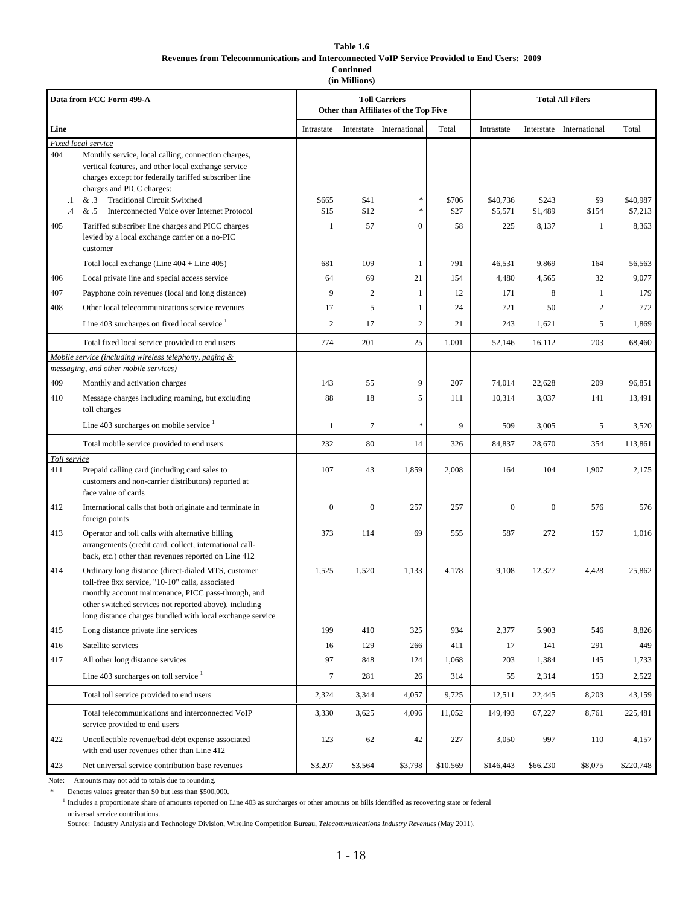#### **Table 1.6 Revenues from Telecommunications and Interconnected VoIP Service Provided to End Users: 2009 Continued**

**(in Millions)**

|                | Data from FCC Form 499-A                                                                                                                                                                                                                                                              |              |                | <b>Toll Carriers</b><br>Other than Affiliates of the Top Five |          |                  | <b>Total All Filers</b> |                          |           |
|----------------|---------------------------------------------------------------------------------------------------------------------------------------------------------------------------------------------------------------------------------------------------------------------------------------|--------------|----------------|---------------------------------------------------------------|----------|------------------|-------------------------|--------------------------|-----------|
| Line           |                                                                                                                                                                                                                                                                                       | Intrastate   |                | Interstate International                                      | Total    | Intrastate       |                         | Interstate International | Total     |
| 404<br>$\cdot$ | Fixed local service<br>Monthly service, local calling, connection charges,<br>vertical features, and other local exchange service<br>charges except for federally tariffed subscriber line<br>charges and PICC charges:<br><b>Traditional Circuit Switched</b><br>& .3                | \$665        | \$41           | *                                                             | \$706    | \$40,736         | \$243                   | \$9                      | \$40,987  |
| $\cdot$        | & .5<br>Interconnected Voice over Internet Protocol                                                                                                                                                                                                                                   | \$15         | \$12           | *                                                             | \$27     | \$5,571          | \$1,489                 | \$154                    | \$7,213   |
| 405            | Tariffed subscriber line charges and PICC charges<br>levied by a local exchange carrier on a no-PIC<br>customer                                                                                                                                                                       | 1            | 57             | $\boldsymbol{0}$                                              | 58       | 225              | 8,137                   | $\overline{1}$           | 8,363     |
|                | Total local exchange (Line $404 +$ Line $405$ )                                                                                                                                                                                                                                       | 681          | 109            | 1                                                             | 791      | 46,531           | 9,869                   | 164                      | 56,563    |
| 406            | Local private line and special access service                                                                                                                                                                                                                                         | 64           | 69             | 21                                                            | 154      | 4,480            | 4,565                   | 32                       | 9,077     |
| 407            | Payphone coin revenues (local and long distance)                                                                                                                                                                                                                                      | 9            | $\overline{c}$ | 1                                                             | 12       | 171              | 8                       | 1                        | 179       |
| 408            | Other local telecommunications service revenues                                                                                                                                                                                                                                       | 17           | 5              | 1                                                             | 24       | 721              | 50                      | $\overline{c}$           | 772       |
|                | Line 403 surcharges on fixed local service <sup>1</sup>                                                                                                                                                                                                                               | 2            | 17             | $\sqrt{2}$                                                    | 21       | 243              | 1,621                   | 5                        | 1,869     |
|                | Total fixed local service provided to end users                                                                                                                                                                                                                                       | 774          | 201            | 25                                                            | 1,001    | 52,146           | 16,112                  | 203                      | 68,460    |
|                | Mobile service (including wireless telephony, paging &<br>messaging, and other mobile services)                                                                                                                                                                                       |              |                |                                                               |          |                  |                         |                          |           |
| 409            | Monthly and activation charges                                                                                                                                                                                                                                                        | 143          | 55             | 9                                                             | 207      | 74,014           | 22,628                  | 209                      | 96,851    |
| 410            | Message charges including roaming, but excluding<br>toll charges                                                                                                                                                                                                                      | 88           | 18             | 5                                                             | 111      | 10,314           | 3,037                   | 141                      | 13,491    |
|                | Line 403 surcharges on mobile service $1$                                                                                                                                                                                                                                             | 1            | $\tau$         | *                                                             | 9        | 509              | 3,005                   | 5                        | 3,520     |
|                | Total mobile service provided to end users                                                                                                                                                                                                                                            | 232          | 80             | 14                                                            | 326      | 84,837           | 28,670                  | 354                      | 113,861   |
| Toll service   |                                                                                                                                                                                                                                                                                       |              |                |                                                               |          |                  |                         |                          |           |
| 411            | Prepaid calling card (including card sales to<br>customers and non-carrier distributors) reported at<br>face value of cards                                                                                                                                                           | 107          | 43             | 1,859                                                         | 2,008    | 164              | 104                     | 1,907                    | 2,175     |
| 412            | International calls that both originate and terminate in<br>foreign points                                                                                                                                                                                                            | $\mathbf{0}$ | $\mathbf{0}$   | 257                                                           | 257      | $\boldsymbol{0}$ | $\boldsymbol{0}$        | 576                      | 576       |
| 413            | Operator and toll calls with alternative billing<br>arrangements (credit card, collect, international call-<br>back, etc.) other than revenues reported on Line 412                                                                                                                   | 373          | 114            | 69                                                            | 555      | 587              | 272                     | 157                      | 1,016     |
| 414            | Ordinary long distance (direct-dialed MTS, customer<br>toll-free 8xx service, "10-10" calls, associated<br>monthly account maintenance, PICC pass-through, and<br>other switched services not reported above), including<br>long distance charges bundled with local exchange service | 1,525        | 1,520          | 1,133                                                         | 4,178    | 9,108            | 12,327                  | 4,428                    | 25,862    |
| 415            | Long distance private line services                                                                                                                                                                                                                                                   | 199          | 410            | 325                                                           | 934      | 2,377            | 5,903                   | 546                      | 8,826     |
| 416            | Satellite services                                                                                                                                                                                                                                                                    | 16           | 129            | 266                                                           | 411      | 17               | 141                     | 291                      | 449       |
| 417            | All other long distance services                                                                                                                                                                                                                                                      | 97           | 848            | 124                                                           | 1,068    | 203              | 1,384                   | 145                      | 1,733     |
|                | Line 403 surcharges on toll service $1$                                                                                                                                                                                                                                               | 7            | 281            | 26                                                            | 314      | 55               | 2,314                   | 153                      | 2,522     |
|                | Total toll service provided to end users                                                                                                                                                                                                                                              | 2,324        | 3,344          | 4,057                                                         | 9,725    | 12,511           | 22,445                  | 8,203                    | 43,159    |
|                | Total telecommunications and interconnected VoIP<br>service provided to end users                                                                                                                                                                                                     | 3,330        | 3,625          | 4,096                                                         | 11,052   | 149,493          | 67,227                  | 8,761                    | 225,481   |
| 422            | Uncollectible revenue/bad debt expense associated<br>with end user revenues other than Line 412                                                                                                                                                                                       | 123          | 62             | 42                                                            | 227      | 3,050            | 997                     | 110                      | 4,157     |
| 423            | Net universal service contribution base revenues                                                                                                                                                                                                                                      | \$3,207      | \$3,564        | \$3,798                                                       | \$10,569 | \$146,443        | \$66,230                | \$8,075                  | \$220,748 |

Note: Amounts may not add to totals due to rounding.

Denotes values greater than \$0 but less than \$500,000.

<sup>1</sup> Includes a proportionate share of amounts reported on Line 403 as surcharges or other amounts on bills identified as recovering state or federal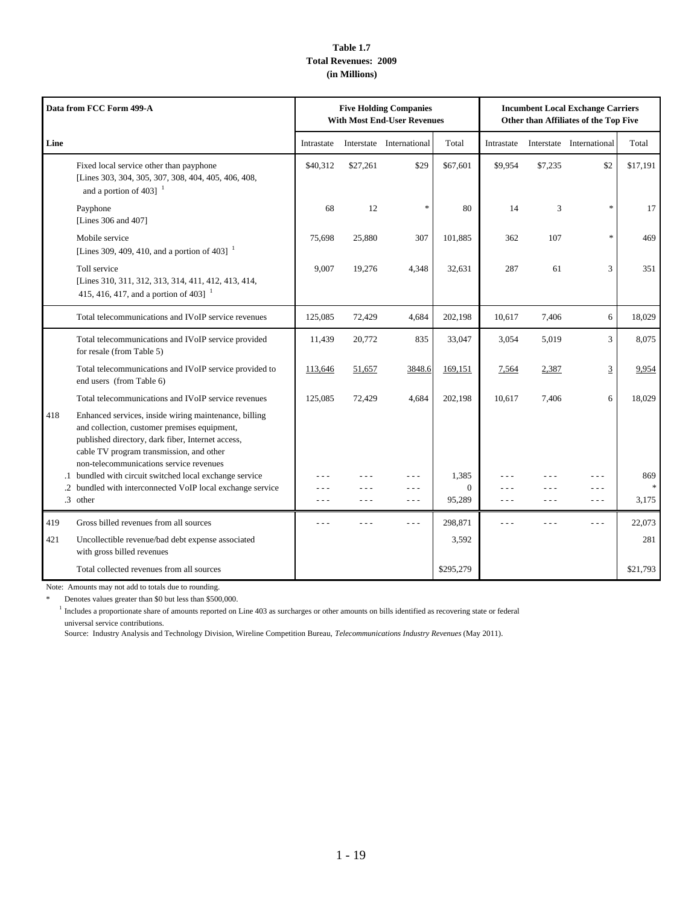## **Table 1.7 Total Revenues: 2009 (in Millions)**

|      | Data from FCC Form 499-A                                                                                                                                                                                                                          |                  |                        | <b>Five Holding Companies</b><br><b>With Most End-User Revenues</b> |                    |                  |         | <b>Incumbent Local Exchange Carriers</b><br>Other than Affiliates of the Top Five |          |
|------|---------------------------------------------------------------------------------------------------------------------------------------------------------------------------------------------------------------------------------------------------|------------------|------------------------|---------------------------------------------------------------------|--------------------|------------------|---------|-----------------------------------------------------------------------------------|----------|
| Line |                                                                                                                                                                                                                                                   | Intrastate       |                        | Interstate International                                            | Total              | Intrastate       |         | Interstate International                                                          | Total    |
|      | Fixed local service other than payphone<br>[Lines 303, 304, 305, 307, 308, 404, 405, 406, 408,<br>and a portion of 403] $^{-1}$                                                                                                                   | \$40,312         | \$27,261               | \$29                                                                | \$67,601           | \$9,954          | \$7,235 | \$2                                                                               | \$17,191 |
|      | Payphone<br>[Lines 306 and 407]                                                                                                                                                                                                                   | 68               | 12                     | $\ast$                                                              | 80                 | 14               | 3       | $\ast$                                                                            | 17       |
|      | Mobile service<br>[Lines 309, 409, 410, and a portion of 403] $^{-1}$                                                                                                                                                                             | 75.698           | 25,880                 | 307                                                                 | 101,885            | 362              | 107     | $\ast$                                                                            | 469      |
|      | Toll service<br>[Lines 310, 311, 312, 313, 314, 411, 412, 413, 414,<br>415, 416, 417, and a portion of 403] $^{-1}$                                                                                                                               | 9.007            | 19,276                 | 4,348                                                               | 32,631             | 287              | 61      | 3                                                                                 | 351      |
|      | Total telecommunications and IVoIP service revenues                                                                                                                                                                                               | 125,085          | 72,429                 | 4,684                                                               | 202,198            | 10,617           | 7,406   | 6                                                                                 | 18,029   |
|      | Total telecommunications and IVoIP service provided<br>for resale (from Table 5)                                                                                                                                                                  | 11,439           | 20,772                 | 835                                                                 | 33,047             | 3,054            | 5,019   | 3                                                                                 | 8,075    |
|      | Total telecommunications and IVoIP service provided to<br>end users (from Table 6)                                                                                                                                                                | 113,646          | 51,657                 | 3848.6                                                              | 169,151            | 7,564            | 2,387   | 3                                                                                 | 9,954    |
|      | Total telecommunications and IVoIP service revenues                                                                                                                                                                                               | 125,085          | 72,429                 | 4,684                                                               | 202,198            | 10,617           | 7,406   | 6                                                                                 | 18,029   |
| 418  | Enhanced services, inside wiring maintenance, billing<br>and collection, customer premises equipment,<br>published directory, dark fiber, Internet access,<br>cable TV program transmission, and other<br>non-telecommunications service revenues |                  |                        |                                                                     |                    |                  |         |                                                                                   |          |
|      | .1 bundled with circuit switched local exchange service                                                                                                                                                                                           |                  |                        | - - -                                                               | 1,385              |                  |         |                                                                                   | 869      |
|      | .2 bundled with interconnected VoIP local exchange service<br>.3 other                                                                                                                                                                            | $  -$<br>$- - -$ | $\sim$ $\sim$<br>$  -$ | $- - -$<br>$- - -$                                                  | $\Omega$<br>95,289 | - - -<br>$- - -$ | .       | - - -<br>$- - -$                                                                  | 3,175    |
| 419  | Gross billed revenues from all sources                                                                                                                                                                                                            |                  |                        |                                                                     | 298,871            |                  |         | $- - -$                                                                           | 22,073   |
| 421  | Uncollectible revenue/bad debt expense associated<br>with gross billed revenues                                                                                                                                                                   |                  |                        |                                                                     | 3,592              |                  |         |                                                                                   | 281      |
|      | Total collected revenues from all sources                                                                                                                                                                                                         |                  |                        |                                                                     | \$295,279          |                  |         |                                                                                   | \$21,793 |

Note: Amounts may not add to totals due to rounding.

\* Denotes values greater than \$0 but less than \$500,000.

<sup>1</sup> Includes a proportionate share of amounts reported on Line 403 as surcharges or other amounts on bills identified as recovering state or federal universal service contributions.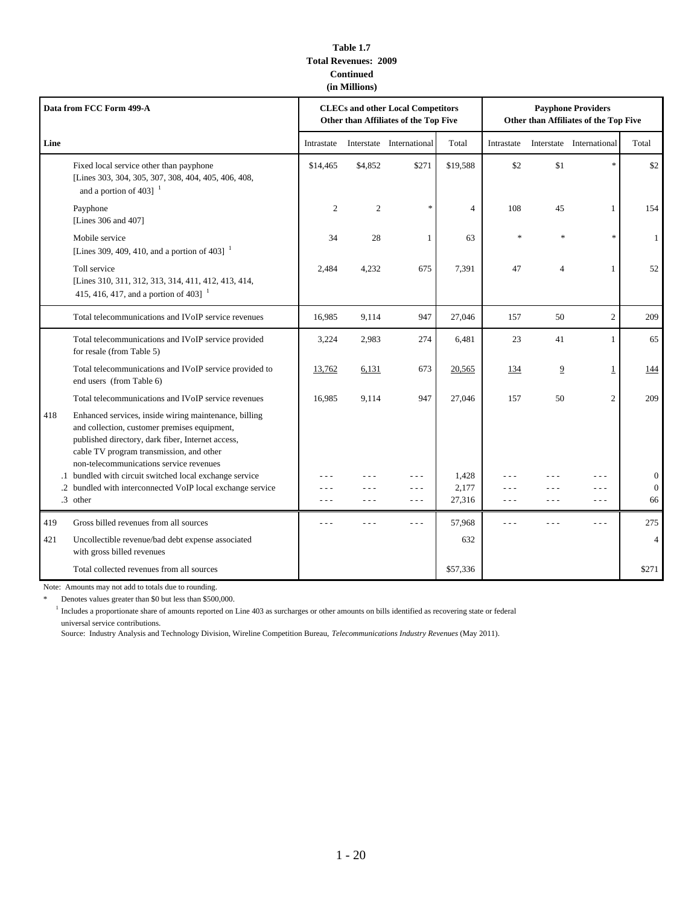### **Table 1.7 Total Revenues: 2009 Continued (in Millions)**

|      | Data from FCC Form 499-A                                                                                                                                                                                                                          |            |                | <b>CLECs and other Local Competitors</b><br>Other than Affiliates of the Top Five |                |            |                | <b>Payphone Providers</b><br>Other than Affiliates of the Top Five |                                    |
|------|---------------------------------------------------------------------------------------------------------------------------------------------------------------------------------------------------------------------------------------------------|------------|----------------|-----------------------------------------------------------------------------------|----------------|------------|----------------|--------------------------------------------------------------------|------------------------------------|
| Line |                                                                                                                                                                                                                                                   | Intrastate |                | Interstate International                                                          | Total          | Intrastate |                | Interstate International                                           | Total                              |
|      | Fixed local service other than payphone<br>[Lines 303, 304, 305, 307, 308, 404, 405, 406, 408,<br>and a portion of 403] $^{-1}$                                                                                                                   | \$14,465   | \$4,852        | \$271                                                                             | \$19,588       | \$2        | \$1            | $\ast$                                                             | \$2                                |
|      | Payphone<br>[Lines 306 and 407]                                                                                                                                                                                                                   | 2          | $\overline{2}$ |                                                                                   | $\overline{4}$ | 108        | 45             | 1                                                                  | 154                                |
|      | Mobile service<br>[Lines 309, 409, 410, and a portion of 403] $^{-1}$                                                                                                                                                                             | 34         | 28             | -1                                                                                | 63             | $\ast$     | ×,             | $\ast$                                                             | $\mathbf{1}$                       |
|      | Toll service<br>[Lines 310, 311, 312, 313, 314, 411, 412, 413, 414,<br>415, 416, 417, and a portion of 403]                                                                                                                                       | 2,484      | 4,232          | 675                                                                               | 7,391          | 47         | $\overline{4}$ | 1                                                                  | 52                                 |
|      | Total telecommunications and IVoIP service revenues                                                                                                                                                                                               | 16,985     | 9,114          | 947                                                                               | 27,046         | 157        | 50             | $\overline{c}$                                                     | 209                                |
|      | Total telecommunications and IVoIP service provided<br>for resale (from Table 5)                                                                                                                                                                  | 3,224      | 2,983          | 274                                                                               | 6,481          | 23         | 41             | 1                                                                  | 65                                 |
|      | Total telecommunications and IVoIP service provided to<br>end users (from Table 6)                                                                                                                                                                | 13,762     | 6,131          | 673                                                                               | 20,565         | 134        | $\overline{9}$ | $\overline{1}$                                                     | 144                                |
|      | Total telecommunications and IVoIP service revenues                                                                                                                                                                                               | 16.985     | 9,114          | 947                                                                               | 27,046         | 157        | 50             | 2                                                                  | 209                                |
| 418  | Enhanced services, inside wiring maintenance, billing<br>and collection, customer premises equipment,<br>published directory, dark fiber, Internet access,<br>cable TV program transmission, and other<br>non-telecommunications service revenues |            |                |                                                                                   |                |            |                |                                                                    |                                    |
|      | .1 bundled with circuit switched local exchange service                                                                                                                                                                                           |            |                | .                                                                                 | 1,428<br>2,177 |            |                |                                                                    | $\boldsymbol{0}$<br>$\overline{0}$ |
|      | .2 bundled with interconnected VoIP local exchange service<br>.3 other                                                                                                                                                                            | - - -      |                | - - -<br>$- - -$                                                                  | 27,316         | - - -      |                | $ -$<br>$- - -$                                                    | 66                                 |
| 419  | Gross billed revenues from all sources                                                                                                                                                                                                            | - - -      |                | $- - -$                                                                           | 57,968         | - - -      |                | $ -$                                                               | 275                                |
| 421  | Uncollectible revenue/bad debt expense associated<br>with gross billed revenues                                                                                                                                                                   |            |                |                                                                                   | 632            |            |                |                                                                    | $\overline{4}$                     |
|      | Total collected revenues from all sources                                                                                                                                                                                                         |            |                |                                                                                   | \$57,336       |            |                |                                                                    | \$271                              |

Note: Amounts may not add to totals due to rounding.

\* Denotes values greater than \$0 but less than \$500,000.

<sup>1</sup> Includes a proportionate share of amounts reported on Line 403 as surcharges or other amounts on bills identified as recovering state or federal universal service contributions.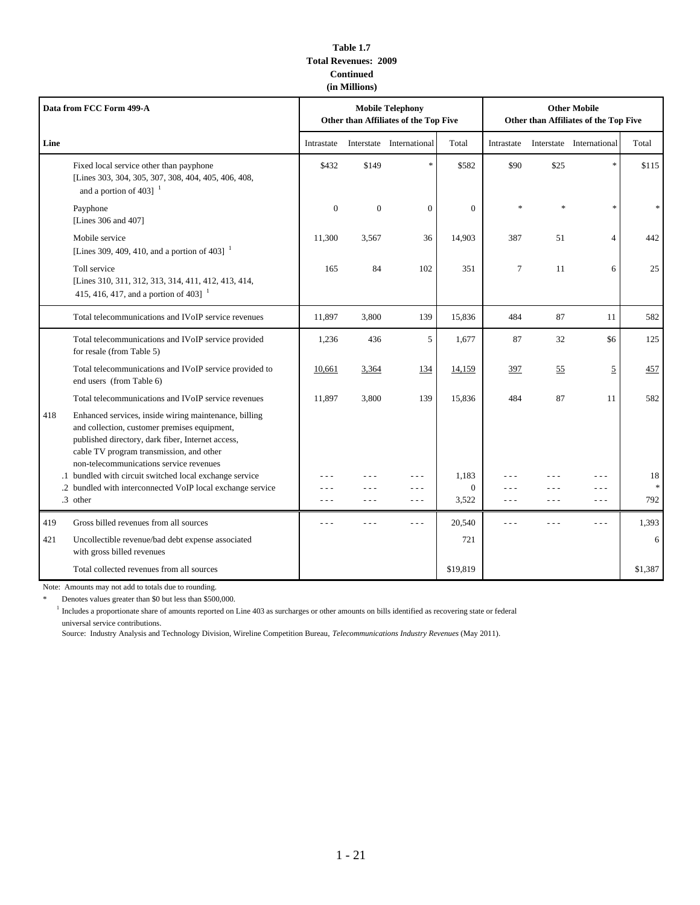### **Table 1.7 Total Revenues: 2009 Continued (in Millions)**

| Data from FCC Form 499-A |                                                                                                                                                                                                                                                   |              |                | <b>Mobile Telephony</b><br>Other than Affiliates of the Top Five |                   | <b>Other Mobile</b><br>Other than Affiliates of the Top Five |       |                          |          |
|--------------------------|---------------------------------------------------------------------------------------------------------------------------------------------------------------------------------------------------------------------------------------------------|--------------|----------------|------------------------------------------------------------------|-------------------|--------------------------------------------------------------|-------|--------------------------|----------|
| Line                     |                                                                                                                                                                                                                                                   | Intrastate   |                | Interstate International                                         | Total             | Intrastate                                                   |       | Interstate International | Total    |
|                          | Fixed local service other than payphone<br>[Lines 303, 304, 305, 307, 308, 404, 405, 406, 408,<br>and a portion of 403] $1$                                                                                                                       | \$432        | \$149          | $\ast$                                                           | \$582             | \$90                                                         | \$25  | $\ast$                   | \$115    |
|                          | Payphone<br>[Lines 306 and 407]                                                                                                                                                                                                                   | $\mathbf{0}$ | $\overline{0}$ | $\overline{0}$                                                   | $\mathbf{0}$      | *                                                            | ×,    | $\ast$                   | *        |
|                          | Mobile service<br>[Lines 309, 409, 410, and a portion of 403] $^{-1}$                                                                                                                                                                             | 11,300       | 3,567          | 36                                                               | 14,903            | 387                                                          | 51    | $\overline{4}$           | 442      |
|                          | Toll service<br>[Lines 310, 311, 312, 313, 314, 411, 412, 413, 414,<br>415, 416, 417, and a portion of 403] $^{-1}$                                                                                                                               | 165          | 84             | 102                                                              | 351               | $7\phantom{.0}$                                              | 11    | 6                        | 25       |
|                          | Total telecommunications and IVoIP service revenues                                                                                                                                                                                               | 11,897       | 3,800          | 139                                                              | 15,836            | 484                                                          | 87    | 11                       | 582      |
|                          | Total telecommunications and IVoIP service provided<br>for resale (from Table 5)                                                                                                                                                                  | 1,236        | 436            | 5                                                                | 1,677             | 87                                                           | 32    | \$6                      | 125      |
|                          | Total telecommunications and IVoIP service provided to<br>end users (from Table 6)                                                                                                                                                                | 10,661       | 3,364          | 134                                                              | 14,159            | 397                                                          | 55    | $\overline{5}$           | 457      |
|                          | Total telecommunications and IVoIP service revenues                                                                                                                                                                                               | 11,897       | 3,800          | 139                                                              | 15,836            | 484                                                          | 87    | 11                       | 582      |
| 418                      | Enhanced services, inside wiring maintenance, billing<br>and collection, customer premises equipment,<br>published directory, dark fiber, Internet access,<br>cable TV program transmission, and other<br>non-telecommunications service revenues |              |                |                                                                  |                   |                                                              |       |                          |          |
|                          | .1 bundled with circuit switched local exchange service                                                                                                                                                                                           |              |                |                                                                  | 1.183             |                                                              |       | - - -                    | 18       |
|                          | .2 bundled with interconnected VoIP local exchange service<br>.3 other                                                                                                                                                                            | - - -        |                | .<br>$- - -$                                                     | $\Omega$<br>3,522 | - - -                                                        | - - - | .<br>$- - -$             | *<br>792 |
| 419                      | Gross billed revenues from all sources                                                                                                                                                                                                            |              |                | $- -$                                                            | 20,540            | $- - -$                                                      |       | $-1$                     | 1,393    |
| 421                      | Uncollectible revenue/bad debt expense associated<br>with gross billed revenues                                                                                                                                                                   |              |                |                                                                  | 721               |                                                              |       |                          | 6        |
|                          | Total collected revenues from all sources                                                                                                                                                                                                         |              |                |                                                                  | \$19,819          |                                                              |       |                          | \$1,387  |

Note: Amounts may not add to totals due to rounding.

\* Denotes values greater than \$0 but less than \$500,000.

<sup>1</sup> Includes a proportionate share of amounts reported on Line 403 as surcharges or other amounts on bills identified as recovering state or federal universal service contributions.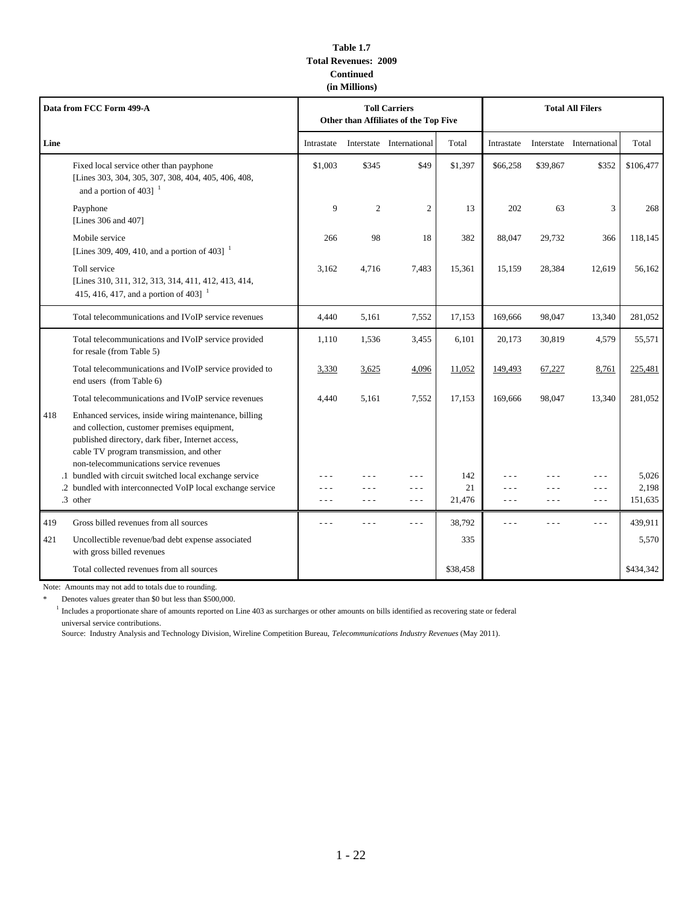### **Table 1.7 Total Revenues: 2009 Continued (in Millions)**

| Data from FCC Form 499-A |                                                                                                                                                                                                                                                   | <b>Toll Carriers</b><br>Other than Affiliates of the Top Five |                |                          |              | <b>Total All Filers</b> |                  |                          |                  |
|--------------------------|---------------------------------------------------------------------------------------------------------------------------------------------------------------------------------------------------------------------------------------------------|---------------------------------------------------------------|----------------|--------------------------|--------------|-------------------------|------------------|--------------------------|------------------|
| Line                     |                                                                                                                                                                                                                                                   | Intrastate                                                    |                | Interstate International | Total        | Intrastate              |                  | Interstate International | Total            |
|                          | Fixed local service other than payphone<br>[Lines 303, 304, 305, 307, 308, 404, 405, 406, 408,<br>and a portion of 403] $1$                                                                                                                       | \$1.003                                                       | \$345          | \$49                     | \$1,397      | \$66,258                | \$39,867         | \$352                    | \$106,477        |
|                          | Payphone<br>[Lines 306 and 407]                                                                                                                                                                                                                   | 9                                                             | $\overline{2}$ | $\overline{2}$           | 13           | 202                     | 63               | 3                        | 268              |
|                          | Mobile service<br>[Lines 309, 409, 410, and a portion of 403] $^{-1}$                                                                                                                                                                             | 266                                                           | 98             | 18                       | 382          | 88,047                  | 29,732           | 366                      | 118,145          |
|                          | Toll service<br>[Lines 310, 311, 312, 313, 314, 411, 412, 413, 414,<br>415, 416, 417, and a portion of 403] $^{-1}$                                                                                                                               | 3,162                                                         | 4,716          | 7,483                    | 15,361       | 15,159                  | 28,384           | 12,619                   | 56,162           |
|                          | Total telecommunications and IVoIP service revenues                                                                                                                                                                                               | 4,440                                                         | 5,161          | 7,552                    | 17,153       | 169,666                 | 98,047           | 13,340                   | 281,052          |
|                          | Total telecommunications and IVoIP service provided<br>for resale (from Table 5)                                                                                                                                                                  | 1,110                                                         | 1,536          | 3,455                    | 6,101        | 20,173                  | 30,819           | 4,579                    | 55,571           |
|                          | Total telecommunications and IVoIP service provided to<br>end users (from Table 6)                                                                                                                                                                | 3,330                                                         | 3,625          | 4,096                    | 11,052       | 149,493                 | 67,227           | 8,761                    | 225,481          |
|                          | Total telecommunications and IVoIP service revenues                                                                                                                                                                                               | 4,440                                                         | 5,161          | 7,552                    | 17,153       | 169,666                 | 98,047           | 13,340                   | 281,052          |
| 418                      | Enhanced services, inside wiring maintenance, billing<br>and collection, customer premises equipment,<br>published directory, dark fiber, Internet access,<br>cable TV program transmission, and other<br>non-telecommunications service revenues |                                                               |                |                          |              |                         |                  |                          |                  |
|                          | .1 bundled with circuit switched local exchange service                                                                                                                                                                                           |                                                               |                | - - -                    | 142          |                         |                  | $- - -$                  | 5,026            |
|                          | .2 bundled with interconnected VoIP local exchange service<br>.3 other                                                                                                                                                                            | $  -$                                                         | $- - -$        | - - -<br>$- - -$         | 21<br>21,476 | - - -<br>$- - -$        | - - -<br>$- - -$ | $- - -$<br>$  -$         | 2,198<br>151,635 |
| 419                      | Gross billed revenues from all sources                                                                                                                                                                                                            |                                                               |                |                          | 38,792       | - - -                   |                  | $- - -$                  | 439,911          |
| 421                      | Uncollectible revenue/bad debt expense associated<br>with gross billed revenues                                                                                                                                                                   |                                                               |                |                          | 335          |                         |                  |                          | 5,570            |
|                          | Total collected revenues from all sources                                                                                                                                                                                                         |                                                               |                |                          | \$38,458     |                         |                  |                          | \$434,342        |

Note: Amounts may not add to totals due to rounding.

\* Denotes values greater than \$0 but less than \$500,000.

<sup>1</sup> Includes a proportionate share of amounts reported on Line 403 as surcharges or other amounts on bills identified as recovering state or federal universal service contributions.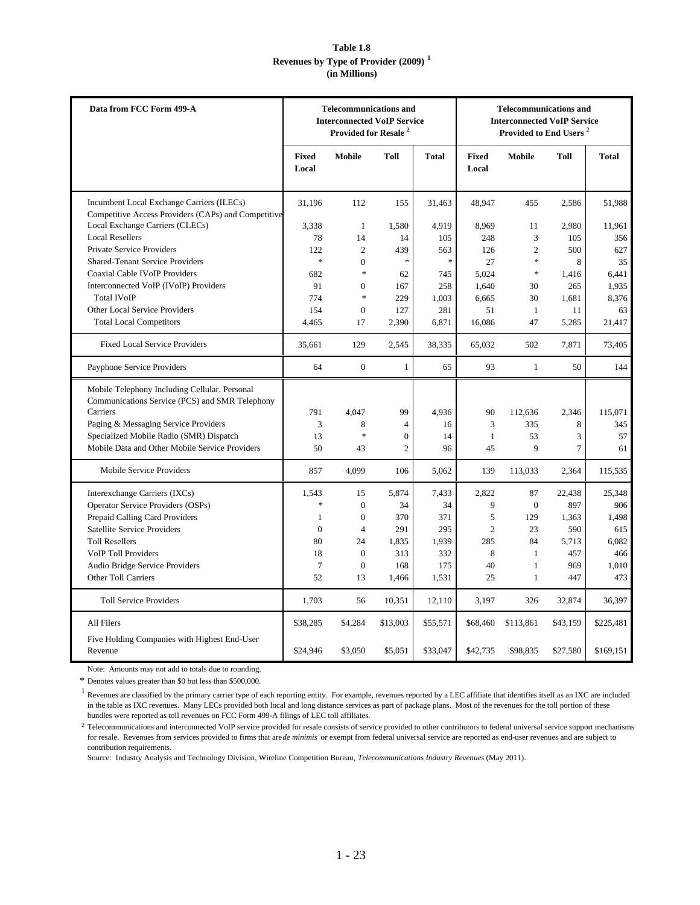## **Table 1.8 Revenues by Type of Provider (2009) <sup>1</sup> (in Millions)**

| Data from FCC Form 499-A                                                                         | <b>Telecommunications and</b><br><b>Interconnected VoIP Service</b><br>Provided for Resale <sup>2</sup> |                |                  | <b>Telecommunications and</b><br><b>Interconnected VoIP Service</b><br>Provided to End Users <sup>2</sup> |                |                |                |           |
|--------------------------------------------------------------------------------------------------|---------------------------------------------------------------------------------------------------------|----------------|------------------|-----------------------------------------------------------------------------------------------------------|----------------|----------------|----------------|-----------|
|                                                                                                  | Fixed<br>Local                                                                                          | Mobile         | <b>Toll</b>      | <b>Total</b>                                                                                              | Fixed<br>Local | <b>Mobile</b>  | Toll           | Total     |
| Incumbent Local Exchange Carriers (ILECs)<br>Competitive Access Providers (CAPs) and Competitive | 31,196                                                                                                  | 112            | 155              | 31,463                                                                                                    | 48,947         | 455            | 2,586          | 51,988    |
| Local Exchange Carriers (CLECs)                                                                  | 3.338                                                                                                   | $\mathbf{1}$   | 1,580            | 4,919                                                                                                     | 8,969          | 11             | 2,980          | 11,961    |
| <b>Local Resellers</b>                                                                           | 78                                                                                                      | 14             | 14               | 105                                                                                                       | 248            | 3              | 105            | 356       |
| <b>Private Service Providers</b>                                                                 | 122                                                                                                     | $\overline{2}$ | 439              | 563                                                                                                       | 126            | $\overline{2}$ | 500            | 627       |
| <b>Shared-Tenant Service Providers</b>                                                           | $\ast$                                                                                                  | $\mathbf{0}$   | $\ast$           | $\ast$                                                                                                    | 27             | $\ast$         | 8              | 35        |
| Coaxial Cable IVoIP Providers                                                                    | 682                                                                                                     | $\ast$         | 62               | 745                                                                                                       | 5.024          | $\ast$         | 1,416          | 6,441     |
| Interconnected VoIP (IVoIP) Providers                                                            | 91                                                                                                      | $\mathbf{0}$   | 167              | 258                                                                                                       | 1,640          | 30             | 265            | 1,935     |
| <b>Total IVoIP</b>                                                                               | 774                                                                                                     | $\ast$         | 229              | 1,003                                                                                                     | 6.665          | 30             | 1.681          | 8,376     |
| Other Local Service Providers                                                                    | 154                                                                                                     | $\mathbf{0}$   | 127              | 281                                                                                                       | 51             | $\mathbf{1}$   | 11             | 63        |
| <b>Total Local Competitors</b>                                                                   | 4,465                                                                                                   | 17             | 2,390            | 6,871                                                                                                     | 16,086         | 47             | 5,285          | 21,417    |
| <b>Fixed Local Service Providers</b>                                                             | 35.661                                                                                                  | 129            | 2.545            | 38,335                                                                                                    | 65.032         | 502            | 7,871          | 73,405    |
| Payphone Service Providers                                                                       | 64                                                                                                      | $\mathbf{0}$   | $\mathbf{1}$     | 65                                                                                                        | 93             | $\mathbf{1}$   | 50             | 144       |
| Mobile Telephony Including Cellular, Personal<br>Communications Service (PCS) and SMR Telephony  |                                                                                                         |                |                  |                                                                                                           |                |                |                |           |
| Carriers                                                                                         | 791                                                                                                     | 4,047          | 99               | 4,936                                                                                                     | 90             | 112,636        | 2,346          | 115,071   |
| Paging & Messaging Service Providers                                                             | 3                                                                                                       | 8              | $\overline{4}$   | 16                                                                                                        | 3              | 335            | 8              | 345       |
| Specialized Mobile Radio (SMR) Dispatch                                                          | 13                                                                                                      | $\ast$         | $\boldsymbol{0}$ | 14                                                                                                        | $\mathbf{1}$   | 53             | 3              | 57        |
| Mobile Data and Other Mobile Service Providers                                                   | 50                                                                                                      | 43             | $\overline{c}$   | 96                                                                                                        | 45             | $\mathbf Q$    | $\overline{7}$ | 61        |
| Mobile Service Providers                                                                         | 857                                                                                                     | 4,099          | 106              | 5,062                                                                                                     | 139            | 113,033        | 2,364          | 115,535   |
| Interexchange Carriers (IXCs)                                                                    | 1,543                                                                                                   | 15             | 5,874            | 7,433                                                                                                     | 2,822          | 87             | 22,438         | 25,348    |
| Operator Service Providers (OSPs)                                                                | $\ast$                                                                                                  | $\mathbf{0}$   | 34               | 34                                                                                                        | 9              | $\theta$       | 897            | 906       |
| Prepaid Calling Card Providers                                                                   | 1                                                                                                       | $\mathbf{0}$   | 370              | 371                                                                                                       | 5              | 129            | 1,363          | 1,498     |
| <b>Satellite Service Providers</b>                                                               | $\Omega$                                                                                                | $\overline{4}$ | 291              | 295                                                                                                       | $\overline{c}$ | 23             | 590            | 615       |
| <b>Toll Resellers</b>                                                                            | 80                                                                                                      | 24             | 1,835            | 1,939                                                                                                     | 285            | 84             | 5,713          | 6,082     |
| <b>VoIP Toll Providers</b>                                                                       | 18                                                                                                      | $\mathbf{0}$   | 313              | 332                                                                                                       | 8              | $\mathbf{1}$   | 457            | 466       |
| Audio Bridge Service Providers                                                                   | $\overline{7}$                                                                                          | $\mathbf{0}$   | 168              | 175                                                                                                       | 40             | $\mathbf{1}$   | 969            | 1,010     |
| <b>Other Toll Carriers</b>                                                                       | 52                                                                                                      | 13             | 1,466            | 1,531                                                                                                     | 25             | $\mathbf{1}$   | 447            | 473       |
| <b>Toll Service Providers</b>                                                                    | 1,703                                                                                                   | 56             | 10,351           | 12,110                                                                                                    | 3,197          | 326            | 32,874         | 36,397    |
| All Filers                                                                                       | \$38,285                                                                                                | \$4,284        | \$13,003         | \$55,571                                                                                                  | \$68,460       | \$113,861      | \$43,159       | \$225,481 |
| Five Holding Companies with Highest End-User<br>Revenue                                          | \$24,946                                                                                                | \$3,050        | \$5,051          | \$33,047                                                                                                  | \$42,735       | \$98,835       | \$27,580       | \$169,151 |

Note: Amounts may not add to totals due to rounding.

\* Denotes values greater than \$0 but less than \$500,000.

<sup>1</sup> Revenues are classified by the primary carrier type of each reporting entity. For example, revenues reported by a LEC affiliate that identifies itself as an IXC are included in the table as IXC revenues. Many LECs provided both local and long distance services as part of package plans. Most of the revenues for the toll portion of these bundles were reported as toll revenues on FCC Form 499-A filings of LEC toll affiliates.

 $2$  Telecommunications and interconnected VoIP service provided for resale consists of service provided to other contributors to federal universal service support mechanisms for resale. Revenues from services provided to firms that are *de minimis* or exempt from federal universal service are reported as end-user revenues and are subject to contribution requirements.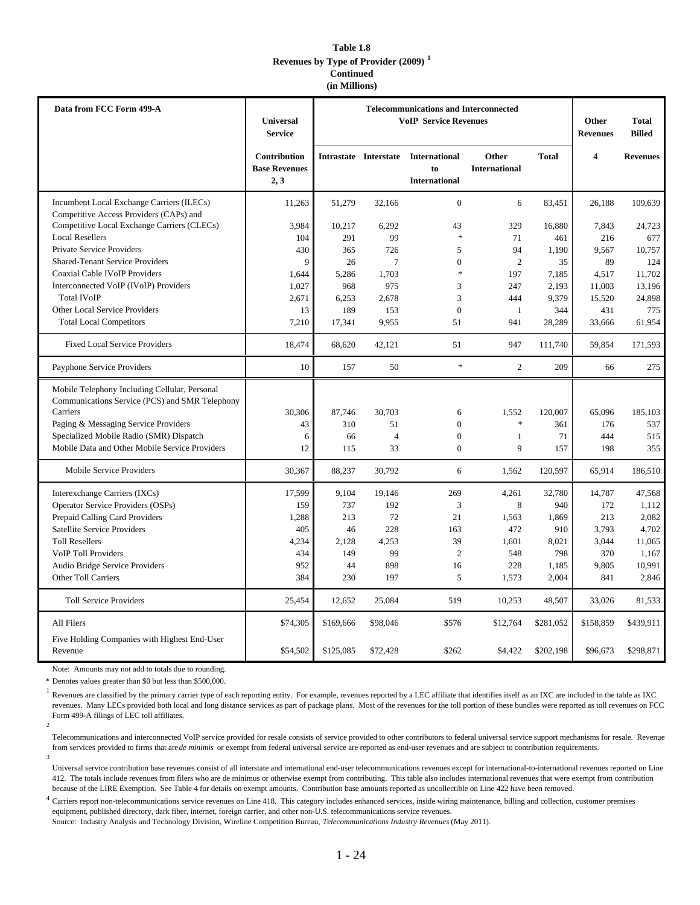#### **Table 1.8 Revenues by Type of Provider (2009) <sup>1</sup> Continued (in Millions)**

| Data from FCC Form 499-A                                                                        | Universal<br><b>Service</b>                         | <b>Telecommunications and Interconnected</b><br><b>VoIP Service Revenues</b> |                |                                                                   |                               |              | Other<br><b>Revenues</b> | <b>Total</b><br><b>Billed</b> |
|-------------------------------------------------------------------------------------------------|-----------------------------------------------------|------------------------------------------------------------------------------|----------------|-------------------------------------------------------------------|-------------------------------|--------------|--------------------------|-------------------------------|
|                                                                                                 | <b>Contribution</b><br><b>Base Revenues</b><br>2, 3 |                                                                              |                | Intrastate Interstate International<br>to<br><b>International</b> | Other<br><b>International</b> | <b>Total</b> | $\overline{4}$           | <b>Revenues</b>               |
| Incumbent Local Exchange Carriers (ILECs)<br>Competitive Access Providers (CAPs) and            | 11,263                                              | 51,279                                                                       | 32,166         | $\overline{0}$                                                    | 6                             | 83,451       | 26,188                   | 109,639                       |
| Competitive Local Exchange Carriers (CLECs)                                                     | 3,984                                               | 10,217                                                                       | 6,292          | 43                                                                | 329                           | 16,880       | 7,843                    | 24,723                        |
| <b>Local Resellers</b>                                                                          | 104                                                 | 291                                                                          | 99             | $\ast$                                                            | 71                            | 461          | 216                      | 677                           |
| Private Service Providers                                                                       | 430                                                 | 365                                                                          | 726            | 5                                                                 | 94                            | 1,190        | 9,567                    | 10,757                        |
| <b>Shared-Tenant Service Providers</b>                                                          | 9                                                   | 26                                                                           | $\overline{7}$ | $\Omega$                                                          | $\overline{c}$                | 35           | 89                       | 124                           |
| <b>Coaxial Cable IVoIP Providers</b>                                                            | 1,644                                               | 5,286                                                                        | 1,703          | $\ast$                                                            | 197                           | 7,185        | 4,517                    | 11,702                        |
| Interconnected VoIP (IVoIP) Providers                                                           | 1,027                                               | 968                                                                          | 975            | 3                                                                 | 247                           | 2,193        | 11,003                   | 13,196                        |
| <b>Total IVoIP</b>                                                                              | 2,671                                               | 6,253                                                                        | 2,678          | 3                                                                 | 444                           | 9,379        | 15,520                   | 24,898                        |
| Other Local Service Providers                                                                   | 13                                                  | 189                                                                          | 153            | $\boldsymbol{0}$                                                  | $\mathbf{1}$                  | 344          | 431                      | 775                           |
| <b>Total Local Competitors</b>                                                                  | 7,210                                               | 17,341                                                                       | 9,955          | 51                                                                | 941                           | 28,289       | 33,666                   | 61,954                        |
| <b>Fixed Local Service Providers</b>                                                            | 18,474                                              | 68,620                                                                       | 42,121         | 51                                                                | 947                           | 111,740      | 59,854                   | 171,593                       |
| Payphone Service Providers                                                                      | 10                                                  | 157                                                                          | 50             | *                                                                 | $\overline{c}$                | 209          | 66                       | 275                           |
| Mobile Telephony Including Cellular, Personal<br>Communications Service (PCS) and SMR Telephony |                                                     |                                                                              |                |                                                                   |                               |              |                          |                               |
| Carriers                                                                                        | 30,306                                              | 87,746                                                                       | 30,703         | 6                                                                 | 1,552                         | 120,007      | 65,096                   | 185,103                       |
| Paging & Messaging Service Providers                                                            | 43                                                  | 310                                                                          | 51             | $\overline{0}$                                                    | $\ast$                        | 361          | 176                      | 537                           |
| Specialized Mobile Radio (SMR) Dispatch                                                         | 6                                                   | 66                                                                           | $\overline{4}$ | $\mathbf{0}$                                                      | $\mathbf{1}$                  | 71           | 444                      | 515                           |
| Mobile Data and Other Mobile Service Providers                                                  | 12                                                  | 115                                                                          | 33             | $\boldsymbol{0}$                                                  | 9                             | 157          | 198                      | 355                           |
| Mobile Service Providers                                                                        | 30,367                                              | 88,237                                                                       | 30,792         | 6                                                                 | 1,562                         | 120,597      | 65,914                   | 186,510                       |
| Interexchange Carriers (IXCs)                                                                   | 17,599                                              | 9,104                                                                        | 19,146         | 269                                                               | 4,261                         | 32,780       | 14,787                   | 47,568                        |
| <b>Operator Service Providers (OSPs)</b>                                                        | 159                                                 | 737                                                                          | 192            | 3                                                                 | 8                             | 940          | 172                      | 1,112                         |
| Prepaid Calling Card Providers                                                                  | 1,288                                               | 213                                                                          | 72             | 21                                                                | 1,563                         | 1,869        | 213                      | 2,082                         |
| <b>Satellite Service Providers</b>                                                              | 405                                                 | 46                                                                           | 228            | 163                                                               | 472                           | 910          | 3,793                    | 4,702                         |
| <b>Toll Resellers</b>                                                                           | 4,234                                               | 2,128                                                                        | 4,253          | 39                                                                | 1,601                         | 8,021        | 3,044                    | 11,065                        |
| <b>VoIP Toll Providers</b>                                                                      | 434                                                 | 149                                                                          | 99             | $\mathfrak{2}$                                                    | 548                           | 798          | 370                      | 1,167                         |
| Audio Bridge Service Providers                                                                  | 952                                                 | 44                                                                           | 898            | 16                                                                | 228                           | 1,185        | 9,805                    | 10,991                        |
| Other Toll Carriers                                                                             | 384                                                 | 230                                                                          | 197            | $\sqrt{5}$                                                        | 1,573                         | 2,004        | 841                      | 2,846                         |
| <b>Toll Service Providers</b>                                                                   | 25,454                                              | 12,652                                                                       | 25,084         | 519                                                               | 10,253                        | 48,507       | 33,026                   | 81,533                        |
| All Filers                                                                                      | \$74,305                                            | \$169,666                                                                    | \$98,046       | \$576                                                             | \$12,764                      | \$281,052    | \$158,859                | \$439,911                     |
| Five Holding Companies with Highest End-User<br>Revenue                                         | \$54,502                                            | \$125,085                                                                    | \$72,428       | \$262                                                             | \$4,422                       | \$202,198    | \$96,673                 | \$298,871                     |

Note: Amounts may not add to totals due to rounding.

\* Denotes values greater than \$0 but less than \$500,000.

<sup>1</sup> Revenues are classified by the primary carrier type of each reporting entity. For example, revenues reported by a LEC affiliate that identifies itself as an IXC are included in the table as IXC 2 revenues. Many LECs provided both local and long distance services as part of package plans. Most of the revenues for the toll portion of these bundles were reported as toll revenues on FCC Form 499-A filings of LEC toll affiliates.

3 Telecommunications and interconnected VoIP service provided for resale consists of service provided to other contributors to federal universal service support mechanisms for resale. Revenue from services provided to firms that are *de minimis* or exempt from federal universal service are reported as end-user revenues and are subject to contribution requirements.

Universal service contribution base revenues consist of all interstate and international end-user telecommunications revenues except for international-to-international revenues reported on Line 412. The totals include revenues from filers who are de minimus or otherwise exempt from contributing. This table also includes international revenues that were exempt from contribution because of the LIRE Exemption. See Table 4 for details on exempt amounts. Contribution base amounts reported as uncollectible on Line 422 have been removed.

 $^4$  Carriers report non-telecommunications service revenues on Line 418. This category includes enhanced services, inside wiring maintenance, billing and collection, customer premises equipment, published directory, dark fiber, internet, foreign carrier, and other non-U.S. telecommunications service revenues.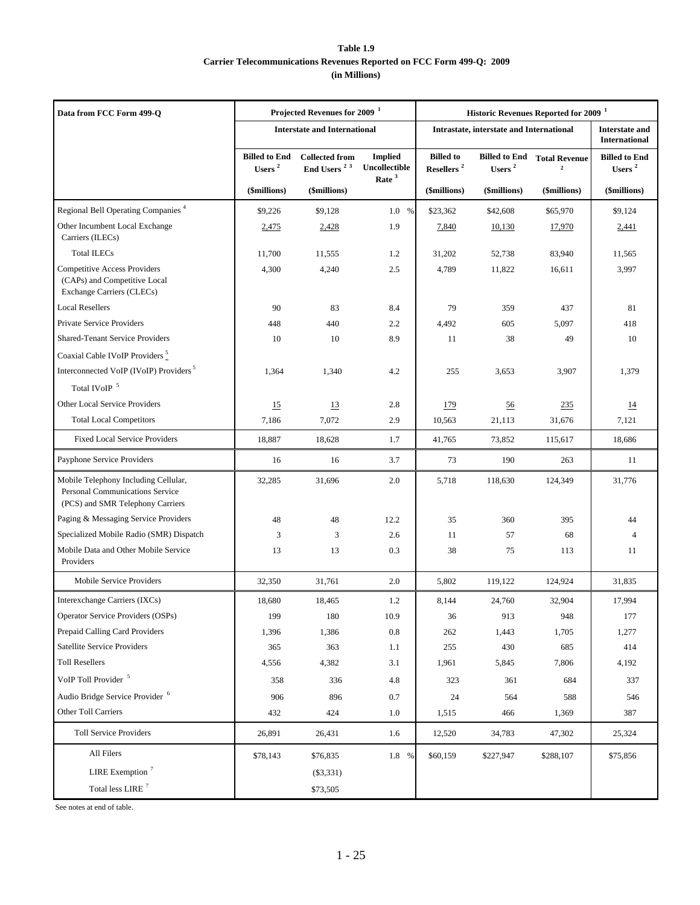### **Table 1.9 Carrier Telecommunications Revenues Reported on FCC Form 499-Q: 2009 (in Millions)**

| Data from FCC Form 499-Q                                                                                    |                                            | Projected Revenues for 2009 <sup>1</sup>         |                                                      | Historic Revenues Reported for 2009 <sup>1</sup> |                                            |                                      |                                               |
|-------------------------------------------------------------------------------------------------------------|--------------------------------------------|--------------------------------------------------|------------------------------------------------------|--------------------------------------------------|--------------------------------------------|--------------------------------------|-----------------------------------------------|
|                                                                                                             |                                            | <b>Interstate and International</b>              |                                                      |                                                  | Intrastate, interstate and International   |                                      | <b>Interstate and</b><br><b>International</b> |
|                                                                                                             | <b>Billed to End</b><br>Users <sup>2</sup> | <b>Collected from</b><br>End Users <sup>23</sup> | <b>Implied</b><br>Uncollectible<br>Rate <sup>3</sup> | <b>Billed</b> to<br>Resellers <sup>2</sup>       | <b>Billed to End</b><br>Users <sup>2</sup> | <b>Total Revenue</b><br>$\mathbf{2}$ | <b>Billed to End</b><br>Users <sup>2</sup>    |
|                                                                                                             | (\$millions)                               | (\$millions)                                     |                                                      | (\$millions)                                     | (\$millions)                               | (\$millions)                         | (\$millions)                                  |
| Regional Bell Operating Companies <sup>4</sup>                                                              | \$9,226                                    | \$9.128                                          | 1.0<br>%                                             | \$23,362                                         | \$42,608                                   | \$65,970                             | \$9,124                                       |
| Other Incumbent Local Exchange<br>Carriers (ILECs)                                                          | 2,475                                      | 2,428                                            | 1.9                                                  | 7,840                                            | 10,130                                     | 17,970                               | 2,441                                         |
| <b>Total ILECs</b>                                                                                          | 11,700                                     | 11,555                                           | 1.2                                                  | 31,202                                           | 52,738                                     | 83,940                               | 11,565                                        |
| <b>Competitive Access Providers</b><br>(CAPs) and Competitive Local<br>Exchange Carriers (CLECs)            | 4,300                                      | 4,240                                            | 2.5                                                  | 4,789                                            | 11,822                                     | 16,611                               | 3,997                                         |
| <b>Local Resellers</b>                                                                                      | 90                                         | 83                                               | 8.4                                                  | 79                                               | 359                                        | 437                                  | 81                                            |
| Private Service Providers                                                                                   | 448                                        | 440                                              | 2.2                                                  | 4,492                                            | 605                                        | 5,097                                | 418                                           |
| <b>Shared-Tenant Service Providers</b>                                                                      | 10                                         | 10                                               | 8.9                                                  | 11                                               | 38                                         | 49                                   | 10                                            |
| Coaxial Cable IVoIP Providers <sup>5</sup>                                                                  |                                            |                                                  |                                                      |                                                  |                                            |                                      |                                               |
| Interconnected VoIP (IVoIP) Providers <sup>5</sup>                                                          | 1,364                                      | 1,340                                            | 4.2                                                  | 255                                              | 3,653                                      | 3,907                                | 1,379                                         |
| Total IVoIP $\,$ $^5$                                                                                       |                                            |                                                  |                                                      |                                                  |                                            |                                      |                                               |
| Other Local Service Providers                                                                               | 15                                         | 13                                               | 2.8                                                  | <u>179</u>                                       | $\underline{56}$                           | 235                                  | $\overline{14}$                               |
| <b>Total Local Competitors</b>                                                                              | 7,186                                      | 7,072                                            | 2.9                                                  | 10,563                                           | 21,113                                     | 31,676                               | 7,121                                         |
| <b>Fixed Local Service Providers</b>                                                                        | 18,887                                     | 18,628                                           | 1.7                                                  | 41,765                                           | 73,852                                     | 115,617                              | 18,686                                        |
| Payphone Service Providers                                                                                  | 16                                         | 16                                               | 3.7                                                  | 73                                               | 190                                        | 263                                  | 11                                            |
| Mobile Telephony Including Cellular,<br>Personal Communications Service<br>(PCS) and SMR Telephony Carriers | 32,285                                     | 31,696                                           | 2.0                                                  | 5,718                                            | 118,630                                    | 124,349                              | 31,776                                        |
| Paging & Messaging Service Providers                                                                        | 48                                         | 48                                               | 12.2                                                 | 35                                               | 360                                        | 395                                  | 44                                            |
| Specialized Mobile Radio (SMR) Dispatch                                                                     | 3                                          | 3                                                | 2.6                                                  | 11                                               | 57                                         | 68                                   | $\overline{4}$                                |
| Mobile Data and Other Mobile Service<br>Providers                                                           | 13                                         | 13                                               | 0.3                                                  | 38                                               | 75                                         | 113                                  | 11                                            |
| Mobile Service Providers                                                                                    | 32,350                                     | 31,761                                           | 2.0                                                  | 5,802                                            | 119,122                                    | 124,924                              | 31,835                                        |
| Interexchange Carriers (IXCs)                                                                               | 18,680                                     | 18,465                                           | 1.2                                                  | 8,144                                            | 24,760                                     | 32,904                               | 17,994                                        |
| <b>Operator Service Providers (OSPs)</b>                                                                    | 199                                        | 180                                              | 10.9                                                 | 36                                               | 913                                        | 948                                  | 177                                           |
| Prepaid Calling Card Providers                                                                              | 1,396                                      | 1,386                                            | $\rm 0.8$                                            | 262                                              | 1,443                                      | 1,705                                | 1,277                                         |
| Satellite Service Providers                                                                                 | 365                                        | 363                                              | 1.1                                                  | 255                                              | 430                                        | 685                                  | 414                                           |
| <b>Toll Resellers</b>                                                                                       | 4,556                                      | 4,382                                            | 3.1                                                  | 1,961                                            | 5,845                                      | 7,806                                | 4,192                                         |
| VoIP Toll Provider <sup>5</sup>                                                                             | 358                                        | 336                                              | 4.8                                                  | 323                                              | 361                                        | 684                                  | 337                                           |
| Audio Bridge Service Provider <sup>6</sup>                                                                  | 906                                        | 896                                              | $0.7\,$                                              | 24                                               | 564                                        | 588                                  | 546                                           |
| Other Toll Carriers                                                                                         | 432                                        | 424                                              | $1.0\,$                                              | 1,515                                            | 466                                        | 1,369                                | 387                                           |
| <b>Toll Service Providers</b>                                                                               | 26,891                                     | 26,431                                           | 1.6                                                  | 12,520                                           | 34,783                                     | 47,302                               | 25,324                                        |
| All Filers                                                                                                  | \$78,143                                   | \$76,835                                         | 1.8 %                                                | \$60,159                                         | \$227,947                                  | \$288,107                            | \$75,856                                      |
| LIRE Exemption $7$                                                                                          |                                            | (\$3,331)                                        |                                                      |                                                  |                                            |                                      |                                               |
| Total less LIRE $^7$                                                                                        |                                            | \$73,505                                         |                                                      |                                                  |                                            |                                      |                                               |

See notes at end of table.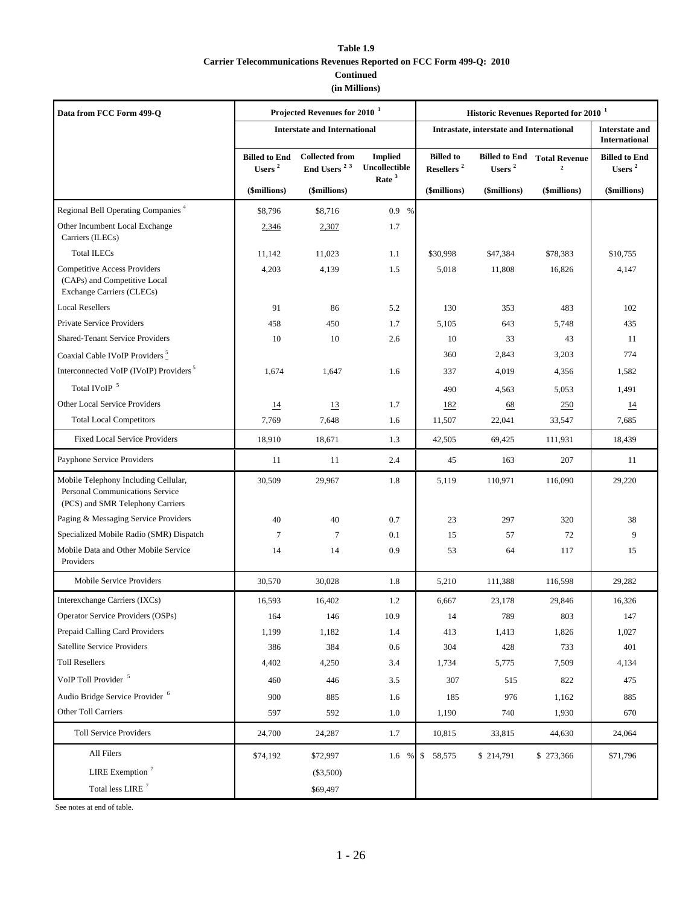### **Table 1.9**

### **Carrier Telecommunications Revenues Reported on FCC Form 499-Q: 2010**

## **Continued**

# **(in Millions)**

| Data from FCC Form 499-Q                                                                                    |                                   | Projected Revenues for 2010 <sup>1</sup>         |                                 | Historic Revenues Reported for 2010 <sup>1</sup> |                                          |                                        |                                               |  |
|-------------------------------------------------------------------------------------------------------------|-----------------------------------|--------------------------------------------------|---------------------------------|--------------------------------------------------|------------------------------------------|----------------------------------------|-----------------------------------------------|--|
|                                                                                                             |                                   | <b>Interstate and International</b>              |                                 |                                                  | Intrastate, interstate and International |                                        | <b>Interstate and</b><br><b>International</b> |  |
|                                                                                                             | <b>Billed to End</b><br>Users $2$ | <b>Collected from</b><br>End Users <sup>23</sup> | <b>Implied</b><br>Uncollectible | <b>Billed</b> to<br>Resellers $^{\rm 2}$         | <b>Billed to End</b><br>Users $^{\rm 2}$ | <b>Total Revenue</b><br>$\overline{2}$ | <b>Billed to End</b><br>Users <sup>2</sup>    |  |
|                                                                                                             | (\$millions)                      | (\$millions)                                     | Rate $3$                        | (\$millions)                                     | (\$millions)                             | (\$millions)                           | (\$millions)                                  |  |
| Regional Bell Operating Companies <sup>4</sup>                                                              | \$8,796                           | \$8,716                                          | 0.9 %                           |                                                  |                                          |                                        |                                               |  |
| Other Incumbent Local Exchange<br>Carriers (ILECs)                                                          | 2,346                             | 2,307                                            | 1.7                             |                                                  |                                          |                                        |                                               |  |
| <b>Total ILECs</b>                                                                                          | 11,142                            | 11,023                                           | 1.1                             | \$30,998                                         | \$47,384                                 | \$78,383                               | \$10,755                                      |  |
| <b>Competitive Access Providers</b><br>(CAPs) and Competitive Local<br>Exchange Carriers (CLECs)            | 4,203                             | 4,139                                            | 1.5                             | 5,018                                            | 11,808                                   | 16,826                                 | 4,147                                         |  |
| <b>Local Resellers</b>                                                                                      | 91                                | 86                                               | 5.2                             | 130                                              | 353                                      | 483                                    | 102                                           |  |
| Private Service Providers                                                                                   | 458                               | 450                                              | 1.7                             | 5,105                                            | 643                                      | 5,748                                  | 435                                           |  |
| <b>Shared-Tenant Service Providers</b>                                                                      | 10                                | 10                                               | 2.6                             | 10                                               | 33                                       | 43                                     | 11                                            |  |
| Coaxial Cable IVoIP Providers <sup>5</sup>                                                                  |                                   |                                                  |                                 | 360                                              | 2,843                                    | 3,203                                  | 774                                           |  |
| Interconnected VoIP (IVoIP) Providers <sup>5</sup>                                                          | 1,674                             | 1,647                                            | 1.6                             | 337                                              | 4,019                                    | 4,356                                  | 1,582                                         |  |
| Total IVoIP <sup>5</sup>                                                                                    |                                   |                                                  |                                 | 490                                              | 4,563                                    | 5,053                                  | 1,491                                         |  |
| Other Local Service Providers                                                                               | 14                                | <u>13</u>                                        | 1.7                             | <u>182</u>                                       | 68                                       | 250                                    | $\overline{14}$                               |  |
| <b>Total Local Competitors</b>                                                                              | 7,769                             | 7,648                                            | 1.6                             | 11,507                                           | 22,041                                   | 33,547                                 | 7,685                                         |  |
| <b>Fixed Local Service Providers</b>                                                                        | 18,910                            | 18,671                                           | 1.3                             | 42,505                                           | 69,425                                   | 111,931                                | 18,439                                        |  |
| Payphone Service Providers                                                                                  | 11                                | 11                                               | 2.4                             | 45                                               | 163                                      | 207                                    | 11                                            |  |
| Mobile Telephony Including Cellular,<br>Personal Communications Service<br>(PCS) and SMR Telephony Carriers | 30,509                            | 29,967                                           | 1.8                             | 5,119                                            | 110,971                                  | 116,090                                | 29,220                                        |  |
| Paging & Messaging Service Providers                                                                        | 40                                | 40                                               | 0.7                             | 23                                               | 297                                      | 320                                    | 38                                            |  |
| Specialized Mobile Radio (SMR) Dispatch                                                                     | $\tau$                            | $\tau$                                           | 0.1                             | 15                                               | 57                                       | 72                                     | 9                                             |  |
| Mobile Data and Other Mobile Service<br>Providers                                                           | 14                                | 14                                               | 0.9                             | 53                                               | 64                                       | 117                                    | 15                                            |  |
| Mobile Service Providers                                                                                    | 30,570                            | 30,028                                           | 1.8                             | 5,210                                            | 111,388                                  | 116,598                                | 29,282                                        |  |
| Interexchange Carriers (IXCs)                                                                               | 16,593                            | 16,402                                           | 1.2                             | 6,667                                            | 23,178                                   | 29,846                                 | 16,326                                        |  |
| Operator Service Providers (OSPs)                                                                           | 164                               | 146                                              | 10.9                            | 14                                               | 789                                      | 803                                    | 147                                           |  |
| Prepaid Calling Card Providers                                                                              | 1,199                             | 1,182                                            | 1.4                             | 413                                              | 1,413                                    | 1,826                                  | 1,027                                         |  |
| Satellite Service Providers                                                                                 | 386                               | 384                                              | 0.6                             | 304                                              | 428                                      | 733                                    | 401                                           |  |
| <b>Toll Resellers</b>                                                                                       | 4,402                             | 4,250                                            | 3.4                             | 1,734                                            | 5,775                                    | 7,509                                  | 4,134                                         |  |
| VoIP Toll Provider <sup>5</sup>                                                                             | 460                               | 446                                              | 3.5                             | 307                                              | 515                                      | 822                                    | 475                                           |  |
| Audio Bridge Service Provider <sup>6</sup>                                                                  | 900                               | 885                                              | 1.6                             | 185                                              | 976                                      | 1,162                                  | 885                                           |  |
| Other Toll Carriers                                                                                         | 597                               | 592                                              | $1.0\,$                         | 1,190                                            | 740                                      | 1,930                                  | 670                                           |  |
| <b>Toll Service Providers</b>                                                                               | 24,700                            | 24,287                                           | 1.7                             | 10,815                                           | 33,815                                   | 44,630                                 | 24,064                                        |  |
| All Filers                                                                                                  | \$74,192                          | \$72,997                                         | 1.6 %                           | \$ 58,575                                        | \$214,791                                | \$273,366                              | \$71,796                                      |  |
| LIRE Exemption $7$                                                                                          |                                   | (\$3,500)                                        |                                 |                                                  |                                          |                                        |                                               |  |
| Total less LIRE $^7\,$                                                                                      |                                   | \$69,497                                         |                                 |                                                  |                                          |                                        |                                               |  |

See notes at end of table.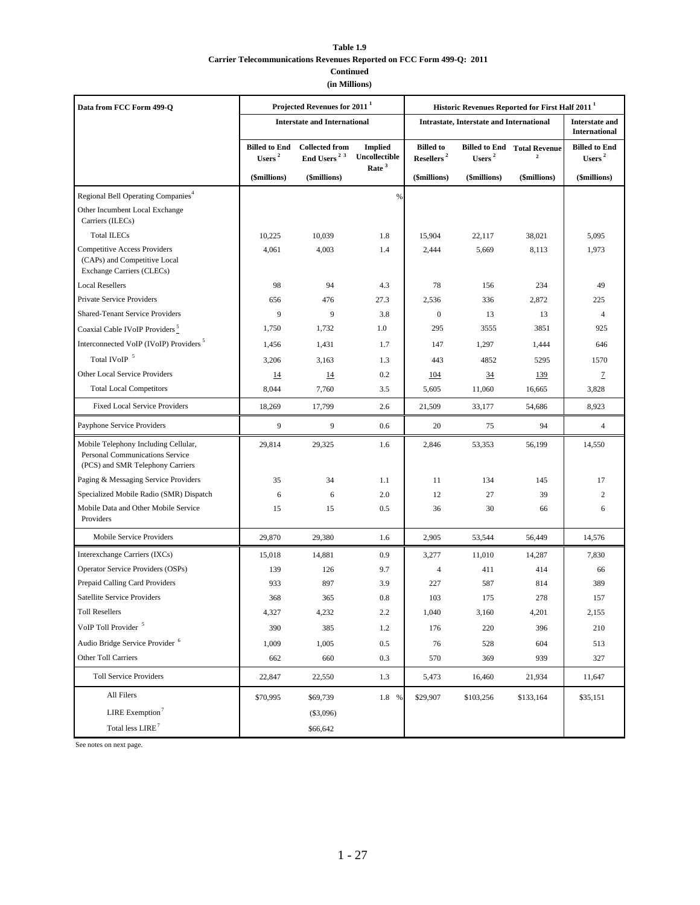### **Table 1.9 Carrier Telecommunications Revenues Reported on FCC Form 499-Q: 2011 Continued**

**(in Millions)**

| Data from FCC Form 499-O                                                                                    |                                          | Projected Revenues for 2011 <sup>1</sup>         |                                 | Historic Revenues Reported for First Half 2011 <sup>1</sup> |                                                 |                                                               |                                               |  |
|-------------------------------------------------------------------------------------------------------------|------------------------------------------|--------------------------------------------------|---------------------------------|-------------------------------------------------------------|-------------------------------------------------|---------------------------------------------------------------|-----------------------------------------------|--|
|                                                                                                             |                                          | <b>Interstate and International</b>              |                                 |                                                             | <b>Intrastate, Interstate and International</b> |                                                               | <b>Interstate and</b><br><b>International</b> |  |
|                                                                                                             | <b>Billed to End</b><br>Users $^{\rm 2}$ | <b>Collected from</b><br>End Users <sup>23</sup> | <b>Implied</b><br>Uncollectible | <b>Billed</b> to<br>Resellers $^{\rm 2}$                    | Users $2$                                       | <b>Billed to End Total Revenue</b><br>$\overline{\mathbf{2}}$ | <b>Billed</b> to End<br>Users $2$             |  |
|                                                                                                             | (\$millions)                             | (\$millions)                                     | Rate <sup>3</sup>               | (\$millions)                                                | (\$millions)                                    | (\$millions)                                                  | (\$millions)                                  |  |
| Regional Bell Operating Companies <sup>4</sup>                                                              |                                          |                                                  | $\frac{9}{6}$                   |                                                             |                                                 |                                                               |                                               |  |
| Other Incumbent Local Exchange<br>Carriers (ILECs)                                                          |                                          |                                                  |                                 |                                                             |                                                 |                                                               |                                               |  |
| <b>Total ILECs</b>                                                                                          | 10,225                                   | 10,039                                           | 1.8                             | 15,904                                                      | 22,117                                          | 38,021                                                        | 5,095                                         |  |
| <b>Competitive Access Providers</b><br>(CAPs) and Competitive Local<br>Exchange Carriers (CLECs)            | 4,061                                    | 4,003                                            | 1.4                             | 2,444                                                       | 5,669                                           | 8,113                                                         | 1,973                                         |  |
| <b>Local Resellers</b>                                                                                      | 98                                       | 94                                               | 4.3                             | 78                                                          | 156                                             | 234                                                           | 49                                            |  |
| Private Service Providers                                                                                   | 656                                      | 476                                              | 27.3                            | 2,536                                                       | 336                                             | 2,872                                                         | 225                                           |  |
| <b>Shared-Tenant Service Providers</b>                                                                      | 9                                        | 9                                                | 3.8                             | $\boldsymbol{0}$                                            | 13                                              | 13                                                            | $\overline{4}$                                |  |
| Coaxial Cable IVoIP Providers <sup>5</sup>                                                                  | 1,750                                    | 1,732                                            | 1.0                             | 295                                                         | 3555                                            | 3851                                                          | 925                                           |  |
| Interconnected VoIP (IVoIP) Providers <sup>5</sup>                                                          | 1,456                                    | 1,431                                            | 1.7                             | 147                                                         | 1,297                                           | 1,444                                                         | 646                                           |  |
| Total IVoIP 5                                                                                               | 3,206                                    | 3,163                                            | 1.3                             | 443                                                         | 4852                                            | 5295                                                          | 1570                                          |  |
| Other Local Service Providers                                                                               | <u>14</u>                                | <u>14</u>                                        | 0.2                             | <u>104</u>                                                  | $\overline{34}$                                 | <u>139</u>                                                    | $\mathcal{I}$                                 |  |
| <b>Total Local Competitors</b>                                                                              | 8,044                                    | 7,760                                            | 3.5                             | 5,605                                                       | 11,060                                          | 16,665                                                        | 3,828                                         |  |
| <b>Fixed Local Service Providers</b>                                                                        | 18,269                                   | 17,799                                           | 2.6                             | 21,509                                                      | 33,177                                          | 54,686                                                        | 8,923                                         |  |
| Payphone Service Providers                                                                                  | 9                                        | 9                                                | 0.6                             | 20                                                          | 75                                              | 94                                                            | $\overline{4}$                                |  |
| Mobile Telephony Including Cellular,<br>Personal Communications Service<br>(PCS) and SMR Telephony Carriers | 29,814                                   | 29,325                                           | 1.6                             | 2,846                                                       | 53,353                                          | 56,199                                                        | 14,550                                        |  |
| Paging & Messaging Service Providers                                                                        | 35                                       | 34                                               | 1.1                             | 11                                                          | 134                                             | 145                                                           | 17                                            |  |
| Specialized Mobile Radio (SMR) Dispatch                                                                     | 6                                        | 6                                                | 2.0                             | 12                                                          | 27                                              | 39                                                            | $\overline{2}$                                |  |
| Mobile Data and Other Mobile Service<br>Providers                                                           | 15                                       | 15                                               | 0.5                             | 36                                                          | 30                                              | 66                                                            | 6                                             |  |
| Mobile Service Providers                                                                                    | 29,870                                   | 29,380                                           | 1.6                             | 2,905                                                       | 53,544                                          | 56,449                                                        | 14,576                                        |  |
| Interexchange Carriers (IXCs)                                                                               | 15,018                                   | 14,881                                           | 0.9                             | 3,277                                                       | 11,010                                          | 14,287                                                        | 7,830                                         |  |
| Operator Service Providers (OSPs)                                                                           | 139                                      | 126                                              | 9.7                             | $\overline{4}$                                              | 411                                             | 414                                                           | 66                                            |  |
| Prepaid Calling Card Providers                                                                              | 933                                      | 897                                              | 3.9                             | 227                                                         | 587                                             | 814                                                           | 389                                           |  |
| Satellite Service Providers                                                                                 | 368                                      | 365                                              | 0.8                             | 103                                                         | 175                                             | 278                                                           | 157                                           |  |
| <b>Toll Resellers</b>                                                                                       | 4,327                                    | 4,232                                            | $2.2\,$                         | 1,040                                                       | 3,160                                           | 4,201                                                         | 2,155                                         |  |
| VoIP Toll Provider <sup>5</sup>                                                                             | 390                                      | 385                                              | 1.2                             | 176                                                         | 220                                             | 396                                                           | 210                                           |  |
| Audio Bridge Service Provider <sup>6</sup>                                                                  | 1,009                                    | 1,005                                            | 0.5                             | 76                                                          | 528                                             | 604                                                           | 513                                           |  |
| Other Toll Carriers                                                                                         | 662                                      | 660                                              | 0.3                             | 570                                                         | 369                                             | 939                                                           | 327                                           |  |
| <b>Toll Service Providers</b>                                                                               | 22,847                                   | 22,550                                           | 1.3                             | 5,473                                                       | 16,460                                          | 21,934                                                        | 11,647                                        |  |
| All Filers                                                                                                  | \$70,995                                 | \$69,739                                         | 1.8 %                           | \$29,907                                                    | \$103,256                                       | \$133,164                                                     | \$35,151                                      |  |
| LIRE Exemption <sup>7</sup>                                                                                 |                                          | (\$3,096)                                        |                                 |                                                             |                                                 |                                                               |                                               |  |
| Total less LIRE <sup>7</sup>                                                                                |                                          | \$66,642                                         |                                 |                                                             |                                                 |                                                               |                                               |  |

See notes on next page.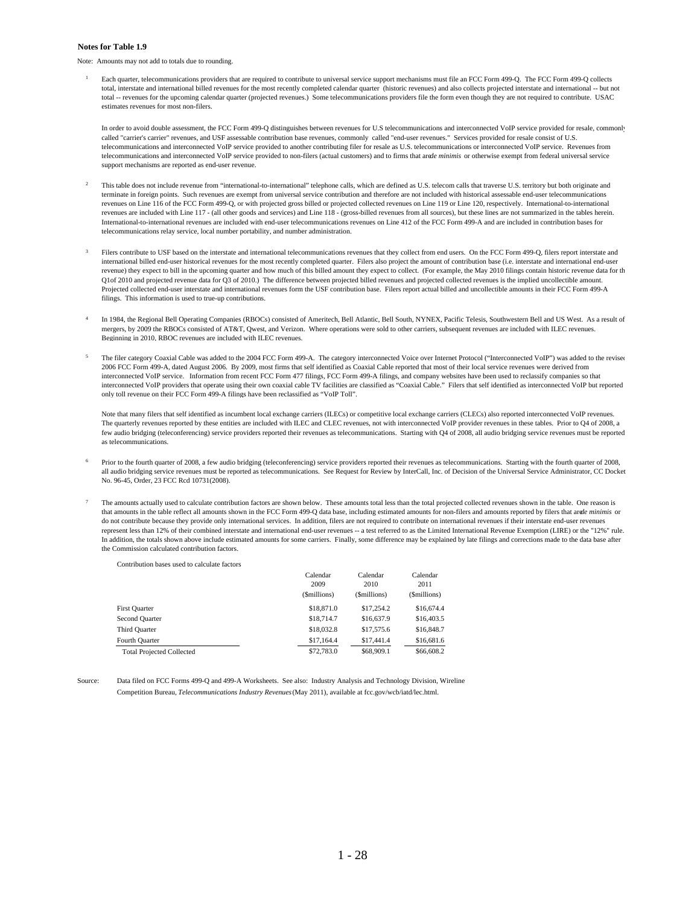#### **Notes for Table 1.9**

Note: Amounts may not add to totals due to rounding.

1 Each quarter, telecommunications providers that are required to contribute to universal service support mechanisms must file an FCC Form 499-Q. The FCC Form 499-Q collects total, interstate and international billed revenues for the most recently completed calendar quarter (historic revenues) and also collects projected interstate and international -- but not total -- revenues for the upcoming calendar quarter (projected revenues.) Some telecommunications providers file the form even though they are not required to contribute. USAC estimates revenues for most non-filers.

In order to avoid double assessment, the FCC Form 499-Q distinguishes between revenues for U.S telecommunications and interconnected VoIP service provided for resale, commonly called "carrier's carrier" revenues, and USF assessable contribution base revenues, commonly called "end-user revenues." Services provided for resale consist of U.S. telecommunications and interconnected VoIP service provided to another contributing filer for resale as U.S. telecommunications or interconnected VoIP service. Revenues from telecommunications and interconnected VoIP service provided to non-filers (actual customers) and to firms that are *le minimis* or otherwise exempt from federal universal service support mechanisms are reported as end-user revenue.

- This table does not include revenue from "international-to-international" telephone calls, which are defined as U.S. telecom calls that traverse U.S. territory but both originate and terminate in foreign points. Such revenues are exempt from universal service contribution and therefore are not included with historical assessable end-user telecommunications revenues on Line 116 of the FCC Form 499-Q, or with projected gross billed or projected collected revenues on Line 119 or Line 120, respectively. International-to-international revenues are included with Line 117 - (all other goods and services) and Line 118 - (gross-billed revenues from all sources), but these lines are not summarized in the tables herein. International-to-international revenues are included with end-user telecommunications revenues on Line 412 of the FCC Form 499-A and are included in contribution bases for telecommunications relay service, local number portability, and number administration.
- 3 Filers contribute to USF based on the interstate and international telecommunications revenues that they collect from end users. On the FCC Form 499-Q, filers report interstate and international billed end-user historical revenues for the most recently completed quarter. Filers also project the amount of contribution base (i.e. interstate and international end-user revenue) they expect to bill in the upcoming quarter and how much of this billed amount they expect to collect. (For example, the May 2010 filings contain historic revenue data for th Q1of 2010 and projected revenue data for Q3 of 2010.) The difference between projected billed revenues and projected collected revenues is the implied uncollectible amount. Projected collected end-user interstate and international revenues form the USF contribution base. Filers report actual billed and uncollectible amounts in their FCC Form 499-A filings. This information is used to true-up contributions.
- 4 In 1984, the Regional Bell Operating Companies (RBOCs) consisted of Ameritech, Bell Atlantic, Bell South, NYNEX, Pacific Telesis, Southwestern Bell and US West. As a result of mergers, by 2009 the RBOCs consisted of AT&T, Qwest, and Verizon. Where operations were sold to other carriers, subsequent revenues are included with ILEC revenues. Beginning in 2010, RBOC revenues are included with ILEC revenues.
- 5 The filer category Coaxial Cable was added to the 2004 FCC Form 499-A. The category interconnected Voice over Internet Protocol ("Interconnected VoIP") was added to the revised 2006 FCC Form 499-A, dated August 2006. By 2009, most firms that self identified as Coaxial Cable reported that most of their local service revenues were derived from interconnected VoIP service. Information from recent FCC Form 477 filings, FCC Form 499-A filings, and company websites have been used to reclassify companies so that interconnected VoIP providers that operate using their own coaxial cable TV facilities are classified as "Coaxial Cable." Filers that self identified as interconnected VoIP but reported only toll revenue on their FCC Form 499-A filings have been reclassified as "VoIP Toll".

Note that many filers that self identified as incumbent local exchange carriers (ILECs) or competitive local exchange carriers (CLECs) also reported interconnected VoIP revenues. The quarterly revenues reported by these entities are included with ILEC and CLEC revenues, not with interconnected VoIP provider revenues in these tables. Prior to Q4 of 2008, a few audio bridging (teleconferencing) service providers reported their revenues as telecommunications. Starting with Q4 of 2008, all audio bridging service revenues must be reported as telecommunications.

- 6 Prior to the fourth quarter of 2008, a few audio bridging (teleconferencing) service providers reported their revenues as telecommunications. Starting with the fourth quarter of 2008, all audio bridging service revenues must be reported as telecommunications. See Request for Review by InterCall, Inc. of Decision of the Universal Service Administrator, CC Docket No. 96-45, Order, 23 FCC Rcd 10731(2008).
- 7 The amounts actually used to calculate contribution factors are shown below. These amounts total less than the total projected collected revenues shown in the table. One reason is that amounts in the table reflect all amounts shown in the FCC Form 499-Q data base, including estimated amounts for non-filers and amounts reported by filers that are le minimis or do not contribute because they provide only international services. In addition, filers are not required to contribute on international revenues if their interstate end-user revenues represent less than 12% of their combined interstate and international end-user revenues -- a test referred to as the Limited International Revenue Exemption (LIRE) or the "12%" rule. In addition, the totals shown above include estimated amounts for some carriers. Finally, some difference may be explained by late filings and corrections made to the data base after the Commission calculated contribution factors.

| хэлшгилийн намэхэгжээ нэг сансинам тасилгэ |                                  |                                  |                                  |
|--------------------------------------------|----------------------------------|----------------------------------|----------------------------------|
|                                            | Calendar<br>2009<br>(\$millions) | Calendar<br>2010<br>(\$millions) | Calendar<br>2011<br>(\$millions) |
| First Quarter                              | \$18,871.0                       | \$17,254.2                       | \$16,674.4                       |
| Second Ouarter                             | \$18,714.7                       | \$16,637.9                       | \$16,403.5                       |
| Third Quarter                              | \$18,032.8                       | \$17,575.6                       | \$16,848.7                       |
| Fourth Quarter                             | \$17,164.4                       | \$17,441.4                       | \$16,681.6                       |
| <b>Total Projected Collected</b>           | \$72,783.0                       | \$68,909.1                       | \$66,608.2                       |

Contribution bases used to calculate factors

Data filed on FCC Forms 499-Q and 499-A Worksheets. See also: Industry Analysis and Technology Division, Wireline Competition Bureau, *Telecommunications Industry Revenues*(May 2011), available at fcc.gov/wcb/iatd/lec.html. Source: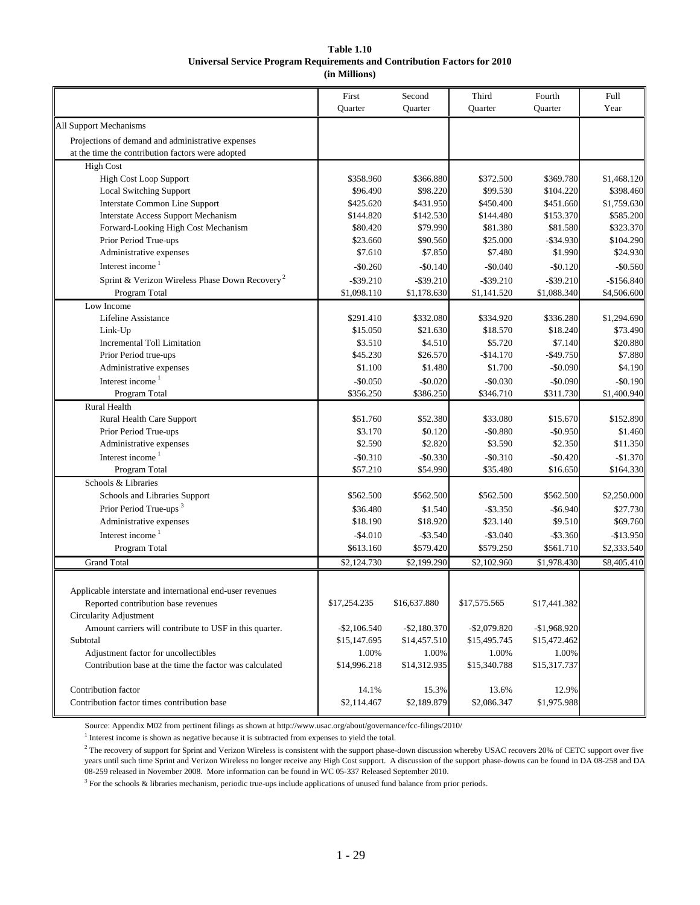### **Universal Service Program Requirements and Contribution Factors for 2010 (in Millions) Table 1.10**

|                                                            | First<br>Quarter | Second<br>Quarter | Third<br>Quarter | Fourth<br>Quarter | Full<br>Year |
|------------------------------------------------------------|------------------|-------------------|------------------|-------------------|--------------|
| All Support Mechanisms                                     |                  |                   |                  |                   |              |
| Projections of demand and administrative expenses          |                  |                   |                  |                   |              |
| at the time the contribution factors were adopted          |                  |                   |                  |                   |              |
| <b>High Cost</b>                                           |                  |                   |                  |                   |              |
| High Cost Loop Support                                     | \$358.960        | \$366.880         | \$372.500        | \$369.780         | \$1,468.120  |
| <b>Local Switching Support</b>                             | \$96.490         | \$98.220          | \$99.530         | \$104.220         | \$398.460    |
| <b>Interstate Common Line Support</b>                      | \$425.620        | \$431.950         | \$450.400        | \$451.660         | \$1,759.630  |
| <b>Interstate Access Support Mechanism</b>                 | \$144.820        | \$142.530         | \$144.480        | \$153.370         | \$585.200    |
| Forward-Looking High Cost Mechanism                        | \$80.420         | \$79.990          | \$81.380         | \$81.580          | \$323.370    |
| Prior Period True-ups                                      | \$23.660         | \$90.560          | \$25.000         | $-$ \$34.930      | \$104.290    |
| Administrative expenses                                    | \$7.610          | \$7.850           | \$7.480          | \$1.990           | \$24.930     |
| Interest income <sup>1</sup>                               | $-$0.260$        | $-$0.140$         | $-$0.040$        | $-$0.120$         | $-$0.560$    |
| Sprint & Verizon Wireless Phase Down Recovery <sup>2</sup> | $-$ \$39.210     | $-$ \$39.210      | $-$ \$39.210     | $-$ \$39.210      | $-$156.840$  |
| Program Total                                              | \$1,098.110      | \$1,178.630       | \$1,141.520      | \$1,088.340       | \$4,506.600  |
| Low Income                                                 |                  |                   |                  |                   |              |
| <b>Lifeline Assistance</b>                                 | \$291.410        | \$332.080         | \$334.920        | \$336.280         | \$1,294.690  |
| Link-Up                                                    | \$15.050         | \$21.630          | \$18.570         | \$18.240          | \$73.490     |
| <b>Incremental Toll Limitation</b>                         | \$3.510          | \$4.510           | \$5.720          | \$7.140           | \$20.880     |
| Prior Period true-ups                                      | \$45.230         | \$26.570          | $-$14.170$       | $-$ \$49.750      | \$7.880      |
| Administrative expenses                                    | \$1.100          | \$1.480           | \$1.700          | $-$0.090$         | \$4.190      |
| Interest income $1$                                        | $-$0.050$        | $-$0.020$         | $-$0.030$        | $-$0.090$         | $-$0.190$    |
| Program Total                                              | \$356.250        | \$386.250         | \$346.710        | \$311.730         | \$1,400.940  |
| Rural Health                                               |                  |                   |                  |                   |              |
| Rural Health Care Support                                  | \$51.760         | \$52.380          | \$33.080         | \$15.670          | \$152.890    |
| Prior Period True-ups                                      | \$3.170          | \$0.120           | $-$0.880$        | $-$0.950$         | \$1.460      |
| Administrative expenses                                    | \$2.590          | \$2.820           | \$3.590          | \$2.350           | \$11.350     |
| Interest income <sup>1</sup>                               | $-$0.310$        | $-$0.330$         | $-$0.310$        | $-$0.420$         | $-$1.370$    |
| Program Total                                              | \$57.210         | \$54.990          | \$35.480         | \$16.650          | \$164.330    |
| Schools & Libraries                                        |                  |                   |                  |                   |              |
| Schools and Libraries Support                              | \$562.500        | \$562.500         | \$562.500        | \$562.500         | \$2,250.000  |
| Prior Period True-ups <sup>3</sup>                         | \$36.480         | \$1.540           | $-$ \$3.350      | $-$6.940$         | \$27.730     |
| Administrative expenses                                    | \$18.190         | \$18.920          | \$23.140         | \$9.510           | \$69.760     |
| Interest income $1$                                        | $-$4.010$        | $-$ \$3.540       | $-$ \$3.040      | $-$3.360$         | $-$13.950$   |
| Program Total                                              | \$613.160        | \$579.420         | \$579.250        | \$561.710         | \$2,333.540  |
| <b>Grand Total</b>                                         | \$2,124.730      | \$2,199.290       | \$2,102.960      | \$1,978.430       | \$8,405.410  |
|                                                            |                  |                   |                  |                   |              |
| Applicable interstate and international end-user revenues  |                  |                   |                  |                   |              |
| Reported contribution base revenues                        | \$17,254.235     | \$16,637.880      | \$17,575.565     | \$17,441.382      |              |
| Circularity Adjustment                                     |                  |                   |                  |                   |              |
| Amount carriers will contribute to USF in this quarter.    | $-$ \$2,106.540  | $-$ \$2,180.370   | $-$ \$2,079.820  | $-$1,968.920$     |              |
| Subtotal                                                   | \$15,147.695     | \$14,457.510      | \$15,495.745     | \$15,472.462      |              |
| Adjustment factor for uncollectibles                       | 1.00%            | 1.00%             | 1.00%            | 1.00%             |              |
| Contribution base at the time the factor was calculated    | \$14,996.218     | \$14,312.935      | \$15,340.788     | \$15,317.737      |              |
|                                                            |                  |                   |                  |                   |              |
| Contribution factor                                        | 14.1%            | 15.3%             | 13.6%            | 12.9%             |              |
| Contribution factor times contribution base                | \$2,114.467      | \$2,189.879       | \$2,086.347      | \$1,975.988       |              |
|                                                            |                  |                   |                  |                   |              |

Source: Appendix M02 from pertinent filings as shown at http://www.usac.org/about/governance/fcc-filings/2010/

 $<sup>1</sup>$  Interest income is shown as negative because it is subtracted from expenses to yield the total.</sup>

 $3$  For the schools & libraries mechanism, periodic true-ups include applications of unused fund balance from prior periods.

 $^2$  The recovery of support for Sprint and Verizon Wireless is consistent with the support phase-down discussion whereby USAC recovers 20% of CETC support over five years until such time Sprint and Verizon Wireless no longer receive any High Cost support. A discussion of the support phase-downs can be found in DA 08-258 and DA 08-259 released in November 2008. More information can be found in WC 05-337 Released September 2010.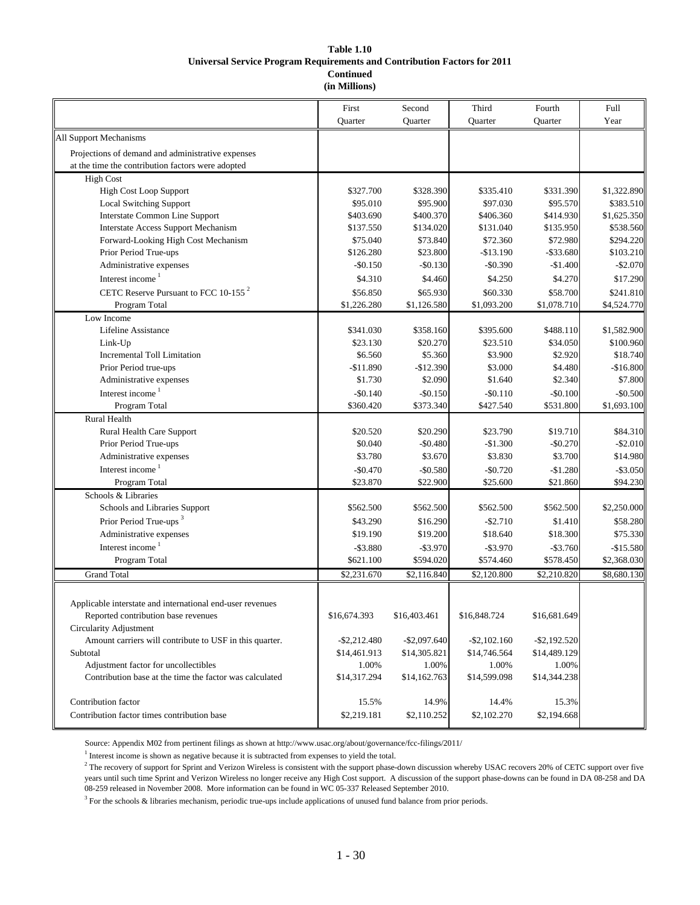### **Universal Service Program Requirements and Contribution Factors for 2011 (in Millions) Table 1.10 Continued**

|                                                                                                        | First<br>Quarter      | Second                | Third                 | Fourth                | Full<br>Year             |
|--------------------------------------------------------------------------------------------------------|-----------------------|-----------------------|-----------------------|-----------------------|--------------------------|
|                                                                                                        |                       | Quarter               | Quarter               | Quarter               |                          |
| All Support Mechanisms                                                                                 |                       |                       |                       |                       |                          |
| Projections of demand and administrative expenses<br>at the time the contribution factors were adopted |                       |                       |                       |                       |                          |
|                                                                                                        |                       |                       |                       |                       |                          |
| High Cost                                                                                              |                       |                       |                       |                       |                          |
| <b>High Cost Loop Support</b><br><b>Local Switching Support</b>                                        | \$327.700<br>\$95.010 | \$328.390<br>\$95.900 | \$335.410<br>\$97.030 | \$331.390<br>\$95.570 | \$1,322.890              |
| <b>Interstate Common Line Support</b>                                                                  | \$403.690             | \$400.370             | \$406.360             | \$414.930             | \$383.510<br>\$1,625.350 |
| <b>Interstate Access Support Mechanism</b>                                                             | \$137.550             | \$134.020             | \$131.040             | \$135.950             | \$538.560                |
| Forward-Looking High Cost Mechanism                                                                    | \$75.040              | \$73.840              | \$72.360              | \$72.980              | \$294.220                |
| Prior Period True-ups                                                                                  | \$126.280             | \$23.800              | $-$13.190$            | $-$ \$33.680          | \$103.210                |
| Administrative expenses                                                                                | $-$0.150$             | $-$ \$0.130           | $-$0.390$             | $-$1.400$             | $-$2.070$                |
| Interest income <sup>1</sup>                                                                           | \$4.310               | \$4.460               | \$4.250               | \$4.270               | \$17.290                 |
| CETC Reserve Pursuant to FCC 10-155 <sup>2</sup>                                                       | \$56.850              | \$65.930              | \$60.330              | \$58.700              | \$241.810                |
| Program Total                                                                                          | \$1,226.280           | \$1,126.580           | \$1,093.200           | \$1,078.710           | \$4,524.770              |
| Low Income                                                                                             |                       |                       |                       |                       |                          |
| Lifeline Assistance                                                                                    | \$341.030             | \$358.160             | \$395.600             | \$488.110             | \$1,582.900              |
| Link-Up                                                                                                | \$23.130              | \$20.270              | \$23.510              | \$34.050              | \$100.960                |
| <b>Incremental Toll Limitation</b>                                                                     | \$6.560               | \$5.360               | \$3.900               | \$2.920               | \$18.740                 |
| Prior Period true-ups                                                                                  | $-$11.890$            | $-$12.390$            | \$3.000               | \$4.480               | $-$16.800$               |
| Administrative expenses                                                                                | \$1.730               | \$2.090               | \$1.640               | \$2.340               | \$7.800                  |
| Interest income $1$                                                                                    | $-$0.140$             | $-$0.150$             | $-$ \$0.110           | $-$0.100$             | $-$0.500$                |
| Program Total                                                                                          | \$360.420             | \$373.340             | \$427.540             | \$531.800             | \$1,693.100              |
| <b>Rural Health</b>                                                                                    |                       |                       |                       |                       |                          |
| Rural Health Care Support                                                                              | \$20.520              | \$20.290              | \$23.790              | \$19.710              | \$84.310                 |
| Prior Period True-ups                                                                                  | \$0.040               | $-$0.480$             | $-$1.300$             | $-$0.270$             | $-$ \$2.010              |
| Administrative expenses                                                                                | \$3.780               | \$3.670               | \$3.830               | \$3.700               | \$14.980                 |
| Interest income <sup>1</sup>                                                                           | $-$0.470$             | $-$0.580$             | $-$0.720$             | $-$1.280$             | $-$ \$3.050              |
| Program Total                                                                                          | \$23.870              | \$22.900              | \$25.600              | \$21.860              | \$94.230                 |
| Schools & Libraries                                                                                    |                       |                       |                       |                       |                          |
| Schools and Libraries Support                                                                          | \$562.500             | \$562.500             | \$562.500             | \$562.500             | \$2,250.000              |
| Prior Period True-ups <sup>3</sup>                                                                     | \$43.290              | \$16.290              | $-$2.710$             | \$1.410               | \$58.280                 |
| Administrative expenses                                                                                | \$19.190              | \$19.200              | \$18.640              | \$18.300              | \$75.330                 |
| Interest income <sup>1</sup>                                                                           | $-$ \$3.880           | $-$ \$3.970           | $-$ \$3.970           | $-$ \$3.760           | $-$15.580$               |
| Program Total                                                                                          | \$621.100             | \$594.020             | \$574.460             | \$578.450             | \$2,368.030              |
| <b>Grand Total</b>                                                                                     | \$2,231.670           | \$2,116.840           | \$2,120.800           | \$2,210.820           | \$8,680.130              |
|                                                                                                        |                       |                       |                       |                       |                          |
| Applicable interstate and international end-user revenues                                              |                       |                       |                       |                       |                          |
| Reported contribution base revenues                                                                    | \$16,674.393          | \$16,403.461          | \$16,848.724          | \$16,681.649          |                          |
| Circularity Adjustment                                                                                 |                       |                       |                       |                       |                          |
| Amount carriers will contribute to USF in this quarter.                                                | $-$ \$2,212.480       | $-$ \$2,097.640       | $-$ \$2,102.160       | $-$ \$2,192.520       |                          |
| Subtotal                                                                                               | \$14,461.913          | \$14,305.821          | \$14,746.564          | \$14,489.129          |                          |
| Adjustment factor for uncollectibles                                                                   | 1.00%                 | 1.00%                 | 1.00%                 | 1.00%                 |                          |
| Contribution base at the time the factor was calculated                                                | \$14,317.294          | \$14,162.763          | \$14,599.098          | \$14,344.238          |                          |
|                                                                                                        |                       |                       |                       |                       |                          |
| Contribution factor                                                                                    | 15.5%                 | 14.9%                 | 14.4%                 | 15.3%                 |                          |
| Contribution factor times contribution base                                                            | \$2,219.181           | \$2,110.252           | \$2,102.270           | \$2,194.668           |                          |
|                                                                                                        |                       |                       |                       |                       |                          |

Source: Appendix M02 from pertinent filings as shown at http://www.usac.org/about/governance/fcc-filings/2011/

 $<sup>1</sup>$  Interest income is shown as negative because it is subtracted from expenses to yield the total.</sup>

<sup>2</sup> The recovery of support for Sprint and Verizon Wireless is consistent with the support phase-down discussion whereby USAC recovers 20% of CETC support over five years until such time Sprint and Verizon Wireless no longer receive any High Cost support. A discussion of the support phase-downs can be found in DA 08-258 and DA 08-259 released in November 2008. More information can be found in WC 05-337 Released September 2010.

 $3$  For the schools & libraries mechanism, periodic true-ups include applications of unused fund balance from prior periods.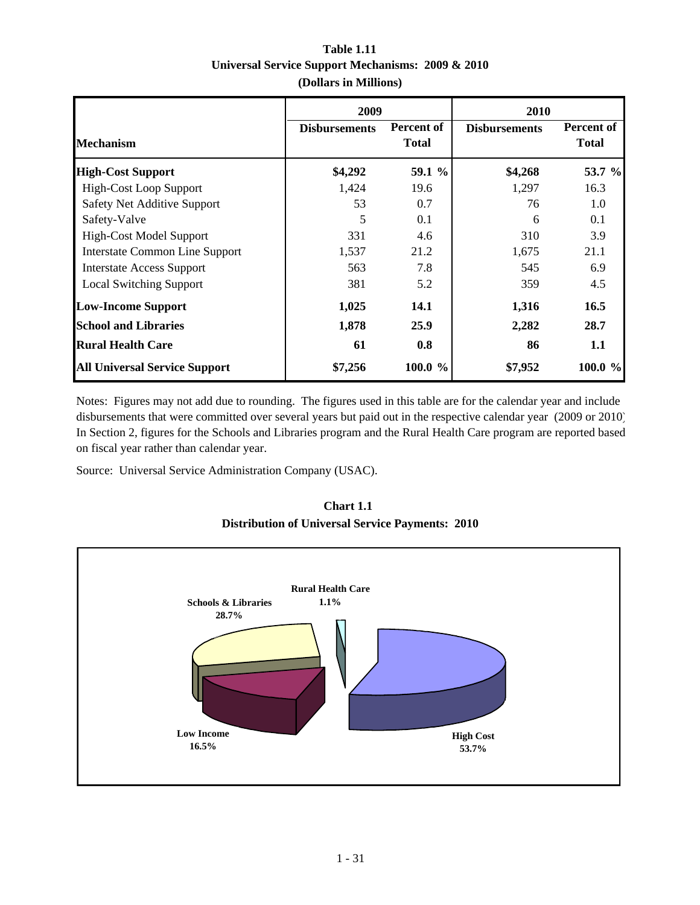|                                       | 2009                 |                            | 2010                 |                            |
|---------------------------------------|----------------------|----------------------------|----------------------|----------------------------|
| <b>Mechanism</b>                      | <b>Disbursements</b> | Percent of<br><b>Total</b> | <b>Disbursements</b> | Percent of<br><b>Total</b> |
| <b>High-Cost Support</b>              | \$4,292              | 59.1 %                     | \$4,268              | 53.7 %                     |
| <b>High-Cost Loop Support</b>         | 1,424                | 19.6                       | 1,297                | 16.3                       |
| <b>Safety Net Additive Support</b>    | 53                   | 0.7                        | 76                   | 1.0                        |
| Safety-Valve                          | 5                    | 0.1                        | 6                    | 0.1                        |
| <b>High-Cost Model Support</b>        | 331                  | 4.6                        | 310                  | 3.9                        |
| <b>Interstate Common Line Support</b> | 1,537                | 21.2                       | 1,675                | 21.1                       |
| <b>Interstate Access Support</b>      | 563                  | 7.8                        | 545                  | 6.9                        |
| <b>Local Switching Support</b>        | 381                  | 5.2                        | 359                  | 4.5                        |
| <b>Low-Income Support</b>             | 1,025                | 14.1                       | 1,316                | 16.5                       |
| <b>School and Libraries</b>           | 1,878                | 25.9                       | 2,282                | 28.7                       |
| <b>Rural Health Care</b>              | 61                   | 0.8                        | 86                   | 1.1                        |
| <b>All Universal Service Support</b>  | \$7,256              | 100.0 %                    | \$7,952              | 100.0 %                    |

# **Table 1.11 Universal Service Support Mechanisms: 2009 & 2010 (Dollars in Millions)**

Notes: Figures may not add due to rounding. The figures used in this table are for the calendar year and include disbursements that were committed over several years but paid out in the respective calendar year (2009 or 2010) In Section 2, figures for the Schools and Libraries program and the Rural Health Care program are reported based on fiscal year rather than calendar year.

Source: Universal Service Administration Company (USAC).



**Chart 1.1 Distribution of Universal Service Payments: 2010**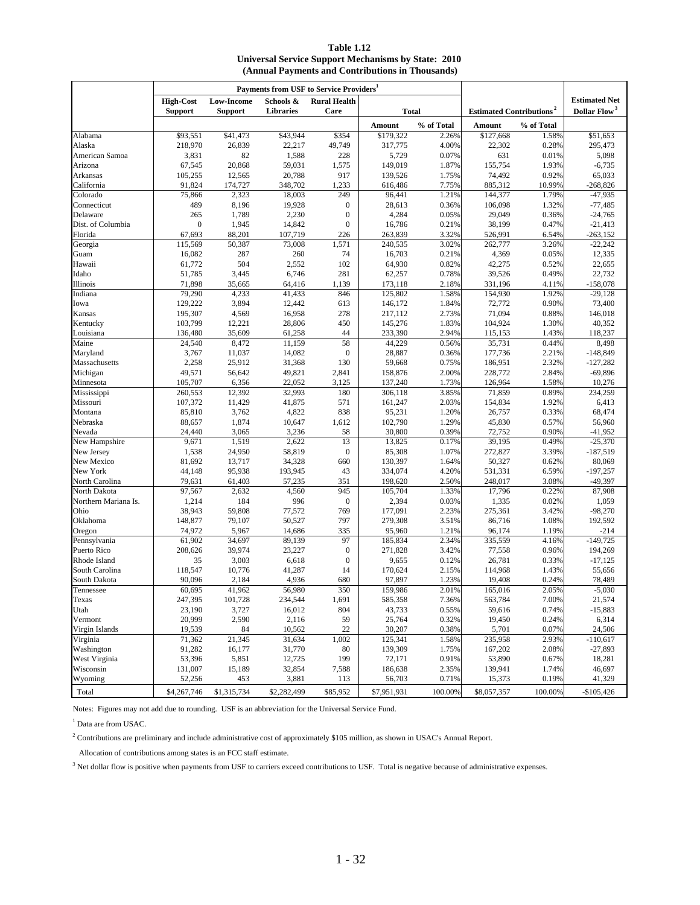**(Annual Payments and Contributions in Thousands) Table 1.12 Universal Service Support Mechanisms by State: 2010**

|                             |                                    |                                     | Payments from USF to Service Providers <sup>1</sup> |                             |                   |                |                                            |                |                                                  |
|-----------------------------|------------------------------------|-------------------------------------|-----------------------------------------------------|-----------------------------|-------------------|----------------|--------------------------------------------|----------------|--------------------------------------------------|
|                             | <b>High-Cost</b><br><b>Support</b> | <b>Low-Income</b><br><b>Support</b> | Schools &<br><b>Libraries</b>                       | <b>Rural Health</b><br>Care | <b>Total</b>      |                | <b>Estimated Contributions<sup>2</sup></b> |                | <b>Estimated Net</b><br>Dollar Flow <sup>3</sup> |
|                             |                                    |                                     |                                                     |                             | Amount            | % of Total     | Amount                                     | % of Total     |                                                  |
| Alabama                     | \$93,551                           | \$41,473                            | \$43,944                                            | \$354                       | \$179,322         | 2.26%          | \$127,668                                  | 1.58%          | \$51,653                                         |
| Alaska                      | 218,970                            | 26,839                              | 22,217                                              | 49,749                      | 317,775           | 4.00%          | 22,302                                     | 0.28%          | 295,473                                          |
| American Samoa              | 3,831                              | 82                                  | 1,588                                               | 228                         | 5,729             | 0.07%          | 631                                        | 0.01%          | 5,098                                            |
| Arizona                     | 67,545                             | 20,868                              | 59,031                                              | 1,575                       | 149,019           | 1.87%          | 155,754                                    | 1.93%          | $-6,735$                                         |
| Arkansas                    | 105,255                            | 12,565                              | 20,788                                              | 917                         | 139,526           | 1.75%          | 74,492                                     | 0.92%          | 65,033                                           |
| California                  | 91,824                             | 174,727                             | 348,702                                             | 1,233                       | 616,486           | 7.75%          | 885,312                                    | 10.99%         | $-268,826$                                       |
| Colorado                    | 75,866                             | 2,323                               | 18,003                                              | 249                         | 96,441            | 1.21%          | 144,377                                    | 1.79%          | $-47,935$                                        |
| Connecticut                 | 489                                | 8,196                               | 19,928                                              | $\boldsymbol{0}$            | 28,613            | 0.36%          | 106,098                                    | 1.32%          | $-77,485$                                        |
| Delaware                    | 265                                | 1,789                               | 2,230                                               | $\boldsymbol{0}$            | 4,284             | 0.05%          | 29,049                                     | 0.36%          | $-24,765$                                        |
| Dist. of Columbia           | $\boldsymbol{0}$                   | 1,945                               | 14,842                                              | $\boldsymbol{0}$            | 16,786            | 0.21%          | 38,199                                     | 0.47%          | $-21,413$                                        |
| Florida                     | 67,693                             | 88,201                              | 107,719                                             | 226                         | 263,839           | 3.32%          | 526,991                                    | 6.54%          | $-263,152$                                       |
| Georgia                     | 115,569                            | 50,387                              | 73,008                                              | 1,571                       | 240,535           | 3.02%          | 262,777                                    | 3.26%          | $-22,242$                                        |
| Guam                        | 16,082                             | 287                                 | 260                                                 | 74                          | 16,703            | 0.21%          | 4,369                                      | 0.05%          | 12,335                                           |
| Hawaii                      | 61,772                             | 504                                 | 2,552                                               | 102                         | 64,930            | 0.82%          | 42,275                                     | 0.52%          | 22,655                                           |
| Idaho                       | 51,785                             | 3,445                               | 6,746                                               | 281                         | 62,257            | 0.78%          | 39,526                                     | 0.49%          | 22,732                                           |
| Illinois                    | 71,898                             | 35,665                              | 64,416                                              | 1,139                       | 173,118           | 2.18%          | 331,196                                    | 4.11%          | $-158,078$                                       |
| Indiana                     | 79,290                             | 4,233                               | 41,433                                              | 846                         | 125,802           | 1.58%          | 154,930                                    | 1.92%          | $-29,128$                                        |
| Iowa                        | 129,222                            | 3,894                               | 12,442                                              | 613                         | 146,172           | 1.84%          | 72,772                                     | 0.90%          | 73,400                                           |
| Kansas                      | 195,307                            | 4,569                               | 16,958                                              | 278                         | 217,112           | 2.73%          | 71,094                                     | 0.88%          | 146,018                                          |
| Kentucky                    | 103,799                            | 12,221                              | 28,806                                              | 450                         | 145,276           | 1.83%          | 104,924                                    | 1.30%          | 40,352                                           |
| Louisiana                   | 136,480                            | 35,609                              | 61,258                                              | 44                          | 233,390           | 2.94%          | 115,153                                    | 1.43%          | 118,237                                          |
| Maine<br>Maryland           | 24,540                             | 8,472                               | 11,159                                              | 58                          | 44,229            | 0.56%          | 35,731                                     | 0.44%          | 8,498                                            |
| Massachusetts               | 3,767<br>2,258                     | 11,037<br>25,912                    | 14,082<br>31,368                                    | $\boldsymbol{0}$            | 28,887            | 0.36%          | 177,736<br>186,951                         | 2.21%          | $-148,849$                                       |
|                             | 49,571                             | 56,642                              | 49,821                                              | 130                         | 59,668<br>158,876 | 0.75%          | 228,772                                    | 2.32%          | $-127,282$<br>$-69,896$                          |
| Michigan<br>Minnesota       | 105,707                            | 6,356                               | 22,052                                              | 2,841<br>3,125              | 137,240           | 2.00%<br>1.73% | 126,964                                    | 2.84%<br>1.58% | 10,276                                           |
| Mississippi                 | 260,553                            | 12,392                              | 32,993                                              | 180                         | 306,118           | 3.85%          | 71,859                                     | 0.89%          | 234,259                                          |
| Missouri                    | 107,372                            | 11,429                              | 41,875                                              | 571                         | 161,247           | 2.03%          | 154,834                                    | 1.92%          | 6,413                                            |
| Montana                     | 85,810                             | 3,762                               | 4,822                                               | 838                         | 95,231            | 1.20%          | 26,757                                     | 0.33%          | 68,474                                           |
| Nebraska                    | 88,657                             | 1,874                               | 10,647                                              | 1,612                       | 102,790           | 1.29%          | 45,830                                     | 0.57%          | 56,960                                           |
| Nevada                      | 24,440                             | 3,065                               | 3,236                                               | 58                          | 30,800            | 0.39%          | 72,752                                     | 0.90%          | $-41,952$                                        |
| New Hampshire               | 9,671                              | 1,519                               | 2,622                                               | 13                          | 13,825            | 0.17%          | 39,195                                     | 0.49%          | $-25,370$                                        |
| New Jersey                  | 1,538                              | 24,950                              | 58,819                                              | $\boldsymbol{0}$            | 85,308            | 1.07%          | 272,827                                    | 3.39%          | $-187,519$                                       |
| New Mexico                  | 81,692                             | 13,717                              | 34,328                                              | 660                         | 130,397           | 1.64%          | 50,327                                     | 0.62%          | 80,069                                           |
| New York                    | 44,148                             | 95,938                              | 193,945                                             | 43                          | 334,074           | 4.20%          | 531,331                                    | 6.59%          | $-197,257$                                       |
| North Carolina              | 79,631                             | 61,403                              | 57,235                                              | 351                         | 198,620           | 2.50%          | 248,017                                    | 3.08%          | $-49,397$                                        |
| North Dakota                | 97,567                             | 2,632                               | 4,560                                               | 945                         | 105,704           | 1.33%          | 17,796                                     | 0.22%          | 87,908                                           |
| Northern Mariana Is.        | 1,214                              | 184                                 | 996                                                 | $\boldsymbol{0}$            | 2,394             | 0.03%          | 1,335                                      | 0.02%          | 1,059                                            |
| Ohio                        | 38,943                             | 59,808                              | 77,572                                              | 769                         | 177,091           | 2.23%          | 275,361                                    | 3.42%          | $-98,270$                                        |
| Oklahoma                    | 148,877                            | 79,107                              | 50,527                                              | 797                         | 279,308           | 3.51%          | 86,716                                     | 1.08%          | 192,592                                          |
| Oregon                      | 74,972                             | 5,967                               | 14,686                                              | 335                         | 95,960            | 1.21%          | 96,174                                     | 1.19%          | $-214$                                           |
| Pennsylvania                | 61,902                             | 34,697                              | 89,139                                              | 97                          | 185,834           | 2.34%          | 335,559                                    | 4.16%          | $-149,725$                                       |
| Puerto Rico                 | 208,626                            | 39,974                              | 23,227                                              | $\boldsymbol{0}$            | 271,828           | 3.42%          | 77,558                                     | 0.96%          | 194,269                                          |
| Rhode Island                | 35                                 | 3,003                               | 6,618                                               | $\boldsymbol{0}$            | 9,655             | 0.12%          | 26,781                                     | 0.33%          | $-17,125$                                        |
| South Carolina              | 118,547                            | 10,776                              | 41,287                                              | 14                          | 170,624           | 2.15%          | 114,968                                    | 1.43%          | 55,656                                           |
| South Dakota                | 90.096                             | 2,184                               | 4,936                                               | 680                         | 97,897            | 1.23%          | 19,408                                     | 0.24%          | 78,489                                           |
| Tennessee                   | 60,695                             | 41,962                              | 56,980                                              | 350                         | 159,986           | 2.01%          | 165,016                                    | 2.05%          | $-5,030$                                         |
| Texas                       | 247,395                            | 101,728                             | 234,544                                             | 1,691                       | 585,358           | 7.36%          | 563,784                                    | 7.00%          | 21,574                                           |
| Utah                        | 23,190                             | 3,727                               | 16,012                                              | 804                         | 43,733            | 0.55%          | 59,616                                     | 0.74%          | $-15,883$                                        |
| Vermont                     | 20,999                             | 2,590                               | 2,116                                               | 59                          | 25,764            | 0.32%          | 19,450                                     | 0.24%          | 6,314                                            |
| Virgin Islands              | 19,539                             | 84<br>21,345                        | 10,562                                              | 22                          | 30,207            | 0.38%          | 5,701                                      | 0.07%          | 24,506                                           |
| Virginia                    | 71,362                             |                                     | 31,634                                              | 1,002                       | 125,341           | 1.58%          | 235,958                                    | 2.93%          | $-110,617$                                       |
| Washington<br>West Virginia | 91,282<br>53,396                   | 16,177                              | 31,770                                              | 80                          | 139,309           | 1.75%          | 167,202                                    | 2.08%          | $-27,893$<br>18,281                              |
| Wisconsin                   |                                    | 5,851                               | 12,725                                              | 199                         | 72,171            | 0.91%          | 53,890                                     | 0.67%<br>1.74% |                                                  |
| Wyoming                     | 131,007<br>52,256                  | 15,189<br>453                       | 32,854<br>3,881                                     | 7,588                       | 186,638<br>56,703 | 2.35%<br>0.71% | 139,941                                    | 0.19%          | 46,697<br>41,329                                 |
|                             |                                    |                                     |                                                     | 113                         |                   |                | 15,373                                     |                |                                                  |
| Total                       | \$4,267,746                        | \$1,315,734                         | \$2,282,499                                         | \$85,952                    | \$7,951,931       | 100.00%        | \$8,057,357                                | 100.00%        | $-$105,426$                                      |

Notes: Figures may not add due to rounding. USF is an abbreviation for the Universal Service Fund.

<sup>1</sup> Data are from USAC.

<sup>2</sup> Contributions are preliminary and include administrative cost of approximately \$105 million, as shown in USAC's Annual Report.

Allocation of contributions among states is an FCC staff estimate.

<sup>3</sup> Net dollar flow is positive when payments from USF to carriers exceed contributions to USF. Total is negative because of administrative expenses.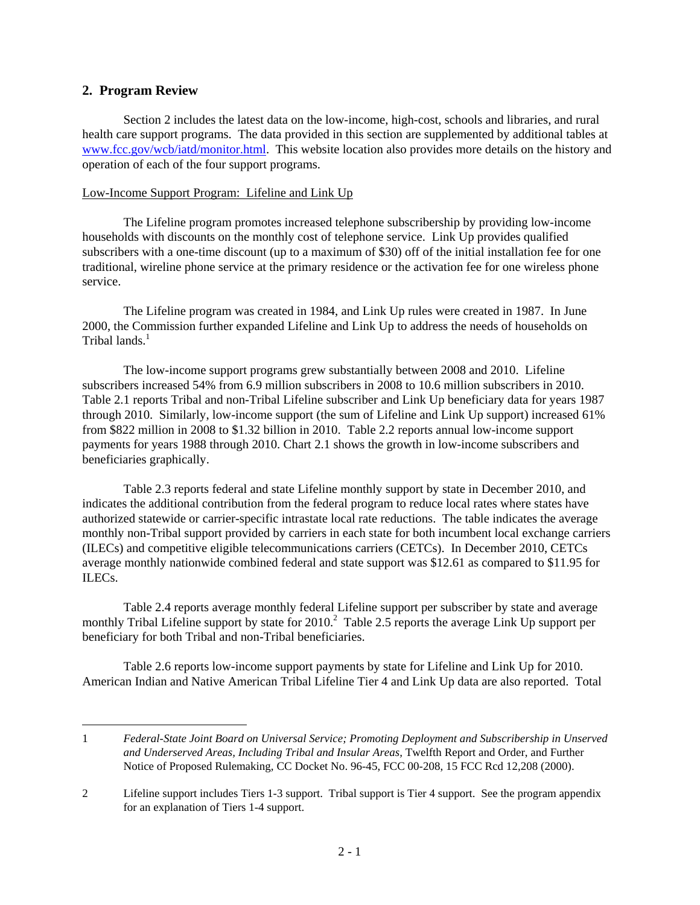# **2. Program Review**

 $\overline{a}$ 

Section 2 includes the latest data on the low-income, high-cost, schools and libraries, and rural health care support programs. The data provided in this section are supplemented by additional tables at www.fcc.gov/wcb/iatd/monitor.html. This website location also provides more details on the history and operation of each of the four support programs.

### Low-Income Support Program: Lifeline and Link Up

The Lifeline program promotes increased telephone subscribership by providing low-income households with discounts on the monthly cost of telephone service. Link Up provides qualified subscribers with a one-time discount (up to a maximum of \$30) off of the initial installation fee for one traditional, wireline phone service at the primary residence or the activation fee for one wireless phone service.

The Lifeline program was created in 1984, and Link Up rules were created in 1987. In June 2000, the Commission further expanded Lifeline and Link Up to address the needs of households on Tribal lands.<sup>1</sup>

The low-income support programs grew substantially between 2008 and 2010. Lifeline subscribers increased 54% from 6.9 million subscribers in 2008 to 10.6 million subscribers in 2010. Table 2.1 reports Tribal and non-Tribal Lifeline subscriber and Link Up beneficiary data for years 1987 through 2010. Similarly, low-income support (the sum of Lifeline and Link Up support) increased 61% from \$822 million in 2008 to \$1.32 billion in 2010. Table 2.2 reports annual low-income support payments for years 1988 through 2010. Chart 2.1 shows the growth in low-income subscribers and beneficiaries graphically.

Table 2.3 reports federal and state Lifeline monthly support by state in December 2010, and indicates the additional contribution from the federal program to reduce local rates where states have authorized statewide or carrier-specific intrastate local rate reductions. The table indicates the average monthly non-Tribal support provided by carriers in each state for both incumbent local exchange carriers (ILECs) and competitive eligible telecommunications carriers (CETCs). In December 2010, CETCs average monthly nationwide combined federal and state support was \$12.61 as compared to \$11.95 for ILECs.

 Table 2.4 reports average monthly federal Lifeline support per subscriber by state and average monthly Tribal Lifeline support by state for  $2010$ .<sup>2</sup> Table 2.5 reports the average Link Up support per beneficiary for both Tribal and non-Tribal beneficiaries.

 Table 2.6 reports low-income support payments by state for Lifeline and Link Up for 2010. American Indian and Native American Tribal Lifeline Tier 4 and Link Up data are also reported. Total

<sup>1</sup> *Federal-State Joint Board on Universal Service; Promoting Deployment and Subscribership in Unserved and Underserved Areas, Including Tribal and Insular Areas,* Twelfth Report and Order, and Further Notice of Proposed Rulemaking, CC Docket No. 96-45, FCC 00-208, 15 FCC Rcd 12,208 (2000).

<sup>2</sup> Lifeline support includes Tiers 1-3 support. Tribal support is Tier 4 support. See the program appendix for an explanation of Tiers 1-4 support.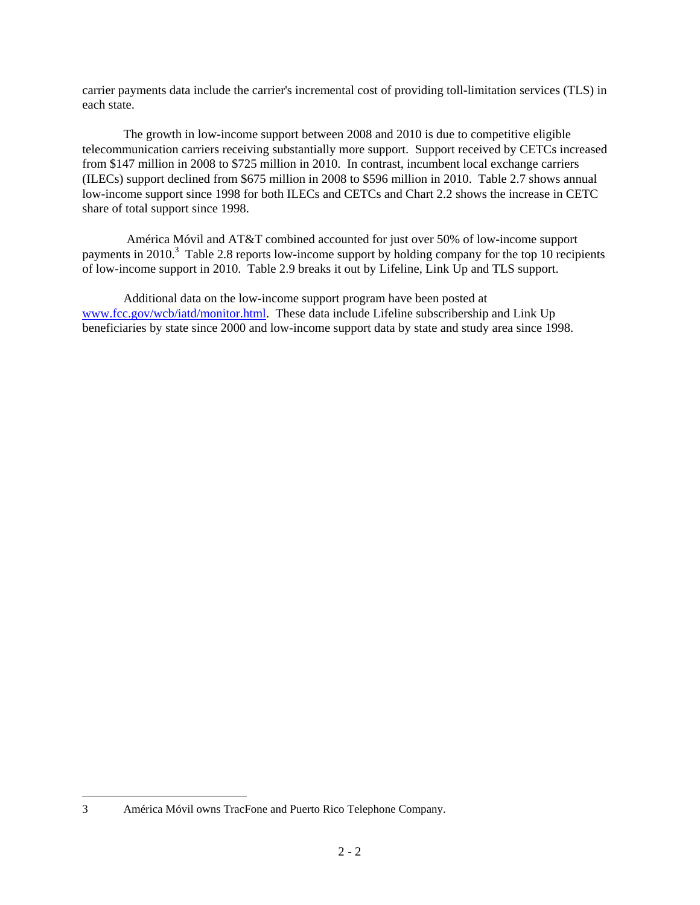carrier payments data include the carrier's incremental cost of providing toll-limitation services (TLS) in each state.

The growth in low-income support between 2008 and 2010 is due to competitive eligible telecommunication carriers receiving substantially more support. Support received by CETCs increased from \$147 million in 2008 to \$725 million in 2010. In contrast, incumbent local exchange carriers (ILECs) support declined from \$675 million in 2008 to \$596 million in 2010. Table 2.7 shows annual low-income support since 1998 for both ILECs and CETCs and Chart 2.2 shows the increase in CETC share of total support since 1998.

 América Móvil and AT&T combined accounted for just over 50% of low-income support payments in 2010.<sup>3</sup> Table 2.8 reports low-income support by holding company for the top 10 recipients of low-income support in 2010. Table 2.9 breaks it out by Lifeline, Link Up and TLS support.

Additional data on the low-income support program have been posted at www.fcc.gov/wcb/iatd/monitor.html. These data include Lifeline subscribership and Link Up beneficiaries by state since 2000 and low-income support data by state and study area since 1998.

 $\overline{a}$ 

<sup>3</sup> América Móvil owns TracFone and Puerto Rico Telephone Company.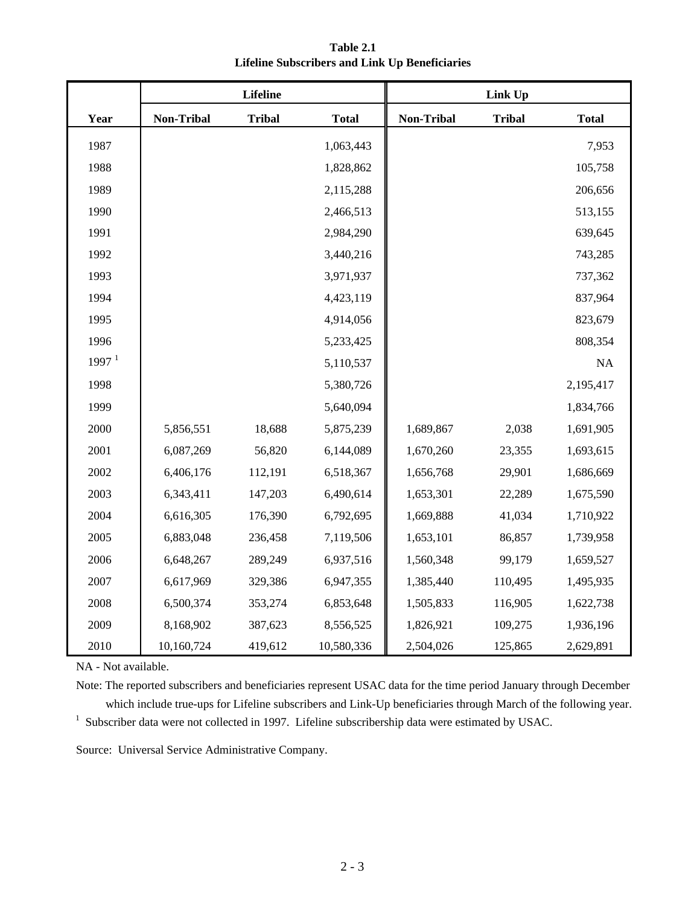|                   |            | Lifeline      |              |                   | Link Up       |              |
|-------------------|------------|---------------|--------------|-------------------|---------------|--------------|
| Year              | Non-Tribal | <b>Tribal</b> | <b>Total</b> | <b>Non-Tribal</b> | <b>Tribal</b> | <b>Total</b> |
| 1987              |            |               | 1,063,443    |                   |               | 7,953        |
| 1988              |            |               | 1,828,862    |                   |               | 105,758      |
| 1989              |            |               | 2,115,288    |                   |               | 206,656      |
| 1990              |            |               | 2,466,513    |                   |               | 513,155      |
| 1991              |            |               | 2,984,290    |                   |               | 639,645      |
| 1992              |            |               | 3,440,216    |                   |               | 743,285      |
| 1993              |            |               | 3,971,937    |                   |               | 737,362      |
| 1994              |            |               | 4,423,119    |                   |               | 837,964      |
| 1995              |            |               | 4,914,056    |                   |               | 823,679      |
| 1996              |            |               | 5,233,425    |                   |               | 808,354      |
| 1997 <sup>1</sup> |            |               | 5,110,537    |                   |               | NA           |
| 1998              |            |               | 5,380,726    |                   |               | 2,195,417    |
| 1999              |            |               | 5,640,094    |                   |               | 1,834,766    |
| 2000              | 5,856,551  | 18,688        | 5,875,239    | 1,689,867         | 2,038         | 1,691,905    |
| 2001              | 6,087,269  | 56,820        | 6,144,089    | 1,670,260         | 23,355        | 1,693,615    |
| 2002              | 6,406,176  | 112,191       | 6,518,367    | 1,656,768         | 29,901        | 1,686,669    |
| 2003              | 6,343,411  | 147,203       | 6,490,614    | 1,653,301         | 22,289        | 1,675,590    |
| 2004              | 6,616,305  | 176,390       | 6,792,695    | 1,669,888         | 41,034        | 1,710,922    |
| 2005              | 6,883,048  | 236,458       | 7,119,506    | 1,653,101         | 86,857        | 1,739,958    |
| 2006              | 6,648,267  | 289,249       | 6,937,516    | 1,560,348         | 99,179        | 1,659,527    |
| 2007              | 6,617,969  | 329,386       | 6,947,355    | 1,385,440         | 110,495       | 1,495,935    |
| 2008              | 6,500,374  | 353,274       | 6,853,648    | 1,505,833         | 116,905       | 1,622,738    |
| 2009              | 8,168,902  | 387,623       | 8,556,525    | 1,826,921         | 109,275       | 1,936,196    |
| 2010              | 10,160,724 | 419,612       | 10,580,336   | 2,504,026         | 125,865       | 2,629,891    |

**Table 2.1 Lifeline Subscribers and Link Up Beneficiaries**

NA - Not available.

Note: The reported subscribers and beneficiaries represent USAC data for the time period January through December which include true-ups for Lifeline subscribers and Link-Up beneficiaries through March of the following year. <sup>1</sup> Subscriber data were not collected in 1997. Lifeline subscribership data were estimated by USAC.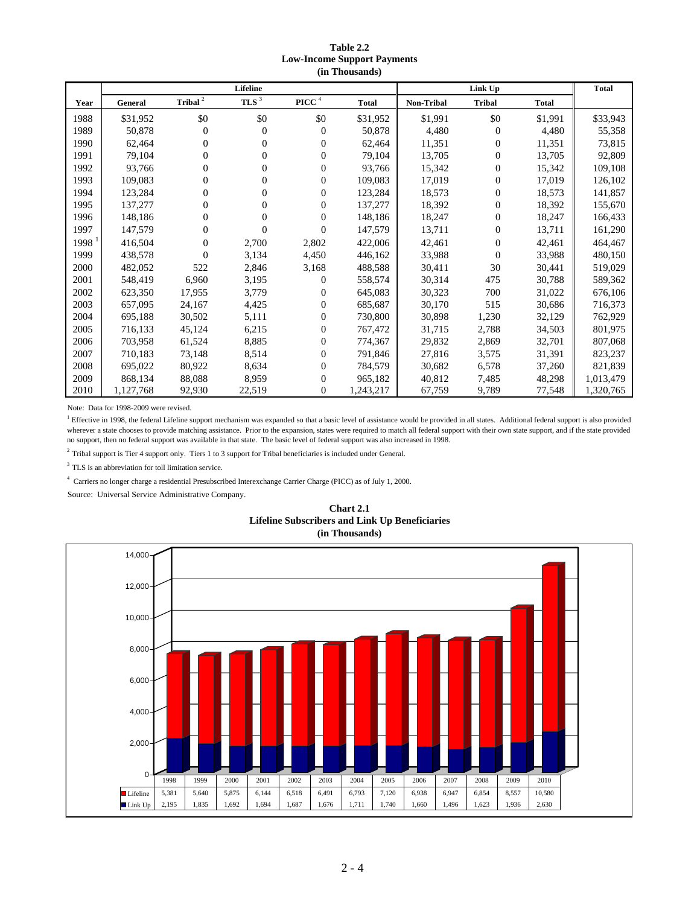### **Table 2.2 Low-Income Support Payments (in Thousands)**

|                     |           |                     | <b>Lifeline</b>  |                                   |              |            | <b>Total</b>   |              |           |
|---------------------|-----------|---------------------|------------------|-----------------------------------|--------------|------------|----------------|--------------|-----------|
| Year                | General   | Tribal <sup>2</sup> | TLS $^3$         | $\boldsymbol{\mathsf{PICC}}$ $^4$ | <b>Total</b> | Non-Tribal | <b>Tribal</b>  | <b>Total</b> |           |
| 1988                | \$31,952  | \$0                 | \$0              | \$0                               | \$31,952     | \$1,991    | \$0            | \$1,991      | \$33,943  |
| 1989                | 50,878    | $\overline{0}$      | $\theta$         | $\theta$                          | 50,878       | 4,480      | 0              | 4,480        | 55,358    |
| 1990                | 62,464    | $\overline{0}$      | $\boldsymbol{0}$ | $\theta$                          | 62,464       | 11,351     | $\Omega$       | 11,351       | 73,815    |
| 1991                | 79,104    | $\overline{0}$      | $\mathbf{0}$     | $\theta$                          | 79,104       | 13,705     | $\overline{0}$ | 13,705       | 92,809    |
| 1992                | 93,766    | $\overline{0}$      | $\overline{0}$   | $\overline{0}$                    | 93,766       | 15,342     | $\overline{0}$ | 15,342       | 109,108   |
| 1993                | 109.083   | $\boldsymbol{0}$    | $\boldsymbol{0}$ | $\boldsymbol{0}$                  | 109,083      | 17,019     | $\overline{0}$ | 17,019       | 126,102   |
| 1994                | 123,284   | $\overline{0}$      | $\overline{0}$   | $\overline{0}$                    | 123,284      | 18,573     | $\overline{0}$ | 18,573       | 141,857   |
| 1995                | 137,277   | $\boldsymbol{0}$    | $\boldsymbol{0}$ | $\boldsymbol{0}$                  | 137,277      | 18,392     | 0              | 18,392       | 155,670   |
| 1996                | 148,186   | $\overline{0}$      | $\mathbf{0}$     | $\overline{0}$                    | 148,186      | 18,247     | $\overline{0}$ | 18,247       | 166,433   |
| 1997                | 147,579   | $\overline{0}$      | $\overline{0}$   | $\overline{0}$                    | 147,579      | 13,711     | $\Omega$       | 13,711       | 161,290   |
| $1998$ <sup>1</sup> | 416,504   | $\overline{0}$      | 2,700            | 2,802                             | 422,006      | 42,461     | 0              | 42,461       | 464,467   |
| 1999                | 438,578   | $\Omega$            | 3,134            | 4,450                             | 446,162      | 33,988     | $\theta$       | 33,988       | 480,150   |
| 2000                | 482.052   | 522                 | 2,846            | 3,168                             | 488,588      | 30,411     | 30             | 30,441       | 519,029   |
| 2001                | 548,419   | 6,960               | 3,195            | $\theta$                          | 558,574      | 30,314     | 475            | 30,788       | 589,362   |
| 2002                | 623,350   | 17,955              | 3,779            | $\overline{0}$                    | 645,083      | 30,323     | 700            | 31,022       | 676,106   |
| 2003                | 657,095   | 24,167              | 4,425            | $\overline{0}$                    | 685,687      | 30,170     | 515            | 30,686       | 716,373   |
| 2004                | 695,188   | 30,502              | 5,111            | $\boldsymbol{0}$                  | 730,800      | 30,898     | 1,230          | 32,129       | 762,929   |
| 2005                | 716,133   | 45,124              | 6,215            | $\overline{0}$                    | 767,472      | 31,715     | 2,788          | 34,503       | 801,975   |
| 2006                | 703,958   | 61,524              | 8,885            | $\boldsymbol{0}$                  | 774,367      | 29,832     | 2,869          | 32,701       | 807,068   |
| 2007                | 710,183   | 73,148              | 8,514            | $\overline{0}$                    | 791,846      | 27,816     | 3,575          | 31,391       | 823,237   |
| 2008                | 695,022   | 80,922              | 8,634            | $\overline{0}$                    | 784,579      | 30,682     | 6,578          | 37,260       | 821,839   |
| 2009                | 868,134   | 88,088              | 8,959            | $\overline{0}$                    | 965,182      | 40,812     | 7,485          | 48,298       | 1,013,479 |
| 2010                | 1,127,768 | 92,930              | 22,519           | $\overline{0}$                    | 1,243,217    | 67,759     | 9,789          | 77,548       | 1,320,765 |

Note: Data for 1998-2009 were revised.

<sup>1</sup> Effective in 1998, the federal Lifeline support mechanism was expanded so that a basic level of assistance would be provided in all states. Additional federal support is also provided wherever a state chooses to provide matching assistance. Prior to the expansion, states were required to match all federal support with their own state support, and if the state provided no support, then no federal support was available in that state. The basic level of federal support was also increased in 1998.

<sup>2</sup> Tribal support is Tier 4 support only. Tiers 1 to 3 support for Tribal beneficiaries is included under General.

<sup>3</sup> TLS is an abbreviation for toll limitation service.

4 Carriers no longer charge a residential Presubscribed Interexchange Carrier Charge (PICC) as of July 1, 2000.

Source: Universal Service Administrative Company.



### **Lifeline Subscribers and Link Up Beneficiaries (in Thousands) Chart 2.1**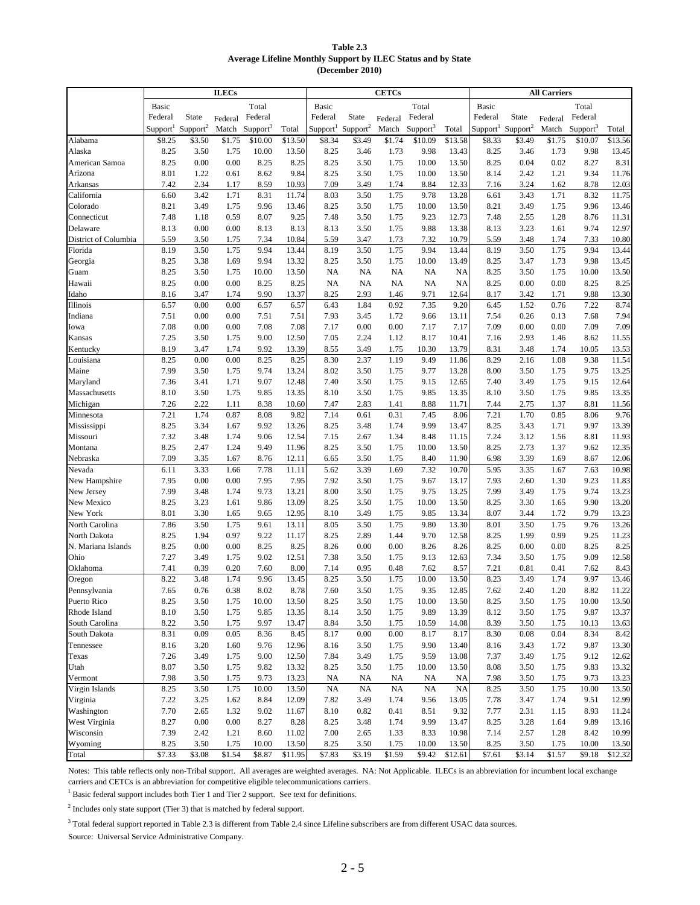| Table 2.3                                                    |
|--------------------------------------------------------------|
| Average Lifeline Monthly Support by ILEC Status and by State |
| (December $2010$ )                                           |

|                                  | <b>ILECs</b>         |                      |              |                            |                | <b>CETCs</b>                              |              |              |                      |                | <b>All Carriers</b>  |                      |              |                      |                |
|----------------------------------|----------------------|----------------------|--------------|----------------------------|----------------|-------------------------------------------|--------------|--------------|----------------------|----------------|----------------------|----------------------|--------------|----------------------|----------------|
|                                  | Basic                |                      |              | Total                      |                | <b>Basic</b>                              |              |              | Total                |                | Basic                |                      |              | Total                |                |
|                                  | Federal              | State                | Federal      | Federal                    |                | Federal                                   | State        | Federal      | Federal              |                | Federal              | State                | Federal      | Federal              |                |
|                                  | Support <sup>1</sup> | Support <sup>2</sup> |              | Match Support <sup>3</sup> | Total          | Support <sup>1</sup> Support <sup>2</sup> |              | Match        | Support <sup>3</sup> | Total          | Support <sup>1</sup> | Support <sup>2</sup> | Match        | Support <sup>3</sup> | Total          |
| Alabama                          | \$8.25               | \$3.50               | \$1.75       | \$10.00                    | \$13.50        | \$8.34                                    | \$3.49       | \$1.74       | \$10.09              | \$13.58        | \$8.33               | \$3.49               | \$1.75       | \$10.07              | \$13.56        |
| Alaska                           | 8.25                 | 3.50                 | 1.75         | 10.00                      | 13.50          | 8.25                                      | 3.46         | 1.73         | 9.98                 | 13.43          | 8.25                 | 3.46                 | 1.73         | 9.98                 | 13.45          |
| American Samoa                   | 8.25                 | 0.00                 | 0.00         | 8.25                       | 8.25           | 8.25                                      | 3.50         | 1.75         | 10.00                | 13.50          | 8.25                 | 0.04                 | 0.02         | 8.27                 | 8.31           |
| Arizona                          | 8.01                 | 1.22                 | 0.61         | 8.62                       | 9.84           | 8.25                                      | 3.50         | 1.75         | 10.00                | 13.50          | 8.14                 | 2.42                 | 1.21         | 9.34                 | 11.76          |
| Arkansas                         | 7.42                 | 2.34                 | 1.17         | 8.59                       | 10.93          | 7.09                                      | 3.49         | 1.74         | 8.84                 | 12.33          | 7.16                 | 3.24                 | 1.62         | 8.78                 | 12.03          |
| California                       | 6.60                 | 3.42                 | 1.71         | 8.31                       | 11.74          | 8.03                                      | 3.50         | 1.75         | 9.78                 | 13.28          | 6.61                 | 3.43                 | 1.71         | 8.32                 | 11.75          |
| Colorado                         | 8.21                 | 3.49                 | 1.75         | 9.96                       | 13.46          | 8.25                                      | 3.50         | 1.75         | 10.00                | 13.50          | 8.21                 | 3.49                 | 1.75         | 9.96                 | 13.46          |
| Connecticut                      | 7.48                 | 1.18                 | 0.59         | 8.07                       | 9.25           | 7.48                                      | 3.50         | 1.75         | 9.23                 | 12.73          | 7.48                 | 2.55                 | 1.28         | 8.76                 | 11.31          |
| Delaware<br>District of Columbia | 8.13<br>5.59         | 0.00<br>3.50         | 0.00<br>1.75 | 8.13<br>7.34               | 8.13<br>10.84  | 8.13<br>5.59                              | 3.50<br>3.47 | 1.75<br>1.73 | 9.88<br>7.32         | 13.38<br>10.79 | 8.13<br>5.59         | 3.23<br>3.48         | 1.61<br>1.74 | 9.74<br>7.33         | 12.97<br>10.80 |
| Florida                          | 8.19                 | 3.50                 | 1.75         | 9.94                       | 13.44          | 8.19                                      | 3.50         | 1.75         | 9.94                 | 13.44          | 8.19                 | 3.50                 | 1.75         | 9.94                 | 13.44          |
| Georgia                          | 8.25                 | 3.38                 | 1.69         | 9.94                       | 13.32          | 8.25                                      | 3.50         | 1.75         | 10.00                | 13.49          | 8.25                 | 3.47                 | 1.73         | 9.98                 | 13.45          |
| Guam                             | 8.25                 | 3.50                 | 1.75         | 10.00                      | 13.50          | NA                                        | <b>NA</b>    | NA           | <b>NA</b>            | NA             | 8.25                 | 3.50                 | 1.75         | 10.00                | 13.50          |
| Hawaii                           | 8.25                 | 0.00                 | 0.00         | 8.25                       | 8.25           | NA                                        | <b>NA</b>    | NA           | <b>NA</b>            | NA             | 8.25                 | 0.00                 | 0.00         | 8.25                 | 8.25           |
| Idaho                            | 8.16                 | 3.47                 | 1.74         | 9.90                       | 13.37          | 8.25                                      | 2.93         | 1.46         | 9.71                 | 12.64          | 8.17                 | 3.42                 | 1.71         | 9.88                 | 13.30          |
| Illinois                         | 6.57                 | 0.00                 | 0.00         | 6.57                       | 6.57           | 6.43                                      | 1.84         | 0.92         | 7.35                 | 9.20           | 6.45                 | 1.52                 | 0.76         | 7.22                 | 8.74           |
| Indiana                          | 7.51                 | 0.00                 | 0.00         | 7.51                       | 7.51           | 7.93                                      | 3.45         | 1.72         | 9.66                 | 13.11          | 7.54                 | 0.26                 | 0.13         | 7.68                 | 7.94           |
| Iowa                             | 7.08                 | 0.00                 | 0.00         | 7.08                       | 7.08           | 7.17                                      | 0.00         | 0.00         | 7.17                 | 7.17           | 7.09                 | 0.00                 | 0.00         | 7.09                 | 7.09           |
| Kansas                           | 7.25                 | 3.50                 | 1.75         | 9.00                       | 12.50          | 7.05                                      | 2.24         | 1.12         | 8.17                 | 10.41          | 7.16                 | 2.93                 | 1.46         | 8.62                 | 11.55          |
| Kentucky                         | 8.19                 | 3.47                 | 1.74         | 9.92                       | 13.39          | 8.55                                      | 3.49         | 1.75         | 10.30                | 13.79          | 8.31                 | 3.48                 | 1.74         | 10.05                | 13.53          |
| Louisiana                        | 8.25                 | 0.00                 | 0.00         | 8.25                       | 8.25           | 8.30                                      | 2.37         | 1.19         | 9.49                 | 11.86          | 8.29                 | 2.16                 | 1.08         | 9.38                 | 11.54          |
| Maine                            | 7.99                 | 3.50                 | 1.75         | 9.74                       | 13.24          | 8.02                                      | 3.50         | 1.75         | 9.77                 | 13.28          | 8.00                 | 3.50                 | 1.75         | 9.75                 | 13.25          |
| Maryland                         | 7.36                 | 3.41                 | 1.71         | 9.07                       | 12.48          | 7.40                                      | 3.50         | 1.75         | 9.15                 | 12.65          | 7.40                 | 3.49                 | 1.75         | 9.15                 | 12.64          |
| Massachusetts                    | 8.10                 | 3.50                 | 1.75         | 9.85                       | 13.35          | 8.10                                      | 3.50         | 1.75         | 9.85                 | 13.35          | 8.10                 | 3.50                 | 1.75         | 9.85                 | 13.35          |
| Michigan                         | 7.26                 | 2.22                 | 1.11         | 8.38                       | 10.60          | 7.47                                      | 2.83         | 1.41         | 8.88                 | 11.71          | 7.44                 | 2.75                 | 1.37         | 8.81                 | 11.56          |
| Minnesota                        | 7.21                 | 1.74                 | 0.87         | 8.08                       | 9.82           | 7.14                                      | 0.61         | 0.31         | 7.45                 | 8.06           | 7.21                 | 1.70                 | 0.85         | 8.06                 | 9.76           |
| Mississippi                      | 8.25<br>7.32         | 3.34<br>3.48         | 1.67<br>1.74 | 9.92<br>9.06               | 13.26          | 8.25<br>7.15                              | 3.48<br>2.67 | 1.74<br>1.34 | 9.99<br>8.48         | 13.47<br>11.15 | 8.25<br>7.24         | 3.43<br>3.12         | 1.71<br>1.56 | 9.97<br>8.81         | 13.39<br>11.93 |
| Missouri<br>Montana              | 8.25                 | 2.47                 | 1.24         | 9.49                       | 12.54<br>11.96 | 8.25                                      | 3.50         | 1.75         | 10.00                | 13.50          | 8.25                 | 2.73                 | 1.37         | 9.62                 | 12.35          |
| Nebraska                         | 7.09                 | 3.35                 | 1.67         | 8.76                       | 12.11          | 6.65                                      | 3.50         | 1.75         | 8.40                 | 11.90          | 6.98                 | 3.39                 | 1.69         | 8.67                 | 12.06          |
| Nevada                           | 6.11                 | 3.33                 | 1.66         | 7.78                       | 11.11          | 5.62                                      | 3.39         | 1.69         | 7.32                 | 10.70          | 5.95                 | 3.35                 | 1.67         | 7.63                 | 10.98          |
| New Hampshire                    | 7.95                 | 0.00                 | 0.00         | 7.95                       | 7.95           | 7.92                                      | 3.50         | 1.75         | 9.67                 | 13.17          | 7.93                 | 2.60                 | 1.30         | 9.23                 | 11.83          |
| New Jersey                       | 7.99                 | 3.48                 | 1.74         | 9.73                       | 13.21          | 8.00                                      | 3.50         | 1.75         | 9.75                 | 13.25          | 7.99                 | 3.49                 | 1.75         | 9.74                 | 13.23          |
| New Mexico                       | 8.25                 | 3.23                 | 1.61         | 9.86                       | 13.09          | 8.25                                      | 3.50         | 1.75         | 10.00                | 13.50          | 8.25                 | 3.30                 | 1.65         | 9.90                 | 13.20          |
| New York                         | 8.01                 | 3.30                 | 1.65         | 9.65                       | 12.95          | 8.10                                      | 3.49         | 1.75         | 9.85                 | 13.34          | 8.07                 | 3.44                 | 1.72         | 9.79                 | 13.23          |
| North Carolina                   | 7.86                 | 3.50                 | 1.75         | 9.61                       | 13.11          | 8.05                                      | 3.50         | 1.75         | 9.80                 | 13.30          | 8.01                 | 3.50                 | 1.75         | 9.76                 | 13.26          |
| North Dakota                     | 8.25                 | 1.94                 | 0.97         | 9.22                       | 11.17          | 8.25                                      | 2.89         | 1.44         | 9.70                 | 12.58          | 8.25                 | 1.99                 | 0.99         | 9.25                 | 11.23          |
| N. Mariana Islands               | 8.25                 | 0.00                 | 0.00         | 8.25                       | 8.25           | 8.26                                      | 0.00         | 0.00         | 8.26                 | 8.26           | 8.25                 | 0.00                 | 0.00         | 8.25                 | 8.25           |
| Ohio                             | 7.27                 | 3.49                 | 1.75         | 9.02                       | 12.51          | 7.38                                      | 3.50         | 1.75         | 9.13                 | 12.63          | 7.34                 | 3.50                 | 1.75         | 9.09                 | 12.58          |
| Oklahoma                         | 7.41                 | 0.39                 | 0.20         | 7.60                       | 8.00           | 7.14                                      | 0.95         | 0.48         | 7.62                 | 8.57           | 7.21                 | 0.81                 | 0.41         | 7.62                 | 8.43           |
| Oregon                           | 8.22                 | 3.48                 | 1.74         | 9.96                       | 13.45          | 8.25                                      | 3.50         | 1.75         | 10.00                | 13.50          | 8.23                 | 3.49                 | 1.74         | 9.97                 | 13.46          |
| Pennsylvania                     | 7.65                 | 0.76                 | 0.38         | 8.02                       | 8.78           | 7.60                                      | 3.50         | 1.75         | 9.35                 | 12.85          | 7.62                 | 2.40                 | 1.20         | 8.82                 | 11.22          |
| Puerto Rico                      | 8.25                 | 3.50                 | 1.75         | $10.00\,$                  | 13.50          | 8.25                                      | 3.50         | 1.75         | 10.00                | 13.50          | 8.25                 | 3.50                 | 1.75         | 10.00                | 13.50          |
| Rhode Island<br>South Carolina   | 8.10<br>8.22         | 3.50<br>3.50         | 1.75<br>1.75 | 9.85<br>9.97               | 13.35<br>13.47 | 8.14<br>8.84                              | 3.50<br>3.50 | 1.75<br>1.75 | 9.89<br>10.59        | 13.39<br>14.08 | 8.12<br>8.39         | 3.50<br>3.50         | 1.75         | 9.87<br>10.13        | 13.37          |
| South Dakota                     | 8.31                 | 0.09                 | 0.05         | 8.36                       | 8.45           | 8.17                                      | 0.00         | 0.00         | 8.17                 | 8.17           | 8.30                 | 0.08                 | 1.75<br>0.04 | 8.34                 | 13.63<br>8.42  |
| Tennessee                        | 8.16                 | 3.20                 | 1.60         | 9.76                       | 12.96          | 8.16                                      | 3.50         | 1.75         | 9.90                 | 13.40          | 8.16                 | 3.43                 | 1.72         | 9.87                 | 13.30          |
| Texas                            | 7.26                 | 3.49                 | 1.75         | 9.00                       | 12.50          | 7.84                                      | 3.49         | 1.75         | 9.59                 | 13.08          | 7.37                 | 3.49                 | 1.75         | 9.12                 | 12.62          |
| Utah                             | 8.07                 | 3.50                 | 1.75         | 9.82                       | 13.32          | 8.25                                      | 3.50         | 1.75         | 10.00                | 13.50          | 8.08                 | 3.50                 | 1.75         | 9.83                 | 13.32          |
| Vermont                          | 7.98                 | 3.50                 | 1.75         | 9.73                       | 13.23          | NA                                        | NA           | NA           | NA                   | NA             | 7.98                 | 3.50                 | 1.75         | 9.73                 | 13.23          |
| Virgin Islands                   | 8.25                 | 3.50                 | 1.75         | 10.00                      | 13.50          | NA                                        | NA           | NA           | NA                   | <b>NA</b>      | 8.25                 | 3.50                 | 1.75         | 10.00                | 13.50          |
| Virginia                         | 7.22                 | 3.25                 | 1.62         | 8.84                       | 12.09          | 7.82                                      | 3.49         | 1.74         | 9.56                 | 13.05          | 7.78                 | 3.47                 | 1.74         | 9.51                 | 12.99          |
| Washington                       | 7.70                 | 2.65                 | 1.32         | 9.02                       | 11.67          | 8.10                                      | 0.82         | 0.41         | 8.51                 | 9.32           | 7.77                 | 2.31                 | 1.15         | 8.93                 | 11.24          |
| West Virginia                    | 8.27                 | 0.00                 | 0.00         | 8.27                       | 8.28           | 8.25                                      | 3.48         | 1.74         | 9.99                 | 13.47          | 8.25                 | 3.28                 | 1.64         | 9.89                 | 13.16          |
| Wisconsin                        | 7.39                 | 2.42                 | 1.21         | 8.60                       | 11.02          | 7.00                                      | 2.65         | 1.33         | 8.33                 | 10.98          | 7.14                 | 2.57                 | 1.28         | 8.42                 | 10.99          |
| Wyoming                          | 8.25                 | 3.50                 | 1.75         | 10.00                      | 13.50          | 8.25                                      | 3.50         | 1.75         | 10.00                | 13.50          | 8.25                 | 3.50                 | 1.75         | 10.00                | 13.50          |
| Total                            | \$7.33               | \$3.08               | \$1.54       | \$8.87                     | \$11.95        | \$7.83                                    | \$3.19       | \$1.59       | \$9.42               | \$12.61        | \$7.61               | \$3.14               | \$1.57       | \$9.18               | \$12.32        |

Notes: This table reflects only non-Tribal support. All averages are weighted averages. NA: Not Applicable. ILECs is an abbreviation for incumbent local exchange carriers and CETCs is an abbreviation for competitive eligible telecommunications carriers.

 $<sup>1</sup>$  Basic federal support includes both Tier 1 and Tier 2 support. See text for definitions.</sup>

 $2$  Includes only state support (Tier 3) that is matched by federal support.

 $3$  Total federal support reported in Table 2.3 is different from Table 2.4 since Lifeline subscribers are from different USAC data sources.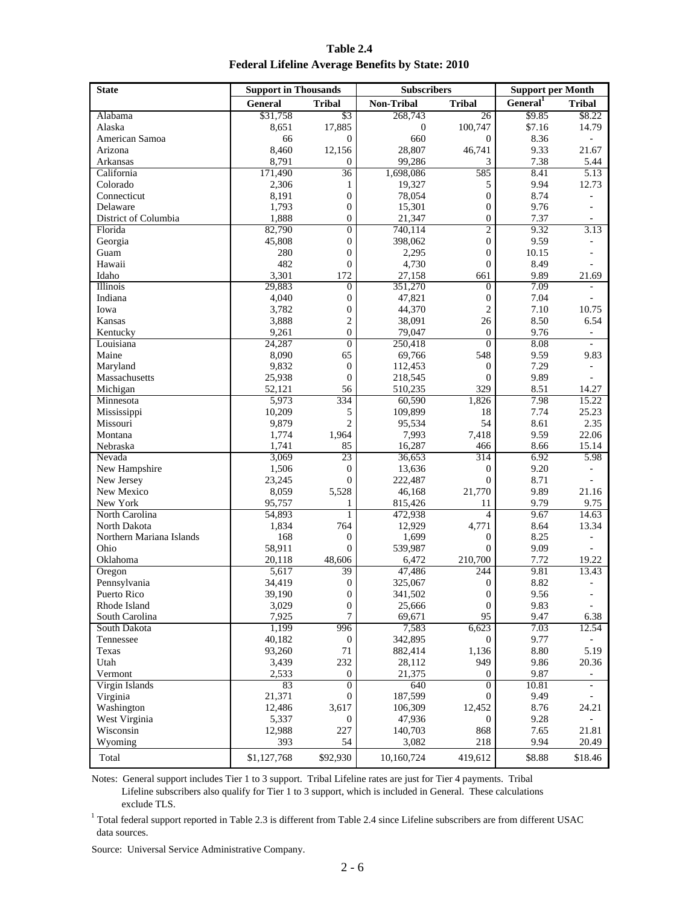**Table 2.4 Federal Lifeline Average Benefits by State: 2010**

| <b>State</b>                | <b>Support in Thousands</b> |                  | <b>Subscribers</b> |                  | <b>Support per Month</b> |                          |  |
|-----------------------------|-----------------------------|------------------|--------------------|------------------|--------------------------|--------------------------|--|
|                             | <b>General</b>              | <b>Tribal</b>    | <b>Non-Tribal</b>  | <b>Tribal</b>    | General <sup>1</sup>     | <b>Tribal</b>            |  |
| Alabama                     | \$31,758                    | \$3              | 268,743            | 26               | \$9.85                   | \$8.22                   |  |
| Alaska                      | 8,651                       | 17,885           | $\boldsymbol{0}$   | 100,747          | \$7.16                   | 14.79                    |  |
| American Samoa              | 66                          | $\mathbf{0}$     | 660                | $\theta$         | 8.36                     | ÷.                       |  |
| Arizona                     | 8,460                       | 12,156           | 28,807             | 46,741           | 9.33                     | 21.67                    |  |
| Arkansas                    | 8,791                       | $\overline{0}$   | 99,286             | 3                | 7.38                     | 5.44                     |  |
| California                  | 171,490                     | 36               | 1,698,086          | 585              | 8.41                     | 5.13                     |  |
| Colorado                    | 2,306                       | 1                | 19,327             | 5                | 9.94                     | 12.73                    |  |
| Connecticut                 | 8,191                       | $\boldsymbol{0}$ | 78.054             | $\boldsymbol{0}$ | 8.74                     |                          |  |
| Delaware                    | 1,793                       | $\boldsymbol{0}$ | 15,301             | $\overline{0}$   | 9.76                     |                          |  |
| District of Columbia        | 1,888                       | $\mathbf{0}$     | 21,347             | $\overline{0}$   | 7.37                     |                          |  |
| Florida                     | 82,790                      | $\boldsymbol{0}$ | 740,114            | 2                | 9.32                     | 3.13                     |  |
| Georgia                     | 45,808                      | $\mathbf{0}$     | 398,062            | $\overline{0}$   | 9.59                     |                          |  |
| Guam                        | 280                         | $\boldsymbol{0}$ | 2,295              | 0                | 10.15                    |                          |  |
| Hawaii                      | 482                         | $\boldsymbol{0}$ | 4,730              | $\boldsymbol{0}$ | 8.49                     |                          |  |
| Idaho                       | 3,301                       | 172              | 27,158             | 661              | 9.89                     | 21.69                    |  |
| Illinois                    | 29,883                      | $\mathbf{0}$     | 351,270            | $\overline{0}$   | 7.09                     |                          |  |
| Indiana                     | 4,040                       | $\boldsymbol{0}$ | 47,821             | $\boldsymbol{0}$ | 7.04                     |                          |  |
| Iowa                        | 3.782                       | $\boldsymbol{0}$ | 44,370             | $\mathfrak{2}$   | 7.10                     | 10.75                    |  |
| Kansas                      | 3,888                       | $\mathfrak{2}$   | 38,091             | 26               | 8.50                     | 6.54                     |  |
| Kentucky                    | 9,261                       | $\mathbf{0}$     | 79,047             | $\theta$         | 9.76                     | -                        |  |
| Louisiana                   | 24,287                      | $\overline{0}$   | 250,418            | $\overline{0}$   | 8.08                     | $\overline{\phantom{0}}$ |  |
| Maine                       | 8,090                       | 65               | 69,766             | 548              | 9.59                     | 9.83                     |  |
| Maryland                    | 9,832                       | $\mathbf{0}$     | 112,453            | $\boldsymbol{0}$ | 7.29                     |                          |  |
| Massachusetts               | 25,938                      | $\overline{0}$   | 218,545            | $\overline{0}$   | 9.89                     |                          |  |
| Michigan                    | 52,121                      | 56               | 510,235            | 329              | 8.51                     | 14.27                    |  |
| Minnesota                   | 5,973                       | 334              | 60,590             | 1,826            | 7.98                     | 15.22                    |  |
| Mississippi                 | 10,209                      | 5                | 109,899            | 18               | 7.74                     | 25.23                    |  |
| Missouri                    | 9,879                       | $\overline{2}$   | 95,534             | 54               | 8.61                     | 2.35                     |  |
| Montana                     | 1,774                       | 1,964            | 7,993              | 7,418            | 9.59                     | 22.06                    |  |
| Nebraska                    | 1,741                       | 85               | 16,287             | 466              | 8.66                     | 15.14                    |  |
| Nevada                      | 3,069                       | 23               | 36,653             | 314              | 6.92                     | 5.98                     |  |
| New Hampshire               | 1,506                       | $\boldsymbol{0}$ | 13,636             | $\mathbf{0}$     | 9.20                     |                          |  |
| New Jersey                  | 23,245                      | $\overline{0}$   | 222,487            | $\overline{0}$   | 8.71                     |                          |  |
| New Mexico                  | 8,059                       | 5,528            | 46,168             | 21,770           | 9.89                     | 21.16                    |  |
| New York                    | 95,757                      | 1                | 815,426            | 11               | 9.79                     | 9.75                     |  |
| North Carolina              | 54,893                      | $\mathbf{1}$     | 472,938            | 4                | 9.67                     | 14.63                    |  |
| North Dakota                | 1,834                       | 764              | 12,929             | 4,771            | 8.64                     | 13.34                    |  |
| Northern Mariana Islands    | 168                         | $\boldsymbol{0}$ | 1,699              | $\boldsymbol{0}$ | 8.25                     |                          |  |
| Ohio                        | 58,911                      | $\overline{0}$   | 539,987            | $\overline{0}$   | 9.09                     |                          |  |
| Oklahoma                    | 20,118                      | 48,606           | 6,472              | 210,700          | 7.72                     | 19.22                    |  |
| Oregon                      | 5,617                       | 39               | 47,486             | 244              | 9.81                     | 13.43                    |  |
| Pennsylvania                | 34,419                      | $\boldsymbol{0}$ | 325,067            | $\boldsymbol{0}$ | 8.82                     | ÷                        |  |
|                             | 39,190                      | $\boldsymbol{0}$ | 341,502            | $\boldsymbol{0}$ | 9.56                     |                          |  |
| Puerto Rico<br>Rhode Island | 3,029                       | $\boldsymbol{0}$ | 25,666             | $\mathbf{0}$     | 9.83                     |                          |  |
| South Carolina              | 7,925                       | $\boldsymbol{7}$ | 69,671             | 95               | 9.47                     | 6.38                     |  |
| South Dakota                | 1,199                       | 996              | 7,583              | 6,623            | 7.03                     | 12.54                    |  |
| Tennessee                   | 40,182                      | $\boldsymbol{0}$ | 342,895            | $\overline{0}$   | 9.77                     |                          |  |
| Texas                       | 93,260                      | 71               | 882,414            | 1,136            | 8.80                     | 5.19                     |  |
| Utah                        | 3,439                       | 232              | 28,112             | 949              | 9.86                     | 20.36                    |  |
| Vermont                     | 2,533                       | $\boldsymbol{0}$ | 21,375             | 0                | 9.87                     | $\overline{\phantom{0}}$ |  |
| Virgin Islands              | 83                          | $\mathbf{0}$     | 640                | $\mathbf{0}$     | 10.81                    |                          |  |
| Virginia                    | 21,371                      | $\boldsymbol{0}$ | 187,599            | 0                | 9.49                     |                          |  |
| Washington                  | 12,486                      | 3,617            | 106,309            | 12,452           | 8.76                     | 24.21                    |  |
| West Virginia               | 5,337                       | 0                | 47,936             | 0                | 9.28                     |                          |  |
| Wisconsin                   | 12,988                      | 227              | 140,703            | 868              | 7.65                     | 21.81                    |  |
| Wyoming                     | 393                         | 54               | 3,082              | 218              | 9.94                     | 20.49                    |  |
|                             |                             |                  |                    |                  |                          |                          |  |
| Total                       | \$1,127,768                 | \$92,930         | 10,160,724         | 419,612          | \$8.88                   | \$18.46                  |  |

Notes: General support includes Tier 1 to 3 support. Tribal Lifeline rates are just for Tier 4 payments. Tribal Lifeline subscribers also qualify for Tier 1 to 3 support, which is included in General. These calculations exclude TLS.

 $1$  Total federal support reported in Table 2.3 is different from Table 2.4 since Lifeline subscribers are from different USAC data sources.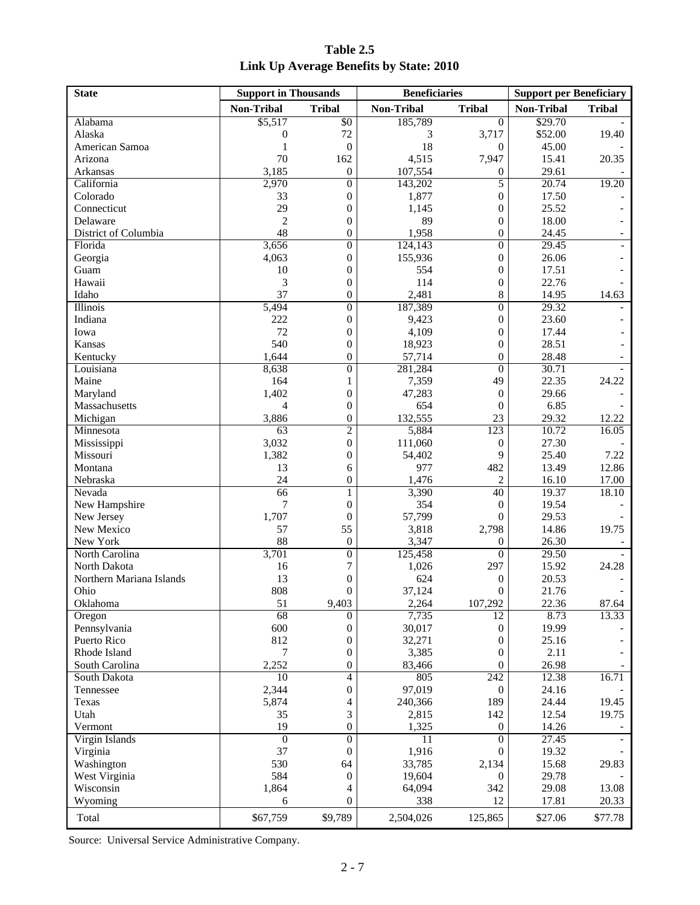| Table 2.5                               |  |  |  |  |  |  |  |
|-----------------------------------------|--|--|--|--|--|--|--|
| Link Up Average Benefits by State: 2010 |  |  |  |  |  |  |  |

| <b>State</b>             | <b>Support in Thousands</b> |                  | <b>Beneficiaries</b> |                  | <b>Support per Beneficiary</b> |               |  |
|--------------------------|-----------------------------|------------------|----------------------|------------------|--------------------------------|---------------|--|
|                          | Non-Tribal                  | <b>Tribal</b>    | <b>Non-Tribal</b>    | <b>Tribal</b>    | Non-Tribal                     | <b>Tribal</b> |  |
| Alabama                  | \$5,517                     | \$0              | 185,789              | $\overline{0}$   | \$29.70                        |               |  |
| Alaska                   | $\mathbf{0}$                | 72               | 3                    | 3,717            | \$52.00                        | 19.40         |  |
| American Samoa           | 1                           | $\boldsymbol{0}$ | 18                   | $\boldsymbol{0}$ | 45.00                          |               |  |
| Arizona                  | 70                          | 162              | 4,515                | 7,947            | 15.41                          | 20.35         |  |
| Arkansas                 | 3,185                       | $\boldsymbol{0}$ | 107,554              | $\boldsymbol{0}$ | 29.61                          |               |  |
| California               | 2,970                       | $\mathbf{0}$     | 143,202              | 5                | 20.74                          | 19.20         |  |
| Colorado                 | 33                          | $\theta$         | 1,877                | $\mathbf{0}$     | 17.50                          |               |  |
| Connecticut              | 29                          | $\boldsymbol{0}$ | 1,145                | $\boldsymbol{0}$ | 25.52                          |               |  |
| Delaware                 | $\overline{c}$              | $\boldsymbol{0}$ | 89                   | $\boldsymbol{0}$ | 18.00                          |               |  |
| District of Columbia     | 48                          | $\theta$         | 1,958                | $\mathbf{0}$     | 24.45                          |               |  |
| Florida                  | 3,656                       | $\mathbf{0}$     | 124,143              | $\mathbf{0}$     | 29.45                          |               |  |
| Georgia                  | 4,063                       | $\mathbf{0}$     | 155,936              | $\mathbf{0}$     | 26.06                          |               |  |
| Guam                     | 10                          | $\boldsymbol{0}$ | 554                  | $\boldsymbol{0}$ | 17.51                          |               |  |
| Hawaii                   | 3                           | $\boldsymbol{0}$ | 114                  | $\boldsymbol{0}$ | 22.76                          |               |  |
| Idaho                    | 37                          | $\theta$         | 2,481                | 8                | 14.95                          | 14.63         |  |
| Illinois                 | 5,494                       | $\mathbf{0}$     | 187,389              | $\mathbf{0}$     | 29.32                          |               |  |
| Indiana                  | 222                         | $\mathbf{0}$     | 9,423                | $\mathbf{0}$     | 23.60                          |               |  |
| Iowa                     | 72                          | $\boldsymbol{0}$ | 4,109                | $\boldsymbol{0}$ | 17.44                          |               |  |
| Kansas                   | 540                         | $\boldsymbol{0}$ | 18,923               | $\boldsymbol{0}$ | 28.51                          |               |  |
| Kentucky                 | 1,644                       | $\theta$         | 57,714               | $\theta$         | 28.48                          |               |  |
| Louisiana                | 8,638                       | $\mathbf{0}$     | 281,284              | $\mathbf{0}$     | 30.71                          |               |  |
| Maine                    | 164                         | 1                | 7,359                | 49               | 22.35                          | 24.22         |  |
| Maryland                 | 1,402                       | $\boldsymbol{0}$ | 47,283               | $\boldsymbol{0}$ | 29.66                          |               |  |
| Massachusetts            | 4                           | $\boldsymbol{0}$ | 654                  | $\boldsymbol{0}$ | 6.85                           |               |  |
| Michigan                 | 3,886                       | $\boldsymbol{0}$ | 132,555              | 23               | 29.32                          | 12.22         |  |
| Minnesota                | 63                          | $\overline{c}$   | 5,884                | 123              | 10.72                          | 16.05         |  |
| Mississippi              | 3,032                       | $\theta$         | 111,060              | $\boldsymbol{0}$ | 27.30                          |               |  |
| Missouri                 | 1,382                       | $\boldsymbol{0}$ | 54,402               | 9                | 25.40                          | 7.22          |  |
| Montana                  | 13                          | 6                | 977                  | 482              | 13.49                          | 12.86         |  |
| Nebraska                 | 24                          | $\mathbf{0}$     | 1,476                | $\overline{c}$   | 16.10                          | 17.00         |  |
| Nevada                   | 66                          | 1                | 3,390                | 40               | 19.37                          | 18.10         |  |
| New Hampshire            | 7                           | $\theta$         | 354                  | $\mathbf{0}$     | 19.54                          |               |  |
| New Jersey               | 1,707                       | $\boldsymbol{0}$ | 57,799               | $\mathbf{0}$     | 29.53                          |               |  |
| New Mexico               | 57                          | 55               | 3,818                | 2,798            | 14.86                          | 19.75         |  |
| New York                 | 88                          | $\boldsymbol{0}$ | 3,347                | 0                | 26.30                          |               |  |
| North Carolina           | 3,701                       | $\mathbf{0}$     | 125,458              | $\mathbf{0}$     | 29.50                          |               |  |
| North Dakota             | 16                          | 7                | 1,026                | 297              | 15.92                          | 24.28         |  |
| Northern Mariana Islands | 13                          | $\boldsymbol{0}$ | 624                  | $\boldsymbol{0}$ | 20.53                          |               |  |
| Ohio                     | 808                         | $\boldsymbol{0}$ | 37,124               | $\boldsymbol{0}$ | 21.76                          |               |  |
| Oklahoma                 | 51                          | 9,403            | 2,264                | 107,292          | 22.36                          | 87.64         |  |
| Oregon                   | 68                          | $\Omega$         | 7,735                | 12               | 8.73                           | 13.33         |  |
| Pennsylvania             | 600                         | $\boldsymbol{0}$ | 30,017               | $\boldsymbol{0}$ | 19.99                          |               |  |
| Puerto Rico              | 812                         | $\boldsymbol{0}$ | 32,271               | $\boldsymbol{0}$ | 25.16                          |               |  |
| Rhode Island             | 7                           | $\boldsymbol{0}$ | 3,385                | $\boldsymbol{0}$ | 2.11                           |               |  |
| South Carolina           | 2,252                       | $\boldsymbol{0}$ | 83,466               | $\boldsymbol{0}$ | 26.98                          |               |  |
| South Dakota             | 10                          | 4                | 805                  | 242              | 12.38                          | 16.71         |  |
| Tennessee                | 2,344                       | $\boldsymbol{0}$ | 97,019               | $\boldsymbol{0}$ | 24.16                          |               |  |
| Texas                    | 5,874                       | 4                | 240,366              | 189              | 24.44                          | 19.45         |  |
| Utah                     | 35                          | 3                | 2,815                | 142              | 12.54                          | 19.75         |  |
| Vermont                  | 19                          | $\boldsymbol{0}$ | 1,325                | $\boldsymbol{0}$ | 14.26                          |               |  |
| Virgin Islands           | $\overline{0}$              | $\mathbf{0}$     | $\overline{11}$      | $\mathbf{0}$     | 27.45                          |               |  |
| Virginia                 | 37                          | $\boldsymbol{0}$ | 1,916                | $\mathbf{0}$     | 19.32                          |               |  |
| Washington               | 530                         | 64               | 33,785               | 2,134            | 15.68                          | 29.83         |  |
| West Virginia            | 584                         | $\boldsymbol{0}$ | 19,604               | $\mathbf{0}$     | 29.78                          |               |  |
| Wisconsin                | 1,864                       | 4                | 64,094               | 342              | 29.08                          | 13.08         |  |
| Wyoming                  | 6                           | $\boldsymbol{0}$ | 338                  | 12               | 17.81                          | 20.33         |  |
|                          |                             |                  |                      |                  |                                |               |  |
| Total                    | \$67,759                    | \$9,789          | 2,504,026            | 125,865          | \$27.06                        | \$77.78       |  |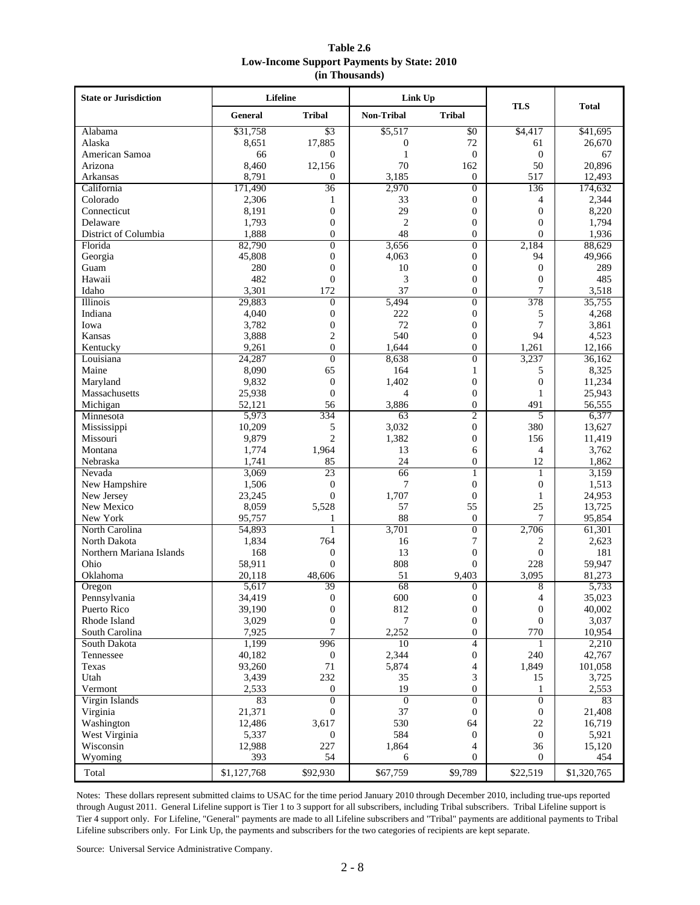| Table 2.6                                         |  |
|---------------------------------------------------|--|
| <b>Low-Income Support Payments by State: 2010</b> |  |
| (in Thousands)                                    |  |

| <b>State or Jurisdiction</b> |                 | Lifeline         | Link Up                      |                                  | <b>TLS</b>       | <b>Total</b>    |  |
|------------------------------|-----------------|------------------|------------------------------|----------------------------------|------------------|-----------------|--|
|                              | General         | <b>Tribal</b>    | <b>Non-Tribal</b>            | <b>Tribal</b>                    |                  |                 |  |
| Alabama                      | \$31,758        | $\overline{\$3}$ | \$5,517                      | $\overline{50}$                  | \$4,417          | \$41,695        |  |
| Alaska                       | 8,651           | 17,885           | $\boldsymbol{0}$             | 72                               |                  | 26,670          |  |
| American Samoa               | 66              | $\overline{0}$   | $\mathbf{1}$<br>$\mathbf{0}$ |                                  | $\theta$         | 67              |  |
| Arizona                      | 8,460           | 12,156           | 70                           | 162                              | 50               | 20,896          |  |
| Arkansas                     | 8,791           | $\overline{0}$   | 3,185                        | 0                                | 517              | 12,493          |  |
| California                   | 171,490         | 36               | 2,970                        | $\overline{0}$                   | 136              | 174,632         |  |
| Colorado                     | 2,306           | 1                | 33                           | $\boldsymbol{0}$                 | 4                | 2,344           |  |
| Connecticut                  | 8,191           | $\theta$         | 29                           | $\mathbf{0}$                     | $\overline{0}$   | 8,220           |  |
| Delaware                     | 1,793           | $\overline{0}$   | $\mathfrak{2}$               | $\boldsymbol{0}$                 | $\overline{0}$   | 1,794           |  |
| District of Columbia         | 1,888           | $\mathbf{0}$     | 48                           | $\boldsymbol{0}$                 | $\overline{0}$   | 1,936           |  |
| Florida                      | 82,790          | $\Omega$         | 3,656                        | $\overline{0}$                   | 2,184            | 88,629          |  |
| Georgia                      | 45,808          | $\overline{0}$   | 4,063                        | $\boldsymbol{0}$                 | 94               | 49,966          |  |
| Guam                         | 280             | $\overline{0}$   | 10                           | $\boldsymbol{0}$                 | $\boldsymbol{0}$ | 289             |  |
| Hawaii                       | 482             | $\overline{0}$   | 3                            | $\boldsymbol{0}$                 | $\overline{0}$   | 485             |  |
| Idaho                        | 3,301           | 172              | 37                           | $\boldsymbol{0}$                 | 7                | 3,518           |  |
| Illinois                     | 29,883          | $\overline{0}$   | 5,494                        | $\boldsymbol{0}$                 | 378              | 35,755          |  |
| Indiana                      | 4,040           | $\overline{0}$   | 222                          | $\boldsymbol{0}$                 | 5                | 4,268           |  |
| Iowa                         | 3,782           | $\boldsymbol{0}$ | 72                           | $\boldsymbol{0}$                 | 7                | 3,861           |  |
| Kansas                       | 3,888           | $\overline{2}$   | 540                          | $\boldsymbol{0}$                 | 94               | 4,523           |  |
| Kentucky                     | 9,261           | $\overline{0}$   | 1,644                        | $\overline{0}$                   | 1,261            | 12,166          |  |
| Louisiana                    | 24,287          | $\overline{0}$   | 8,638                        | $\boldsymbol{0}$                 | 3,237            | 36,162          |  |
| Maine                        | 8,090           | 65               | 164                          | $\mathbf{1}$                     | 5                | 8,325           |  |
| Maryland                     | 9,832           | $\overline{0}$   | 1,402                        | $\boldsymbol{0}$                 | $\boldsymbol{0}$ | 11,234          |  |
| Massachusetts                | 25,938          | $\Omega$         | 4                            | $\boldsymbol{0}$                 | 1                | 25,943          |  |
| Michigan                     | 52,121          | 56               | 3,886                        | $\overline{0}$<br>$\overline{c}$ | 491<br>5         | 56,555          |  |
| Minnesota                    | 5,973<br>10,209 | 334<br>5         | 63<br>3,032                  | $\boldsymbol{0}$                 | 380              | 6,377<br>13,627 |  |
| Mississippi<br>Missouri      |                 | $\overline{c}$   | 1,382                        | $\overline{0}$                   | 156              | 11,419          |  |
| Montana                      | 9,879           | 1,964            | 13                           | 6                                | 4                | 3,762           |  |
| Nebraska                     | 1,774<br>1,741  | 85               | 24                           | $\overline{0}$                   | 12               | 1,862           |  |
| Nevada                       | 3,069           | 23               | 66                           | 1                                | $\mathbf{1}$     | 3,159           |  |
| New Hampshire                | 1,506           | $\boldsymbol{0}$ | 7                            | $\boldsymbol{0}$                 | $\boldsymbol{0}$ | 1,513           |  |
| New Jersey                   | 23,245          | $\overline{0}$   | 1,707                        | $\overline{0}$                   | 1                | 24,953          |  |
| New Mexico                   | 8,059           | 5,528            | 57                           | 55                               | 25               | 13,725          |  |
| New York                     | 95,757          | 1                | 88                           | $\boldsymbol{0}$                 | 7                | 95,854          |  |
| North Carolina               | 54,893          | 1                | 3,701                        | $\overline{0}$                   | 2,706            | 61,301          |  |
| North Dakota                 | 1,834           | 764              | 16                           | 7                                | 2                | 2,623           |  |
| Northern Mariana Islands     | 168             | $\boldsymbol{0}$ | 13                           | $\boldsymbol{0}$                 | $\boldsymbol{0}$ | 181             |  |
| Ohio                         | 58,911          | $\overline{0}$   | 808                          | $\overline{0}$                   | 228              | 59,947          |  |
| Oklahoma                     | 20,118          | 48,606           | 51                           | 9,403                            | 3,095            | 81,273          |  |
| Oregon                       | 5,617           | 39               | 68                           | $\boldsymbol{0}$                 | 8                | 5,733           |  |
| Pennsylvania                 | 34,419          | $\boldsymbol{0}$ | 600                          | $\boldsymbol{0}$                 | 4                | 35,023          |  |
| Puerto Rico                  | 39,190          | $\boldsymbol{0}$ | 812                          | $\boldsymbol{0}$                 | $\boldsymbol{0}$ | 40,002          |  |
| Rhode Island                 | 3,029           | $\mathbf{0}$     | 7                            | $\boldsymbol{0}$                 | $\mathbf{0}$     | 3,037           |  |
| South Carolina               | 7,925           | 7                | 2,252                        | $\boldsymbol{0}$                 | 770              | 10,954          |  |
| South Dakota                 | 1,199           | 996              | 10                           | 4                                |                  | 2,210           |  |
| Tennessee                    | 40,182          | $\mathbf{0}$     | 2,344                        | $\boldsymbol{0}$                 | 240              | 42,767          |  |
| Texas                        | 93,260          | 71               | 5,874                        | 4                                | 1,849            | 101,058         |  |
| Utah                         | 3,439           | 232              | 35                           | 3                                | 15               | 3,725           |  |
| Vermont                      | 2,533           | $\boldsymbol{0}$ | 19                           | $\mathbf{0}$                     | 1                | 2,553           |  |
| Virgin Islands               | 83              | $\overline{0}$   | $\overline{0}$               | $\overline{0}$                   | $\overline{0}$   | 83              |  |
| Virginia                     | 21,371          | $\overline{0}$   | 37                           | $\mathbf{0}$                     | $\boldsymbol{0}$ | 21,408          |  |
| Washington                   | 12,486          | 3,617            | 530                          | 64                               | 22               | 16,719          |  |
| West Virginia                | 5,337           | $\overline{0}$   | 584                          | $\boldsymbol{0}$                 | $\boldsymbol{0}$ | 5,921           |  |
| Wisconsin                    | 12,988          | 227              | 1,864                        | 4                                | 36               | 15,120          |  |
| Wyoming                      | 393             | 54               | 6                            | $\mathbf{0}$                     | $\mathbf{0}$     | 454             |  |
| Total                        | \$1,127,768     | \$92,930         | \$67,759                     | \$9,789                          | \$22,519         | \$1,320,765     |  |

Notes: These dollars represent submitted claims to USAC for the time period January 2010 through December 2010, including true-ups reported through August 2011. General Lifeline support is Tier 1 to 3 support for all subscribers, including Tribal subscribers. Tribal Lifeline support is Tier 4 support only. For Lifeline, "General" payments are made to all Lifeline subscribers and "Tribal" payments are additional payments to Tribal Lifeline subscribers only. For Link Up, the payments and subscribers for the two categories of recipients are kept separate.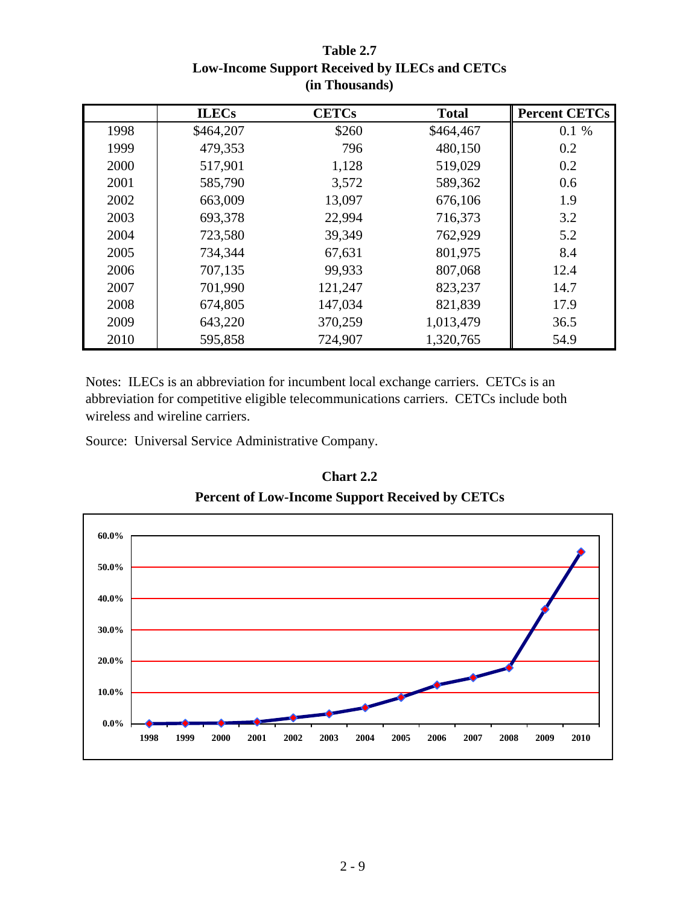|      | <b>ILECs</b> | <b>CETCs</b> | <b>Total</b> | <b>Percent CETCs</b> |
|------|--------------|--------------|--------------|----------------------|
| 1998 | \$464,207    | \$260        | \$464,467    | 0.1%                 |
| 1999 | 479,353      | 796          | 480,150      | 0.2                  |
| 2000 | 517,901      | 1,128        | 519,029      | 0.2                  |
| 2001 | 585,790      | 3,572        | 589,362      | 0.6                  |
| 2002 | 663,009      | 13,097       | 676,106      | 1.9                  |
| 2003 | 693,378      | 22,994       | 716,373      | 3.2                  |
| 2004 | 723,580      | 39,349       | 762,929      | 5.2                  |
| 2005 | 734,344      | 67,631       | 801,975      | 8.4                  |
| 2006 | 707,135      | 99,933       | 807,068      | 12.4                 |
| 2007 | 701,990      | 121,247      | 823,237      | 14.7                 |
| 2008 | 674,805      | 147,034      | 821,839      | 17.9                 |
| 2009 | 643,220      | 370,259      | 1,013,479    | 36.5                 |
| 2010 | 595,858      | 724,907      | 1,320,765    | 54.9                 |

| Table 2.7                                      |
|------------------------------------------------|
| Low-Income Support Received by ILECs and CETCs |
| (in Thousands)                                 |

Notes: ILECs is an abbreviation for incumbent local exchange carriers. CETCs is an abbreviation for competitive eligible telecommunications carriers. CETCs include both wireless and wireline carriers.

Source: Universal Service Administrative Company.



# **Chart 2.2**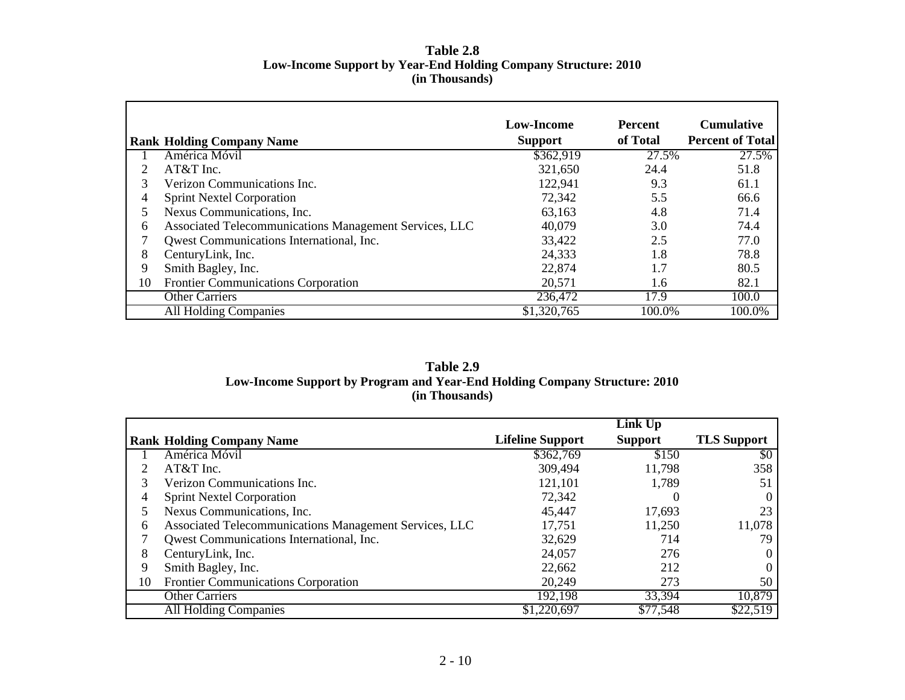# **Table 2.8 Low-Income Support by Year-End Holding Company Structure: 2010 (in Thousands)**

|    | <b>Rank Holding Company Name</b>                       | Low-Income<br><b>Support</b> | <b>Percent</b><br>of Total | <b>Cumulative</b><br><b>Percent of Total</b> |
|----|--------------------------------------------------------|------------------------------|----------------------------|----------------------------------------------|
|    | América Móvil                                          | \$362,919                    | 27.5%                      | 27.5%                                        |
|    | $AT&T$ Inc.                                            | 321,650                      | 24.4                       | 51.8                                         |
| 3  | Verizon Communications Inc.                            | 122,941                      | 9.3                        | 61.1                                         |
| 4  | <b>Sprint Nextel Corporation</b>                       | 72,342                       | 5.5                        | 66.6                                         |
| 5  | Nexus Communications, Inc.                             | 63,163                       | 4.8                        | 71.4                                         |
| 6  | Associated Telecommunications Management Services, LLC | 40,079                       | 3.0                        | 74.4                                         |
| ⇁  | <b>Owest Communications International, Inc.</b>        | 33,422                       | 2.5                        | 77.0                                         |
| 8  | CenturyLink, Inc.                                      | 24,333                       | 1.8                        | 78.8                                         |
| 9  | Smith Bagley, Inc.                                     | 22,874                       | 1.7                        | 80.5                                         |
| 10 | <b>Frontier Communications Corporation</b>             | 20,571                       | 1.6                        | 82.1                                         |
|    | <b>Other Carriers</b>                                  | 236,472                      | 17.9                       | 100.0                                        |
|    | <b>All Holding Companies</b>                           | \$1,320,765                  | 100.0%                     | 100.0%                                       |

# **(in Thousands) Table 2.9Low-Income Support by Program and Year-End Holding Company Structure: 2010**

|    |                                                        |                         | Link Up        |                    |
|----|--------------------------------------------------------|-------------------------|----------------|--------------------|
|    | <b>Rank Holding Company Name</b>                       | <b>Lifeline Support</b> | <b>Support</b> | <b>TLS Support</b> |
|    | América Móvil                                          | \$362,769               | \$150          | \$0                |
|    | $AT&T$ Inc.                                            | 309,494                 | 11,798         | 358                |
|    | Verizon Communications Inc.                            | 121,101                 | 1,789          | 51                 |
| 4  | <b>Sprint Nextel Corporation</b>                       | 72,342                  |                |                    |
|    | Nexus Communications, Inc.                             | 45,447                  | 17,693         | 23                 |
| 6  | Associated Telecommunications Management Services, LLC | 17,751                  | 11,250         | 11,078             |
|    | Qwest Communications International, Inc.               | 32,629                  | 714            | 79                 |
| 8  | CenturyLink, Inc.                                      | 24,057                  | 276            |                    |
| 9  | Smith Bagley, Inc.                                     | 22,662                  | 212            |                    |
| 10 | <b>Frontier Communications Corporation</b>             | 20,249                  | 273            | 50                 |
|    | <b>Other Carriers</b>                                  | 192,198                 | 33,394         | 10,879             |
|    | <b>All Holding Companies</b>                           | \$1,220,697             | \$77,548       | \$22,519           |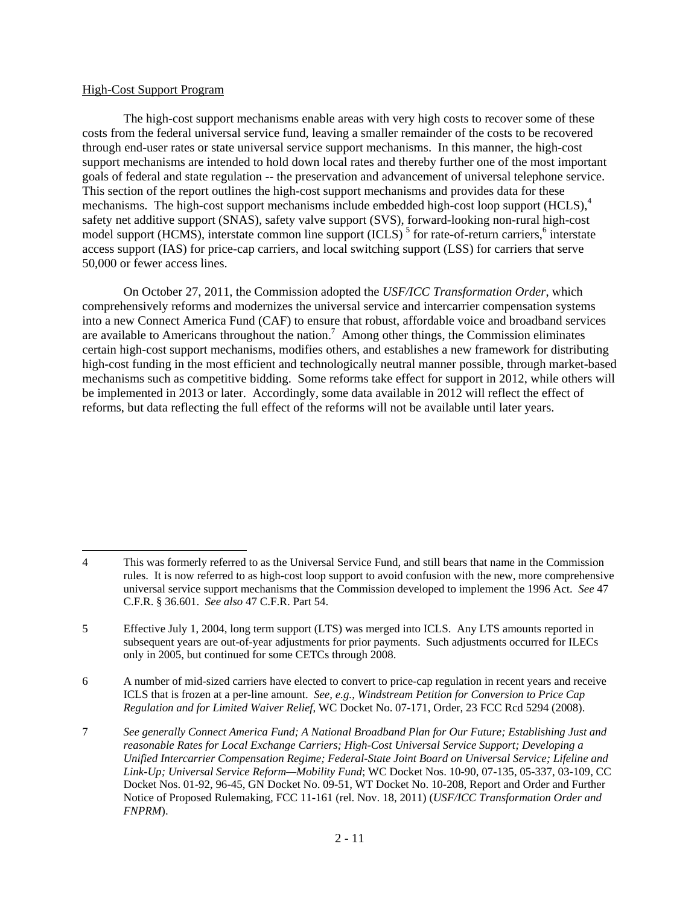### High-Cost Support Program

The high-cost support mechanisms enable areas with very high costs to recover some of these costs from the federal universal service fund, leaving a smaller remainder of the costs to be recovered through end-user rates or state universal service support mechanisms. In this manner, the high-cost support mechanisms are intended to hold down local rates and thereby further one of the most important goals of federal and state regulation -- the preservation and advancement of universal telephone service. This section of the report outlines the high-cost support mechanisms and provides data for these mechanisms. The high-cost support mechanisms include embedded high-cost loop support (HCLS),<sup>4</sup> safety net additive support (SNAS), safety valve support (SVS), forward-looking non-rural high-cost model support (HCMS), interstate common line support (ICLS)<sup>5</sup> for rate-of-return carriers,<sup>6</sup> interstate access support (IAS) for price-cap carriers, and local switching support (LSS) for carriers that serve 50,000 or fewer access lines.

On October 27, 2011, the Commission adopted the *USF/ICC Transformation Order*, which comprehensively reforms and modernizes the universal service and intercarrier compensation systems into a new Connect America Fund (CAF) to ensure that robust, affordable voice and broadband services are available to Americans throughout the nation.<sup>7</sup> Among other things, the Commission eliminates certain high-cost support mechanisms, modifies others, and establishes a new framework for distributing high-cost funding in the most efficient and technologically neutral manner possible, through market-based mechanisms such as competitive bidding. Some reforms take effect for support in 2012, while others will be implemented in 2013 or later. Accordingly, some data available in 2012 will reflect the effect of reforms, but data reflecting the full effect of the reforms will not be available until later years.

6 A number of mid-sized carriers have elected to convert to price-cap regulation in recent years and receive ICLS that is frozen at a per-line amount. *See, e.g.*, *Windstream Petition for Conversion to Price Cap Regulation and for Limited Waiver Relief*, WC Docket No. 07-171, Order, 23 FCC Rcd 5294 (2008).

i<br>L 4 This was formerly referred to as the Universal Service Fund, and still bears that name in the Commission rules. It is now referred to as high-cost loop support to avoid confusion with the new, more comprehensive universal service support mechanisms that the Commission developed to implement the 1996 Act. *See* 47 C.F.R. § 36.601. *See also* 47 C.F.R. Part 54.

<sup>5</sup> Effective July 1, 2004, long term support (LTS) was merged into ICLS. Any LTS amounts reported in subsequent years are out-of-year adjustments for prior payments. Such adjustments occurred for ILECs only in 2005, but continued for some CETCs through 2008.

<sup>7</sup> *See generally Connect America Fund; A National Broadband Plan for Our Future; Establishing Just and reasonable Rates for Local Exchange Carriers; High-Cost Universal Service Support; Developing a Unified Intercarrier Compensation Regime; Federal-State Joint Board on Universal Service; Lifeline and Link-Up; Universal Service Reform—Mobility Fund*; WC Docket Nos. 10-90, 07-135, 05-337, 03-109, CC Docket Nos. 01-92, 96-45, GN Docket No. 09-51, WT Docket No. 10-208, Report and Order and Further Notice of Proposed Rulemaking, FCC 11-161 (rel. Nov. 18, 2011) (*USF/ICC Transformation Order and FNPRM*).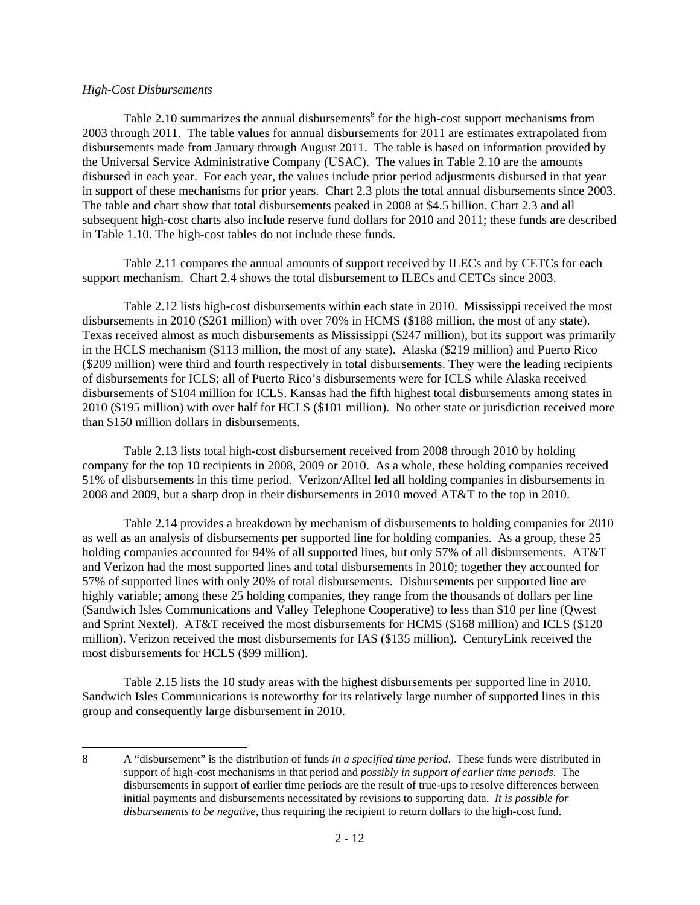### *High-Cost Disbursements*

i<br>L

Table 2.10 summarizes the annual disbursements<sup>8</sup> for the high-cost support mechanisms from 2003 through 2011. The table values for annual disbursements for 2011 are estimates extrapolated from disbursements made from January through August 2011. The table is based on information provided by the Universal Service Administrative Company (USAC). The values in Table 2.10 are the amounts disbursed in each year. For each year, the values include prior period adjustments disbursed in that year in support of these mechanisms for prior years. Chart 2.3 plots the total annual disbursements since 2003. The table and chart show that total disbursements peaked in 2008 at \$4.5 billion. Chart 2.3 and all subsequent high-cost charts also include reserve fund dollars for 2010 and 2011; these funds are described in Table 1.10. The high-cost tables do not include these funds.

Table 2.11 compares the annual amounts of support received by ILECs and by CETCs for each support mechanism. Chart 2.4 shows the total disbursement to ILECs and CETCs since 2003.

Table 2.12 lists high-cost disbursements within each state in 2010. Mississippi received the most disbursements in 2010 (\$261 million) with over 70% in HCMS (\$188 million, the most of any state). Texas received almost as much disbursements as Mississippi (\$247 million), but its support was primarily in the HCLS mechanism (\$113 million, the most of any state). Alaska (\$219 million) and Puerto Rico (\$209 million) were third and fourth respectively in total disbursements. They were the leading recipients of disbursements for ICLS; all of Puerto Rico's disbursements were for ICLS while Alaska received disbursements of \$104 million for ICLS. Kansas had the fifth highest total disbursements among states in 2010 (\$195 million) with over half for HCLS (\$101 million). No other state or jurisdiction received more than \$150 million dollars in disbursements.

Table 2.13 lists total high-cost disbursement received from 2008 through 2010 by holding company for the top 10 recipients in 2008, 2009 or 2010. As a whole, these holding companies received 51% of disbursements in this time period. Verizon/Alltel led all holding companies in disbursements in 2008 and 2009, but a sharp drop in their disbursements in 2010 moved AT&T to the top in 2010.

Table 2.14 provides a breakdown by mechanism of disbursements to holding companies for 2010 as well as an analysis of disbursements per supported line for holding companies. As a group, these 25 holding companies accounted for 94% of all supported lines, but only 57% of all disbursements. AT&T and Verizon had the most supported lines and total disbursements in 2010; together they accounted for 57% of supported lines with only 20% of total disbursements. Disbursements per supported line are highly variable; among these 25 holding companies, they range from the thousands of dollars per line (Sandwich Isles Communications and Valley Telephone Cooperative) to less than \$10 per line (Qwest and Sprint Nextel). AT&T received the most disbursements for HCMS (\$168 million) and ICLS (\$120 million). Verizon received the most disbursements for IAS (\$135 million). CenturyLink received the most disbursements for HCLS (\$99 million).

Table 2.15 lists the 10 study areas with the highest disbursements per supported line in 2010. Sandwich Isles Communications is noteworthy for its relatively large number of supported lines in this group and consequently large disbursement in 2010.

<sup>8</sup> A "disbursement" is the distribution of funds *in a specified time period*. These funds were distributed in support of high-cost mechanisms in that period and *possibly in support of earlier time periods*. The disbursements in support of earlier time periods are the result of true-ups to resolve differences between initial payments and disbursements necessitated by revisions to supporting data. *It is possible for disbursements to be negative*, thus requiring the recipient to return dollars to the high-cost fund.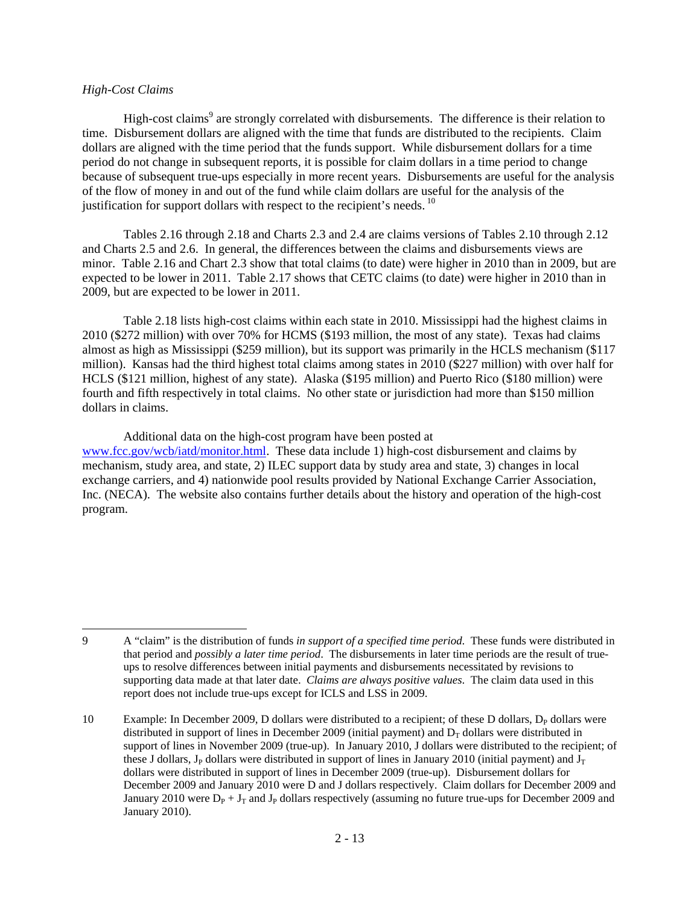### *High-Cost Claims*

i<br>L

High-cost claims<sup>9</sup> are strongly correlated with disbursements. The difference is their relation to time. Disbursement dollars are aligned with the time that funds are distributed to the recipients. Claim dollars are aligned with the time period that the funds support. While disbursement dollars for a time period do not change in subsequent reports, it is possible for claim dollars in a time period to change because of subsequent true-ups especially in more recent years. Disbursements are useful for the analysis of the flow of money in and out of the fund while claim dollars are useful for the analysis of the justification for support dollars with respect to the recipient's needs.<sup>10</sup>

Tables 2.16 through 2.18 and Charts 2.3 and 2.4 are claims versions of Tables 2.10 through 2.12 and Charts 2.5 and 2.6. In general, the differences between the claims and disbursements views are minor. Table 2.16 and Chart 2.3 show that total claims (to date) were higher in 2010 than in 2009, but are expected to be lower in 2011. Table 2.17 shows that CETC claims (to date) were higher in 2010 than in 2009, but are expected to be lower in 2011.

Table 2.18 lists high-cost claims within each state in 2010. Mississippi had the highest claims in 2010 (\$272 million) with over 70% for HCMS (\$193 million, the most of any state). Texas had claims almost as high as Mississippi (\$259 million), but its support was primarily in the HCLS mechanism (\$117 million). Kansas had the third highest total claims among states in 2010 (\$227 million) with over half for HCLS (\$121 million, highest of any state). Alaska (\$195 million) and Puerto Rico (\$180 million) were fourth and fifth respectively in total claims. No other state or jurisdiction had more than \$150 million dollars in claims.

### Additional data on the high-cost program have been posted at

www.fcc.gov/wcb/iatd/monitor.html. These data include 1) high-cost disbursement and claims by mechanism, study area, and state, 2) ILEC support data by study area and state, 3) changes in local exchange carriers, and 4) nationwide pool results provided by National Exchange Carrier Association, Inc. (NECA). The website also contains further details about the history and operation of the high-cost program.

<sup>9</sup> A "claim" is the distribution of funds *in support of a specified time period*. These funds were distributed in that period and *possibly a later time period*. The disbursements in later time periods are the result of trueups to resolve differences between initial payments and disbursements necessitated by revisions to supporting data made at that later date. *Claims are always positive values*. The claim data used in this report does not include true-ups except for ICLS and LSS in 2009.

<sup>10</sup> Example: In December 2009, D dollars were distributed to a recipient; of these D dollars,  $D<sub>P</sub>$  dollars were distributed in support of lines in December 2009 (initial payment) and  $D<sub>T</sub>$  dollars were distributed in support of lines in November 2009 (true-up). In January 2010, J dollars were distributed to the recipient; of these J dollars, J<sub>P</sub> dollars were distributed in support of lines in January 2010 (initial payment) and J<sub>T</sub> dollars were distributed in support of lines in December 2009 (true-up). Disbursement dollars for December 2009 and January 2010 were D and J dollars respectively. Claim dollars for December 2009 and January 2010 were  $D_P + J_T$  and  $J_P$  dollars respectively (assuming no future true-ups for December 2009 and January 2010).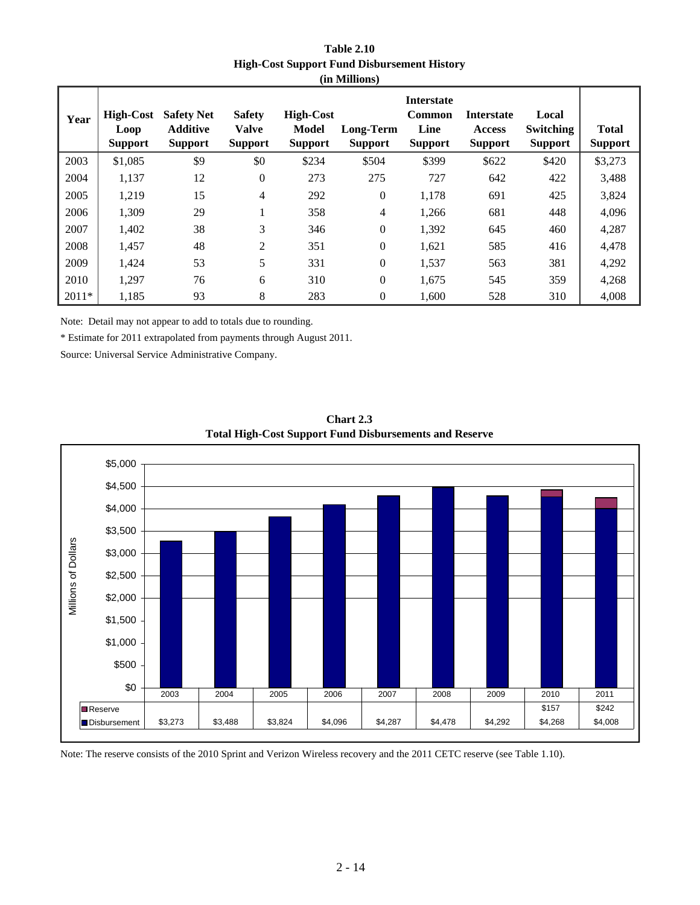| <b>Table 2.10</b>                                  |
|----------------------------------------------------|
| <b>High-Cost Support Fund Disbursement History</b> |
| (in Millions)                                      |

| Year    | High-Cost<br>Loop<br><b>Support</b> | <b>Safety Net</b><br><b>Additive</b><br><b>Support</b> | <b>Safety</b><br><b>Valve</b><br><b>Support</b> | <b>High-Cost</b><br><b>Model</b><br><b>Support</b> | <b>Long-Term</b><br><b>Support</b> | <b>Interstate</b><br>Common<br>Line<br><b>Support</b> | <b>Interstate</b><br>Access<br><b>Support</b> | Local<br><b>Switching</b><br><b>Support</b> | <b>Total</b><br><b>Support</b> |
|---------|-------------------------------------|--------------------------------------------------------|-------------------------------------------------|----------------------------------------------------|------------------------------------|-------------------------------------------------------|-----------------------------------------------|---------------------------------------------|--------------------------------|
| 2003    | \$1,085                             | \$9                                                    | \$0                                             | \$234                                              | \$504                              | \$399                                                 | \$622                                         | \$420                                       | \$3,273                        |
| 2004    | 1,137                               | 12                                                     | $\boldsymbol{0}$                                | 273                                                | 275                                | 727                                                   | 642                                           | 422                                         | 3,488                          |
| 2005    | 1,219                               | 15                                                     | 4                                               | 292                                                | $\mathbf{0}$                       | 1,178                                                 | 691                                           | 425                                         | 3,824                          |
| 2006    | 1,309                               | 29                                                     | $\mathbf{1}$                                    | 358                                                | $\overline{4}$                     | 1,266                                                 | 681                                           | 448                                         | 4,096                          |
| 2007    | 1,402                               | 38                                                     | 3                                               | 346                                                | $\mathbf{0}$                       | 1,392                                                 | 645                                           | 460                                         | 4,287                          |
| 2008    | 1,457                               | 48                                                     | $\overline{2}$                                  | 351                                                | $\mathbf{0}$                       | 1,621                                                 | 585                                           | 416                                         | 4,478                          |
| 2009    | 1,424                               | 53                                                     | 5                                               | 331                                                | $\mathbf{0}$                       | 1,537                                                 | 563                                           | 381                                         | 4,292                          |
| 2010    | 1,297                               | 76                                                     | 6                                               | 310                                                | $\mathbf{0}$                       | 1,675                                                 | 545                                           | 359                                         | 4,268                          |
| $2011*$ | 1,185                               | 93                                                     | 8                                               | 283                                                | $\overline{0}$                     | 1,600                                                 | 528                                           | 310                                         | 4,008                          |

Note: Detail may not appear to add to totals due to rounding.

\* Estimate for 2011 extrapolated from payments through August 2011.

Source: Universal Service Administrative Company.



**Total High-Cost Support Fund Disbursements and Reserve Chart 2.3**

Note: The reserve consists of the 2010 Sprint and Verizon Wireless recovery and the 2011 CETC reserve (see Table 1.10).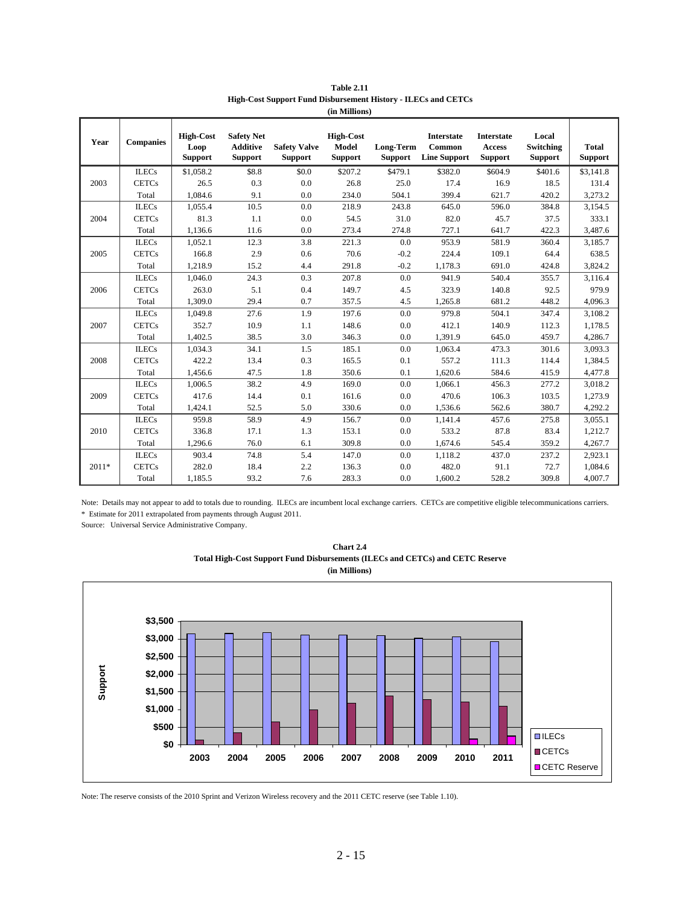| Year    | <b>Companies</b> | <b>High-Cost</b><br>Loop<br><b>Support</b> | <b>Safety Net</b><br><b>Additive</b><br><b>Support</b> | <b>Safety Valve</b><br><b>Support</b> | <b>High-Cost</b><br>Model<br><b>Support</b> | Long-Term<br><b>Support</b> | <b>Interstate</b><br>Common<br><b>Line Support</b> | <b>Interstate</b><br>Access<br><b>Support</b> | Local<br>Switching<br><b>Support</b> | <b>Total</b><br><b>Support</b> |
|---------|------------------|--------------------------------------------|--------------------------------------------------------|---------------------------------------|---------------------------------------------|-----------------------------|----------------------------------------------------|-----------------------------------------------|--------------------------------------|--------------------------------|
|         | <b>ILECs</b>     | \$1,058.2                                  | \$8.8                                                  | \$0.0                                 | \$207.2                                     | \$479.1                     | \$382.0                                            | \$604.9                                       | \$401.6                              | \$3,141.8                      |
| 2003    | <b>CETCs</b>     | 26.5                                       | 0.3                                                    | 0.0                                   | 26.8                                        | 25.0                        | 17.4                                               | 16.9                                          | 18.5                                 | 131.4                          |
|         | Total            | 1,084.6                                    | 9.1                                                    | 0.0                                   | 234.0                                       | 504.1                       | 399.4                                              | 621.7                                         | 420.2                                | 3,273.2                        |
|         | <b>ILECs</b>     | 1,055.4                                    | 10.5                                                   | 0.0                                   | 218.9                                       | 243.8                       | 645.0                                              | 596.0                                         | 384.8                                | 3,154.5                        |
| 2004    | <b>CETCs</b>     | 81.3                                       | 1.1                                                    | 0.0                                   | 54.5                                        | 31.0                        | 82.0                                               | 45.7                                          | 37.5                                 | 333.1                          |
|         | Total            | 1,136.6                                    | 11.6                                                   | 0.0                                   | 273.4                                       | 274.8                       | 727.1                                              | 641.7                                         | 422.3                                | 3,487.6                        |
|         | <b>ILECs</b>     | 1,052.1                                    | 12.3                                                   | 3.8                                   | 221.3                                       | 0.0                         | 953.9                                              | 581.9                                         | 360.4                                | 3,185.7                        |
| 2005    | <b>CETCs</b>     | 166.8                                      | 2.9                                                    | 0.6                                   | 70.6                                        | $-0.2$                      | 224.4                                              | 109.1                                         | 64.4                                 | 638.5                          |
|         | Total            | 1,218.9                                    | 15.2                                                   | 4.4                                   | 291.8                                       | $-0.2$                      | 1,178.3                                            | 691.0                                         | 424.8                                | 3,824.2                        |
|         | <b>ILECs</b>     | 1,046.0                                    | 24.3                                                   | 0.3                                   | 207.8                                       | 0.0                         | 941.9                                              | 540.4                                         | 355.7                                | 3,116.4                        |
| 2006    | <b>CETCs</b>     | 263.0                                      | 5.1                                                    | 0.4                                   | 149.7                                       | 4.5                         | 323.9                                              | 140.8                                         | 92.5                                 | 979.9                          |
|         | Total            | 1,309.0                                    | 29.4                                                   | 0.7                                   | 357.5                                       | 4.5                         | 1,265.8                                            | 681.2                                         | 448.2                                | 4,096.3                        |
|         | <b>ILECs</b>     | 1,049.8                                    | 27.6                                                   | 1.9                                   | 197.6                                       | 0.0                         | 979.8                                              | 504.1                                         | 347.4                                | 3,108.2                        |
| 2007    | <b>CETCs</b>     | 352.7                                      | 10.9                                                   | 1.1                                   | 148.6                                       | 0.0                         | 412.1                                              | 140.9                                         | 112.3                                | 1,178.5                        |
|         | Total            | 1,402.5                                    | 38.5                                                   | 3.0                                   | 346.3                                       | 0.0                         | 1,391.9                                            | 645.0                                         | 459.7                                | 4,286.7                        |
|         | <b>ILECs</b>     | 1,034.3                                    | 34.1                                                   | 1.5                                   | 185.1                                       | 0.0                         | 1,063.4                                            | 473.3                                         | 301.6                                | 3,093.3                        |
| 2008    | <b>CETCs</b>     | 422.2                                      | 13.4                                                   | 0.3                                   | 165.5                                       | 0.1                         | 557.2                                              | 111.3                                         | 114.4                                | 1,384.5                        |
|         | Total            | 1,456.6                                    | 47.5                                                   | 1.8                                   | 350.6                                       | 0.1                         | 1,620.6                                            | 584.6                                         | 415.9                                | 4,477.8                        |
|         | <b>ILECs</b>     | 1,006.5                                    | 38.2                                                   | 4.9                                   | 169.0                                       | 0.0                         | 1,066.1                                            | 456.3                                         | 277.2                                | 3,018.2                        |
| 2009    | <b>CETCs</b>     | 417.6                                      | 14.4                                                   | 0.1                                   | 161.6                                       | 0.0                         | 470.6                                              | 106.3                                         | 103.5                                | 1,273.9                        |
|         | Total            | 1,424.1                                    | 52.5                                                   | 5.0                                   | 330.6                                       | 0.0                         | 1,536.6                                            | 562.6                                         | 380.7                                | 4,292.2                        |
|         | <b>ILECs</b>     | 959.8                                      | 58.9                                                   | 4.9                                   | 156.7                                       | 0.0                         | 1,141.4                                            | 457.6                                         | 275.8                                | 3,055.1                        |
| 2010    | <b>CETCs</b>     | 336.8                                      | 17.1                                                   | 1.3                                   | 153.1                                       | 0.0                         | 533.2                                              | 87.8                                          | 83.4                                 | 1,212.7                        |
|         | Total            | 1,296.6                                    | 76.0                                                   | 6.1                                   | 309.8                                       | 0.0                         | 1,674.6                                            | 545.4                                         | 359.2                                | 4,267.7                        |
|         | <b>ILECs</b>     | 903.4                                      | 74.8                                                   | 5.4                                   | 147.0                                       | 0.0                         | 1,118.2                                            | 437.0                                         | 237.2                                | 2,923.1                        |
| $2011*$ | <b>CETCs</b>     | 282.0                                      | 18.4                                                   | 2.2                                   | 136.3                                       | 0.0                         | 482.0                                              | 91.1                                          | 72.7                                 | 1,084.6                        |
|         | Total            | 1,185.5                                    | 93.2                                                   | 7.6                                   | 283.3                                       | 0.0                         | 1,600.2                                            | 528.2                                         | 309.8                                | 4,007.7                        |

**Table 2.11 High-Cost Support Fund Disbursement History - ILECs and CETCs (in Millions)**

Note: Details may not appear to add to totals due to rounding. ILECs are incumbent local exchange carriers. CETCs are competitive eligible telecommunications carriers. \* Estimate for 2011 extrapolated from payments through August 2011.

Source: Universal Service Administrative Company.



**Chart 2.4 Total High-Cost Support Fund Disbursements (ILECs and CETCs) and CETC Reserve**

Note: The reserve consists of the 2010 Sprint and Verizon Wireless recovery and the 2011 CETC reserve (see Table 1.10).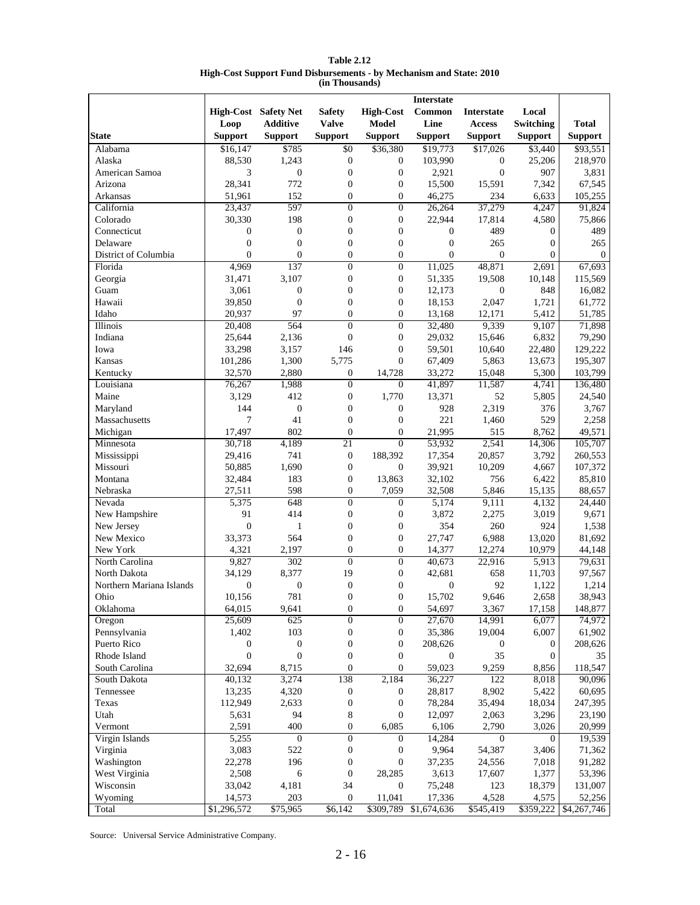| <b>Table 2.12</b>                                                   |
|---------------------------------------------------------------------|
| High-Cost Support Fund Disbursements - by Mechanism and State: 2010 |
| (in Thousands)                                                      |

|                             |                  |                      |                         |                           | <b>Interstate</b> |                   |                  |                       |
|-----------------------------|------------------|----------------------|-------------------------|---------------------------|-------------------|-------------------|------------------|-----------------------|
|                             |                  | High-Cost Safety Net | <b>Safety</b>           | <b>High-Cost</b>          | Common            | <b>Interstate</b> | Local            |                       |
|                             | Loop             | <b>Additive</b>      | <b>Valve</b>            | <b>Model</b>              | Line              | <b>Access</b>     | Switching        | <b>Total</b>          |
| <b>State</b>                | <b>Support</b>   | <b>Support</b>       | <b>Support</b>          | <b>Support</b>            | <b>Support</b>    | <b>Support</b>    | <b>Support</b>   | <b>Support</b>        |
| Alabama                     | \$16,147         | \$785                | \$0                     | \$36,380                  | \$19,773          | \$17,026          | \$3,440          | \$93,551              |
| Alaska                      | 88,530           | 1,243                | $\boldsymbol{0}$        | $\boldsymbol{0}$          | 103,990           | 0                 | 25,206           | 218,970               |
| American Samoa              | 3                | $\boldsymbol{0}$     | $\boldsymbol{0}$        | $\boldsymbol{0}$          | 2,921             | $\mathbf{0}$      | 907              | 3,831                 |
| Arizona                     | 28,341           | 772                  | $\boldsymbol{0}$        | $\boldsymbol{0}$          | 15,500            | 15,591            | 7,342            | 67,545                |
| Arkansas                    | 51,961           | 152                  | $\boldsymbol{0}$        | $\boldsymbol{0}$          | 46,275            | 234               | 6,633            | 105,255               |
| California                  | 23,437           | 597                  | $\overline{0}$          | $\overline{0}$            | 26,264            | 37,279            | 4,247            | 91,824                |
| Colorado                    | 30,330           | 198                  | $\boldsymbol{0}$        | $\boldsymbol{0}$          | 22,944            | 17,814            | 4,580            | 75,866                |
| Connecticut                 | $\boldsymbol{0}$ | $\boldsymbol{0}$     | $\boldsymbol{0}$        | $\boldsymbol{0}$          | $\boldsymbol{0}$  | 489               | $\boldsymbol{0}$ | 489                   |
| Delaware                    | $\boldsymbol{0}$ | $\boldsymbol{0}$     | $\boldsymbol{0}$        | $\boldsymbol{0}$          | $\boldsymbol{0}$  | 265               | $\boldsymbol{0}$ | 265                   |
| District of Columbia        | $\overline{0}$   | $\boldsymbol{0}$     | $\boldsymbol{0}$        | $\boldsymbol{0}$          | $\mathbf{0}$      | $\mathbf{0}$      | $\mathbf{0}$     | $\boldsymbol{0}$      |
| Florida                     | 4,969            | 137                  | $\overline{0}$          | $\overline{0}$            | 11,025            | 48,871            | 2,691            | 67,693                |
| Georgia                     | 31,471           | 3,107                | $\boldsymbol{0}$        | $\boldsymbol{0}$          | 51,335            | 19,508            | 10,148           | 115,569               |
| Guam                        | 3,061            | $\boldsymbol{0}$     | $\boldsymbol{0}$        | $\boldsymbol{0}$          | 12,173            | $\boldsymbol{0}$  | 848              | 16,082                |
| Hawaii                      | 39,850           | $\mathbf{0}$         | $\boldsymbol{0}$        | $\boldsymbol{0}$          | 18,153            | 2,047             | 1,721            | 61,772                |
| Idaho                       | 20,937           | 97                   | $\overline{0}$          | $\boldsymbol{0}$          | 13,168            | 12,171            | 5,412            | 51,785                |
| Illinois                    | 20,408           | 564                  | $\boldsymbol{0}$        | $\boldsymbol{0}$          | 32,480            | 9,339             | 9,107            | 71,898                |
| Indiana                     | 25,644           | 2,136                | $\boldsymbol{0}$        | $\boldsymbol{0}$          | 29,032            | 15,646            | 6,832            | 79,290                |
| Iowa                        | 33,298           | 3,157                | 146                     | $\boldsymbol{0}$          | 59,501            | 10,640            | 22,480           | 129,222               |
| Kansas                      | 101,286          | 1,300                | 5,775                   | $\mathbf{0}$              | 67,409            | 5,863             | 13,673           | 195,307               |
| Kentucky                    | 32,570           | 2,880                | $\boldsymbol{0}$        | 14,728                    | 33,272            | 15,048            | 5,300            | 103,799               |
| Louisiana                   | 76,267           | 1,988                | $\overline{0}$          | $\overline{0}$            | 41,897            | 11,587            | 4,741            | 136,480               |
| Maine                       | 3,129            | 412                  | $\boldsymbol{0}$        | 1,770                     | 13,371            | 52                | 5,805            | 24,540                |
| Maryland                    | 144              | $\boldsymbol{0}$     | $\boldsymbol{0}$        | $\boldsymbol{0}$          | 928               | 2,319             | 376              | 3,767                 |
| Massachusetts               | 7                | 41                   | $\boldsymbol{0}$        | $\boldsymbol{0}$          | 221               | 1,460             | 529              | 2,258                 |
| Michigan                    | 17,497           | 802                  | $\boldsymbol{0}$        | $\boldsymbol{0}$          | 21,995            | 515               | 8,762            | 49,571                |
| Minnesota                   | 30,718           | 4,189                | 21                      | $\mathbf{0}$              | 53,932            | 2,541             | 14,306           | 105,707               |
| Mississippi                 | 29,416           | 741                  | $\boldsymbol{0}$        | 188,392                   | 17,354            | 20,857            | 3,792            | 260,553               |
| Missouri                    | 50,885           | 1,690                | $\boldsymbol{0}$        | $\mathbf{0}$              | 39,921            | 10,209            | 4,667            | 107,372               |
| Montana                     | 32,484           | 183                  | $\boldsymbol{0}$        | 13,863                    | 32,102            | 756               | 6,422            | 85,810                |
| Nebraska                    | 27,511           | 598                  | $\boldsymbol{0}$        | 7,059                     | 32,508            | 5,846             | 15,135           | 88,657                |
| Nevada                      | 5,375            | 648                  | $\overline{0}$          | $\boldsymbol{0}$          | 5,174             | 9,111             | 4,132            | 24,440                |
| New Hampshire               | 91               | 414                  | $\boldsymbol{0}$        | $\boldsymbol{0}$          | 3,872             | 2,275             | 3,019            | 9,671                 |
| New Jersey                  | $\boldsymbol{0}$ | $\mathbf{1}$         | $\boldsymbol{0}$        | $\boldsymbol{0}$          | 354               | 260               | 924              | 1,538                 |
| New Mexico                  | 33,373           | 564                  | $\boldsymbol{0}$        | $\boldsymbol{0}$          | 27,747            | 6,988             | 13,020           | 81,692                |
| New York                    | 4,321            | 2,197                | $\boldsymbol{0}$        | $\boldsymbol{0}$          | 14,377            | 12,274            | 10,979           | 44,148                |
| North Carolina              | 9,827            | 302                  | $\overline{0}$          | $\overline{0}$            | 40,673            | 22,916            | 5,913            | 79,631                |
| North Dakota                | 34,129           | 8,377                | 19                      | $\boldsymbol{0}$          | 42.681            | 658               | 11,703           | 97,567                |
| Northern Mariana Islands    | $\boldsymbol{0}$ | $\boldsymbol{0}$     | $\boldsymbol{0}$        | $\boldsymbol{0}$          | $\boldsymbol{0}$  | 92                | 1,122            |                       |
| Ohio                        | 10,156           | 781                  | $\overline{0}$          | $\mathbf{0}$              | 15,702            | 9,646             | 2,658            | 1,214<br>38,943       |
| Oklahoma                    | 64,015           | 9,641                | $\boldsymbol{0}$        | $\boldsymbol{0}$          | 54,697            | 3,367             | 17,158           | 148,877               |
|                             |                  |                      | $\boldsymbol{0}$        | $\boldsymbol{0}$          |                   |                   |                  |                       |
| Oregon                      | 25,609<br>1,402  | 625<br>103           | $\boldsymbol{0}$        | $\boldsymbol{0}$          | 27,670            | 14,991<br>19,004  | 6,077<br>6,007   | 74,972                |
| Pennsylvania<br>Puerto Rico | $\boldsymbol{0}$ | $\boldsymbol{0}$     | $\boldsymbol{0}$        | $\boldsymbol{0}$          | 35,386<br>208,626 | $\boldsymbol{0}$  | $\boldsymbol{0}$ | 61,902<br>208,626     |
| Rhode Island                | $\boldsymbol{0}$ | $\boldsymbol{0}$     | $\boldsymbol{0}$        | $\boldsymbol{0}$          |                   | 35                |                  |                       |
|                             |                  |                      |                         |                           | 0                 |                   | 0                | 35                    |
| South Carolina              | 32,694           | 8,715                | $\boldsymbol{0}$<br>138 | $\boldsymbol{0}$<br>2,184 | 59,023            | 9,259<br>122      | 8,856<br>8,018   | 118,547               |
| South Dakota                | 40,132           | 3,274                |                         |                           | 36,227            |                   |                  | 90,096                |
| Tennessee                   | 13,235           | 4,320                | $\boldsymbol{0}$        | $\boldsymbol{0}$          | 28,817            | 8,902             | 5,422            | 60,695                |
| Texas                       | 112,949          | 2,633                | $\boldsymbol{0}$        | $\boldsymbol{0}$          | 78,284            | 35,494            | 18,034           | 247,395               |
| Utah                        | 5,631            | 94                   | 8                       | $\boldsymbol{0}$          | 12,097            | 2,063             | 3,296            | 23,190                |
| Vermont                     | 2,591            | 400                  | $\boldsymbol{0}$        | 6,085                     | 6,106             | 2,790             | 3,026            | 20,999                |
| Virgin Islands              | 5,255            | $\boldsymbol{0}$     | $\boldsymbol{0}$        | $\overline{0}$            | 14,284            | $\overline{0}$    | $\mathbf{0}$     | 19,539                |
| Virginia                    | 3,083            | 522                  | $\boldsymbol{0}$        | $\boldsymbol{0}$          | 9,964             | 54,387            | 3,406            | 71,362                |
| Washington                  | 22,278           | 196                  | $\boldsymbol{0}$        | $\boldsymbol{0}$          | 37,235            | 24,556            | 7,018            | 91,282                |
| West Virginia               | 2,508            | 6                    | $\boldsymbol{0}$        | 28,285                    | 3,613             | 17,607            | 1,377            | 53,396                |
| Wisconsin                   | 33,042           | 4,181                | 34                      | $\boldsymbol{0}$          | 75,248            | 123               | 18,379           | 131,007               |
| Wyoming                     | 14,573           | 203                  | $\mathbf{0}$            | 11,041                    | 17,336            | 4,528             | 4,575            | 52,256                |
| Total                       | \$1,296,572      | \$75,965             | $\sqrt{6,142}$          | \$309,789                 | \$1,674,636       | \$545,419         |                  | \$359,222 \$4,267,746 |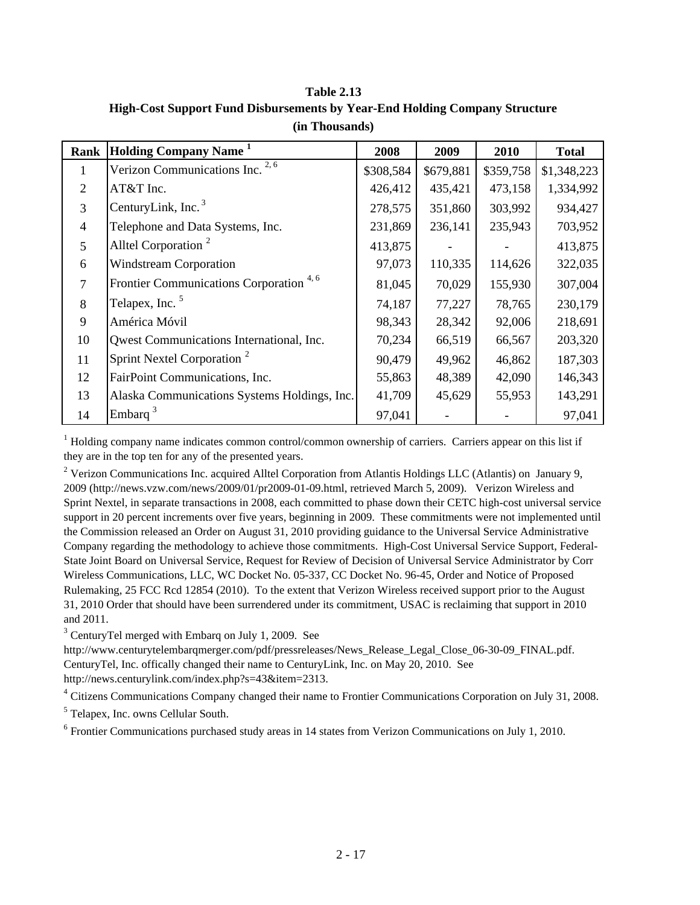**Table 2.13 High-Cost Support Fund Disbursements by Year-End Holding Company Structure (in Thousands)**

| Rank           | <b>Holding Company Name</b> <sup>1</sup>           | 2008      | 2009      | 2010      | <b>Total</b> |
|----------------|----------------------------------------------------|-----------|-----------|-----------|--------------|
| T.             | Verizon Communications Inc. <sup>2,6</sup>         | \$308,584 | \$679,881 | \$359,758 | \$1,348,223  |
| $\overline{2}$ | AT&T Inc.                                          | 426,412   | 435,421   | 473,158   | 1,334,992    |
| $\overline{3}$ | CenturyLink, Inc. <sup>3</sup>                     | 278,575   | 351,860   | 303,992   | 934,427      |
| $\overline{4}$ | Telephone and Data Systems, Inc.                   | 231,869   | 236,141   | 235,943   | 703,952      |
| 5              | Alltel Corporation <sup>2</sup>                    | 413,875   |           |           | 413,875      |
| 6              | <b>Windstream Corporation</b>                      | 97,073    | 110,335   | 114,626   | 322,035      |
| $\overline{7}$ | Frontier Communications Corporation <sup>4,6</sup> | 81,045    | 70,029    | 155,930   | 307,004      |
| 8              | Telapex, Inc. <sup>5</sup>                         | 74,187    | 77,227    | 78,765    | 230,179      |
| 9              | América Móvil                                      | 98,343    | 28,342    | 92,006    | 218,691      |
| 10             | Qwest Communications International, Inc.           | 70,234    | 66,519    | 66,567    | 203,320      |
| 11             | Sprint Nextel Corporation <sup>2</sup>             | 90,479    | 49,962    | 46,862    | 187,303      |
| 12             | FairPoint Communications, Inc.                     | 55,863    | 48,389    | 42,090    | 146,343      |
| 13             | Alaska Communications Systems Holdings, Inc.       | 41,709    | 45,629    | 55,953    | 143,291      |
| 14             | Embarq                                             | 97,041    |           |           | 97,041       |

<sup>1</sup> Holding company name indicates common control/common ownership of carriers. Carriers appear on this list if they are in the top ten for any of the presented years.

<sup>2</sup> Verizon Communications Inc. acquired Alltel Corporation from Atlantis Holdings LLC (Atlantis) on January 9, 2009 (http://news.vzw.com/news/2009/01/pr2009-01-09.html, retrieved March 5, 2009). Verizon Wireless and Sprint Nextel, in separate transactions in 2008, each committed to phase down their CETC high-cost universal service support in 20 percent increments over five years, beginning in 2009. These commitments were not implemented until the Commission released an Order on August 31, 2010 providing guidance to the Universal Service Administrative Company regarding the methodology to achieve those commitments. High-Cost Universal Service Support, Federal-State Joint Board on Universal Service, Request for Review of Decision of Universal Service Administrator by Corr Wireless Communications, LLC, WC Docket No. 05-337, CC Docket No. 96-45, Order and Notice of Proposed Rulemaking, 25 FCC Rcd 12854 (2010). To the extent that Verizon Wireless received support prior to the August 31, 2010 Order that should have been surrendered under its commitment, USAC is reclaiming that support in 2010 and 2011.

<sup>3</sup> CenturyTel merged with Embarq on July 1, 2009. See

http://www.centurytelembarqmerger.com/pdf/pressreleases/News\_Release\_Legal\_Close\_06-30-09\_FINAL.pdf. CenturyTel, Inc. offically changed their name to CenturyLink, Inc. on May 20, 2010. See http://news.centurylink.com/index.php?s=43&item=2313.

<sup>4</sup> Citizens Communications Company changed their name to Frontier Communications Corporation on July 31, 2008.

5 Telapex, Inc. owns Cellular South.

<sup>6</sup> Frontier Communications purchased study areas in 14 states from Verizon Communications on July 1, 2010.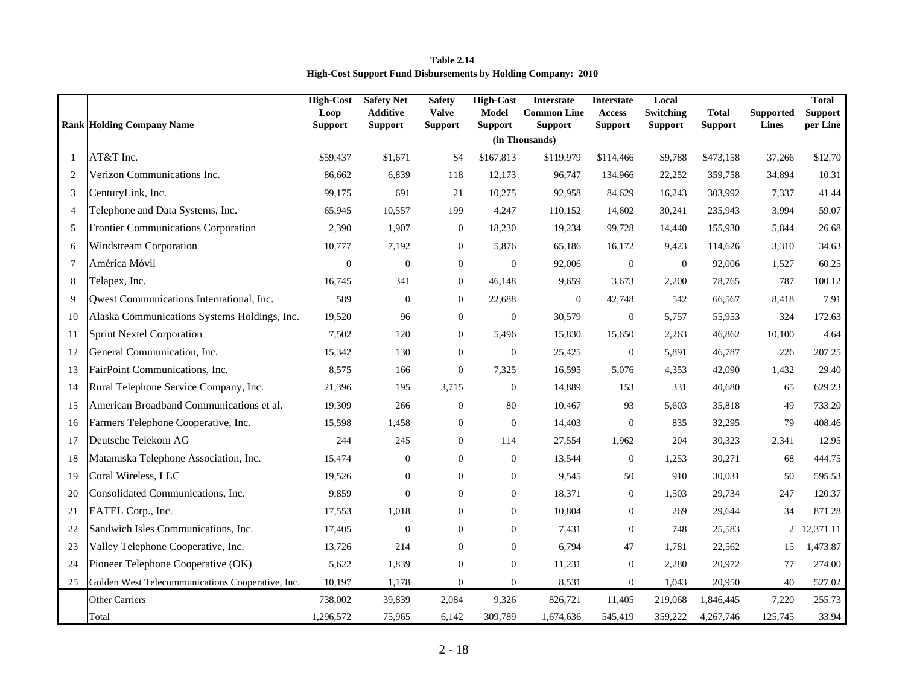**High-Cost Support Fund Disbursements by Holding Company: 2010 Table 2.14**

|                |                                                  | <b>High-Cost</b>       | <b>Safety Net</b>                 | <b>Safety</b>                  | <b>High-Cost</b><br><b>Model</b> | Interstate                           | <b>Interstate</b>               | Local                       |                                |                                  | <b>Total</b>               |
|----------------|--------------------------------------------------|------------------------|-----------------------------------|--------------------------------|----------------------------------|--------------------------------------|---------------------------------|-----------------------------|--------------------------------|----------------------------------|----------------------------|
|                | <b>Rank Holding Company Name</b>                 | Loop<br><b>Support</b> | <b>Additive</b><br><b>Support</b> | <b>Valve</b><br><b>Support</b> | <b>Support</b>                   | <b>Common Line</b><br><b>Support</b> | <b>Access</b><br><b>Support</b> | Switching<br><b>Support</b> | <b>Total</b><br><b>Support</b> | <b>Supported</b><br><b>Lines</b> | <b>Support</b><br>per Line |
|                |                                                  |                        |                                   |                                |                                  | (in Thousands)                       |                                 |                             |                                |                                  |                            |
| $\mathbf{1}$   | AT&T Inc.                                        | \$59,437               | \$1,671                           | \$4                            | \$167,813                        | \$119,979                            | \$114,466                       | \$9,788                     | \$473,158                      | 37,266                           | \$12.70                    |
| 2              | Verizon Communications Inc.                      | 86,662                 | 6,839                             | 118                            | 12,173                           | 96,747                               | 134,966                         | 22,252                      | 359,758                        | 34,894                           | 10.31                      |
| 3              | CenturyLink, Inc.                                | 99,175                 | 691                               | 21                             | 10,275                           | 92,958                               | 84,629                          | 16,243                      | 303,992                        | 7,337                            | 41.44                      |
| $\overline{4}$ | Telephone and Data Systems, Inc.                 | 65,945                 | 10,557                            | 199                            | 4,247                            | 110,152                              | 14,602                          | 30,241                      | 235,943                        | 3,994                            | 59.07                      |
| 5              | Frontier Communications Corporation              | 2,390                  | 1,907                             | $\mathbf{0}$                   | 18,230                           | 19,234                               | 99,728                          | 14,440                      | 155,930                        | 5,844                            | 26.68                      |
| 6              | Windstream Corporation                           | 10,777                 | 7,192                             | $\mathbf{0}$                   | 5,876                            | 65,186                               | 16,172                          | 9,423                       | 114,626                        | 3,310                            | 34.63                      |
| $\tau$         | América Móvil                                    | $\boldsymbol{0}$       | $\boldsymbol{0}$                  | $\boldsymbol{0}$               | $\mathbf{0}$                     | 92,006                               | $\boldsymbol{0}$                | $\boldsymbol{0}$            | 92,006                         | 1,527                            | 60.25                      |
| 8              | Telapex, Inc.                                    | 16,745                 | 341                               | $\mathbf{0}$                   | 46,148                           | 9,659                                | 3,673                           | 2,200                       | 78,765                         | 787                              | 100.12                     |
| 9              | Qwest Communications International, Inc.         | 589                    | $\theta$                          | $\mathbf{0}$                   | 22,688                           | $\mathbf{0}$                         | 42,748                          | 542                         | 66,567                         | 8,418                            | 7.91                       |
| 10             | Alaska Communications Systems Holdings, Inc.     | 19,520                 | 96                                | $\mathbf{0}$                   | $\mathbf{0}$                     | 30,579                               | $\boldsymbol{0}$                | 5,757                       | 55,953                         | 324                              | 172.63                     |
| 11             | <b>Sprint Nextel Corporation</b>                 | 7,502                  | 120                               | $\mathbf{0}$                   | 5,496                            | 15,830                               | 15,650                          | 2,263                       | 46,862                         | 10,100                           | 4.64                       |
| 12             | General Communication, Inc.                      | 15,342                 | 130                               | $\mathbf{0}$                   | $\boldsymbol{0}$                 | 25,425                               | $\mathbf{0}$                    | 5,891                       | 46,787                         | 226                              | 207.25                     |
| 13             | FairPoint Communications, Inc.                   | 8,575                  | 166                               | $\mathbf{0}$                   | 7,325                            | 16,595                               | 5,076                           | 4,353                       | 42,090                         | 1,432                            | 29.40                      |
| 14             | Rural Telephone Service Company, Inc.            | 21,396                 | 195                               | 3,715                          | $\mathbf{0}$                     | 14,889                               | 153                             | 331                         | 40,680                         | 65                               | 629.23                     |
| 15             | American Broadband Communications et al.         | 19,309                 | 266                               | $\boldsymbol{0}$               | 80                               | 10,467                               | 93                              | 5,603                       | 35,818                         | 49                               | 733.20                     |
| 16             | Farmers Telephone Cooperative, Inc.              | 15,598                 | 1,458                             | $\boldsymbol{0}$               | $\overline{0}$                   | 14,403                               | $\boldsymbol{0}$                | 835                         | 32,295                         | 79                               | 408.46                     |
| 17             | Deutsche Telekom AG                              | 244                    | 245                               | $\mathbf{0}$                   | 114                              | 27,554                               | 1,962                           | 204                         | 30,323                         | 2,341                            | 12.95                      |
| 18             | Matanuska Telephone Association, Inc.            | 15.474                 | $\mathbf{0}$                      | $\mathbf{0}$                   | $\mathbf{0}$                     | 13,544                               | $\mathbf{0}$                    | 1,253                       | 30,271                         | 68                               | 444.75                     |
| 19             | Coral Wireless, LLC                              | 19,526                 | $\boldsymbol{0}$                  | $\mathbf{0}$                   | $\boldsymbol{0}$                 | 9,545                                | 50                              | 910                         | 30,031                         | 50                               | 595.53                     |
| 20             | Consolidated Communications, Inc.                | 9,859                  | $\boldsymbol{0}$                  | $\mathbf{0}$                   | $\mathbf{0}$                     | 18,371                               | $\boldsymbol{0}$                | 1,503                       | 29,734                         | 247                              | 120.37                     |
| 21             | EATEL Corp., Inc.                                | 17,553                 | 1,018                             | $\mathbf{0}$                   | $\mathbf{0}$                     | 10,804                               | $\mathbf{0}$                    | 269                         | 29,644                         | 34                               | 871.28                     |
| 22             | Sandwich Isles Communications, Inc.              | 17,405                 | $\boldsymbol{0}$                  | $\mathbf{0}$                   | $\mathbf{0}$                     | 7,431                                | $\boldsymbol{0}$                | 748                         | 25,583                         | $\overline{c}$                   | 12,371.11                  |
| 23             | Valley Telephone Cooperative, Inc.               | 13,726                 | 214                               | $\mathbf{0}$                   | $\mathbf{0}$                     | 6,794                                | 47                              | 1,781                       | 22,562                         | 15                               | 1,473.87                   |
| 24             | Pioneer Telephone Cooperative (OK)               | 5,622                  | 1,839                             | $\mathbf{0}$                   | $\mathbf{0}$                     | 11,231                               | $\mathbf{0}$                    | 2,280                       | 20,972                         | 77                               | 274.00                     |
| 25             | Golden West Telecommunications Cooperative, Inc. | 10,197                 | 1,178                             | $\mathbf{0}$                   | $\mathbf{0}$                     | 8,531                                | $\boldsymbol{0}$                | 1,043                       | 20,950                         | 40                               | 527.02                     |
|                | <b>Other Carriers</b>                            | 738,002                | 39,839                            | 2,084                          | 9,326                            | 826,721                              | 11,405                          | 219,068                     | 1,846,445                      | 7,220                            | 255.73                     |
|                | Total                                            | 1,296,572              | 75,965                            | 6,142                          | 309,789                          | 1,674,636                            | 545,419                         | 359,222                     | 4,267,746                      | 125,745                          | 33.94                      |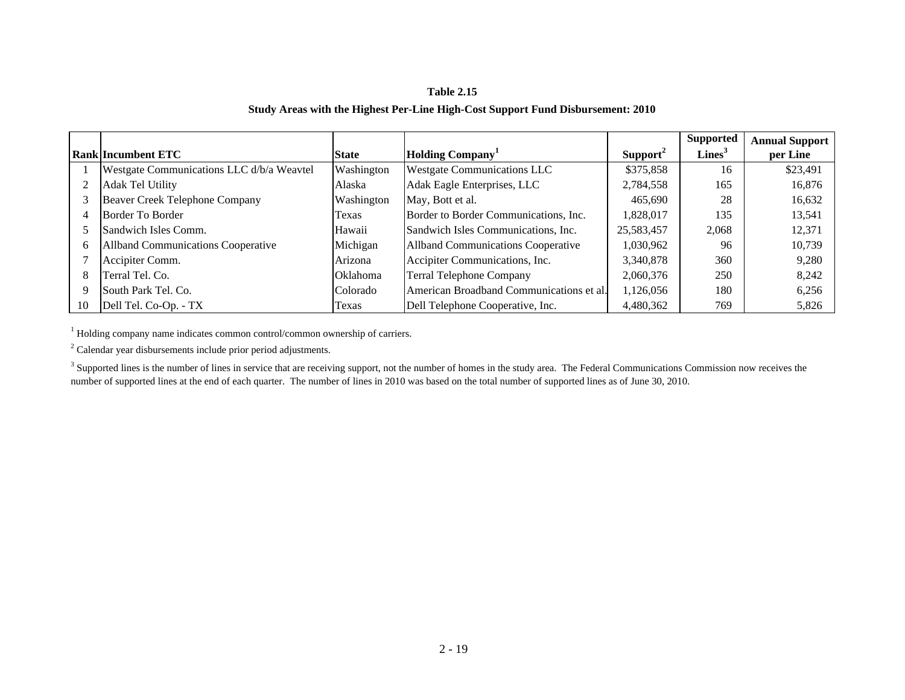# **Study Areas with the Highest Per-Line High-Cost Support Fund Disbursement: 2010 Table 2.15**

|    |                                           |              |                                           |                      | <b>Supported</b>   | <b>Annual Support</b> |
|----|-------------------------------------------|--------------|-------------------------------------------|----------------------|--------------------|-----------------------|
|    | <b>Rank Incumbent ETC</b>                 | <b>State</b> | <b>Holding Company</b>                    | Support <sup>2</sup> | Lines <sup>3</sup> | per Line              |
|    | Westgate Communications LLC d/b/a Weavtel | Washington   | <b>Westgate Communications LLC</b>        | \$375,858            | 16                 | \$23,491              |
|    | <b>Adak Tel Utility</b>                   | Alaska       | Adak Eagle Enterprises, LLC               | 2,784,558            | 165                | 16,876                |
|    | Beaver Creek Telephone Company            | Washington   | May, Bott et al.                          | 465,690              | 28                 | 16,632                |
| 4  | Border To Border                          | Texas        | Border to Border Communications, Inc.     | 1,828,017            | 135                | 13,541                |
|    | Sandwich Isles Comm.                      | Hawaii       | Sandwich Isles Communications, Inc.       | 25,583,457           | 2,068              | 12,371                |
| 6  | <b>Allband Communications Cooperative</b> | Michigan     | <b>Allband Communications Cooperative</b> | 1,030,962            | 96                 | 10,739                |
|    | Accipiter Comm.                           | Arizona      | Accipiter Communications, Inc.            | 3,340,878            | 360                | 9,280                 |
| 8  | Terral Tel. Co.                           | Oklahoma     | <b>Terral Telephone Company</b>           | 2,060,376            | 250                | 8,242                 |
| 9  | South Park Tel. Co.                       | Colorado     | American Broadband Communications et al.  | 1,126,056            | 180                | 6,256                 |
| 10 | Dell Tel. Co-Op. - TX                     | Texas        | Dell Telephone Cooperative, Inc.          | 4,480,362            | 769                | 5,826                 |

<sup>1</sup> Holding company name indicates common control/common ownership of carriers.

<sup>2</sup> Calendar year disbursements include prior period adjustments.

<sup>3</sup> Supported lines is the number of lines in service that are receiving support, not the number of homes in the study area. The Federal Communications Commission now receives the number of supported lines at the end of each quarter. The number of lines in 2010 was based on the total number of supported lines as of June 30, 2010.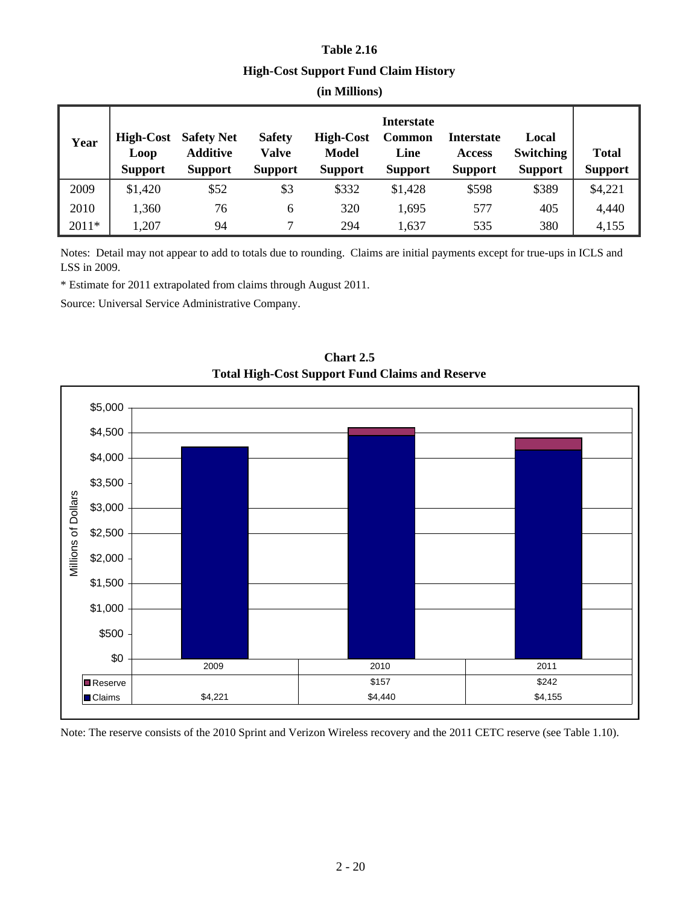# **Table 2.16 High-Cost Support Fund Claim History (in Millions)**

| Year    | <b>High-Cost</b><br>Loop<br><b>Support</b> | <b>Safety Net</b><br><b>Additive</b><br><b>Support</b> | <b>Safety</b><br>Valve<br><b>Support</b> | <b>High-Cost</b><br><b>Model</b><br><b>Support</b> | <b>Interstate</b><br>Common<br>Line<br><b>Support</b> | <b>Interstate</b><br><b>Access</b><br><b>Support</b> | Local<br><b>Switching</b><br><b>Support</b> | <b>Total</b><br><b>Support</b> |
|---------|--------------------------------------------|--------------------------------------------------------|------------------------------------------|----------------------------------------------------|-------------------------------------------------------|------------------------------------------------------|---------------------------------------------|--------------------------------|
| 2009    | \$1,420                                    | \$52                                                   | \$3                                      | \$332                                              | \$1,428                                               | \$598                                                | \$389                                       | \$4,221                        |
| 2010    | 1,360                                      | 76                                                     | 6                                        | 320                                                | 1,695                                                 | 577                                                  | 405                                         | 4,440                          |
| $2011*$ | 1,207                                      | 94                                                     | 7                                        | 294                                                | 1,637                                                 | 535                                                  | 380                                         | 4,155                          |

Notes: Detail may not appear to add to totals due to rounding. Claims are initial payments except for true-ups in ICLS and LSS in 2009.

\* Estimate for 2011 extrapolated from claims through August 2011.

Source: Universal Service Administrative Company.



**Total High-Cost Support Fund Claims and Reserve Chart 2.5**

Note: The reserve consists of the 2010 Sprint and Verizon Wireless recovery and the 2011 CETC reserve (see Table 1.10).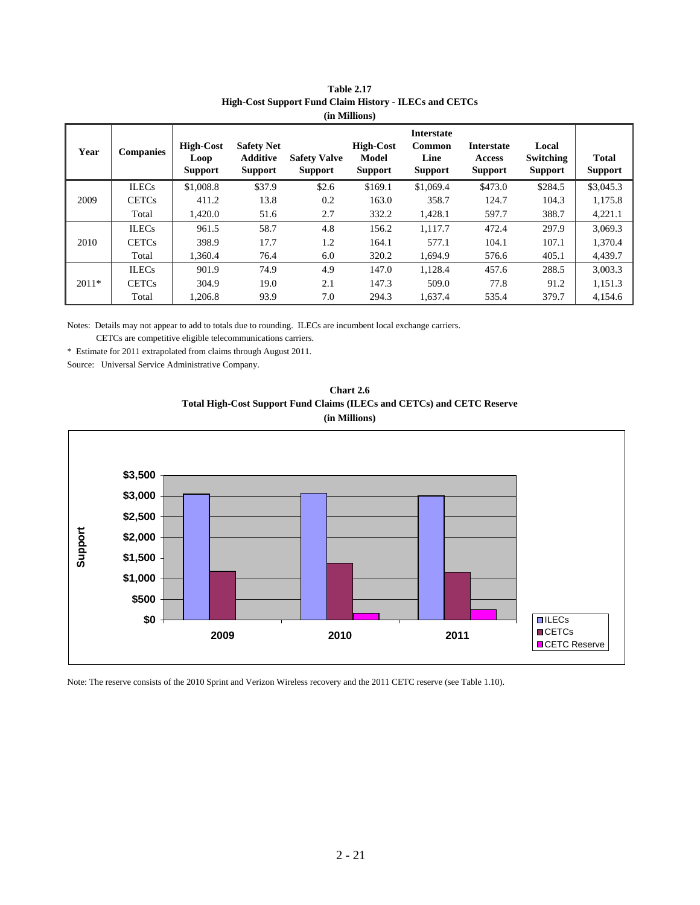| Year    | <b>Companies</b> | <b>High-Cost</b><br>Loop<br><b>Support</b> | <b>Safety Net</b><br><b>Additive</b><br><b>Support</b> | <b>Safety Valve</b><br><b>Support</b> | <b>High-Cost</b><br>Model<br><b>Support</b> | <b>Interstate</b><br><b>Common</b><br>Line<br><b>Support</b> | <b>Interstate</b><br><b>Access</b><br><b>Support</b> | Local<br>Switching<br><b>Support</b> | <b>Total</b><br><b>Support</b> |
|---------|------------------|--------------------------------------------|--------------------------------------------------------|---------------------------------------|---------------------------------------------|--------------------------------------------------------------|------------------------------------------------------|--------------------------------------|--------------------------------|
|         | <b>ILECs</b>     | \$1,008.8                                  | \$37.9                                                 | \$2.6                                 | \$169.1                                     | \$1,069.4                                                    | \$473.0                                              | \$284.5                              | \$3,045.3                      |
| 2009    | <b>CETCs</b>     | 411.2                                      | 13.8                                                   | 0.2                                   | 163.0                                       | 358.7                                                        | 124.7                                                | 104.3                                | 1,175.8                        |
|         | Total            | 1,420.0                                    | 51.6                                                   | 2.7                                   | 332.2                                       | 1,428.1                                                      | 597.7                                                | 388.7                                | 4,221.1                        |
|         | <b>ILECs</b>     | 961.5                                      | 58.7                                                   | 4.8                                   | 156.2                                       | 1.117.7                                                      | 472.4                                                | 297.9                                | 3.069.3                        |
| 2010    | <b>CETCs</b>     | 398.9                                      | 17.7                                                   | 1.2                                   | 164.1                                       | 577.1                                                        | 104.1                                                | 107.1                                | 1,370.4                        |
|         | Total            | 1.360.4                                    | 76.4                                                   | 6.0                                   | 320.2                                       | 1,694.9                                                      | 576.6                                                | 405.1                                | 4,439.7                        |
|         | <b>ILECs</b>     | 901.9                                      | 74.9                                                   | 4.9                                   | 147.0                                       | 1,128.4                                                      | 457.6                                                | 288.5                                | 3,003.3                        |
| $2011*$ | <b>CETCs</b>     | 304.9                                      | 19.0                                                   | 2.1                                   | 147.3                                       | 509.0                                                        | 77.8                                                 | 91.2                                 | 1,151.3                        |
|         | Total            | 1,206.8                                    | 93.9                                                   | 7.0                                   | 294.3                                       | 1,637.4                                                      | 535.4                                                | 379.7                                | 4,154.6                        |

| <b>Table 2.17</b>                                             |
|---------------------------------------------------------------|
| <b>High-Cost Support Fund Claim History - ILECs and CETCs</b> |
| (in Millions)                                                 |

Notes: Details may not appear to add to totals due to rounding. ILECs are incumbent local exchange carriers.

CETCs are competitive eligible telecommunications carriers.

\* Estimate for 2011 extrapolated from claims through August 2011.

Source: Universal Service Administrative Company.





Note: The reserve consists of the 2010 Sprint and Verizon Wireless recovery and the 2011 CETC reserve (see Table 1.10).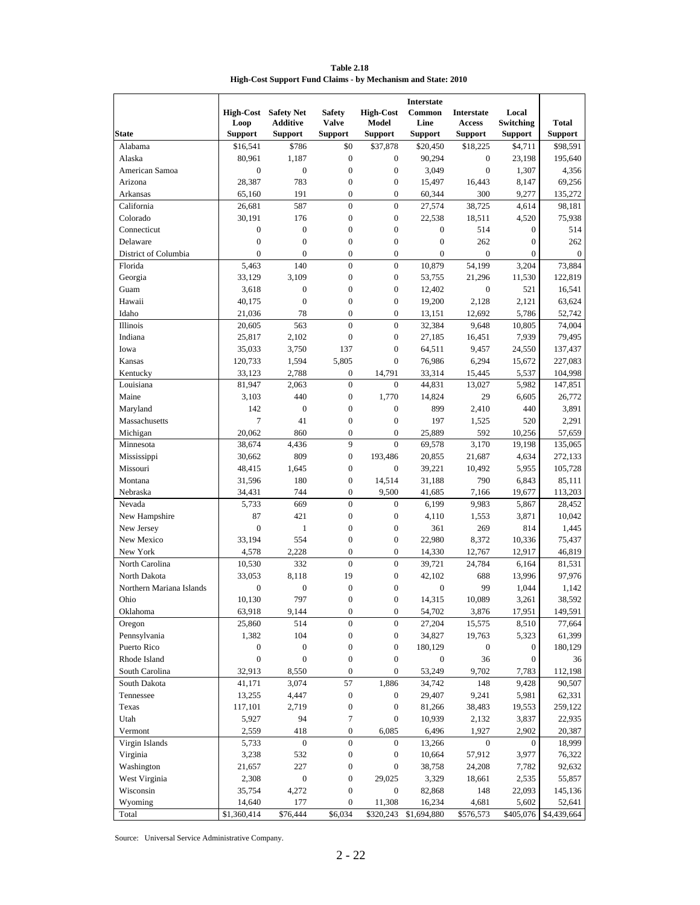**Table 2.18 High-Cost Support Fund Claims - by Mechanism and State: 2010**

|                          |                  |                   |                  |                  | <b>Interstate</b>       |                   |                  |                  |
|--------------------------|------------------|-------------------|------------------|------------------|-------------------------|-------------------|------------------|------------------|
|                          | <b>High-Cost</b> | <b>Safety Net</b> | <b>Safety</b>    | <b>High-Cost</b> | Common                  | <b>Interstate</b> | Local            |                  |
|                          | Loop             | <b>Additive</b>   | <b>Valve</b>     | Model            | Line                    | Access            | Switching        | Total            |
| <b>State</b>             | <b>Support</b>   | <b>Support</b>    | <b>Support</b>   | <b>Support</b>   | <b>Support</b>          | <b>Support</b>    | <b>Support</b>   | <b>Support</b>   |
| Alabama                  | \$16,541         | \$786             | \$0              | \$37,878         | \$20,450                | \$18,225          | \$4,711          | \$98,591         |
| Alaska                   | 80,961           | 1,187             | $\mathbf{0}$     | $\mathbf{0}$     | 90,294                  | $\overline{0}$    | 23,198           | 195,640          |
| American Samoa           | $\boldsymbol{0}$ | $\boldsymbol{0}$  | $\mathbf{0}$     | $\mathbf{0}$     | 3,049                   | $\boldsymbol{0}$  | 1,307            | 4,356            |
| Arizona                  | 28,387           | 783               | $\overline{0}$   | $\mathbf{0}$     | 15,497                  | 16,443            | 8,147            | 69,256           |
| Arkansas                 | 65,160           | 191               | $\overline{0}$   | $\mathbf{0}$     | 60,344                  | 300               | 9,277            | 135,272          |
| California               | 26,681           | 587               | $\overline{0}$   | $\mathbf{0}$     | 27,574                  | 38,725            | 4,614            | 98,181           |
| Colorado                 | 30,191           | 176               | $\boldsymbol{0}$ | $\boldsymbol{0}$ | 22,538                  | 18,511            | 4,520            | 75,938           |
| Connecticut              | $\boldsymbol{0}$ | $\boldsymbol{0}$  | $\overline{0}$   | $\overline{0}$   | $\boldsymbol{0}$        | 514               | $\boldsymbol{0}$ | 514              |
| Delaware                 | $\overline{0}$   | $\overline{0}$    | $\overline{0}$   | $\overline{0}$   | $\mathbf{0}$            | 262               | $\boldsymbol{0}$ | 262              |
| District of Columbia     | $\overline{0}$   | $\mathbf{0}$      | $\overline{0}$   | $\mathbf{0}$     | $\boldsymbol{0}$        | $\boldsymbol{0}$  | $\boldsymbol{0}$ | $\boldsymbol{0}$ |
| Florida                  | 5,463            | 140               | $\overline{0}$   | $\boldsymbol{0}$ | 10,879                  | 54,199            | 3,204            | 73,884           |
| Georgia                  | 33,129           | 3,109             | $\overline{0}$   | $\boldsymbol{0}$ | 53,755                  | 21,296            | 11,530           | 122,819          |
| Guam                     | 3,618            | $\boldsymbol{0}$  | $\overline{0}$   | $\boldsymbol{0}$ | 12,402                  | $\boldsymbol{0}$  | 521              | 16,541           |
| Hawaii                   | 40,175           | $\mathbf{0}$      | $\mathbf{0}$     | $\boldsymbol{0}$ | 19,200                  | 2,128             | 2,121            | 63,624           |
| Idaho                    | 21,036           | 78                | $\mathbf{0}$     | $\mathbf{0}$     | 13,151                  | 12,692            | 5,786            | 52,742           |
| Illinois                 | 20,605           | 563               | $\overline{0}$   | $\overline{0}$   | 32,384                  | 9,648             | 10,805           | 74,004           |
| Indiana                  | 25,817           | 2,102             | $\boldsymbol{0}$ | $\mathbf{0}$     | 27,185                  | 16,451            | 7,939            | 79,495           |
| Iowa                     | 35,033           | 3,750             | 137              | $\boldsymbol{0}$ | 64,511                  | 9,457             | 24,550           | 137,437          |
| Kansas                   | 120,733          | 1,594             | 5,805            | $\overline{0}$   | 76,986                  | 6,294             | 15,672           | 227,083          |
| Kentucky                 | 33,123           | 2,788             | $\boldsymbol{0}$ | 14,791           | 33,314                  | 15,445            | 5,537            | 104,998          |
| Louisiana                | 81,947           | 2,063             | $\theta$         | $\overline{0}$   | 44,831                  | 13,027            | 5,982            | 147,851          |
| Maine                    | 3,103            | 440               | $\boldsymbol{0}$ | 1,770            | 14,824                  | 29                | 6,605            | 26,772           |
| Maryland                 | 142              | $\mathbf{0}$      | $\overline{0}$   | $\boldsymbol{0}$ | 899                     | 2,410             | 440              | 3,891            |
| Massachusetts            | 7                | 41                | $\overline{0}$   | $\overline{0}$   | 197                     | 1,525             | 520              | 2,291            |
| Michigan                 | 20,062           | 860               | $\mathbf{0}$     | $\mathbf{0}$     | 25,889                  | 592               | 10,256           | 57,659           |
| Minnesota                | 38,674           | 4,436             | 9                | $\mathbf{0}$     | 69,578                  | 3,170             | 19,198           | 135,065          |
| Mississippi              | 30,662           | 809               | $\overline{0}$   | 193,486          | 20,855                  | 21,687            | 4,634            | 272,133          |
| Missouri                 | 48,415           | 1,645             | $\overline{0}$   | $\boldsymbol{0}$ | 39,221                  | 10,492            | 5,955            | 105,728          |
| Montana                  | 31,596           | 180               | $\mathbf{0}$     | 14,514           | 31,188                  | 790               | 6,843            | 85,111           |
| Nebraska                 | 34,431           | 744               | $\mathbf{0}$     | 9,500            | 41,685                  | 7,166             | 19,677           | 113,203          |
| Nevada                   | 5,733            | 669               | $\overline{0}$   | $\mathbf{0}$     | 6,199                   | 9,983             | 5,867            | 28,452           |
| New Hampshire            | 87               | 421               | $\boldsymbol{0}$ | $\boldsymbol{0}$ | 4,110                   | 1,553             | 3,871            | 10,042           |
| New Jersey               | $\boldsymbol{0}$ | $\mathbf{1}$      | $\mathbf{0}$     | $\boldsymbol{0}$ | 361                     | 269               | 814              | 1,445            |
| New Mexico               | 33,194           | 554               | $\mathbf{0}$     | $\boldsymbol{0}$ | 22,980                  | 8,372             | 10,336           | 75,437           |
| New York                 | 4,578            | 2,228             | $\mathbf{0}$     | $\mathbf{0}$     | 14,330                  | 12,767            | 12,917           | 46,819           |
| North Carolina           | 10,530           | 332               | $\overline{0}$   | $\mathbf{0}$     | 39,721                  | 24,784            | 6,164            | 81,531           |
| North Dakota             | 33,053           | 8,118             | 19               | $\mathbf{0}$     | 42,102                  | 688               | 13,996           | 97,976           |
| Northern Mariana Islands | $\boldsymbol{0}$ | $\mathbf{0}$      | $\boldsymbol{0}$ | $\boldsymbol{0}$ | $\boldsymbol{0}$        | 99                | 1,044            | 1,142            |
| Ohio                     | 10,130           | 797               | $\overline{0}$   | $\mathbf{0}$     | 14,315                  | 10,089            | 3,261            | 38,592           |
| Oklahoma                 | 63,918           | 9,144             | $\boldsymbol{0}$ | 0                | 54,702                  | 3,876             | 17,951           | 149,591          |
| Oregon                   | 25,860           | 514               | $\boldsymbol{0}$ | $\boldsymbol{0}$ | 27,204                  | 15,575            | 8,510            | 77,664           |
| Pennsylvania             | 1,382            | 104               | $\boldsymbol{0}$ | $\boldsymbol{0}$ | 34,827                  | 19,763            | 5,323            | 61,399           |
| Puerto Rico              | $\boldsymbol{0}$ | $\boldsymbol{0}$  | $\boldsymbol{0}$ | $\boldsymbol{0}$ | 180,129                 | $\boldsymbol{0}$  | $\boldsymbol{0}$ | 180,129          |
| Rhode Island             | $\boldsymbol{0}$ | $\boldsymbol{0}$  | $\boldsymbol{0}$ | $\boldsymbol{0}$ | $\boldsymbol{0}$        | 36                | $\boldsymbol{0}$ | 36               |
| South Carolina           | 32,913           | 8,550             | $\boldsymbol{0}$ | $\mathbf{0}$     | 53,249                  | 9,702             | 7,783            | 112,198          |
| South Dakota             | 41,171           | 3,074             | 57               | 1,886            | 34,742                  | 148               | 9,428            | 90,507           |
| Tennessee                | 13,255           | 4,447             | $\boldsymbol{0}$ | $\mathbf{0}$     | 29,407                  | 9,241             | 5,981            | 62,331           |
| Texas                    | 117,101          | 2,719             | $\boldsymbol{0}$ | $\boldsymbol{0}$ | 81,266                  | 38,483            | 19,553           | 259,122          |
| Utah                     | 5,927            | 94                | 7                | $\boldsymbol{0}$ | 10,939                  | 2,132             | 3,837            | 22,935           |
| Vermont                  | 2,559            | 418               | $\boldsymbol{0}$ | 6,085            | 6,496                   | 1,927             | 2,902            | 20,387           |
| Virgin Islands           | 5,733            | $\boldsymbol{0}$  | $\boldsymbol{0}$ | $\mathbf{0}$     | 13,266                  | $\mathbf{0}$      | $\boldsymbol{0}$ | 18,999           |
| Virginia                 | 3,238            | 532               | $\boldsymbol{0}$ | $\boldsymbol{0}$ | 10,664                  | 57,912            | 3,977            | 76,322           |
| Washington               | 21,657           | 227               | $\boldsymbol{0}$ | $\boldsymbol{0}$ | 38,758                  | 24,208            | 7,782            | 92,632           |
| West Virginia            | 2,308            | $\boldsymbol{0}$  | $\boldsymbol{0}$ | 29,025           | 3,329                   | 18,661            | 2,535            | 55,857           |
| Wisconsin                | 35,754           | 4,272             | $\boldsymbol{0}$ | $\mathbf{0}$     | 82,868                  | 148               | 22,093           | 145,136          |
| Wyoming                  | 14,640           | 177               | $\mathbf{0}$     | 11,308           | 16,234                  | 4,681             | 5,602            | 52,641           |
| Total                    | \$1,360,414      | \$76,444          | \$6,034          | \$320,243        | $\overline{$}1,694,880$ | \$576,573         | \$405,076        | \$4,439,664      |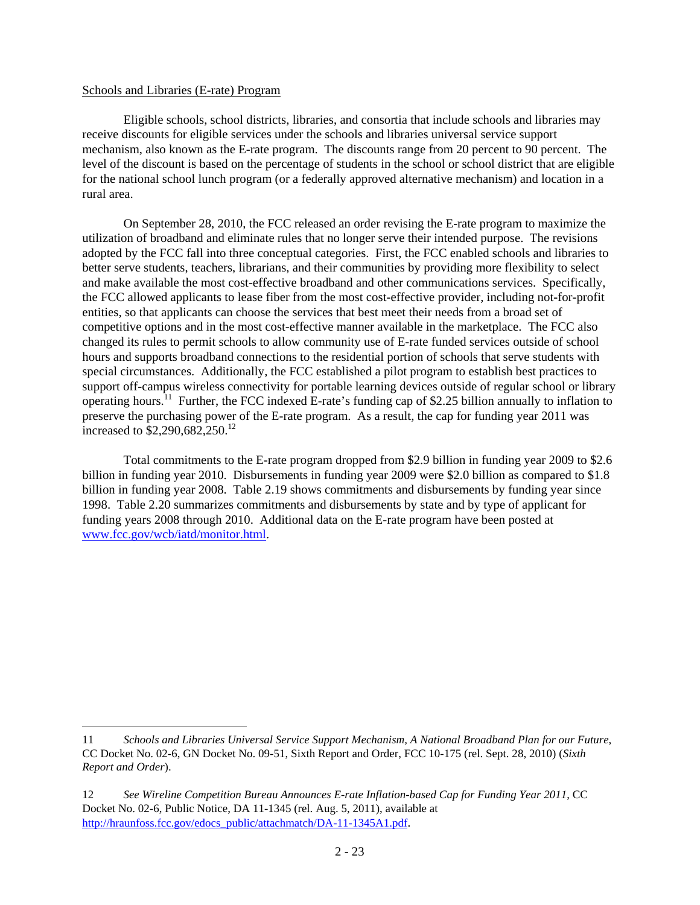### Schools and Libraries (E-rate) Program

 $\overline{a}$ 

Eligible schools, school districts, libraries, and consortia that include schools and libraries may receive discounts for eligible services under the schools and libraries universal service support mechanism, also known as the E-rate program. The discounts range from 20 percent to 90 percent. The level of the discount is based on the percentage of students in the school or school district that are eligible for the national school lunch program (or a federally approved alternative mechanism) and location in a rural area.

On September 28, 2010, the FCC released an order revising the E-rate program to maximize the utilization of broadband and eliminate rules that no longer serve their intended purpose. The revisions adopted by the FCC fall into three conceptual categories. First, the FCC enabled schools and libraries to better serve students, teachers, librarians, and their communities by providing more flexibility to select and make available the most cost-effective broadband and other communications services. Specifically, the FCC allowed applicants to lease fiber from the most cost-effective provider, including not-for-profit entities, so that applicants can choose the services that best meet their needs from a broad set of competitive options and in the most cost-effective manner available in the marketplace. The FCC also changed its rules to permit schools to allow community use of E-rate funded services outside of school hours and supports broadband connections to the residential portion of schools that serve students with special circumstances. Additionally, the FCC established a pilot program to establish best practices to support off-campus wireless connectivity for portable learning devices outside of regular school or library operating hours.<sup>11</sup> Further, the FCC indexed E-rate's funding cap of \$2.25 billion annually to inflation to preserve the purchasing power of the E-rate program. As a result, the cap for funding year 2011 was increased to \$2,290,682,250.<sup>12</sup>

Total commitments to the E-rate program dropped from \$2.9 billion in funding year 2009 to \$2.6 billion in funding year 2010. Disbursements in funding year 2009 were \$2.0 billion as compared to \$1.8 billion in funding year 2008. Table 2.19 shows commitments and disbursements by funding year since 1998. Table 2.20 summarizes commitments and disbursements by state and by type of applicant for funding years 2008 through 2010. Additional data on the E-rate program have been posted at www.fcc.gov/wcb/iatd/monitor.html.

<sup>11</sup> *Schools and Libraries Universal Service Support Mechanism, A National Broadband Plan for our Future*, CC Docket No. 02-6, GN Docket No. 09-51, Sixth Report and Order, FCC 10-175 (rel. Sept. 28, 2010) (*Sixth Report and Order*).

<sup>12</sup> *See Wireline Competition Bureau Announces E-rate Inflation-based Cap for Funding Year 2011*, CC Docket No. 02-6, Public Notice, DA 11-1345 (rel. Aug. 5, 2011), available at http://hraunfoss.fcc.gov/edocs\_public/attachmatch/DA-11-1345A1.pdf.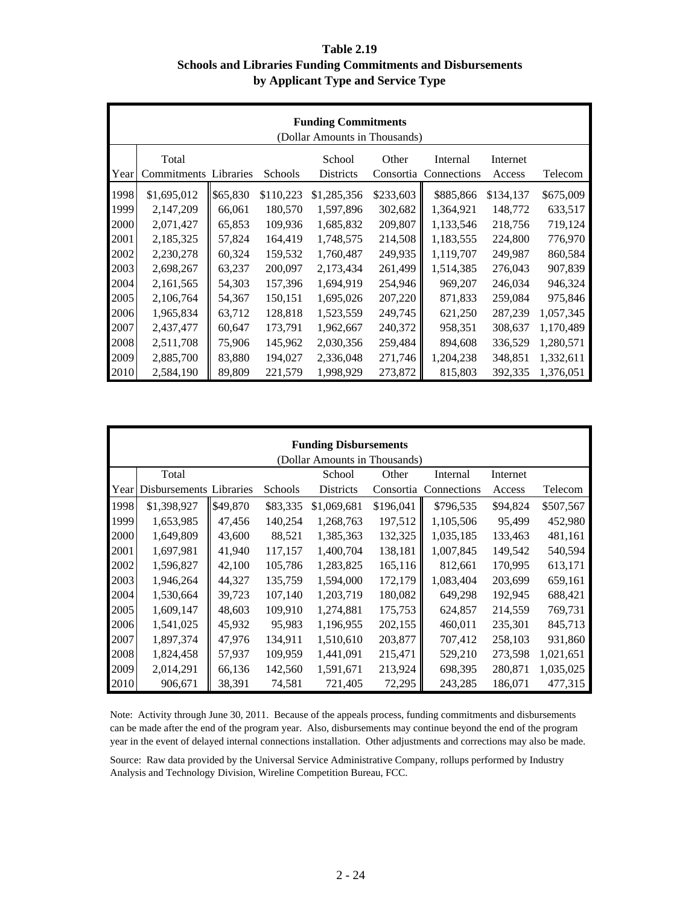# **Table 2.19 Schools and Libraries Funding Commitments and Disbursements by Applicant Type and Service Type**

|      | <b>Funding Commitments</b><br>(Dollar Amounts in Thousands) |          |           |             |           |             |           |           |  |
|------|-------------------------------------------------------------|----------|-----------|-------------|-----------|-------------|-----------|-----------|--|
|      | Total                                                       |          |           | School      | Other     | Internal    | Internet  |           |  |
| Year | <b>Commitments Libraries</b>                                |          | Schools   | Districts   | Consortia | Connections | Access    | Telecom   |  |
| 1998 | \$1,695,012                                                 | \$65,830 | \$110,223 | \$1,285,356 | \$233,603 | \$885,866   | \$134,137 | \$675,009 |  |
| 1999 | 2,147,209                                                   | 66,061   | 180,570   | 1,597,896   | 302,682   | 1,364,921   | 148,772   | 633,517   |  |
| 2000 | 2,071,427                                                   | 65,853   | 109,936   | 1,685,832   | 209,807   | 1,133,546   | 218,756   | 719,124   |  |
| 2001 | 2,185,325                                                   | 57,824   | 164,419   | 1,748,575   | 214,508   | 1,183,555   | 224,800   | 776,970   |  |
| 2002 | 2,230,278                                                   | 60,324   | 159,532   | 1,760,487   | 249,935   | 1,119,707   | 249,987   | 860,584   |  |
| 2003 | 2,698,267                                                   | 63,237   | 200,097   | 2,173,434   | 261,499   | 1,514,385   | 276,043   | 907,839   |  |
| 2004 | 2,161,565                                                   | 54,303   | 157,396   | 1,694,919   | 254,946   | 969,207     | 246,034   | 946,324   |  |
| 2005 | 2,106,764                                                   | 54,367   | 150,151   | 1,695,026   | 207,220   | 871,833     | 259,084   | 975,846   |  |
| 2006 | 1,965,834                                                   | 63,712   | 128,818   | 1,523,559   | 249,745   | 621,250     | 287,239   | 1,057,345 |  |
| 2007 | 2,437,477                                                   | 60,647   | 173,791   | 1,962,667   | 240,372   | 958,351     | 308,637   | 1,170,489 |  |
| 2008 | 2,511,708                                                   | 75,906   | 145,962   | 2,030,356   | 259,484   | 894,608     | 336,529   | 1,280,571 |  |
| 2009 | 2,885,700                                                   | 83,880   | 194,027   | 2,336,048   | 271,746   | 1,204,238   | 348,851   | 1,332,611 |  |
| 2010 | 2,584,190                                                   | 89,809   | 221,579   | 1,998,929   | 273,872   | 815,803     | 392,335   | 1,376,051 |  |

|      |                         |          |          | <b>Funding Disbursements</b>  |           |             |          |           |
|------|-------------------------|----------|----------|-------------------------------|-----------|-------------|----------|-----------|
|      |                         |          |          | (Dollar Amounts in Thousands) |           |             |          |           |
|      | Total                   |          |          | School                        | Other     | Internal    | Internet |           |
| Year | Disbursements Libraries |          | Schools  | <b>Districts</b>              | Consortia | Connections | Access   | Telecom   |
| 1998 | \$1,398,927             | \$49,870 | \$83,335 | \$1,069,681                   | \$196,041 | \$796,535   | \$94,824 | \$507,567 |
| 1999 | 1,653,985               | 47,456   | 140,254  | 1,268,763                     | 197,512   | 1,105,506   | 95,499   | 452,980   |
| 2000 | 1,649,809               | 43,600   | 88,521   | 1,385,363                     | 132,325   | 1,035,185   | 133,463  | 481,161   |
| 2001 | 1,697,981               | 41,940   | 117,157  | 1,400,704                     | 138,181   | 1,007,845   | 149,542  | 540,594   |
| 2002 | 1,596,827               | 42,100   | 105,786  | 1,283,825                     | 165,116   | 812,661     | 170,995  | 613,171   |
| 2003 | 1,946,264               | 44,327   | 135,759  | 1,594,000                     | 172,179   | 1,083,404   | 203,699  | 659,161   |
| 2004 | 1,530,664               | 39,723   | 107,140  | 1,203,719                     | 180,082   | 649,298     | 192,945  | 688,421   |
| 2005 | 1,609,147               | 48,603   | 109,910  | 1,274,881                     | 175,753   | 624,857     | 214,559  | 769,731   |
| 2006 | 1,541,025               | 45,932   | 95,983   | 1,196,955                     | 202,155   | 460,011     | 235,301  | 845,713   |
| 2007 | 1,897,374               | 47,976   | 134,911  | 1,510,610                     | 203,877   | 707,412     | 258,103  | 931,860   |
| 2008 | 1,824,458               | 57,937   | 109,959  | 1,441,091                     | 215,471   | 529,210     | 273,598  | 1,021,651 |
| 2009 | 2,014,291               | 66,136   | 142,560  | 1,591,671                     | 213,924   | 698,395     | 280,871  | 1,035,025 |
| 2010 | 906,671                 | 38,391   | 74,581   | 721,405                       | 72,295    | 243,285     | 186,071  | 477,315   |

Note: Activity through June 30, 2011. Because of the appeals process, funding commitments and disbursements can be made after the end of the program year. Also, disbursements may continue beyond the end of the program year in the event of delayed internal connections installation. Other adjustments and corrections may also be made.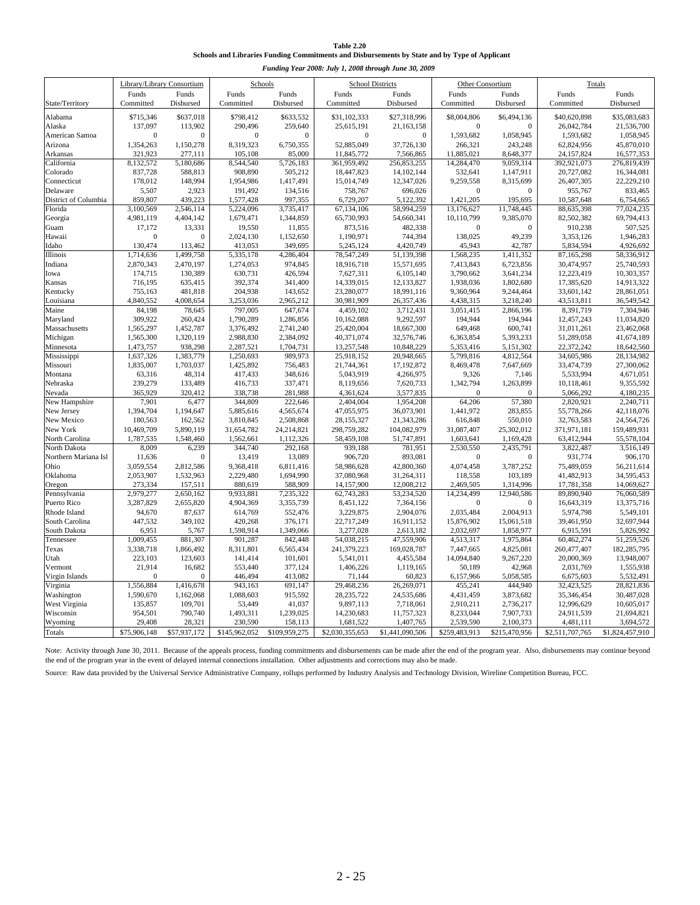| <b>Table 2.20</b>                                                                             |
|-----------------------------------------------------------------------------------------------|
| Schools and Libraries Funding Commitments and Disbursements by State and by Type of Applicant |

| Funding Year 2008: July 1, 2008 through June 30, 2009 |                            |                      |                         |                         |                           |                            |                        |                         |                           |                           |  |
|-------------------------------------------------------|----------------------------|----------------------|-------------------------|-------------------------|---------------------------|----------------------------|------------------------|-------------------------|---------------------------|---------------------------|--|
|                                                       | Library/Library Consortium |                      |                         | Schools                 |                           | <b>School Districts</b>    |                        | <b>Other Consortium</b> |                           | Totals                    |  |
| State/Territory                                       | Funds<br>Committed         | Funds<br>Disbursed   | Funds<br>Committed      | Funds<br>Disbursed      | Funds<br>Committed        | Funds<br>Disbursed         | Funds<br>Committed     | Funds<br>Disbursed      | Funds<br>Committed        | Funds<br>Disbursed        |  |
| Alabama                                               | \$715,346                  | \$637,018            | \$798,412               | \$633,532               | \$31,102,333              | \$27,318,996               | \$8,004,806            | \$6,494,136             | \$40,620,898              | \$35,083,683              |  |
| Alaska                                                | 137,097                    | 113,902              | 290,496                 | 259,640                 | 25,615,191                | 21,163,158                 | $\boldsymbol{0}$       | $\mathbf{0}$            | 26,042,784                | 21,536,700                |  |
| American Samoa                                        | $\theta$                   | $\mathbf{0}$         | $\mathbf{0}$            | $\mathbf{0}$            | $\mathbf{0}$              | $\Omega$                   | 1,593,682              | 1,058,945               | 1,593,682                 | 1,058,945                 |  |
| Arizona                                               | 1,354,263                  | 1,150,278            | 8,319,323               | 6,750,355               | 52,885,049                | 37,726,130                 | 266,321                | 243,248                 | 62,824,956                | 45,870,010                |  |
| Arkansas                                              | 321,923                    | 277,111              | 105,108                 | 85,000                  | 11,845,772                | 7,566,865                  | 11,885,021             | 8,648,377               | 24,157,824                | 16,577,353                |  |
| California                                            | 8,132,572                  | 5,180,686            | 8,544,540               | 5,726,183               | 361,959,492               | 256,853,255                | 14,284,470             | 9,059,314               | 392,921,073               | 276,819,439               |  |
| Colorado<br>Connecticut                               | 837,728<br>178,012         | 588,813<br>148,994   | 908,890<br>1,954,986    | 505,212<br>1,417,491    | 18,447,823<br>15,014,749  | 14, 102, 144<br>12,347,026 | 532,641<br>9,259,558   | 1,147,911<br>8,315,699  | 20,727,082<br>26,407,305  | 16,344,081<br>22,229,210  |  |
| Delaware                                              | 5,507                      | 2,923                | 191,492                 | 134,516                 | 758,767                   | 696,026                    | $\mathbf{0}$           | $\theta$                | 955,767                   | 833,465                   |  |
| District of Columbia                                  | 859,807                    | 439.223              | 1,577,428               | 997,355                 | 6,729,207                 | 5.122.392                  | 1,421,205              | 195,695                 | 10,587,648                | 6,754,665                 |  |
| Florida                                               | 3,100,569                  | 2,546,114            | 5,224,096               | 3,735,417               | 67,134,106                | 58,994,259                 | 13,176,627             | 11,748,445              | 88,635,398                | 77,024,235                |  |
| Georgia                                               | 4,981,119                  | 4,404,142            | 1,679,471               | 1,344,859               | 65,730,993                | 54,660,341                 | 10,110,799             | 9,385,070               | 82,502,382                | 69,794,413                |  |
| Guam                                                  | 17,172                     | 13,331               | 19,550                  | 11,855                  | 873,516                   | 482,338                    | $\mathbf{0}$           | $\mathbf{0}$            | 910,238                   | 507,525                   |  |
| Hawaii                                                | $\theta$                   | $\mathbf{0}$         | 2,024,130               | 1,152,650               | 1,190,971                 | 744,394                    | 138,025                | 49,239                  | 3,353,126                 | 1,946,283                 |  |
| Idaho                                                 | 130,474                    | 113,462              | 413,053                 | 349,695                 | 5,245,124                 | 4,420,749                  | 45,943                 | 42,787                  | 5,834,594                 | 4,926,692                 |  |
| Illinois                                              | 1,714,636                  | 1,499,758            | 5,335,178               | 4,286,404               | 78,547,249                | 51,139,398                 | 1,568,235              | 1,411,352               | 87,165,298                | 58,336,912                |  |
| Indiana                                               | 2,870,343                  | 2,470,197            | 1,274,053               | 974,845                 | 18,916,718                | 15,571,695                 | 7,413,843              | 6,723,856               | 30,474,957                | 25,740,593                |  |
| Iowa                                                  | 174,715                    | 130,389              | 630,731                 | 426,594                 | 7,627,311                 | 6,105,140                  | 3,790,662              | 3,641,234               | 12,223,419                | 10,303,357                |  |
| Kansas                                                | 716,195                    | 635,415              | 392,374                 | 341,400                 | 14,339,015                | 12,133,827                 | 1,938,036              | 1,802,680               | 17,385,620                | 14,913,322                |  |
| Kentucky                                              | 755,163<br>4,840,552       | 481,818<br>4,008,654 | 204,938<br>3,253,036    | 143,652<br>2,965,212    | 23,280,077<br>30,981,909  | 18,991,116<br>26,357,436   | 9,360,964<br>4,438,315 | 9,244,464<br>3,218,240  | 33,601,142<br>43,513,811  | 28,861,051<br>36,549,542  |  |
| Louisiana<br>Maine                                    | 84,198                     | 78,645               | 797,005                 | 647,674                 | 4,459,102                 | 3,712,431                  | 3,051,415              | 2,866,196               | 8,391,719                 | 7,304,946                 |  |
| Maryland                                              | 309,922                    | 260,424              | 1,790,289               | 1,286,856               | 10,162,088                | 9,292,597                  | 194,944                | 194,944                 | 12,457,243                | 11,034,820                |  |
| Massachusetts                                         | 1,565,297                  | 1,452,787            | 3,376,492               | 2,741,240               | 25,420,004                | 18,667,300                 | 649,468                | 600,741                 | 31,011,261                | 23,462,068                |  |
| Michigan                                              | 1,565,300                  | 1,320,119            | 2,988,830               | 2,384,092               | 40,371,074                | 32,576,746                 | 6,363,854              | 5,393,233               | 51,289,058                | 41,674,189                |  |
| Minnesota                                             | 1,473,757                  | 938,298              | 2,287,521               | 1,704,731               | 13,257,548                | 10,848,229                 | 5,353,416              | 5,151,302               | 22,372,242                | 18,642,560                |  |
| Mississippi                                           | 1,637,326                  | 1,383,779            | 1.250.693               | 989,973                 | 25,918,152                | 20,948,665                 | 5,799,816              | 4,812,564               | 34,605,986                | 28,134,982                |  |
| Missouri                                              | 1,835,007                  | 1,703,037            | 1,425,892               | 756,483                 | 21,744,361                | 17,192,872                 | 8,469,478              | 7,647,669               | 33,474,739                | 27,300,062                |  |
| Montana                                               | 63,316                     | 48,314               | 417,433                 | 348,616                 | 5,043,919                 | 4,266,975                  | 9,326                  | 7,146                   | 5,533,994                 | 4,671,051                 |  |
| Nebraska                                              | 239,279                    | 133,489              | 416,733                 | 337,471                 | 8,119,656                 | 7,620,733                  | 1,342,794              | 1,263,899               | 10,118,461                | 9,355,592                 |  |
| Nevada                                                | 365,929                    | 320,412              | 338,738                 | 281,988                 | 4,361,624                 | 3,577,835                  | $\mathbf{0}$           | $\Omega$                | 5,066,292                 | 4,180,235                 |  |
| New Hampshire                                         | 7,901                      | 6,477                | 344,809                 | 222,646                 | 2,404,004                 | 1,954,208                  | 64,206                 | 57,380                  | 2,820,921                 | 2,240,711                 |  |
| New Jersey                                            | 1,394,704                  | 1,194,647            | 5,885,616               | 4,565,674               | 47,055,975                | 36,073,901                 | 1,441,972              | 283,855                 | 55,778,266                | 42,118,076                |  |
| New Mexico<br>New York                                | 180,563<br>10,469,709      | 162,562<br>5,890,119 | 3,810,845<br>31,654,782 | 2,508,868<br>24,214,821 | 28,155,327<br>298,759,282 | 21,343,286<br>104,082,979  | 616,848<br>31,087,407  | 550,010<br>25,302,012   | 32,763,583<br>371,971,181 | 24,564,726<br>159,489,931 |  |
| North Carolina                                        | 1,787,535                  | 1,548,460            | 1,562,661               | 1,112,326               | 58,459,108                | 51,747,891                 | 1,603,641              | 1,169,428               | 63,412,944                | 55,578,104                |  |
| North Dakota                                          | 8,009                      | 6,239                | 344,740                 | 292,168                 | 939,188                   | 781,951                    | 2,530,550              | 2,435,791               | 3,822,487                 | 3,516,149                 |  |
| Northern Mariana Isl                                  | 11,636                     | $\boldsymbol{0}$     | 13,419                  | 13,089                  | 906,720                   | 893,081                    | $\boldsymbol{0}$       | $\mathbf{0}$            | 931,774                   | 906,170                   |  |
| Ohio                                                  | 3,059,554                  | 2,812,586            | 9,368,418               | 6,811,416               | 58,986,628                | 42,800,360                 | 4,074,458              | 3,787,252               | 75,489,059                | 56,211,614                |  |
| Oklahoma                                              | 2,053,907                  | 1,532,963            | 2,229,480               | 1,694,990               | 37,080,968                | 31,264,311                 | 118,558                | 103,189                 | 41,482,913                | 34,595,453                |  |
| Oregon                                                | 273,334                    | 157,511              | 880,619                 | 588,909                 | 14,157,900                | 12,008,212                 | 2,469,505              | 1,314,996               | 17,781,358                | 14,069,627                |  |
| Pennsylvania                                          | 2,979,277                  | 2,650,162            | 9,933,881               | 7,235,322               | 62,743,283                | 53,234,520                 | 14,234,499             | 12,940,586              | 89,890,940                | 76,060,589                |  |
| Puerto Rico                                           | 3,287,829                  | 2,655,820            | 4,904,369               | 3,355,739               | 8,451,122                 | 7,364,156                  | $\boldsymbol{0}$       | $\overline{0}$          | 16,643,319                | 13,375,716                |  |
| Rhode Island                                          | 94,670                     | 87,637               | 614,769                 | 552,476                 | 3,229,875                 | 2,904,076                  | 2,035,484              | 2,004,913               | 5,974,798                 | 5,549,101                 |  |
| South Carolina                                        | 447,532                    | 349,102              | 420,268                 | 376,171                 | 22,717,249                | 16,911,152                 | 15,876,902             | 15,061,518              | 39,461,950                | 32,697,944                |  |
| South Dakota                                          | 6,951                      | 5,767<br>881,307     | 1,598,914<br>901,287    | 1,349,066               | 3,277,028<br>54,038,215   | 2,613,182<br>47,559,906    | 2,032,697<br>4,513,317 | 1,858,977               | 6,915,591                 | 5,826,992                 |  |
| Tennessee<br>Texas                                    | 1,009,455<br>3,338,718     | 1,866,492            | 8,311,801               | 842,448<br>6,565,434    | 241,379,223               | 169,028,787                | 7,447,665              | 1,975,864<br>4,825,081  | 60,462,274<br>260,477,407 | 51,259,526<br>182,285,795 |  |
| Utah                                                  | 223,103                    | 123,603              | 141,414                 | 101,601                 | 5,541,011                 | 4,455,584                  | 14,094,840             | 9,267,220               | 20,000,369                | 13,948,007                |  |
| Vermont                                               | 21,914                     | 16,682               | 553,440                 | 377,124                 | 1,406,226                 | 1,119,165                  | 50,189                 | 42,968                  | 2,031,769                 | 1,555,938                 |  |
| Virgin Islands                                        | $\theta$                   | $\mathbf{0}$         | 446,494                 | 413,082                 | 71,144                    | 60,823                     | 6,157,966              | 5,058,585               | 6,675,603                 | 5,532,491                 |  |
| Virginia                                              | 1,556,884                  | 1,416,678            | 943,163                 | 691,147                 | 29,468,236                | 26,269,071                 | 455,241                | 444,940                 | 32,423,525                | 28,821,836                |  |
| Washington                                            | 1,590,670                  | 1,162,068            | 1,088,603               | 915,592                 | 28, 235, 722              | 24,535,686                 | 4,431,459              | 3,873,682               | 35,346,454                | 30,487,028                |  |
| West Virginia                                         | 135,857                    | 109,701              | 53,449                  | 41,037                  | 9,897,113                 | 7,718,061                  | 2,910,211              | 2,736,217               | 12,996,629                | 10,605,017                |  |
| Wisconsin                                             | 954,501                    | 790,740              | 1,493,311               | 1,239,025               | 14,230,683                | 11,757,323                 | 8,233,044              | 7,907,733               | 24,911,539                | 21,694,821                |  |
| Wyoming                                               | 29,408                     | 28,321               | 230,590                 | 158,113                 | 1,681,522                 | 1,407,765                  | 2,539,590              | 2,100,373               | 4,481,111                 | 3,694,572                 |  |
| Totals                                                | \$75,906,148               | \$57,937,172         | \$145,962,052           | \$109,959,275           | \$2,030,355,653           | \$1,441,090,506            | \$259,483,913          | \$215,470,956           | \$2,511,707,765           | \$1,824,457,910           |  |

Note: Activity through June 30, 2011. Because of the appeals process, funding commitments and disbursements can be made after the end of the program year. Also, disbursements may continue beyond the end of the program year in the event of delayed internal connections installation. Other adjustments and corrections may also be made.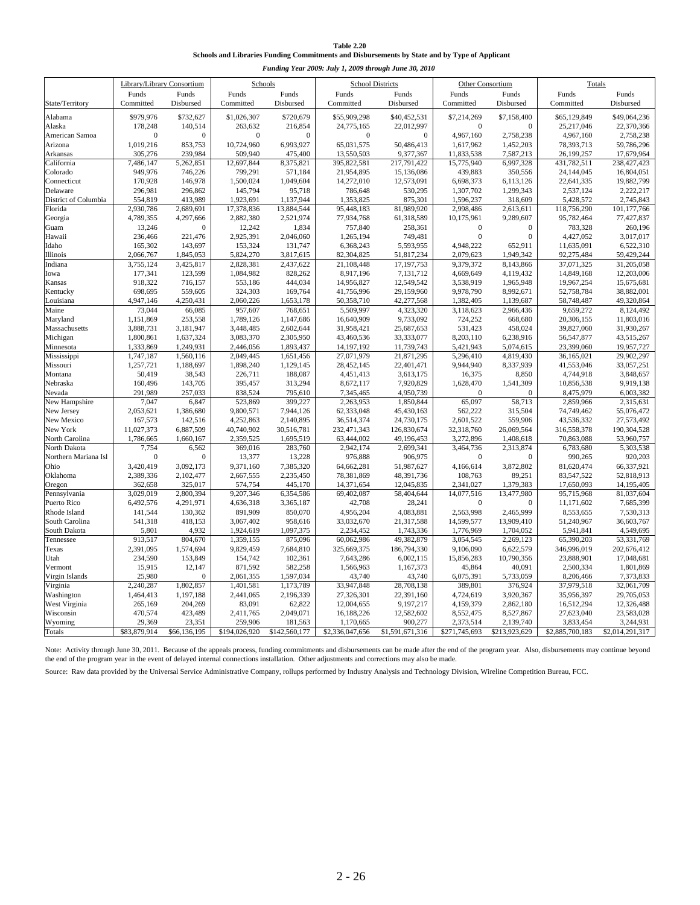| <b>Table 2.20</b>                                                                             |
|-----------------------------------------------------------------------------------------------|
| Schools and Libraries Funding Commitments and Disbursements by State and by Type of Applicant |

| Funding Year 2009: July 1, 2009 through June 30, 2010 |                       |                                       |                         |                         |                           |                           |                         |                         |                           |                           |
|-------------------------------------------------------|-----------------------|---------------------------------------|-------------------------|-------------------------|---------------------------|---------------------------|-------------------------|-------------------------|---------------------------|---------------------------|
|                                                       |                       | Library/Library Consortium<br>Schools |                         |                         | <b>School Districts</b>   |                           | <b>Other Consortium</b> |                         | Totals                    |                           |
|                                                       | Funds                 | Funds                                 | Funds                   | Funds                   | Funds                     | Funds                     | Funds                   | Funds                   | Funds                     | Funds                     |
| State/Territory                                       | Committed             | Disbursed                             | Committed               | Disbursed               | Committed                 | Disbursed                 | Committed               | Disbursed               | Committed                 | Disbursed                 |
| Alabama                                               | \$979,976             | \$732,627                             | \$1,026,307             | \$720,679               | \$55,909,298              | \$40,452,531              | \$7,214,269             | \$7,158,400             | \$65,129,849              | \$49,064,236              |
| Alaska                                                | 178,248               | 140,514                               | 263,632                 | 216,854                 | 24,775,165                | 22,012,997                | $\mathbf{0}$            | $\mathbf{0}$            | 25,217,046                | 22,370,366                |
| American Samoa                                        | $\mathbf{0}$          | $\Omega$                              | $\mathbf{0}$            | $\Omega$                | $\mathbf{0}$              | $\mathbf{0}$              | 4,967,160               | 2,758,238               | 4,967,160                 | 2,758,238                 |
| Arizona                                               | 1,019,216             | 853,753                               | 10,724,960              | 6,993,927               | 65,031,575                | 50,486,413                | 1,617,962               | 1,452,203               | 78,393,713                | 59,786,296                |
| Arkansas                                              | 305,276               | 239,984                               | 509,940                 | 475,400                 | 13,550,503                | 9,377,367                 | 11,833,538              | 7,587,213               | 26,199,257                | 17,679,964                |
| California                                            | 7,486,147             | 5,262,851                             | 12,697,844              | 8,375,821               | 395,822,581               | 217,791,422               | 15,775,940              | 6,997,328               | 431,782,511               | 238,427,423               |
| Colorado<br>Connecticut                               | 949,976<br>170,928    | 746,226<br>146,978                    | 799,291<br>1,500,024    | 571,184                 | 21,954,895<br>14,272,010  | 15,136,086                | 439,883                 | 350,556                 | 24,144,045                | 16,804,051<br>19,882,799  |
| Delaware                                              | 296,981               | 296,862                               | 145,794                 | 1,049,604<br>95,718     | 786,648                   | 12,573,091<br>530,295     | 6,698,373<br>1,307,702  | 6,113,126<br>1,299,343  | 22,641,335<br>2,537,124   | 2,222,217                 |
| District of Columbia                                  | 554,819               | 413,989                               | 1,923,691               | 1,137,944               | 1,353,825                 | 875,301                   | 1,596,237               | 318,609                 | 5,428,572                 | 2,745,843                 |
| Florida                                               | 2,930,786             | 2,689,691                             | 17,378,836              | 13,884,544              | 95,448,183                | 81,989,920                | 2,998,486               | 2,613,611               | 118,756,290               | 101,177,766               |
| Georgia                                               | 4,789,355             | 4,297,666                             | 2,882,380               | 2,521,974               | 77,934,768                | 61,318,589                | 10,175,961              | 9,289,607               | 95,782,464                | 77,427,837                |
| Guam                                                  | 13,246                | $\Omega$                              | 12,242                  | 1,834                   | 757,840                   | 258,361                   | $\mathbf{0}$            | $\Omega$                | 783,328                   | 260,196                   |
| Hawaii                                                | 236,466               | 221,476                               | 2,925,391               | 2,046,060               | 1,265,194                 | 749,481                   | $\mathbf{0}$            | $\theta$                | 4,427,052                 | 3,017,017                 |
| Idaho                                                 | 165,302               | 143,697                               | 153,324                 | 131,747                 | 6,368,243                 | 5,593,955                 | 4,948,222               | 652,911                 | 11,635,091                | 6,522,310                 |
| Illinois                                              | 2,066,767             | 1,845,053                             | 5,824,270               | 3,817,615               | 82,304,825                | 51,817,234                | 2,079,623               | 1,949,342               | 92,275,484                | 59,429,244                |
| Indiana                                               | 3,755,124             | 3,425,817                             | 2,828,381               | 2,437,622               | 21,108,448                | 17,197,753                | 9,379,372               | 8,143,866               | 37,071,325                | 31,205,058                |
| Iowa                                                  | 177,341               | 123,599                               | 1,084,982               | 828,262                 | 8,917,196                 | 7,131,712                 | 4,669,649               | 4,119,432               | 14,849,168                | 12,203,006                |
| Kansas                                                | 918,322               | 716,157                               | 553,186                 | 444,034                 | 14,956,827                | 12,549,542                | 3,538,919               | 1,965,948               | 19,967,254                | 15,675,681                |
| Kentucky                                              | 698,695<br>4,947,146  | 559,605<br>4,250,431                  | 324,303<br>2,060,226    | 169,764<br>1,653,178    | 41,756,996<br>50,358,710  | 29,159,960<br>42,277,568  | 9,978,790<br>1,382,405  | 8,992,671<br>1,139,687  | 52,758,784<br>58,748,487  | 38,882,001<br>49,320,864  |
| Louisiana<br>Maine                                    | 73,044                | 66,085                                | 957,607                 | 768,651                 | 5,509,997                 | 4,323,320                 | 3,118,623               | 2,966,436               | 9,659,272                 | 8,124,492                 |
| Maryland                                              | 1,151,869             | 253,558                               | 1,789,126               | 1,147,686               | 16,640,909                | 9,733,092                 | 724,252                 | 668,680                 | 20,306,155                | 11,803,016                |
| Massachusetts                                         | 3,888,731             | 3,181,947                             | 3,448,485               | 2,602,644               | 31,958,421                | 25,687,653                | 531,423                 | 458,024                 | 39,827,060                | 31,930,267                |
| Michigan                                              | 1,800,861             | 1,637,324                             | 3,083,370               | 2,305,950               | 43,460,536                | 33,333,077                | 8,203,110               | 6,238,916               | 56,547,877                | 43,515,267                |
| Minnesota                                             | 1,333,869             | 1,249,931                             | 2,446,056               | 1,893,437               | 14,197,192                | 11,739,743                | 5,421,943               | 5,074,615               | 23,399,060                | 19,957,727                |
| Mississippi                                           | 1,747,187             | 1,560,116                             | 2,049,445               | 1,651,456               | 27,071,979                | 21,871,295                | 5,296,410               | 4,819,430               | 36,165,021                | 29,902,297                |
| Missouri                                              | 1,257,721             | 1,188,697                             | 1,898,240               | 1,129,145               | 28,452,145                | 22,401,471                | 9,944,940               | 8,337,939               | 41,553,046                | 33,057,251                |
| Montana                                               | 50,419                | 38,543                                | 226,711                 | 188,087                 | 4,451,413                 | 3,613,175                 | 16,375                  | 8,850                   | 4,744,918                 | 3,848,657                 |
| Nebraska                                              | 160,496               | 143,705                               | 395,457                 | 313,294                 | 8,672,117                 | 7,920,829                 | 1,628,470               | 1,541,309               | 10,856,538                | 9,919,138                 |
| Nevada                                                | 291,989               | 257,033                               | 838,524                 | 795,610                 | 7,345,465                 | 4,950,739                 | $\mathbf{0}$            | $\mathbf{0}$            | 8,475,979                 | 6,003,382                 |
| New Hampshire                                         | 7,047                 | 6,847                                 | 523,869                 | 399,227                 | 2,263,953                 | 1,850,844                 | 65,097                  | 58,713                  | 2,859,966                 | 2,315,631                 |
| New Jersey                                            | 2,053,621             | 1,386,680                             | 9,800,571               | 7,944,126               | 62,333,048                | 45,430,163                | 562,222                 | 315,504                 | 74,749,462                | 55,076,472                |
| New Mexico<br>New York                                | 167,573<br>11,027,373 | 142,516<br>6,887,509                  | 4,252,863<br>40,740,902 | 2,140,895<br>30,516,781 | 36,514,374<br>232,471,343 | 24,730,175<br>126,830,674 | 2,601,522<br>32,318,760 | 559,906<br>26,069,564   | 43,536,332<br>316,558,378 | 27,573,492<br>190,304,528 |
| North Carolina                                        | 1,786,665             | 1,660,167                             | 2,359,525               | 1,695,519               | 63,444,002                | 49,196,453                | 3,272,896               | 1,408,618               | 70,863,088                | 53,960,757                |
| North Dakota                                          | 7,754                 | 6,562                                 | 369,016                 | 283,760                 | 2,942,174                 | 2,699,341                 | 3,464,736               | 2,313,874               | 6,783,680                 | 5,303,538                 |
| Northern Mariana Isl                                  | $\mathbf{0}$          | $\overline{0}$                        | 13,377                  | 13,228                  | 976,888                   | 906,975                   | $\boldsymbol{0}$        | $\overline{0}$          | 990,265                   | 920,203                   |
| Ohio                                                  | 3,420,419             | 3,092,173                             | 9,371,160               | 7,385,320               | 64,662,281                | 51,987,627                | 4,166,614               | 3,872,802               | 81,620,474                | 66,337,921                |
| Oklahoma                                              | 2,389,336             | 2,102,477                             | 2,667,555               | 2,235,450               | 78,381,869                | 48,391,736                | 108,763                 | 89,251                  | 83,547,522                | 52,818,913                |
| Oregon                                                | 362,658               | 325,017                               | 574,754                 | 445,170                 | 14,371,654                | 12,045,835                | 2,341,027               | 1.379.383               | 17,650,093                | 14,195,405                |
| Pennsylvania                                          | 3,029,019             | 2,800,394                             | 9,207,346               | 6,354,586               | 69,402,087                | 58,404,644                | 14,077,516              | 13,477,980              | 95,715,968                | 81,037,604                |
| Puerto Rico                                           | 6,492,576             | 4,291,971                             | 4,636,318               | 3,365,187               | 42,708                    | 28,241                    | $\bf{0}$                | $\Omega$                | 11,171,602                | 7,685,399                 |
| Rhode Island                                          | 141,544               | 130,362                               | 891,909                 | 850,070                 | 4,956,204                 | 4,083,881                 | 2,563,998               | 2,465,999               | 8,553,655                 | 7,530,313                 |
| South Carolina                                        | 541,318               | 418,153                               | 3,067,402               | 958,616                 | 33,032,670                | 21,317,588                | 14,599,577              | 13,909,410<br>1,704,052 | 51,240,967                | 36,603,767                |
| South Dakota<br>Tennessee                             | 5,801<br>913,517      | 4,932<br>804,670                      | 1,924,619<br>1,359,155  | 1,097,375<br>875,096    | 2,234,452<br>60,062,986   | 1,743,336<br>49,382,879   | 1,776,969<br>3.054.545  | 2,269,123               | 5,941,841<br>65,390,203   | 4,549,695<br>53,331,769   |
| Texas                                                 | 2,391,095             | 1,574,694                             | 9,829,459               | 7,684,810               | 325,669,375               | 186,794,330               | 9,106,090               | 6,622,579               | 346,996,019               | 202,676,412               |
| Utah                                                  | 234,590               | 153,849                               | 154,742                 | 102,361                 | 7,643,286                 | 6,002,115                 | 15,856,283              | 10,790,356              | 23,888,901                | 17,048,681                |
| Vermont                                               | 15,915                | 12,147                                | 871,592                 | 582,258                 | 1,566,963                 | 1,167,373                 | 45,864                  | 40,091                  | 2,500,334                 | 1,801,869                 |
| Virgin Islands                                        | 25,980                | 0                                     | 2,061,355               | 1,597,034               | 43,740                    | 43,740                    | 6,075,391               | 5,733,059               | 8,206,466                 | 7,373,833                 |
| Virginia                                              | 2.240.287             | 1,802,857                             | 1,401,581               | 1,173,789               | 33,947,848                | 28,708,138                | 389.801                 | 376,924                 | 37,979,518                | 32,061,709                |
| Washington                                            | 1,464,413             | 1,197,188                             | 2,441,065               | 2,196,339               | 27,326,301                | 22,391,160                | 4,724,619               | 3,920,367               | 35,956,397                | 29,705,053                |
| West Virginia                                         | 265,169               | 204,269                               | 83,091                  | 62,822                  | 12,004,655                | 9,197,217                 | 4,159,379               | 2,862,180               | 16,512,294                | 12,326,488                |
| Wisconsin                                             | 470,574               | 423,489                               | 2,411,765               | 2,049,071               | 16,188,226                | 12,582,602                | 8,552,475               | 8,527,867               | 27,623,040                | 23,583,028                |
| Wyoming                                               | 29,369                | 23,351                                | 259,906                 | 181,563                 | 1,170,665                 | 900,277                   | 2,373,514               | 2,139,740               | 3,833,454                 | 3,244,931                 |
| Totals                                                | \$83,879,914          | \$66,136,195                          | \$194,026,920           | \$142,560,177           | \$2,336,047,656           | \$1,591,671,316           | \$271,745,693           | \$213,923,629           | \$2,885,700,183           | \$2,014,291,317           |

Note: Activity through June 30, 2011. Because of the appeals process, funding commitments and disbursements can be made after the end of the program year. Also, disbursements may continue beyond the end of the program year in the event of delayed internal connections installation. Other adjustments and corrections may also be made.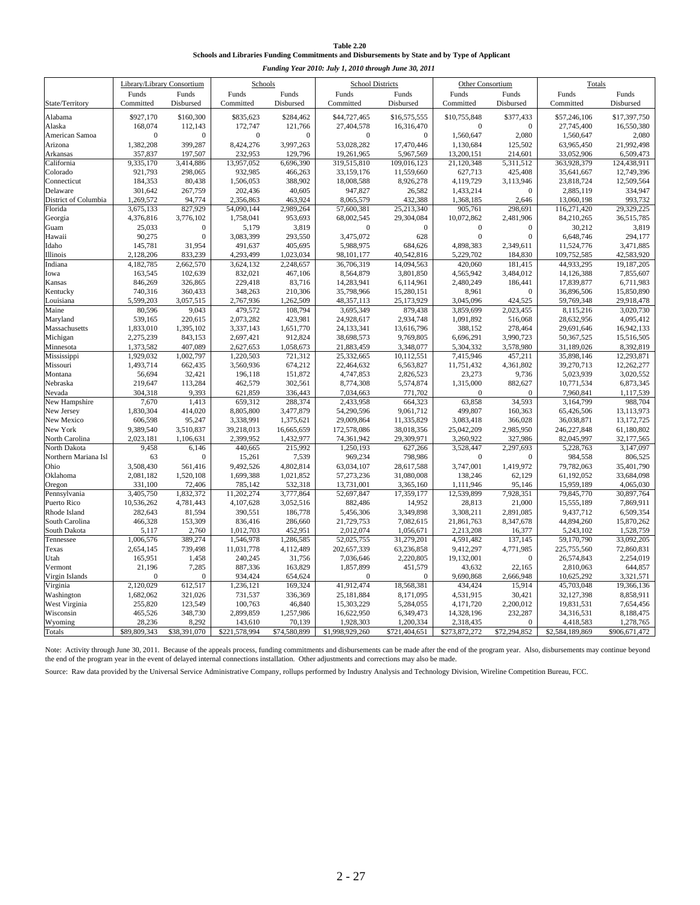| <b>Table 2.20</b>                                                                             |
|-----------------------------------------------------------------------------------------------|
| Schools and Libraries Funding Commitments and Disbursements by State and by Type of Applicant |

| Funding Year 2010: July 1, 2010 through June 30, 2011                                                                                                                                                                         |                                                      |  |  |  |  |  |  |
|-------------------------------------------------------------------------------------------------------------------------------------------------------------------------------------------------------------------------------|------------------------------------------------------|--|--|--|--|--|--|
| Library/Library Consortium<br><b>School Districts</b><br>Schools<br><b>Other Consortium</b>                                                                                                                                   | Totals                                               |  |  |  |  |  |  |
| Funds<br>Funds<br>Funds<br>Funds<br>Funds<br>Funds<br>Funds<br>Funds                                                                                                                                                          | Funds<br>Funds                                       |  |  |  |  |  |  |
| Committed<br>State/Territory<br>Committed<br>Disbursed<br>Committed<br>Disbursed<br>Disbursed<br>Committed<br>Disbursed                                                                                                       | Committed<br>Disbursed                               |  |  |  |  |  |  |
| \$927,170<br>\$160,300<br>\$835,623<br>\$284,462<br>\$44,727,465<br>\$16,575,555<br>\$10,755,848<br>\$377,433<br>Alabama                                                                                                      | \$57,246,106<br>\$17,397,750                         |  |  |  |  |  |  |
| 168,074<br>112,143<br>172,747<br>121,766<br>27,404,578<br>16,316,470<br>$\theta$<br>Alaska<br>$\mathbf{0}$                                                                                                                    | 16,550,380<br>27,745,400                             |  |  |  |  |  |  |
| 1,560,647<br>2,080<br>American Samoa<br>$\Omega$<br>$\Omega$<br>$\Omega$<br>$\Omega$<br>$\mathbf{0}$<br>$\Omega$                                                                                                              | 1,560,647<br>2,080                                   |  |  |  |  |  |  |
| 1,382,208<br>399,287<br>8,424,276<br>3,997,263<br>53,028,282<br>17,470,446<br>1,130,684<br>125,502<br>Arizona                                                                                                                 | 63,965,450<br>21,992,498                             |  |  |  |  |  |  |
| Arkansas<br>357,837<br>197,507<br>232,953<br>129,796<br>19,261,965<br>5,967,569<br>13,200,151<br>214,601                                                                                                                      | 33,052,906<br>6,509,473                              |  |  |  |  |  |  |
| 3,414,886<br>319.515.810<br>109.016.123<br>21,120,348<br>5,311,512<br>California<br>9.335.170<br>13,957,052<br>6,696,390                                                                                                      | 124.438.911<br>363,928,379                           |  |  |  |  |  |  |
| 921,793<br>298,065<br>932,985<br>466,263<br>33,159,176<br>11,559,660<br>425,408<br>Colorado<br>627,713                                                                                                                        | 12,749,396<br>35,641,667                             |  |  |  |  |  |  |
| 388,902<br>184,353<br>80,438<br>1,506,053<br>18,008,588<br>8,926,278<br>4,119,729<br>3,113,946<br>Connecticut<br>301,642<br>202,436<br>947,827<br>26,582<br>Delaware<br>$\Omega$                                              | 23,818,724<br>12,509,564<br>334,947                  |  |  |  |  |  |  |
| 267,759<br>40,605<br>1,433,214<br>1,269,572<br>District of Columbia<br>94,774<br>2,356,863<br>463,924<br>8,065,579<br>432,388<br>1,368,185<br>2,646                                                                           | 2,885,119<br>13,060,198<br>993,732                   |  |  |  |  |  |  |
| Florida<br>3,675,133<br>827,929<br>54,090,144<br>2,989,264<br>57,600,381<br>25,213,340<br>905,761<br>298,691                                                                                                                  | 116,271,420<br>29,329,225                            |  |  |  |  |  |  |
| 68,002,545<br>29,304,084<br>4,376,816<br>3,776,102<br>1,758,041<br>953,693<br>10,072,862<br>2,481,906<br>Georgia                                                                                                              | 36,515,785<br>84,210,265                             |  |  |  |  |  |  |
| 25,033<br>3,819<br>Guam<br>$\mathbf{0}$<br>5,179<br>$\mathbf{0}$<br>$\mathbf{0}$<br>$\boldsymbol{0}$<br>$\Omega$                                                                                                              | 30,212<br>3,819                                      |  |  |  |  |  |  |
| 90,275<br>3,083,399<br>293,550<br>3,475,072<br>Hawaii<br>$\mathbf{0}$<br>628<br>$\mathbf{0}$<br>$\mathbf{0}$                                                                                                                  | 6,648,746<br>294,177                                 |  |  |  |  |  |  |
| 491,637<br>405,695<br>5,988,975<br>Idaho<br>145,781<br>31,954<br>684,626<br>4,898,383<br>2,349,611                                                                                                                            | 11,524,776<br>3,471,885                              |  |  |  |  |  |  |
| 5,229,702<br>Illinois<br>2,128,206<br>833,239<br>4,293,499<br>1,023,034<br>98,101,177<br>40,542,816<br>184,830                                                                                                                | 109,752,585<br>42,583,920                            |  |  |  |  |  |  |
| Indiana<br>4,182,785<br>2,662,570<br>3,624,132<br>2,248,657<br>36,706,319<br>14,094,563<br>420,060<br>181,415                                                                                                                 | 44,933,295<br>19,187,205                             |  |  |  |  |  |  |
| 163,545<br>102,639<br>832,021<br>467,106<br>8,564,879<br>3,801,850<br>4,565,942<br>3,484,012<br>Iowa                                                                                                                          | 14,126,388<br>7,855,607                              |  |  |  |  |  |  |
| 846,269<br>326,865<br>229,418<br>83,716<br>14,283,941<br>6,114,961<br>2,480,249<br>186,441<br>Kansas                                                                                                                          | 17,839,877<br>6,711,983                              |  |  |  |  |  |  |
| 360,433<br>348,263<br>210,306<br>Kentucky<br>740,316<br>35,798,966<br>15,280,151<br>8,961<br>$\Omega$                                                                                                                         | 15,850,890<br>36,896,506                             |  |  |  |  |  |  |
| 5,599,203<br>3,057,515<br>2,767,936<br>1,262,509<br>424,525<br>48,357,113<br>25,173,929<br>3,045,096<br>Louisiana                                                                                                             | 59,769,348<br>29,918,478                             |  |  |  |  |  |  |
| 80,596<br>9,043<br>479,572<br>108,794<br>3,695,349<br>879,438<br>2,023,455<br>Maine<br>3,859,699                                                                                                                              | 8,115,216<br>3,020,730                               |  |  |  |  |  |  |
| 539,165<br>220,615<br>2,073,282<br>423,981<br>24,928,617<br>Maryland<br>2,934,748<br>1,091,892<br>516,068                                                                                                                     | 28,632,956<br>4,095,412                              |  |  |  |  |  |  |
| Massachusetts<br>1,833,010<br>1,395,102<br>3,337,143<br>1,651,770<br>24,133,341<br>13,616,796<br>388,152<br>278,464<br>2,275,239<br>843,153<br>2,697,421<br>912,824<br>38,698,573<br>9,769,805<br>6,696,291<br>3,990,723      | 29,691,646<br>16,942,133<br>50,367,525<br>15,516,505 |  |  |  |  |  |  |
| Michigan<br>407,089<br>1,373,582<br>2,627,653<br>1,058,673<br>21,883,459<br>3,348,077<br>5,304,332<br>3,578,980<br>Minnesota                                                                                                  | 31,189,026<br>8,392,819                              |  |  |  |  |  |  |
| Mississippi<br>1,929,032<br>1,002,797<br>1,220,503<br>721,312<br>25,332,665<br>10,112,551<br>7,415,946<br>457,211                                                                                                             | 35,898,146<br>12,293,871                             |  |  |  |  |  |  |
| 1,493,714<br>3,560,936<br>674,212<br>22,464,632<br>11,751,432<br>4,361,802<br>Missouri<br>662,435<br>6,563,827                                                                                                                | 12,262,277<br>39,270,713                             |  |  |  |  |  |  |
| Montana<br>56,694<br>32,421<br>196,118<br>151,872<br>4,747,853<br>2,826,523<br>23,273<br>9,736                                                                                                                                | 5,023,939<br>3,020,552                               |  |  |  |  |  |  |
| 302,561<br>Nebraska<br>219,647<br>113,284<br>462,579<br>8,774,308<br>5,574,874<br>1,315,000<br>882,627                                                                                                                        | 10,771,534<br>6,873,345                              |  |  |  |  |  |  |
| 304,318<br>9,393<br>621,859<br>336,443<br>7,034,663<br>Nevada<br>771,702<br>$\mathbf{0}$<br>$\Omega$                                                                                                                          | 7,960,841<br>1,117,539                               |  |  |  |  |  |  |
| New Hampshire<br>7,670<br>1,413<br>659,312<br>288,374<br>2,433,958<br>664,323<br>63,858<br>34,593                                                                                                                             | 3,164,799<br>988,704                                 |  |  |  |  |  |  |
| New Jersey<br>1,830,304<br>414,020<br>8,805,800<br>3,477,879<br>54,290,596<br>9,061,712<br>499,807<br>160,363                                                                                                                 | 65,426,506<br>13,113,973                             |  |  |  |  |  |  |
| 95,247<br>New Mexico<br>606,598<br>3,338,991<br>1,375,621<br>29,009,864<br>11,335,829<br>3,083,418<br>366,028                                                                                                                 | 13,172,725<br>36,038,871                             |  |  |  |  |  |  |
| 3,510,837<br>2,985,950<br>New York<br>9,389,540<br>39,218,013<br>16,665,659<br>172,578,086<br>38,018,356<br>25,042,209                                                                                                        | 61,180,802<br>246,227,848                            |  |  |  |  |  |  |
| North Carolina<br>2,023,181<br>2,399,952<br>1,432,977<br>74,361,942<br>29,309,971<br>3,260,922<br>327,986<br>1,106,631                                                                                                        | 82,045,997<br>32,177,565                             |  |  |  |  |  |  |
| North Dakota<br>9,458<br>6,146<br>440,665<br>215,992<br>1,250,193<br>627,266<br>3,528,447<br>2,297,693                                                                                                                        | 5,228,763<br>3,147,097                               |  |  |  |  |  |  |
| Northern Mariana Isl<br>15,261<br>969,234<br>798,986<br>63<br>$\Omega$<br>7,539<br>$\boldsymbol{0}$<br>$\mathbf{0}$                                                                                                           | 806,525<br>984,558                                   |  |  |  |  |  |  |
| Ohio<br>3,508,430<br>561,416<br>9,492,526<br>4,802,814<br>63,034,107<br>28,617,588<br>3,747,001<br>1,419,972<br>1,699,388<br>1,021,852<br>Oklahoma<br>2,081,182<br>1,520,108<br>57,273,236<br>31,080,008<br>138,246<br>62,129 | 79,782,063<br>35,401,790<br>61,192,052<br>33,684,098 |  |  |  |  |  |  |
| 532,318<br>331,100<br>72,406<br>785,142<br>13,731,001<br>3,365,160<br>1,111,946<br>95,146<br>Oregon                                                                                                                           | 4,065,030<br>15,959,189                              |  |  |  |  |  |  |
| Pennsylvania<br>3,405,750<br>1,832,372<br>11,202,274<br>3,777,864<br>52,697,847<br>17,359,177<br>12,539,899<br>7,928,351                                                                                                      | 30,897,764<br>79,845,770                             |  |  |  |  |  |  |
| Puerto Rico<br>10,536,262<br>4,781,443<br>4,107,628<br>3,052,516<br>882,486<br>14,952<br>28,813<br>21,000                                                                                                                     | 15,555,189<br>7,869,911                              |  |  |  |  |  |  |
| Rhode Island<br>282,643<br>81,594<br>390,551<br>186,778<br>5,456,306<br>3,349,898<br>3,308,211<br>2,891,085                                                                                                                   | 6,509,354<br>9,437,712                               |  |  |  |  |  |  |
| 466,328<br>153,309<br>836,416<br>286,660<br>21,729,753<br>7,082,615<br>21,861,763<br>8,347,678<br>South Carolina                                                                                                              | 44,894,260<br>15,870,262                             |  |  |  |  |  |  |
| South Dakota<br>5,117<br>2,760<br>1,012,703<br>452,951<br>2,012,074<br>1,056,671<br>2,213,208<br>16,377                                                                                                                       | 5,243,102<br>1,528,759                               |  |  |  |  |  |  |
| 1,006,576<br>389,274<br>1,546,978<br>52,025,755<br>4,591,482<br>137,145<br>Tennessee<br>1,286,585<br>31,279,201                                                                                                               | 33,092,205<br>59,170,790                             |  |  |  |  |  |  |
| Texas<br>2,654,145<br>739,498<br>11,031,778<br>4,112,489<br>202,657,339<br>63,236,858<br>9,412,297<br>4,771,985                                                                                                               | 225,755,560<br>72,860,831                            |  |  |  |  |  |  |
| Utah<br>165,951<br>1,458<br>240,245<br>31,756<br>7,036,646<br>2,220,805<br>19,132,001<br>$\theta$                                                                                                                             | 2,254,019<br>26,574,843                              |  |  |  |  |  |  |
| 887,336<br>163,829<br>Vermont<br>21,196<br>7,285<br>1,857,899<br>451,579<br>43,632<br>22,165                                                                                                                                  | 2,810,063<br>644,857                                 |  |  |  |  |  |  |
| Virgin Islands<br>$\Omega$<br>934,424<br>654,624<br>$\theta$<br>9,690,868<br>2,666,948<br>$\Omega$<br>$\mathbf{0}$                                                                                                            | 10,625,292<br>3,321,571                              |  |  |  |  |  |  |
| Virginia<br>2,120,029<br>612,517<br>1,236,121<br>169,324<br>41,912,474<br>18,568,381<br>434,424<br>15,914                                                                                                                     | 45,703,048<br>19,366,136                             |  |  |  |  |  |  |
| 1,682,062<br>731,537<br>336,369<br>25,181,884<br>8,171,095<br>4,531,915<br>Washington<br>321,026<br>30,421<br>46,840                                                                                                          | 8,858,911<br>32,127,398                              |  |  |  |  |  |  |
| West Virginia<br>255,820<br>123,549<br>100,763<br>15,303,229<br>5,284,055<br>4,171,720<br>2,200,012<br>Wisconsin<br>348,730<br>2,899,859<br>1,257,986<br>16,622,950<br>14,328,196<br>232,287<br>465,526<br>6,349,473          | 19,831,531<br>7,654,456<br>34,316,531<br>8,188,475   |  |  |  |  |  |  |
| Wyoming<br>28,236<br>8,292<br>70,139<br>1,928,303<br>1,200,334<br>143,610<br>2,318,435<br>$\Omega$                                                                                                                            | 1,278,765<br>4,418,583                               |  |  |  |  |  |  |
| Totals<br>\$89,809,343<br>\$38,391,070<br>\$221,578,994<br>\$74,580,899<br>\$1,998,929,260<br>\$721,404,651<br>\$273,872,272<br>\$72,294,852                                                                                  | \$2,584,189,869<br>\$906,671,472                     |  |  |  |  |  |  |

Note: Activity through June 30, 2011. Because of the appeals process, funding commitments and disbursements can be made after the end of the program year. Also, disbursements may continue beyond the end of the program year in the event of delayed internal connections installation. Other adjustments and corrections may also be made.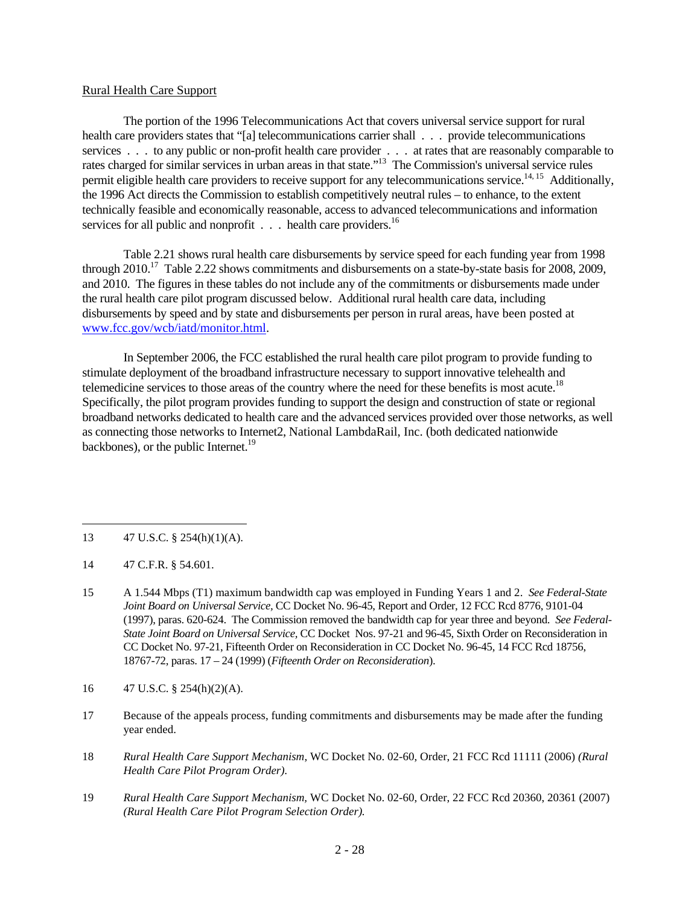### Rural Health Care Support

The portion of the 1996 Telecommunications Act that covers universal service support for rural health care providers states that "[a] telecommunications carrier shall . . . provide telecommunications services . . . to any public or non-profit health care provider . . . at rates that are reasonably comparable to rates charged for similar services in urban areas in that state."13 The Commission's universal service rules permit eligible health care providers to receive support for any telecommunications service.<sup>14, 15</sup> Additionally, the 1996 Act directs the Commission to establish competitively neutral rules – to enhance, to the extent technically feasible and economically reasonable, access to advanced telecommunications and information services for all public and nonprofit  $\ldots$  health care providers.<sup>16</sup>

Table 2.21 shows rural health care disbursements by service speed for each funding year from 1998 through 2010.<sup>17</sup> Table 2.22 shows commitments and disbursements on a state-by-state basis for 2008, 2009, and 2010. The figures in these tables do not include any of the commitments or disbursements made under the rural health care pilot program discussed below. Additional rural health care data, including disbursements by speed and by state and disbursements per person in rural areas, have been posted at www.fcc.gov/wcb/iatd/monitor.html.

In September 2006, the FCC established the rural health care pilot program to provide funding to stimulate deployment of the broadband infrastructure necessary to support innovative telehealth and telemedicine services to those areas of the country where the need for these benefits is most acute.<sup>18</sup> Specifically, the pilot program provides funding to support the design and construction of state or regional broadband networks dedicated to health care and the advanced services provided over those networks, as well as connecting those networks to Internet2, National LambdaRail, Inc. (both dedicated nationwide backbones), or the public Internet.<sup>19</sup>

- 13 47 U.S.C. § 254(h)(1)(A).
- 14 47 C.F.R. § 54.601.

 $\overline{a}$ 

- 15 A 1.544 Mbps (T1) maximum bandwidth cap was employed in Funding Years 1 and 2. *See Federal-State Joint Board on Universal Service,* CC Docket No. 96-45, Report and Order, 12 FCC Rcd 8776, 9101-04 (1997), paras. 620-624. The Commission removed the bandwidth cap for year three and beyond. *See Federal-State Joint Board on Universal Service,* CC Docket Nos. 97-21 and 96-45, Sixth Order on Reconsideration in CC Docket No. 97-21, Fifteenth Order on Reconsideration in CC Docket No. 96-45, 14 FCC Rcd 18756, 18767-72, paras. 17 – 24 (1999) (*Fifteenth Order on Reconsideration*).
- 16 47 U.S.C. § 254(h)(2)(A).
- 17 Because of the appeals process, funding commitments and disbursements may be made after the funding year ended.
- 18 *Rural Health Care Support Mechanism*, WC Docket No. 02-60, Order, 21 FCC Rcd 11111 (2006) *(Rural Health Care Pilot Program Order)*.
- 19 *Rural Health Care Support Mechanism,* WC Docket No. 02-60, Order, 22 FCC Rcd 20360, 20361 (2007) *(Rural Health Care Pilot Program Selection Order).*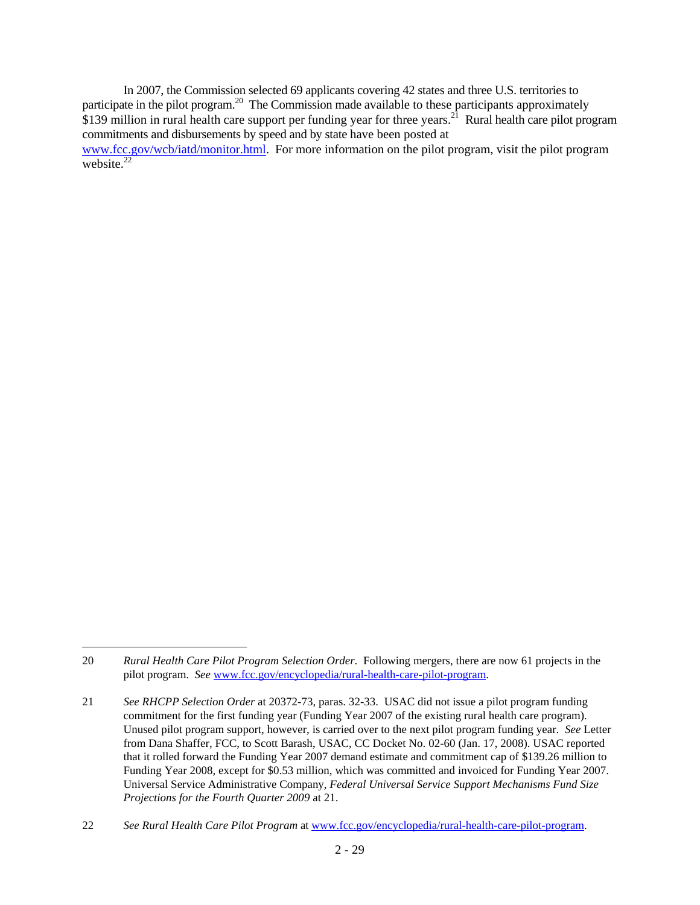In 2007, the Commission selected 69 applicants covering 42 states and three U.S. territories to participate in the pilot program.<sup>20</sup> The Commission made available to these participants approximately  $$139$  million in rural health care support per funding year for three years.<sup>21</sup> Rural health care pilot program commitments and disbursements by speed and by state have been posted at www.fcc.gov/wcb/iatd/monitor.html. For more information on the pilot program, visit the pilot program website. $22$ 

 $\overline{a}$ 

<sup>20</sup> *Rural Health Care Pilot Program Selection Order*. Following mergers, there are now 61 projects in the pilot program. *See* www.fcc.gov/encyclopedia/rural-health-care-pilot-program.

<sup>21</sup> *See RHCPP Selection Order* at 20372-73, paras. 32-33. USAC did not issue a pilot program funding commitment for the first funding year (Funding Year 2007 of the existing rural health care program). Unused pilot program support, however, is carried over to the next pilot program funding year. *See* Letter from Dana Shaffer, FCC, to Scott Barash, USAC, CC Docket No. 02-60 (Jan. 17, 2008). USAC reported that it rolled forward the Funding Year 2007 demand estimate and commitment cap of \$139.26 million to Funding Year 2008, except for \$0.53 million, which was committed and invoiced for Funding Year 2007. Universal Service Administrative Company, *Federal Universal Service Support Mechanisms Fund Size Projections for the Fourth Quarter 2009* at 21.

<sup>22</sup> *See Rural Health Care Pilot Program* at www.fcc.gov/encyclopedia/rural-health-care-pilot-program.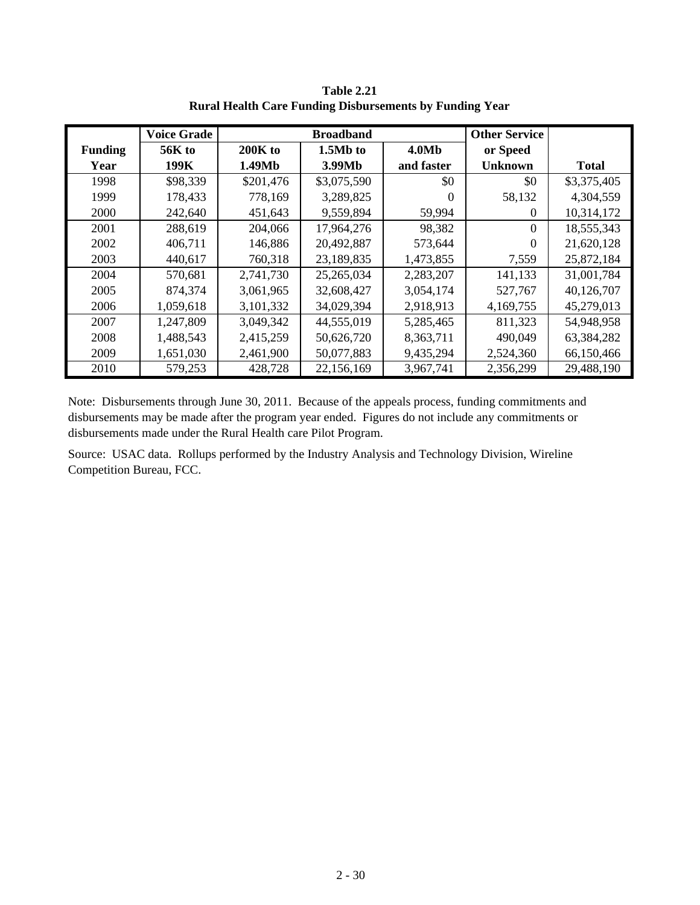|                | <b>Voice Grade</b> |           | <b>Broadband</b> |                   | <b>Other Service</b> |              |
|----------------|--------------------|-----------|------------------|-------------------|----------------------|--------------|
| <b>Funding</b> | <b>56K</b> to      | $200K$ to | 1.5Mb to         | 4.0M <sub>b</sub> | or Speed             |              |
| Year           | 199K               | 1.49Mb    | 3.99Mb           | and faster        | <b>Unknown</b>       | <b>Total</b> |
| 1998           | \$98,339           | \$201,476 | \$3,075,590      | \$0               | \$0                  | \$3,375,405  |
| 1999           | 178,433            | 778,169   | 3,289,825        | 0                 | 58,132               | 4,304,559    |
| 2000           | 242,640            | 451,643   | 9,559,894        | 59,994            | 0                    | 10,314,172   |
| 2001           | 288,619            | 204,066   | 17,964,276       | 98,382            | $\Omega$             | 18,555,343   |
| 2002           | 406,711            | 146,886   | 20,492,887       | 573,644           | 0                    | 21,620,128   |
| 2003           | 440,617            | 760,318   | 23,189,835       | 1,473,855         | 7,559                | 25,872,184   |
| 2004           | 570,681            | 2,741,730 | 25,265,034       | 2,283,207         | 141,133              | 31,001,784   |
| 2005           | 874,374            | 3,061,965 | 32,608,427       | 3,054,174         | 527,767              | 40,126,707   |
| 2006           | 1,059,618          | 3,101,332 | 34,029,394       | 2,918,913         | 4,169,755            | 45,279,013   |
| 2007           | 1,247,809          | 3,049,342 | 44,555,019       | 5,285,465         | 811,323              | 54,948,958   |
| 2008           | 1,488,543          | 2,415,259 | 50,626,720       | 8,363,711         | 490,049              | 63,384,282   |
| 2009           | 1,651,030          | 2,461,900 | 50,077,883       | 9,435,294         | 2,524,360            | 66,150,466   |
| 2010           | 579,253            | 428,728   | 22,156,169       | 3,967,741         | 2,356,299            | 29,488,190   |

**Table 2.21 Rural Health Care Funding Disbursements by Funding Year**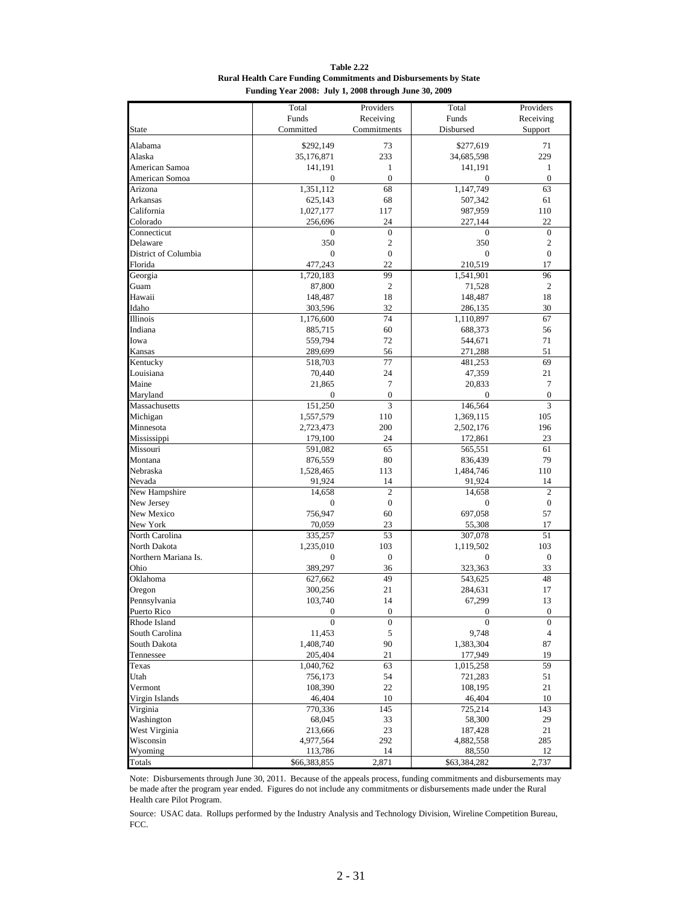**Table 2.22 Rural Health Care Funding Commitments and Disbursements by State Funding Year 2008: July 1, 2008 through June 30, 2009**

| Funds<br>Receiving<br>Funds<br>Receiving<br>Committed<br>Commitments<br>Disbursed<br>Support<br><b>State</b><br>\$292,149<br>73<br>71<br>Alabama<br>\$277,619<br>Alaska<br>35,176,871<br>233<br>34,685,598<br>229<br>American Samoa<br>141,191<br>1<br>141,191<br>$\mathbf{1}$<br>American Somoa<br>$\mathbf{0}$<br>$\boldsymbol{0}$<br>$\mathbf{0}$<br>0<br>68<br>63<br>Arizona<br>1,351,112<br>1,147,749<br>625,143<br>68<br>507,342<br>61<br>Arkansas<br>California<br>1,027,177<br>117<br>987,959<br>110<br>Colorado<br>24<br>22<br>256,696<br>227,144<br>$\boldsymbol{0}$<br>Connecticut<br>$\boldsymbol{0}$<br>$\boldsymbol{0}$<br>$\boldsymbol{0}$<br>Delaware<br>350<br>$\mathfrak{2}$<br>350<br>2<br>$\boldsymbol{0}$<br>$\boldsymbol{0}$<br>District of Columbia<br>$\boldsymbol{0}$<br>$\boldsymbol{0}$<br>477,243<br>22<br>210,519<br>17<br>Florida<br>99<br>96<br>Georgia<br>1,720,183<br>1,541,901<br>$\overline{c}$<br>$\mathfrak{2}$<br>Guam<br>87,800<br>71,528<br>Hawaii<br>148,487<br>18<br>148,487<br>18<br>Idaho<br>303,596<br>32<br>30<br>286,135<br>Illinois<br>74<br>67<br>1,176,600<br>1,110,897<br>Indiana<br>60<br>56<br>885,715<br>688,373<br>Iowa<br>559,794<br>72<br>71<br>544,671<br>51<br>Kansas<br>56<br>289,699<br>271,288<br>$\overline{77}$<br>69<br>Kentucky<br>518,703<br>481,253<br>21<br>Louisiana<br>24<br>70,440<br>47,359<br>$\tau$<br>$\tau$<br>Maine<br>21,865<br>20,833<br>$\boldsymbol{0}$<br>$\boldsymbol{0}$<br>Maryland<br>0<br>0<br>Massachusetts<br>151,250<br>3<br>146,564<br>3<br>110<br>1,369,115<br>105<br>Michigan<br>1,557,579<br>Minnesota<br>200<br>196<br>2,723,473<br>2,502,176<br>Mississippi<br>24<br>23<br>179,100<br>172,861<br>65<br>61<br>Missouri<br>591,082<br>565,551<br>80<br>79<br>Montana<br>876,559<br>836,439<br>Nebraska<br>113<br>1,528,465<br>1,484,746<br>110<br>14<br>Nevada<br>91,924<br>91,924<br>14<br>New Hampshire<br>$\overline{c}$<br>$\overline{c}$<br>14,658<br>14,658<br>$\boldsymbol{0}$<br>$\boldsymbol{0}$<br>New Jersey<br>$\boldsymbol{0}$<br>$\boldsymbol{0}$<br>60<br>57<br>New Mexico<br>756,947<br>697,058<br>New York<br>23<br>70,059<br>55,308<br>17<br>53<br>North Carolina<br>51<br>335,257<br>307,078<br>North Dakota<br>1,235,010<br>103<br>103<br>1,119,502<br>$\boldsymbol{0}$<br>$\overline{0}$<br>Northern Mariana Is.<br>$\mathbf{0}$<br>$\mathbf{0}$<br>33<br>Ohio<br>389,297<br>36<br>323,363<br>49<br>48<br>Oklahoma<br>543,625<br>627,662<br>21<br>17<br>Oregon<br>300,256<br>284,631<br>103,740<br>14<br>67,299<br>13<br>Pennsylvania<br>$\mathbf{0}$<br>Puerto Rico<br>$\overline{0}$<br>$\boldsymbol{0}$<br>$\overline{0}$<br>$\boldsymbol{0}$<br>$\boldsymbol{0}$<br>$\boldsymbol{0}$<br>$\boldsymbol{0}$<br>Rhode Island<br>South Carolina<br>$\sqrt{5}$<br>11,453<br>9,748<br>$\overline{4}$<br>90<br>87<br>South Dakota<br>1,408,740<br>1,383,304<br>21<br>19<br>Tennessee<br>205,404<br>177,949<br>59<br>63<br>Texas<br>1,040,762<br>1,015,258<br>Utah<br>54<br>721,283<br>756,173<br>51<br>22<br>21<br>Vermont<br>108,390<br>108,195<br>Virgin Islands<br>10<br>46,404<br>46,404<br>10<br>Virginia<br>145<br>143<br>770,336<br>725,214<br>Washington<br>33<br>29<br>68,045<br>58,300<br>West Virginia<br>23<br>21<br>213,666<br>187,428<br>Wisconsin<br>4,977,564<br>292<br>4,882,558<br>285<br>Wyoming<br>14<br>88,550<br>12<br>113,786 | Total | Providers | Total | Providers |
|----------------------------------------------------------------------------------------------------------------------------------------------------------------------------------------------------------------------------------------------------------------------------------------------------------------------------------------------------------------------------------------------------------------------------------------------------------------------------------------------------------------------------------------------------------------------------------------------------------------------------------------------------------------------------------------------------------------------------------------------------------------------------------------------------------------------------------------------------------------------------------------------------------------------------------------------------------------------------------------------------------------------------------------------------------------------------------------------------------------------------------------------------------------------------------------------------------------------------------------------------------------------------------------------------------------------------------------------------------------------------------------------------------------------------------------------------------------------------------------------------------------------------------------------------------------------------------------------------------------------------------------------------------------------------------------------------------------------------------------------------------------------------------------------------------------------------------------------------------------------------------------------------------------------------------------------------------------------------------------------------------------------------------------------------------------------------------------------------------------------------------------------------------------------------------------------------------------------------------------------------------------------------------------------------------------------------------------------------------------------------------------------------------------------------------------------------------------------------------------------------------------------------------------------------------------------------------------------------------------------------------------------------------------------------------------------------------------------------------------------------------------------------------------------------------------------------------------------------------------------------------------------------------------------------------------------------------------------------------------------------------------------------------------------------------------------------------------------------------------------------------------------------------------------------------------------------------------------------------------------------------------------------------------------------------------------------------------------------------------------|-------|-----------|-------|-----------|
|                                                                                                                                                                                                                                                                                                                                                                                                                                                                                                                                                                                                                                                                                                                                                                                                                                                                                                                                                                                                                                                                                                                                                                                                                                                                                                                                                                                                                                                                                                                                                                                                                                                                                                                                                                                                                                                                                                                                                                                                                                                                                                                                                                                                                                                                                                                                                                                                                                                                                                                                                                                                                                                                                                                                                                                                                                                                                                                                                                                                                                                                                                                                                                                                                                                                                                                                                                      |       |           |       |           |
|                                                                                                                                                                                                                                                                                                                                                                                                                                                                                                                                                                                                                                                                                                                                                                                                                                                                                                                                                                                                                                                                                                                                                                                                                                                                                                                                                                                                                                                                                                                                                                                                                                                                                                                                                                                                                                                                                                                                                                                                                                                                                                                                                                                                                                                                                                                                                                                                                                                                                                                                                                                                                                                                                                                                                                                                                                                                                                                                                                                                                                                                                                                                                                                                                                                                                                                                                                      |       |           |       |           |
|                                                                                                                                                                                                                                                                                                                                                                                                                                                                                                                                                                                                                                                                                                                                                                                                                                                                                                                                                                                                                                                                                                                                                                                                                                                                                                                                                                                                                                                                                                                                                                                                                                                                                                                                                                                                                                                                                                                                                                                                                                                                                                                                                                                                                                                                                                                                                                                                                                                                                                                                                                                                                                                                                                                                                                                                                                                                                                                                                                                                                                                                                                                                                                                                                                                                                                                                                                      |       |           |       |           |
|                                                                                                                                                                                                                                                                                                                                                                                                                                                                                                                                                                                                                                                                                                                                                                                                                                                                                                                                                                                                                                                                                                                                                                                                                                                                                                                                                                                                                                                                                                                                                                                                                                                                                                                                                                                                                                                                                                                                                                                                                                                                                                                                                                                                                                                                                                                                                                                                                                                                                                                                                                                                                                                                                                                                                                                                                                                                                                                                                                                                                                                                                                                                                                                                                                                                                                                                                                      |       |           |       |           |
|                                                                                                                                                                                                                                                                                                                                                                                                                                                                                                                                                                                                                                                                                                                                                                                                                                                                                                                                                                                                                                                                                                                                                                                                                                                                                                                                                                                                                                                                                                                                                                                                                                                                                                                                                                                                                                                                                                                                                                                                                                                                                                                                                                                                                                                                                                                                                                                                                                                                                                                                                                                                                                                                                                                                                                                                                                                                                                                                                                                                                                                                                                                                                                                                                                                                                                                                                                      |       |           |       |           |
|                                                                                                                                                                                                                                                                                                                                                                                                                                                                                                                                                                                                                                                                                                                                                                                                                                                                                                                                                                                                                                                                                                                                                                                                                                                                                                                                                                                                                                                                                                                                                                                                                                                                                                                                                                                                                                                                                                                                                                                                                                                                                                                                                                                                                                                                                                                                                                                                                                                                                                                                                                                                                                                                                                                                                                                                                                                                                                                                                                                                                                                                                                                                                                                                                                                                                                                                                                      |       |           |       |           |
|                                                                                                                                                                                                                                                                                                                                                                                                                                                                                                                                                                                                                                                                                                                                                                                                                                                                                                                                                                                                                                                                                                                                                                                                                                                                                                                                                                                                                                                                                                                                                                                                                                                                                                                                                                                                                                                                                                                                                                                                                                                                                                                                                                                                                                                                                                                                                                                                                                                                                                                                                                                                                                                                                                                                                                                                                                                                                                                                                                                                                                                                                                                                                                                                                                                                                                                                                                      |       |           |       |           |
|                                                                                                                                                                                                                                                                                                                                                                                                                                                                                                                                                                                                                                                                                                                                                                                                                                                                                                                                                                                                                                                                                                                                                                                                                                                                                                                                                                                                                                                                                                                                                                                                                                                                                                                                                                                                                                                                                                                                                                                                                                                                                                                                                                                                                                                                                                                                                                                                                                                                                                                                                                                                                                                                                                                                                                                                                                                                                                                                                                                                                                                                                                                                                                                                                                                                                                                                                                      |       |           |       |           |
|                                                                                                                                                                                                                                                                                                                                                                                                                                                                                                                                                                                                                                                                                                                                                                                                                                                                                                                                                                                                                                                                                                                                                                                                                                                                                                                                                                                                                                                                                                                                                                                                                                                                                                                                                                                                                                                                                                                                                                                                                                                                                                                                                                                                                                                                                                                                                                                                                                                                                                                                                                                                                                                                                                                                                                                                                                                                                                                                                                                                                                                                                                                                                                                                                                                                                                                                                                      |       |           |       |           |
|                                                                                                                                                                                                                                                                                                                                                                                                                                                                                                                                                                                                                                                                                                                                                                                                                                                                                                                                                                                                                                                                                                                                                                                                                                                                                                                                                                                                                                                                                                                                                                                                                                                                                                                                                                                                                                                                                                                                                                                                                                                                                                                                                                                                                                                                                                                                                                                                                                                                                                                                                                                                                                                                                                                                                                                                                                                                                                                                                                                                                                                                                                                                                                                                                                                                                                                                                                      |       |           |       |           |
|                                                                                                                                                                                                                                                                                                                                                                                                                                                                                                                                                                                                                                                                                                                                                                                                                                                                                                                                                                                                                                                                                                                                                                                                                                                                                                                                                                                                                                                                                                                                                                                                                                                                                                                                                                                                                                                                                                                                                                                                                                                                                                                                                                                                                                                                                                                                                                                                                                                                                                                                                                                                                                                                                                                                                                                                                                                                                                                                                                                                                                                                                                                                                                                                                                                                                                                                                                      |       |           |       |           |
|                                                                                                                                                                                                                                                                                                                                                                                                                                                                                                                                                                                                                                                                                                                                                                                                                                                                                                                                                                                                                                                                                                                                                                                                                                                                                                                                                                                                                                                                                                                                                                                                                                                                                                                                                                                                                                                                                                                                                                                                                                                                                                                                                                                                                                                                                                                                                                                                                                                                                                                                                                                                                                                                                                                                                                                                                                                                                                                                                                                                                                                                                                                                                                                                                                                                                                                                                                      |       |           |       |           |
|                                                                                                                                                                                                                                                                                                                                                                                                                                                                                                                                                                                                                                                                                                                                                                                                                                                                                                                                                                                                                                                                                                                                                                                                                                                                                                                                                                                                                                                                                                                                                                                                                                                                                                                                                                                                                                                                                                                                                                                                                                                                                                                                                                                                                                                                                                                                                                                                                                                                                                                                                                                                                                                                                                                                                                                                                                                                                                                                                                                                                                                                                                                                                                                                                                                                                                                                                                      |       |           |       |           |
|                                                                                                                                                                                                                                                                                                                                                                                                                                                                                                                                                                                                                                                                                                                                                                                                                                                                                                                                                                                                                                                                                                                                                                                                                                                                                                                                                                                                                                                                                                                                                                                                                                                                                                                                                                                                                                                                                                                                                                                                                                                                                                                                                                                                                                                                                                                                                                                                                                                                                                                                                                                                                                                                                                                                                                                                                                                                                                                                                                                                                                                                                                                                                                                                                                                                                                                                                                      |       |           |       |           |
|                                                                                                                                                                                                                                                                                                                                                                                                                                                                                                                                                                                                                                                                                                                                                                                                                                                                                                                                                                                                                                                                                                                                                                                                                                                                                                                                                                                                                                                                                                                                                                                                                                                                                                                                                                                                                                                                                                                                                                                                                                                                                                                                                                                                                                                                                                                                                                                                                                                                                                                                                                                                                                                                                                                                                                                                                                                                                                                                                                                                                                                                                                                                                                                                                                                                                                                                                                      |       |           |       |           |
|                                                                                                                                                                                                                                                                                                                                                                                                                                                                                                                                                                                                                                                                                                                                                                                                                                                                                                                                                                                                                                                                                                                                                                                                                                                                                                                                                                                                                                                                                                                                                                                                                                                                                                                                                                                                                                                                                                                                                                                                                                                                                                                                                                                                                                                                                                                                                                                                                                                                                                                                                                                                                                                                                                                                                                                                                                                                                                                                                                                                                                                                                                                                                                                                                                                                                                                                                                      |       |           |       |           |
|                                                                                                                                                                                                                                                                                                                                                                                                                                                                                                                                                                                                                                                                                                                                                                                                                                                                                                                                                                                                                                                                                                                                                                                                                                                                                                                                                                                                                                                                                                                                                                                                                                                                                                                                                                                                                                                                                                                                                                                                                                                                                                                                                                                                                                                                                                                                                                                                                                                                                                                                                                                                                                                                                                                                                                                                                                                                                                                                                                                                                                                                                                                                                                                                                                                                                                                                                                      |       |           |       |           |
|                                                                                                                                                                                                                                                                                                                                                                                                                                                                                                                                                                                                                                                                                                                                                                                                                                                                                                                                                                                                                                                                                                                                                                                                                                                                                                                                                                                                                                                                                                                                                                                                                                                                                                                                                                                                                                                                                                                                                                                                                                                                                                                                                                                                                                                                                                                                                                                                                                                                                                                                                                                                                                                                                                                                                                                                                                                                                                                                                                                                                                                                                                                                                                                                                                                                                                                                                                      |       |           |       |           |
|                                                                                                                                                                                                                                                                                                                                                                                                                                                                                                                                                                                                                                                                                                                                                                                                                                                                                                                                                                                                                                                                                                                                                                                                                                                                                                                                                                                                                                                                                                                                                                                                                                                                                                                                                                                                                                                                                                                                                                                                                                                                                                                                                                                                                                                                                                                                                                                                                                                                                                                                                                                                                                                                                                                                                                                                                                                                                                                                                                                                                                                                                                                                                                                                                                                                                                                                                                      |       |           |       |           |
|                                                                                                                                                                                                                                                                                                                                                                                                                                                                                                                                                                                                                                                                                                                                                                                                                                                                                                                                                                                                                                                                                                                                                                                                                                                                                                                                                                                                                                                                                                                                                                                                                                                                                                                                                                                                                                                                                                                                                                                                                                                                                                                                                                                                                                                                                                                                                                                                                                                                                                                                                                                                                                                                                                                                                                                                                                                                                                                                                                                                                                                                                                                                                                                                                                                                                                                                                                      |       |           |       |           |
|                                                                                                                                                                                                                                                                                                                                                                                                                                                                                                                                                                                                                                                                                                                                                                                                                                                                                                                                                                                                                                                                                                                                                                                                                                                                                                                                                                                                                                                                                                                                                                                                                                                                                                                                                                                                                                                                                                                                                                                                                                                                                                                                                                                                                                                                                                                                                                                                                                                                                                                                                                                                                                                                                                                                                                                                                                                                                                                                                                                                                                                                                                                                                                                                                                                                                                                                                                      |       |           |       |           |
|                                                                                                                                                                                                                                                                                                                                                                                                                                                                                                                                                                                                                                                                                                                                                                                                                                                                                                                                                                                                                                                                                                                                                                                                                                                                                                                                                                                                                                                                                                                                                                                                                                                                                                                                                                                                                                                                                                                                                                                                                                                                                                                                                                                                                                                                                                                                                                                                                                                                                                                                                                                                                                                                                                                                                                                                                                                                                                                                                                                                                                                                                                                                                                                                                                                                                                                                                                      |       |           |       |           |
|                                                                                                                                                                                                                                                                                                                                                                                                                                                                                                                                                                                                                                                                                                                                                                                                                                                                                                                                                                                                                                                                                                                                                                                                                                                                                                                                                                                                                                                                                                                                                                                                                                                                                                                                                                                                                                                                                                                                                                                                                                                                                                                                                                                                                                                                                                                                                                                                                                                                                                                                                                                                                                                                                                                                                                                                                                                                                                                                                                                                                                                                                                                                                                                                                                                                                                                                                                      |       |           |       |           |
|                                                                                                                                                                                                                                                                                                                                                                                                                                                                                                                                                                                                                                                                                                                                                                                                                                                                                                                                                                                                                                                                                                                                                                                                                                                                                                                                                                                                                                                                                                                                                                                                                                                                                                                                                                                                                                                                                                                                                                                                                                                                                                                                                                                                                                                                                                                                                                                                                                                                                                                                                                                                                                                                                                                                                                                                                                                                                                                                                                                                                                                                                                                                                                                                                                                                                                                                                                      |       |           |       |           |
|                                                                                                                                                                                                                                                                                                                                                                                                                                                                                                                                                                                                                                                                                                                                                                                                                                                                                                                                                                                                                                                                                                                                                                                                                                                                                                                                                                                                                                                                                                                                                                                                                                                                                                                                                                                                                                                                                                                                                                                                                                                                                                                                                                                                                                                                                                                                                                                                                                                                                                                                                                                                                                                                                                                                                                                                                                                                                                                                                                                                                                                                                                                                                                                                                                                                                                                                                                      |       |           |       |           |
|                                                                                                                                                                                                                                                                                                                                                                                                                                                                                                                                                                                                                                                                                                                                                                                                                                                                                                                                                                                                                                                                                                                                                                                                                                                                                                                                                                                                                                                                                                                                                                                                                                                                                                                                                                                                                                                                                                                                                                                                                                                                                                                                                                                                                                                                                                                                                                                                                                                                                                                                                                                                                                                                                                                                                                                                                                                                                                                                                                                                                                                                                                                                                                                                                                                                                                                                                                      |       |           |       |           |
|                                                                                                                                                                                                                                                                                                                                                                                                                                                                                                                                                                                                                                                                                                                                                                                                                                                                                                                                                                                                                                                                                                                                                                                                                                                                                                                                                                                                                                                                                                                                                                                                                                                                                                                                                                                                                                                                                                                                                                                                                                                                                                                                                                                                                                                                                                                                                                                                                                                                                                                                                                                                                                                                                                                                                                                                                                                                                                                                                                                                                                                                                                                                                                                                                                                                                                                                                                      |       |           |       |           |
|                                                                                                                                                                                                                                                                                                                                                                                                                                                                                                                                                                                                                                                                                                                                                                                                                                                                                                                                                                                                                                                                                                                                                                                                                                                                                                                                                                                                                                                                                                                                                                                                                                                                                                                                                                                                                                                                                                                                                                                                                                                                                                                                                                                                                                                                                                                                                                                                                                                                                                                                                                                                                                                                                                                                                                                                                                                                                                                                                                                                                                                                                                                                                                                                                                                                                                                                                                      |       |           |       |           |
|                                                                                                                                                                                                                                                                                                                                                                                                                                                                                                                                                                                                                                                                                                                                                                                                                                                                                                                                                                                                                                                                                                                                                                                                                                                                                                                                                                                                                                                                                                                                                                                                                                                                                                                                                                                                                                                                                                                                                                                                                                                                                                                                                                                                                                                                                                                                                                                                                                                                                                                                                                                                                                                                                                                                                                                                                                                                                                                                                                                                                                                                                                                                                                                                                                                                                                                                                                      |       |           |       |           |
|                                                                                                                                                                                                                                                                                                                                                                                                                                                                                                                                                                                                                                                                                                                                                                                                                                                                                                                                                                                                                                                                                                                                                                                                                                                                                                                                                                                                                                                                                                                                                                                                                                                                                                                                                                                                                                                                                                                                                                                                                                                                                                                                                                                                                                                                                                                                                                                                                                                                                                                                                                                                                                                                                                                                                                                                                                                                                                                                                                                                                                                                                                                                                                                                                                                                                                                                                                      |       |           |       |           |
|                                                                                                                                                                                                                                                                                                                                                                                                                                                                                                                                                                                                                                                                                                                                                                                                                                                                                                                                                                                                                                                                                                                                                                                                                                                                                                                                                                                                                                                                                                                                                                                                                                                                                                                                                                                                                                                                                                                                                                                                                                                                                                                                                                                                                                                                                                                                                                                                                                                                                                                                                                                                                                                                                                                                                                                                                                                                                                                                                                                                                                                                                                                                                                                                                                                                                                                                                                      |       |           |       |           |
|                                                                                                                                                                                                                                                                                                                                                                                                                                                                                                                                                                                                                                                                                                                                                                                                                                                                                                                                                                                                                                                                                                                                                                                                                                                                                                                                                                                                                                                                                                                                                                                                                                                                                                                                                                                                                                                                                                                                                                                                                                                                                                                                                                                                                                                                                                                                                                                                                                                                                                                                                                                                                                                                                                                                                                                                                                                                                                                                                                                                                                                                                                                                                                                                                                                                                                                                                                      |       |           |       |           |
|                                                                                                                                                                                                                                                                                                                                                                                                                                                                                                                                                                                                                                                                                                                                                                                                                                                                                                                                                                                                                                                                                                                                                                                                                                                                                                                                                                                                                                                                                                                                                                                                                                                                                                                                                                                                                                                                                                                                                                                                                                                                                                                                                                                                                                                                                                                                                                                                                                                                                                                                                                                                                                                                                                                                                                                                                                                                                                                                                                                                                                                                                                                                                                                                                                                                                                                                                                      |       |           |       |           |
|                                                                                                                                                                                                                                                                                                                                                                                                                                                                                                                                                                                                                                                                                                                                                                                                                                                                                                                                                                                                                                                                                                                                                                                                                                                                                                                                                                                                                                                                                                                                                                                                                                                                                                                                                                                                                                                                                                                                                                                                                                                                                                                                                                                                                                                                                                                                                                                                                                                                                                                                                                                                                                                                                                                                                                                                                                                                                                                                                                                                                                                                                                                                                                                                                                                                                                                                                                      |       |           |       |           |
|                                                                                                                                                                                                                                                                                                                                                                                                                                                                                                                                                                                                                                                                                                                                                                                                                                                                                                                                                                                                                                                                                                                                                                                                                                                                                                                                                                                                                                                                                                                                                                                                                                                                                                                                                                                                                                                                                                                                                                                                                                                                                                                                                                                                                                                                                                                                                                                                                                                                                                                                                                                                                                                                                                                                                                                                                                                                                                                                                                                                                                                                                                                                                                                                                                                                                                                                                                      |       |           |       |           |
|                                                                                                                                                                                                                                                                                                                                                                                                                                                                                                                                                                                                                                                                                                                                                                                                                                                                                                                                                                                                                                                                                                                                                                                                                                                                                                                                                                                                                                                                                                                                                                                                                                                                                                                                                                                                                                                                                                                                                                                                                                                                                                                                                                                                                                                                                                                                                                                                                                                                                                                                                                                                                                                                                                                                                                                                                                                                                                                                                                                                                                                                                                                                                                                                                                                                                                                                                                      |       |           |       |           |
|                                                                                                                                                                                                                                                                                                                                                                                                                                                                                                                                                                                                                                                                                                                                                                                                                                                                                                                                                                                                                                                                                                                                                                                                                                                                                                                                                                                                                                                                                                                                                                                                                                                                                                                                                                                                                                                                                                                                                                                                                                                                                                                                                                                                                                                                                                                                                                                                                                                                                                                                                                                                                                                                                                                                                                                                                                                                                                                                                                                                                                                                                                                                                                                                                                                                                                                                                                      |       |           |       |           |
|                                                                                                                                                                                                                                                                                                                                                                                                                                                                                                                                                                                                                                                                                                                                                                                                                                                                                                                                                                                                                                                                                                                                                                                                                                                                                                                                                                                                                                                                                                                                                                                                                                                                                                                                                                                                                                                                                                                                                                                                                                                                                                                                                                                                                                                                                                                                                                                                                                                                                                                                                                                                                                                                                                                                                                                                                                                                                                                                                                                                                                                                                                                                                                                                                                                                                                                                                                      |       |           |       |           |
|                                                                                                                                                                                                                                                                                                                                                                                                                                                                                                                                                                                                                                                                                                                                                                                                                                                                                                                                                                                                                                                                                                                                                                                                                                                                                                                                                                                                                                                                                                                                                                                                                                                                                                                                                                                                                                                                                                                                                                                                                                                                                                                                                                                                                                                                                                                                                                                                                                                                                                                                                                                                                                                                                                                                                                                                                                                                                                                                                                                                                                                                                                                                                                                                                                                                                                                                                                      |       |           |       |           |
|                                                                                                                                                                                                                                                                                                                                                                                                                                                                                                                                                                                                                                                                                                                                                                                                                                                                                                                                                                                                                                                                                                                                                                                                                                                                                                                                                                                                                                                                                                                                                                                                                                                                                                                                                                                                                                                                                                                                                                                                                                                                                                                                                                                                                                                                                                                                                                                                                                                                                                                                                                                                                                                                                                                                                                                                                                                                                                                                                                                                                                                                                                                                                                                                                                                                                                                                                                      |       |           |       |           |
|                                                                                                                                                                                                                                                                                                                                                                                                                                                                                                                                                                                                                                                                                                                                                                                                                                                                                                                                                                                                                                                                                                                                                                                                                                                                                                                                                                                                                                                                                                                                                                                                                                                                                                                                                                                                                                                                                                                                                                                                                                                                                                                                                                                                                                                                                                                                                                                                                                                                                                                                                                                                                                                                                                                                                                                                                                                                                                                                                                                                                                                                                                                                                                                                                                                                                                                                                                      |       |           |       |           |
|                                                                                                                                                                                                                                                                                                                                                                                                                                                                                                                                                                                                                                                                                                                                                                                                                                                                                                                                                                                                                                                                                                                                                                                                                                                                                                                                                                                                                                                                                                                                                                                                                                                                                                                                                                                                                                                                                                                                                                                                                                                                                                                                                                                                                                                                                                                                                                                                                                                                                                                                                                                                                                                                                                                                                                                                                                                                                                                                                                                                                                                                                                                                                                                                                                                                                                                                                                      |       |           |       |           |
|                                                                                                                                                                                                                                                                                                                                                                                                                                                                                                                                                                                                                                                                                                                                                                                                                                                                                                                                                                                                                                                                                                                                                                                                                                                                                                                                                                                                                                                                                                                                                                                                                                                                                                                                                                                                                                                                                                                                                                                                                                                                                                                                                                                                                                                                                                                                                                                                                                                                                                                                                                                                                                                                                                                                                                                                                                                                                                                                                                                                                                                                                                                                                                                                                                                                                                                                                                      |       |           |       |           |
|                                                                                                                                                                                                                                                                                                                                                                                                                                                                                                                                                                                                                                                                                                                                                                                                                                                                                                                                                                                                                                                                                                                                                                                                                                                                                                                                                                                                                                                                                                                                                                                                                                                                                                                                                                                                                                                                                                                                                                                                                                                                                                                                                                                                                                                                                                                                                                                                                                                                                                                                                                                                                                                                                                                                                                                                                                                                                                                                                                                                                                                                                                                                                                                                                                                                                                                                                                      |       |           |       |           |
|                                                                                                                                                                                                                                                                                                                                                                                                                                                                                                                                                                                                                                                                                                                                                                                                                                                                                                                                                                                                                                                                                                                                                                                                                                                                                                                                                                                                                                                                                                                                                                                                                                                                                                                                                                                                                                                                                                                                                                                                                                                                                                                                                                                                                                                                                                                                                                                                                                                                                                                                                                                                                                                                                                                                                                                                                                                                                                                                                                                                                                                                                                                                                                                                                                                                                                                                                                      |       |           |       |           |
|                                                                                                                                                                                                                                                                                                                                                                                                                                                                                                                                                                                                                                                                                                                                                                                                                                                                                                                                                                                                                                                                                                                                                                                                                                                                                                                                                                                                                                                                                                                                                                                                                                                                                                                                                                                                                                                                                                                                                                                                                                                                                                                                                                                                                                                                                                                                                                                                                                                                                                                                                                                                                                                                                                                                                                                                                                                                                                                                                                                                                                                                                                                                                                                                                                                                                                                                                                      |       |           |       |           |
|                                                                                                                                                                                                                                                                                                                                                                                                                                                                                                                                                                                                                                                                                                                                                                                                                                                                                                                                                                                                                                                                                                                                                                                                                                                                                                                                                                                                                                                                                                                                                                                                                                                                                                                                                                                                                                                                                                                                                                                                                                                                                                                                                                                                                                                                                                                                                                                                                                                                                                                                                                                                                                                                                                                                                                                                                                                                                                                                                                                                                                                                                                                                                                                                                                                                                                                                                                      |       |           |       |           |
|                                                                                                                                                                                                                                                                                                                                                                                                                                                                                                                                                                                                                                                                                                                                                                                                                                                                                                                                                                                                                                                                                                                                                                                                                                                                                                                                                                                                                                                                                                                                                                                                                                                                                                                                                                                                                                                                                                                                                                                                                                                                                                                                                                                                                                                                                                                                                                                                                                                                                                                                                                                                                                                                                                                                                                                                                                                                                                                                                                                                                                                                                                                                                                                                                                                                                                                                                                      |       |           |       |           |
|                                                                                                                                                                                                                                                                                                                                                                                                                                                                                                                                                                                                                                                                                                                                                                                                                                                                                                                                                                                                                                                                                                                                                                                                                                                                                                                                                                                                                                                                                                                                                                                                                                                                                                                                                                                                                                                                                                                                                                                                                                                                                                                                                                                                                                                                                                                                                                                                                                                                                                                                                                                                                                                                                                                                                                                                                                                                                                                                                                                                                                                                                                                                                                                                                                                                                                                                                                      |       |           |       |           |
|                                                                                                                                                                                                                                                                                                                                                                                                                                                                                                                                                                                                                                                                                                                                                                                                                                                                                                                                                                                                                                                                                                                                                                                                                                                                                                                                                                                                                                                                                                                                                                                                                                                                                                                                                                                                                                                                                                                                                                                                                                                                                                                                                                                                                                                                                                                                                                                                                                                                                                                                                                                                                                                                                                                                                                                                                                                                                                                                                                                                                                                                                                                                                                                                                                                                                                                                                                      |       |           |       |           |
|                                                                                                                                                                                                                                                                                                                                                                                                                                                                                                                                                                                                                                                                                                                                                                                                                                                                                                                                                                                                                                                                                                                                                                                                                                                                                                                                                                                                                                                                                                                                                                                                                                                                                                                                                                                                                                                                                                                                                                                                                                                                                                                                                                                                                                                                                                                                                                                                                                                                                                                                                                                                                                                                                                                                                                                                                                                                                                                                                                                                                                                                                                                                                                                                                                                                                                                                                                      |       |           |       |           |
|                                                                                                                                                                                                                                                                                                                                                                                                                                                                                                                                                                                                                                                                                                                                                                                                                                                                                                                                                                                                                                                                                                                                                                                                                                                                                                                                                                                                                                                                                                                                                                                                                                                                                                                                                                                                                                                                                                                                                                                                                                                                                                                                                                                                                                                                                                                                                                                                                                                                                                                                                                                                                                                                                                                                                                                                                                                                                                                                                                                                                                                                                                                                                                                                                                                                                                                                                                      |       |           |       |           |
|                                                                                                                                                                                                                                                                                                                                                                                                                                                                                                                                                                                                                                                                                                                                                                                                                                                                                                                                                                                                                                                                                                                                                                                                                                                                                                                                                                                                                                                                                                                                                                                                                                                                                                                                                                                                                                                                                                                                                                                                                                                                                                                                                                                                                                                                                                                                                                                                                                                                                                                                                                                                                                                                                                                                                                                                                                                                                                                                                                                                                                                                                                                                                                                                                                                                                                                                                                      |       |           |       |           |
|                                                                                                                                                                                                                                                                                                                                                                                                                                                                                                                                                                                                                                                                                                                                                                                                                                                                                                                                                                                                                                                                                                                                                                                                                                                                                                                                                                                                                                                                                                                                                                                                                                                                                                                                                                                                                                                                                                                                                                                                                                                                                                                                                                                                                                                                                                                                                                                                                                                                                                                                                                                                                                                                                                                                                                                                                                                                                                                                                                                                                                                                                                                                                                                                                                                                                                                                                                      |       |           |       |           |
|                                                                                                                                                                                                                                                                                                                                                                                                                                                                                                                                                                                                                                                                                                                                                                                                                                                                                                                                                                                                                                                                                                                                                                                                                                                                                                                                                                                                                                                                                                                                                                                                                                                                                                                                                                                                                                                                                                                                                                                                                                                                                                                                                                                                                                                                                                                                                                                                                                                                                                                                                                                                                                                                                                                                                                                                                                                                                                                                                                                                                                                                                                                                                                                                                                                                                                                                                                      |       |           |       |           |
|                                                                                                                                                                                                                                                                                                                                                                                                                                                                                                                                                                                                                                                                                                                                                                                                                                                                                                                                                                                                                                                                                                                                                                                                                                                                                                                                                                                                                                                                                                                                                                                                                                                                                                                                                                                                                                                                                                                                                                                                                                                                                                                                                                                                                                                                                                                                                                                                                                                                                                                                                                                                                                                                                                                                                                                                                                                                                                                                                                                                                                                                                                                                                                                                                                                                                                                                                                      |       |           |       |           |
|                                                                                                                                                                                                                                                                                                                                                                                                                                                                                                                                                                                                                                                                                                                                                                                                                                                                                                                                                                                                                                                                                                                                                                                                                                                                                                                                                                                                                                                                                                                                                                                                                                                                                                                                                                                                                                                                                                                                                                                                                                                                                                                                                                                                                                                                                                                                                                                                                                                                                                                                                                                                                                                                                                                                                                                                                                                                                                                                                                                                                                                                                                                                                                                                                                                                                                                                                                      |       |           |       |           |
|                                                                                                                                                                                                                                                                                                                                                                                                                                                                                                                                                                                                                                                                                                                                                                                                                                                                                                                                                                                                                                                                                                                                                                                                                                                                                                                                                                                                                                                                                                                                                                                                                                                                                                                                                                                                                                                                                                                                                                                                                                                                                                                                                                                                                                                                                                                                                                                                                                                                                                                                                                                                                                                                                                                                                                                                                                                                                                                                                                                                                                                                                                                                                                                                                                                                                                                                                                      |       |           |       |           |
|                                                                                                                                                                                                                                                                                                                                                                                                                                                                                                                                                                                                                                                                                                                                                                                                                                                                                                                                                                                                                                                                                                                                                                                                                                                                                                                                                                                                                                                                                                                                                                                                                                                                                                                                                                                                                                                                                                                                                                                                                                                                                                                                                                                                                                                                                                                                                                                                                                                                                                                                                                                                                                                                                                                                                                                                                                                                                                                                                                                                                                                                                                                                                                                                                                                                                                                                                                      |       |           |       |           |
| 2,871<br>\$63,384,282<br>2,737<br>Totals<br>\$66,383,855                                                                                                                                                                                                                                                                                                                                                                                                                                                                                                                                                                                                                                                                                                                                                                                                                                                                                                                                                                                                                                                                                                                                                                                                                                                                                                                                                                                                                                                                                                                                                                                                                                                                                                                                                                                                                                                                                                                                                                                                                                                                                                                                                                                                                                                                                                                                                                                                                                                                                                                                                                                                                                                                                                                                                                                                                                                                                                                                                                                                                                                                                                                                                                                                                                                                                                             |       |           |       |           |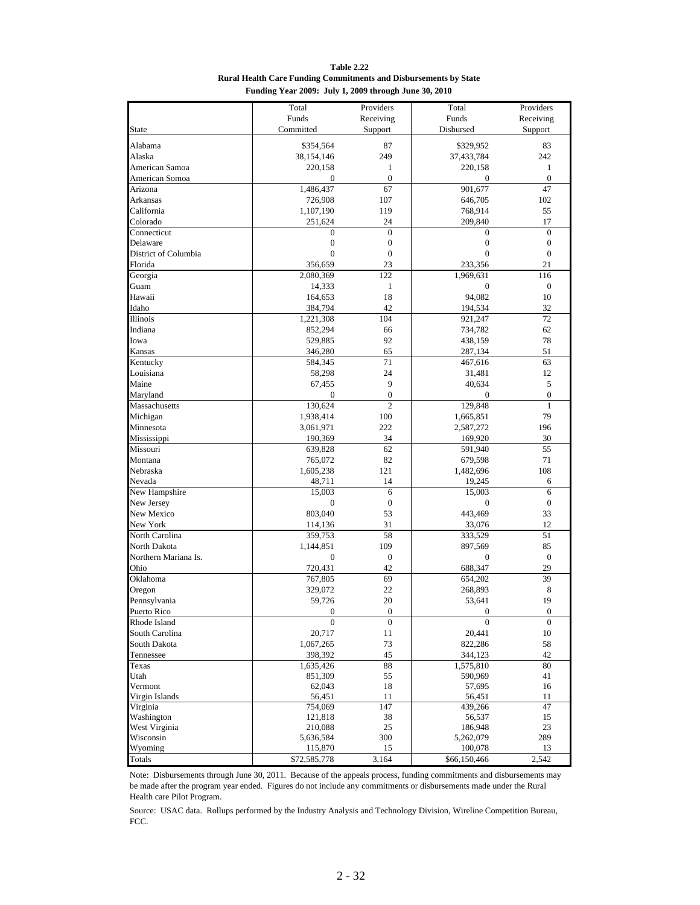**Table 2.22 Rural Health Care Funding Commitments and Disbursements by State Funding Year 2009: July 1, 2009 through June 30, 2010**

|                      | Total            | Providers        | Total            | Providers        |
|----------------------|------------------|------------------|------------------|------------------|
|                      | Funds            |                  | Funds            |                  |
| <b>State</b>         |                  | Receiving        |                  | Receiving        |
|                      | Committed        | Support          | Disbursed        | Support          |
| Alabama              | \$354,564        | 87               | \$329,952        | 83               |
| Alaska               | 38,154,146       | 249              | 37,433,784       | 242              |
| American Samoa       | 220,158          | 1                | 220,158          | $\mathbf{1}$     |
| American Somoa       | $\mathbf{0}$     | $\mathbf{0}$     | $\mathbf{0}$     | $\mathbf{0}$     |
| Arizona              | 1,486,437        | 67               | 901,677          | 47               |
| Arkansas             | 726,908          | 107              | 646,705          | 102              |
| California           | 1,107,190        | 119              | 768,914          | 55               |
| Colorado             | 251,624          | 24               | 209,840          | 17               |
| Connecticut          | $\boldsymbol{0}$ | $\boldsymbol{0}$ | $\boldsymbol{0}$ | $\boldsymbol{0}$ |
| Delaware             | $\boldsymbol{0}$ | $\boldsymbol{0}$ | $\boldsymbol{0}$ | $\boldsymbol{0}$ |
| District of Columbia | $\boldsymbol{0}$ | $\boldsymbol{0}$ | $\boldsymbol{0}$ | $\boldsymbol{0}$ |
|                      |                  |                  |                  |                  |
| Florida              | 356,659          | 23               | 233,356          | 21               |
| Georgia              | 2,080,369        | 122              | 1,969,631        | 116              |
| Guam                 | 14,333           | $\mathbf{1}$     | $\boldsymbol{0}$ | $\boldsymbol{0}$ |
| Hawaii               | 164,653          | 18               | 94,082           | 10               |
| Idaho                | 384,794          | 42               | 194,534          | 32               |
| Illinois             | 1,221,308        | 104              | 921,247          | 72               |
| Indiana              | 852,294          | 66               | 734,782          | 62               |
| Iowa                 | 529,885          | 92               | 438,159          | 78               |
| Kansas               | 346,280          | 65               | 287,134          | 51               |
| Kentucky             | 584,345          | 71               | 467,616          | 63               |
| Louisiana            | 58,298           | 24               | 31,481           | 12               |
| Maine                | 67,455           | $\overline{9}$   | 40,634           | 5                |
| Maryland             | 0                | $\boldsymbol{0}$ | 0                | $\boldsymbol{0}$ |
| Massachusetts        | 130,624          | $\overline{2}$   | 129,848          | $\mathbf{1}$     |
| Michigan             | 1,938,414        | 100              | 1,665,851        | 79               |
| Minnesota            | 3,061,971        | 222              | 2,587,272        | 196              |
| Mississippi          | 190,369          | 34               | 169,920          | 30               |
| Missouri             | 639,828          | 62               | 591,940          | 55               |
| Montana              | 765,072          | 82               | 679,598          | 71               |
| Nebraska             | 1,605,238        | 121              | 1,482,696        | 108              |
| Nevada               | 48,711           | 14               | 19,245           | 6                |
| New Hampshire        | 15,003           | 6                | 15,003           | 6                |
| New Jersey           | $\boldsymbol{0}$ | $\boldsymbol{0}$ | $\boldsymbol{0}$ | $\boldsymbol{0}$ |
| New Mexico           | 803,040          | 53               | 443,469          | 33               |
| New York             |                  | 31               |                  | 12               |
| North Carolina       | 114,136          | 58               | 33,076           | 51               |
|                      | 359,753          |                  | 333,529          |                  |
| North Dakota         | 1,144,851        | 109              | 897,569          | 85               |
| Northern Mariana Is. | $\mathbf{0}$     | $\boldsymbol{0}$ | $\mathbf{0}$     | $\overline{0}$   |
| Ohio                 | 720,431          | 42               | 688,347          | 29               |
| Oklahoma             | 767,805          | 69               | 654,202          | 39               |
| Oregon               | 329,072          | 22               | 268,893          | 8                |
| Pennsylvania         | 59,726           | 20               | 53,641           | 19               |
| Puerto Rico          | $\boldsymbol{0}$ | $\boldsymbol{0}$ | $\theta$         | $\boldsymbol{0}$ |
| Rhode Island         | $\boldsymbol{0}$ | $\boldsymbol{0}$ | $\boldsymbol{0}$ | $\boldsymbol{0}$ |
| South Carolina       | 20,717           | 11               | 20,441           | $10\,$           |
| South Dakota         | 1,067,265        | 73               | 822,286          | 58               |
| Tennessee            | 398,392          | 45               | 344,123          | 42               |
| Texas                | 1,635,426        | 88               | 1,575,810        | 80               |
| Utah                 | 851,309          | 55               | 590,969          | 41               |
| Vermont              | 62,043           | 18               | 57,695           | 16               |
| Virgin Islands       | 56,451           | 11               | 56,451           | 11               |
| Virginia             | 754,069          | 147              | 439,266          | 47               |
| Washington           | 121,818          | 38               | 56,537           | 15               |
| West Virginia        | 210,088          | 25               | 186,948          | 23               |
| Wisconsin            | 5,636,584        | 300              | 5,262,079        | 289              |
| Wyoming              | 115,870          | 15               | 100,078          | 13               |
| Totals               | \$72,585,778     | 3,164            | \$66,150,466     | 2,542            |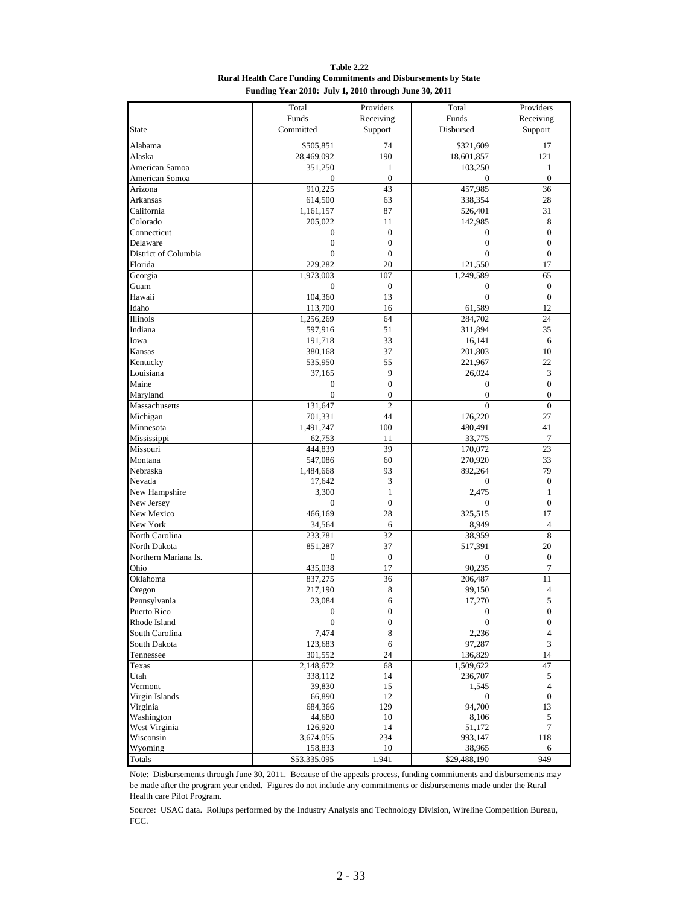**Table 2.22 Rural Health Care Funding Commitments and Disbursements by State Funding Year 2010: July 1, 2010 through June 30, 2011**

|                        | Total             | Providers        | Total            | Providers                   |
|------------------------|-------------------|------------------|------------------|-----------------------------|
|                        | Funds             | Receiving        | Funds            | Receiving                   |
| <b>State</b>           | Committed         | Support          | Disbursed        | Support                     |
|                        |                   |                  |                  |                             |
| Alabama                | \$505,851         | 74               | \$321,609        | 17                          |
| Alaska                 | 28,469,092        | 190              | 18,601,857       | 121                         |
| American Samoa         | 351,250           | $\mathbf{1}$     | 103,250          | $\mathbf{1}$                |
| American Somoa         | 0                 | $\boldsymbol{0}$ | 0                | $\boldsymbol{0}$            |
| Arizona                | 910,225           | 43               | 457,985          | 36                          |
| Arkansas               | 614,500           | 63               | 338,354          | 28                          |
| California             | 1,161,157         | 87               | 526,401          | 31                          |
| Colorado               | 205,022           | 11               | 142,985          | 8                           |
| Connecticut            | $\mathbf{0}$      | $\mathbf{0}$     | $\mathbf{0}$     | $\overline{0}$              |
| Delaware               | $\boldsymbol{0}$  | $\boldsymbol{0}$ | $\boldsymbol{0}$ | $\boldsymbol{0}$            |
| District of Columbia   | $\mathbf{0}$      | $\boldsymbol{0}$ | $\mathbf{0}$     | $\boldsymbol{0}$            |
| Florida                | 229,282           | 20               | 121,550          | 17                          |
| Georgia                | 1,973,003         | 107              | 1,249,589        | 65                          |
| Guam                   | $\boldsymbol{0}$  | $\boldsymbol{0}$ | $\boldsymbol{0}$ | $\boldsymbol{0}$            |
| Hawaii                 | 104,360           | 13               | $\overline{0}$   | $\boldsymbol{0}$            |
| Idaho                  | 113,700           | 16               | 61,589           | 12                          |
| Illinois               | 1,256,269         | 64               | 284,702          | 24                          |
| Indiana                | 597,916           | 51               | 311,894          | 35                          |
| Iowa                   | 191,718           | 33               | 16,141           | 6                           |
| Kansas                 | 380,168           | 37               | 201,803          | 10                          |
| Kentucky               | 535,950           | 55               | 221,967          | 22                          |
| Louisiana              | 37,165            | $\overline{9}$   | 26,024           | 3                           |
| Maine                  | $\boldsymbol{0}$  | $\boldsymbol{0}$ | $\boldsymbol{0}$ | $\boldsymbol{0}$            |
| Maryland               | $\boldsymbol{0}$  | $\boldsymbol{0}$ | $\boldsymbol{0}$ | $\boldsymbol{0}$            |
| Massachusetts          | 131,647           | $\overline{2}$   | $\overline{0}$   | $\mathbf{0}$                |
| Michigan               | 701,331           | 44               | 176,220          | 27                          |
| Minnesota              | 1,491,747         | 100              | 480,491          | 41                          |
| Mississippi            | 62,753            | 11               | 33,775           | 7                           |
| Missouri               | 444,839           | 39               | 170,072          | 23                          |
| Montana                | 547,086           | 60               | 270,920          | 33                          |
| Nebraska               | 1,484,668         | 93               | 892,264          | 79                          |
| Nevada                 | 17,642            | 3                | $\mathbf{0}$     | $\boldsymbol{0}$            |
| New Hampshire          | 3,300             | $\mathbf{1}$     | 2,475            | $\mathbf{1}$                |
| New Jersey             | $\mathbf{0}$      | $\boldsymbol{0}$ | $\mathbf{0}$     | $\boldsymbol{0}$            |
| New Mexico             | 466,169           | 28               | 325,515          | 17                          |
| New York               | 34,564            | 6                | 8,949            | $\overline{4}$              |
| North Carolina         | 233,781           | 32               | 38,959           | 8                           |
| North Dakota           | 851,287           | 37               | 517,391          | 20                          |
| Northern Mariana Is.   | $\mathbf{0}$      | $\boldsymbol{0}$ | $\mathbf{0}$     | $\boldsymbol{0}$            |
| Ohio                   | 435,038           | 17               | 90,235           | 7                           |
| Oklahoma               | 837,275           | 36               | 206,487          | 11                          |
| Oregon                 | 217,190           | 8                | 99,150           | 4                           |
| Pennsylvania           | 23,084            | 6                | 17,270           | 5                           |
| Puerto Rico            | $\boldsymbol{0}$  | $\boldsymbol{0}$ | $\overline{0}$   | $\boldsymbol{0}$            |
| Rhode Island           | $\boldsymbol{0}$  | $\boldsymbol{0}$ | $\boldsymbol{0}$ | $\boldsymbol{0}$            |
| South Carolina         | 7,474             | 8                | 2,236            | 4                           |
| South Dakota           | 123,683           | 6                | 97,287           | $\ensuremath{\mathfrak{Z}}$ |
| Tennessee              | 301,552           | 24               | 136,829          | 14                          |
| Texas                  | 2,148,672         | 68               | 1,509,622        | 47                          |
| Utah                   | 338,112           | 14               | 236,707          | 5<br>$\overline{4}$         |
| Vermont                | 39,830            | 15               | 1,545            |                             |
| Virgin Islands         | 66,890            | 12<br>129        | 0<br>94,700      | $\boldsymbol{0}$<br>13      |
| Virginia<br>Washington | 684,366<br>44,680 | $10\,$           | 8,106            | 5                           |
| West Virginia          | 126,920           | 14               | 51,172           | $\tau$                      |
| Wisconsin              | 3,674,055         | 234              | 993,147          | 118                         |
| Wyoming                | 158,833           | 10               | 38,965           | 6                           |
| Totals                 | \$53,335,095      | 1,941            | \$29,488,190     | 949                         |
|                        |                   |                  |                  |                             |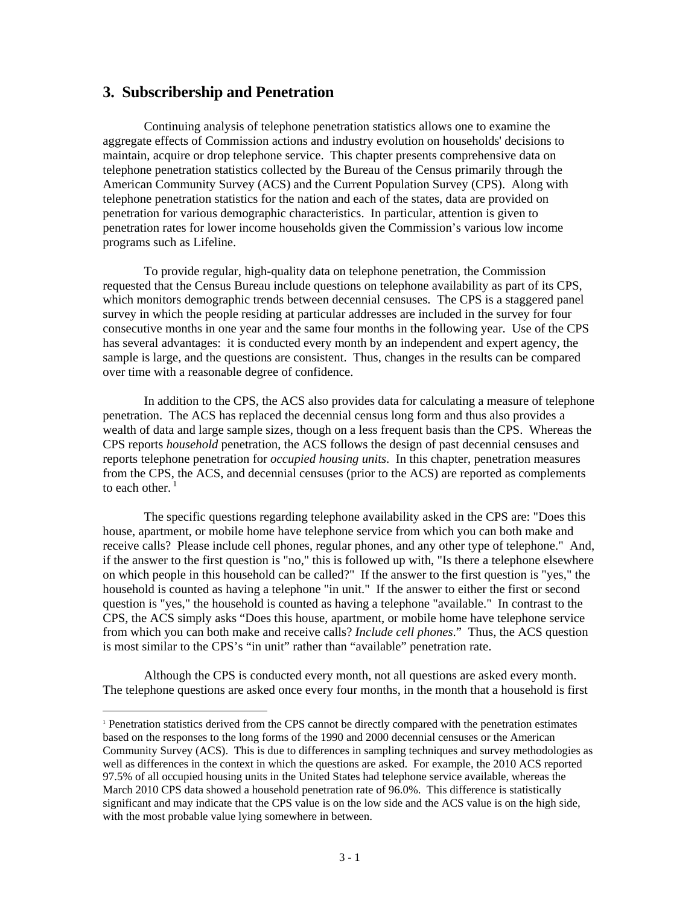#### **3. Subscribership and Penetration**

 $\overline{a}$ 

Continuing analysis of telephone penetration statistics allows one to examine the aggregate effects of Commission actions and industry evolution on households' decisions to maintain, acquire or drop telephone service. This chapter presents comprehensive data on telephone penetration statistics collected by the Bureau of the Census primarily through the American Community Survey (ACS) and the Current Population Survey (CPS). Along with telephone penetration statistics for the nation and each of the states, data are provided on penetration for various demographic characteristics. In particular, attention is given to penetration rates for lower income households given the Commission's various low income programs such as Lifeline.

 To provide regular, high-quality data on telephone penetration, the Commission requested that the Census Bureau include questions on telephone availability as part of its CPS, which monitors demographic trends between decennial censuses. The CPS is a staggered panel survey in which the people residing at particular addresses are included in the survey for four consecutive months in one year and the same four months in the following year. Use of the CPS has several advantages: it is conducted every month by an independent and expert agency, the sample is large, and the questions are consistent. Thus, changes in the results can be compared over time with a reasonable degree of confidence.

 In addition to the CPS, the ACS also provides data for calculating a measure of telephone penetration. The ACS has replaced the decennial census long form and thus also provides a wealth of data and large sample sizes, though on a less frequent basis than the CPS. Whereas the CPS reports *household* penetration, the ACS follows the design of past decennial censuses and reports telephone penetration for *occupied housing units*. In this chapter, penetration measures from the CPS, the ACS, and decennial censuses (prior to the ACS) are reported as complements to each other. $<sup>1</sup>$ </sup>

 The specific questions regarding telephone availability asked in the CPS are: "Does this house, apartment, or mobile home have telephone service from which you can both make and receive calls? Please include cell phones, regular phones, and any other type of telephone." And, if the answer to the first question is "no," this is followed up with, "Is there a telephone elsewhere on which people in this household can be called?" If the answer to the first question is "yes," the household is counted as having a telephone "in unit." If the answer to either the first or second question is "yes," the household is counted as having a telephone "available." In contrast to the CPS, the ACS simply asks "Does this house, apartment, or mobile home have telephone service from which you can both make and receive calls? *Include cell phones*." Thus, the ACS question is most similar to the CPS's "in unit" rather than "available" penetration rate.

 Although the CPS is conducted every month, not all questions are asked every month. The telephone questions are asked once every four months, in the month that a household is first

<sup>1</sup> Penetration statistics derived from the CPS cannot be directly compared with the penetration estimates based on the responses to the long forms of the 1990 and 2000 decennial censuses or the American Community Survey (ACS). This is due to differences in sampling techniques and survey methodologies as well as differences in the context in which the questions are asked. For example, the 2010 ACS reported 97.5% of all occupied housing units in the United States had telephone service available, whereas the March 2010 CPS data showed a household penetration rate of 96.0%. This difference is statistically significant and may indicate that the CPS value is on the low side and the ACS value is on the high side, with the most probable value lying somewhere in between.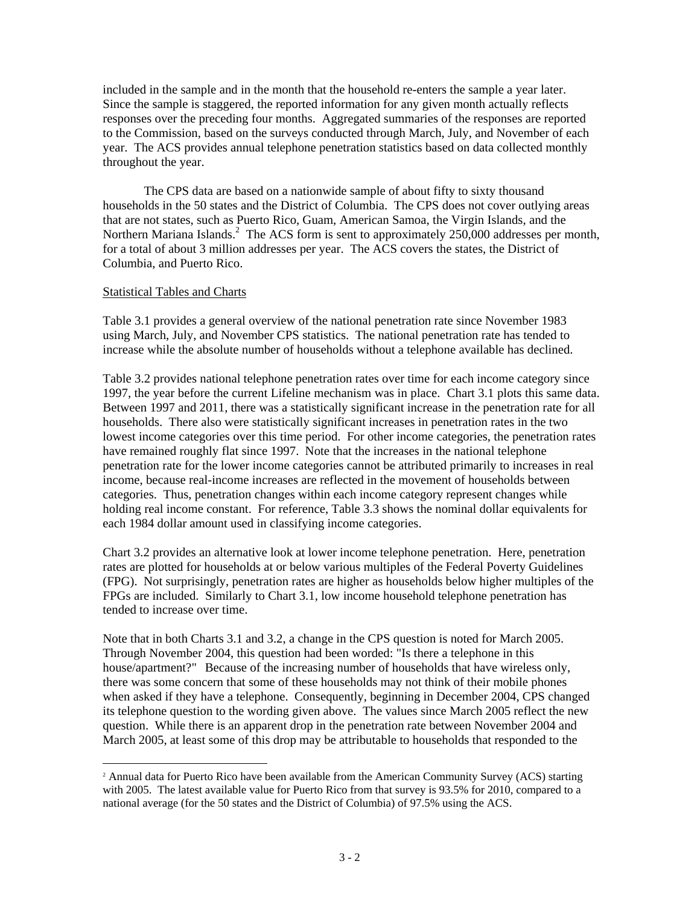included in the sample and in the month that the household re-enters the sample a year later. Since the sample is staggered, the reported information for any given month actually reflects responses over the preceding four months. Aggregated summaries of the responses are reported to the Commission, based on the surveys conducted through March, July, and November of each year. The ACS provides annual telephone penetration statistics based on data collected monthly throughout the year.

 The CPS data are based on a nationwide sample of about fifty to sixty thousand households in the 50 states and the District of Columbia. The CPS does not cover outlying areas that are not states, such as Puerto Rico, Guam, American Samoa, the Virgin Islands, and the Northern Mariana Islands.<sup>2</sup> The ACS form is sent to approximately 250,000 addresses per month, for a total of about 3 million addresses per year. The ACS covers the states, the District of Columbia, and Puerto Rico.

#### Statistical Tables and Charts

 $\overline{a}$ 

Table 3.1 provides a general overview of the national penetration rate since November 1983 using March, July, and November CPS statistics. The national penetration rate has tended to increase while the absolute number of households without a telephone available has declined.

Table 3.2 provides national telephone penetration rates over time for each income category since 1997, the year before the current Lifeline mechanism was in place. Chart 3.1 plots this same data. Between 1997 and 2011, there was a statistically significant increase in the penetration rate for all households. There also were statistically significant increases in penetration rates in the two lowest income categories over this time period. For other income categories, the penetration rates have remained roughly flat since 1997. Note that the increases in the national telephone penetration rate for the lower income categories cannot be attributed primarily to increases in real income, because real-income increases are reflected in the movement of households between categories. Thus, penetration changes within each income category represent changes while holding real income constant. For reference, Table 3.3 shows the nominal dollar equivalents for each 1984 dollar amount used in classifying income categories.

Chart 3.2 provides an alternative look at lower income telephone penetration. Here, penetration rates are plotted for households at or below various multiples of the Federal Poverty Guidelines (FPG). Not surprisingly, penetration rates are higher as households below higher multiples of the FPGs are included. Similarly to Chart 3.1, low income household telephone penetration has tended to increase over time.

Note that in both Charts 3.1 and 3.2, a change in the CPS question is noted for March 2005. Through November 2004, this question had been worded: "Is there a telephone in this house/apartment?" Because of the increasing number of households that have wireless only, there was some concern that some of these households may not think of their mobile phones when asked if they have a telephone. Consequently, beginning in December 2004, CPS changed its telephone question to the wording given above. The values since March 2005 reflect the new question. While there is an apparent drop in the penetration rate between November 2004 and March 2005, at least some of this drop may be attributable to households that responded to the

<sup>&</sup>lt;sup>2</sup> Annual data for Puerto Rico have been available from the American Community Survey (ACS) starting with 2005. The latest available value for Puerto Rico from that survey is 93.5% for 2010, compared to a national average (for the 50 states and the District of Columbia) of 97.5% using the ACS.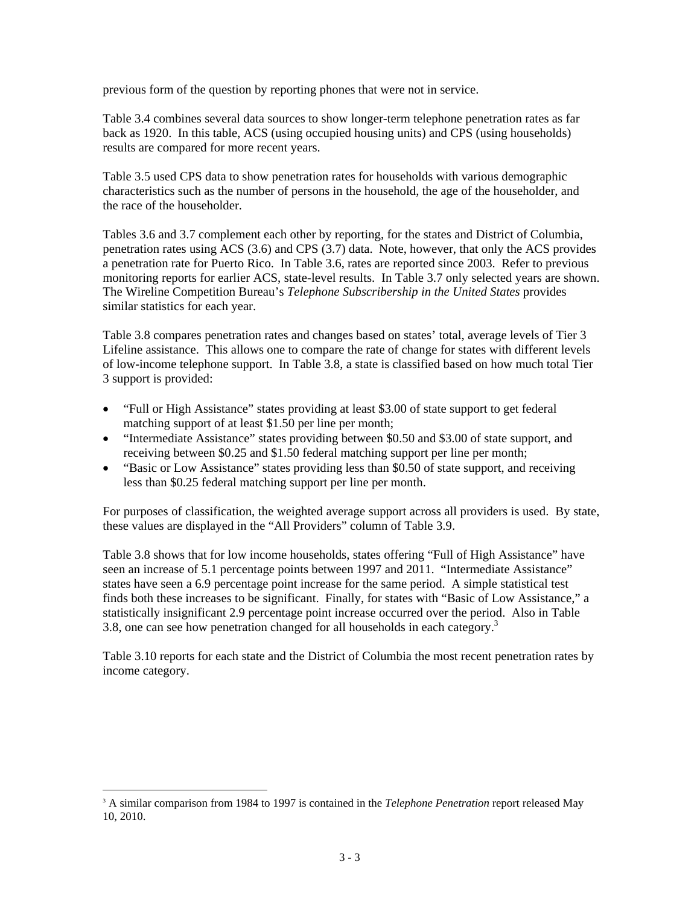previous form of the question by reporting phones that were not in service.

Table 3.4 combines several data sources to show longer-term telephone penetration rates as far back as 1920. In this table, ACS (using occupied housing units) and CPS (using households) results are compared for more recent years.

Table 3.5 used CPS data to show penetration rates for households with various demographic characteristics such as the number of persons in the household, the age of the householder, and the race of the householder.

Tables 3.6 and 3.7 complement each other by reporting, for the states and District of Columbia, penetration rates using ACS (3.6) and CPS (3.7) data. Note, however, that only the ACS provides a penetration rate for Puerto Rico. In Table 3.6, rates are reported since 2003. Refer to previous monitoring reports for earlier ACS, state-level results. In Table 3.7 only selected years are shown. The Wireline Competition Bureau's *Telephone Subscribership in the United States* provides similar statistics for each year.

Table 3.8 compares penetration rates and changes based on states' total, average levels of Tier 3 Lifeline assistance. This allows one to compare the rate of change for states with different levels of low-income telephone support. In Table 3.8, a state is classified based on how much total Tier 3 support is provided:

- "Full or High Assistance" states providing at least \$3.00 of state support to get federal matching support of at least \$1.50 per line per month;
- "Intermediate Assistance" states providing between \$0.50 and \$3.00 of state support, and receiving between \$0.25 and \$1.50 federal matching support per line per month;
- "Basic or Low Assistance" states providing less than \$0.50 of state support, and receiving less than \$0.25 federal matching support per line per month.

For purposes of classification, the weighted average support across all providers is used. By state, these values are displayed in the "All Providers" column of Table 3.9.

Table 3.8 shows that for low income households, states offering "Full of High Assistance" have seen an increase of 5.1 percentage points between 1997 and 2011. "Intermediate Assistance" states have seen a 6.9 percentage point increase for the same period. A simple statistical test finds both these increases to be significant. Finally, for states with "Basic of Low Assistance," a statistically insignificant 2.9 percentage point increase occurred over the period. Also in Table 3.8, one can see how penetration changed for all households in each category.<sup>3</sup>

Table 3.10 reports for each state and the District of Columbia the most recent penetration rates by income category.

 $\overline{a}$ 

<sup>3</sup> A similar comparison from 1984 to 1997 is contained in the *Telephone Penetration* report released May 10, 2010.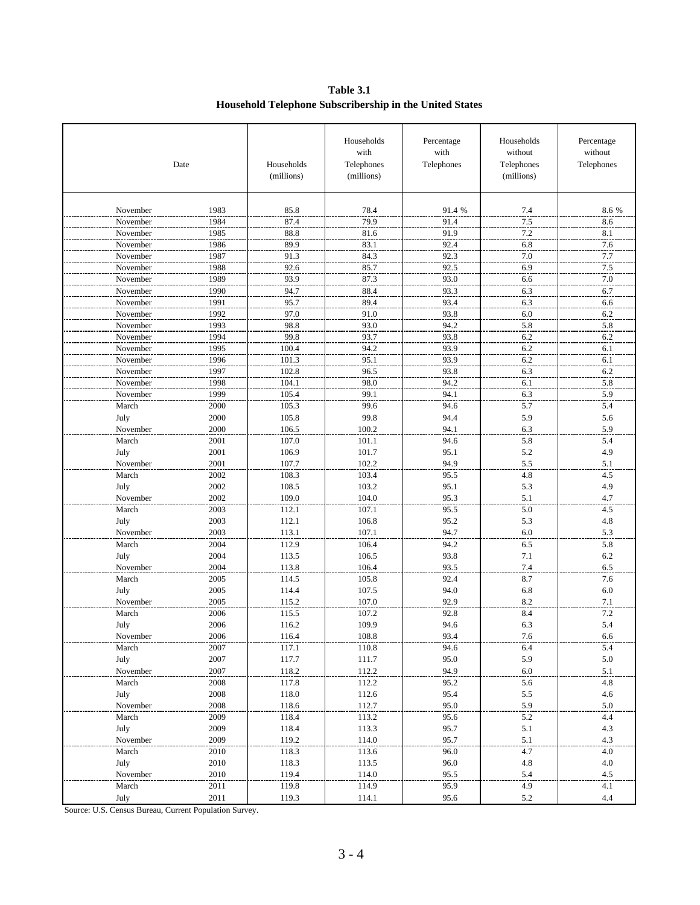**Table 3.1 Household Telephone Subscribership in the United States**

|          | Date | Households<br>(millions) | Households<br>with<br>Telephones<br>(millions) | Percentage<br>with<br>Telephones | Households<br>without<br>Telephones<br>(millions) | Percentage<br>without<br>Telephones |
|----------|------|--------------------------|------------------------------------------------|----------------------------------|---------------------------------------------------|-------------------------------------|
| November | 1983 | 85.8                     | 78.4                                           | 91.4 %                           | 7.4                                               | 8.6 %                               |
| November | 1984 | 87.4                     | 79.9                                           | 91.4                             | 7.5                                               | 8.6                                 |
| November | 1985 | 88.8                     | 81.6                                           | 91.9                             | 7.2                                               | 8.1                                 |
| November | 1986 | 89.9                     | 83.1                                           | 92.4                             | 6.8                                               | 7.6                                 |
| November | 1987 | 91.3                     | 84.3                                           | 92.3                             | 7.0                                               | 7.7                                 |
| November | 1988 | 92.6                     | 85.7                                           | 92.5                             | 6.9                                               | 7.5                                 |
| November | 1989 | 93.9                     | 87.3                                           | 93.0                             | 6.6                                               | 7.0                                 |
| November | 1990 | 94.7                     | 88.4                                           | 93.3                             | 6.3                                               | 6.7                                 |
| November | 1991 | 95.7                     | 89.4                                           | 93.4                             | 6.3                                               | 6.6                                 |
| November | 1992 | 97.0                     | 91.0                                           | 93.8                             | 6.0                                               | 6.2                                 |
| November | 1993 | 98.8                     | 93.0                                           | 94.2                             | 5.8                                               | 5.8                                 |
| November | 1994 | 99.8                     | 93.7                                           | 93.8                             | 6.2                                               | 6.2                                 |
| November | 1995 | 100.4                    | 94.2                                           | 93.9                             | 6.2                                               | 6.1                                 |
| November | 1996 | 101.3                    | 95.1                                           | 93.9                             | 6.2                                               | 6.1                                 |
| November | 1997 | 102.8                    | 96.5                                           | 93.8                             | 6.3                                               | 6.2                                 |
| November | 1998 | 104.1                    | 98.0                                           | 94.2                             | 6.1                                               | 5.8                                 |
| November | 1999 | 105.4                    | 99.1                                           | 94.1                             | 6.3                                               | 5.9                                 |
| March    | 2000 | 105.3                    | 99.6                                           | 94.6                             | 5.7                                               | 5.4                                 |
| July     | 2000 | 105.8                    | 99.8                                           | 94.4                             | 5.9                                               | 5.6                                 |
| November | 2000 | 106.5                    | 100.2                                          | 94.1                             | 6.3                                               | 5.9                                 |
| March    | 2001 | 107.0                    | 101.1                                          | 94.6                             | 5.8                                               | 5.4                                 |
| July     | 2001 | 106.9                    | 101.7                                          | 95.1                             | 5.2                                               | 4.9                                 |
| November | 2001 | 107.7                    | 102.2                                          | 94.9                             | 5.5                                               | 5.1                                 |
| March    | 2002 | 108.3                    | 103.4                                          | 95.5                             | 4.8                                               | 4.5                                 |
| July     | 2002 | 108.5                    | 103.2                                          | 95.1                             | 5.3                                               | 4.9                                 |
| November | 2002 | 109.0                    | 104.0                                          | 95.3                             | 5.1                                               | 4.7                                 |
| March    | 2003 | 112.1                    | 107.1                                          | 95.5                             | 5.0                                               | 4.5                                 |
| July     | 2003 | 112.1                    | 106.8                                          | 95.2                             | 5.3                                               | 4.8                                 |
| November | 2003 | 113.1                    | 107.1                                          | 94.7                             | 6.0                                               | 5.3                                 |
| March    | 2004 | 112.9                    | 106.4                                          | 94.2                             | 6.5                                               | 5.8                                 |
| July     | 2004 | 113.5                    | 106.5                                          | 93.8                             | 7.1                                               | 6.2                                 |
| November | 2004 | 113.8                    | 106.4                                          | 93.5                             | 7.4                                               | 6.5                                 |
| March    | 2005 | 114.5                    | 105.8                                          | 92.4                             | 8.7                                               | 7.6                                 |
| July     | 2005 | 114.4                    | 107.5                                          | 94.0                             | 6.8                                               | 6.0                                 |
| November | 2005 | 115.2                    | 107.0                                          | 92.9                             | 8.2                                               | 7.1                                 |
| March    | 2006 | 115.5                    | 107.2                                          | 92.8                             | 8.4                                               | 7.2                                 |
| July     | 2006 | 116.2                    | 109.9                                          | 94.6                             | 6.3                                               | 5.4                                 |
| November | 2006 | 116.4                    | 108.8                                          | 93.4                             | 7.6                                               |                                     |
| March    | 2007 | 117.1                    | 110.8                                          | 94.6                             | 6.4                                               | $\frac{6.6}{5.4}$                   |
| July     | 2007 | 117.7                    | 111.7                                          | 95.0                             | 5.9                                               | $5.0\,$                             |
| November | 2007 | 118.2                    | 112.2                                          | 94.9                             | 6.0                                               | 5.1                                 |
| March    | 2008 | 117.8                    | 112.2                                          | 95.2                             | 5.6                                               | 4.8                                 |
| July     | 2008 | 118.0                    | 112.6                                          | 95.4                             | 5.5                                               | 4.6                                 |
| November | 2008 | 118.6                    | 112.7                                          | 95.0                             | 5.9                                               | 5.0                                 |
| March    | 2009 | 118.4                    | 113.2                                          | 95.6                             | 5.2                                               | 4.4                                 |
| July     | 2009 | 118.4                    | 113.3                                          | 95.7                             | 5.1                                               | 4.3                                 |
| November | 2009 | 119.2                    | 114.0                                          | 95.7                             | 5.1                                               | 4.3                                 |
| March    | 2010 | 118.3                    | 113.6                                          | 96.0                             | 4.7                                               | 4.0                                 |
| July     | 2010 | 118.3                    | 113.5                                          | 96.0                             | 4.8                                               | 4.0                                 |
| November | 2010 | 119.4                    | 114.0                                          | 95.5                             | 5.4                                               | 4.5                                 |
| March    | 2011 | 119.8                    | 114.9                                          | 95.9                             | 4.9                                               | 4.1                                 |
| July     | 2011 | 119.3                    | 114.1                                          | 95.6                             | 5.2                                               | 4.4                                 |

Source: U.S. Census Bureau, Current Population Survey.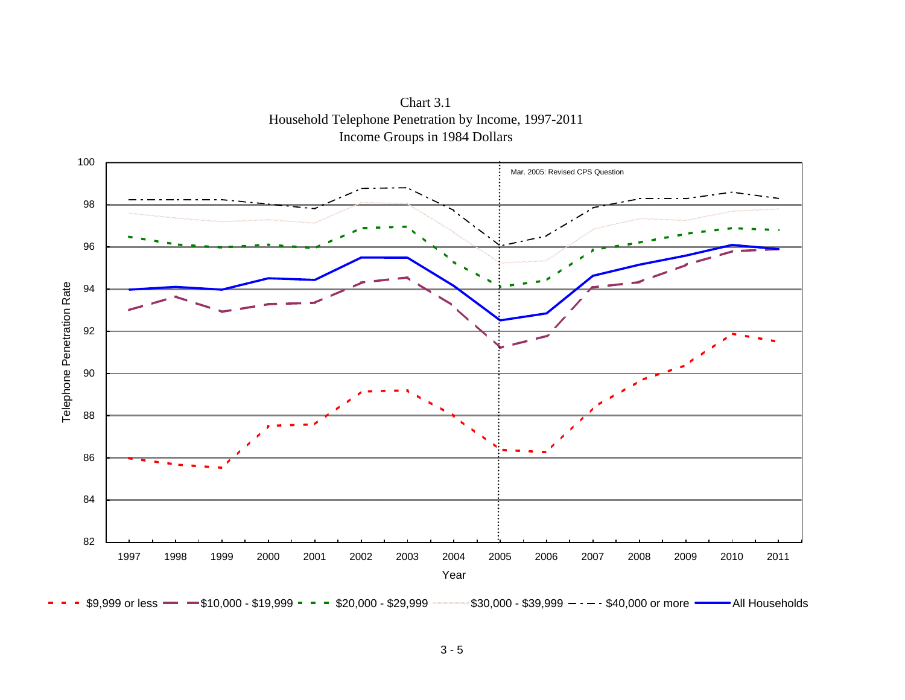

Chart 3.1 Household Telephone Penetration by Income, 1997-2011 Income Groups in 1984 Dollars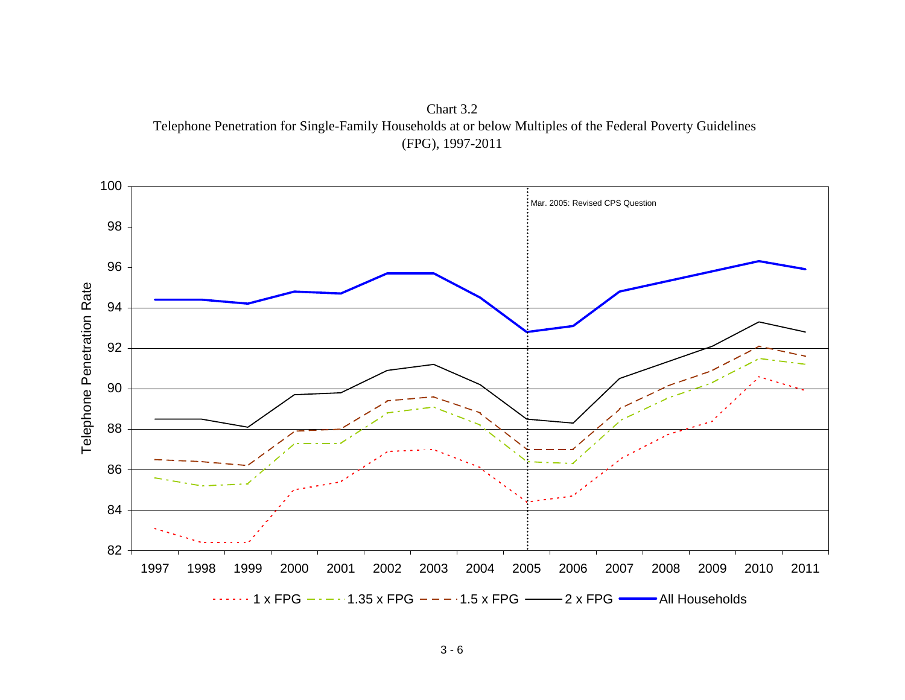

Chart 3.2 Telephone Penetration for Single-Family Households at or below Multiples of the Federal Poverty Guidelines (FPG), 1997-2011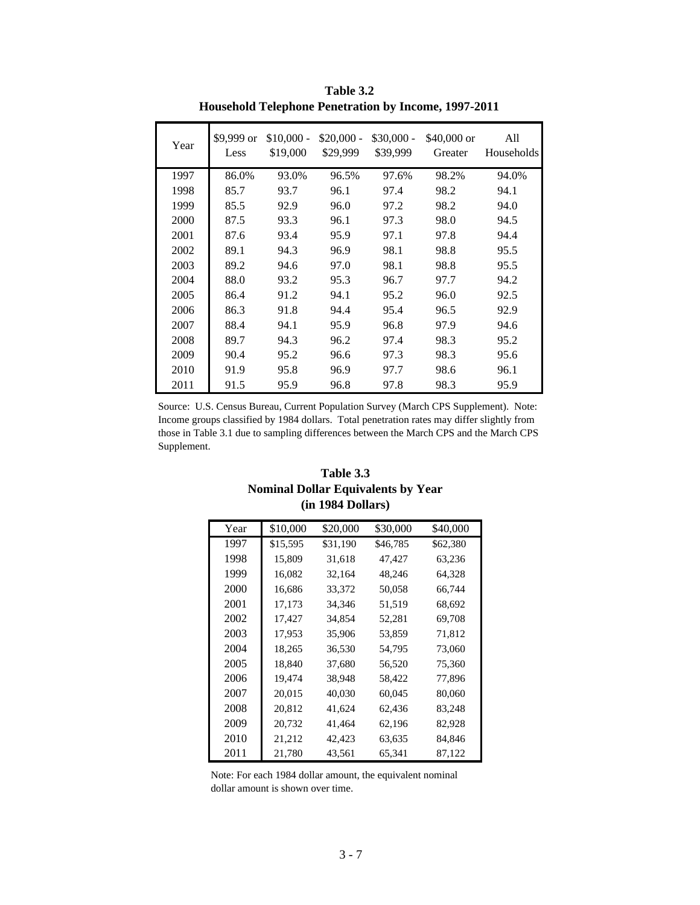| Year | \$9,999 or<br>Less | $$10,000 -$<br>\$19,000 | $$20,000-$<br>\$29,999 | $$30,000 -$<br>\$39,999 | \$40,000 or<br>Greater | All<br><b>Households</b> |
|------|--------------------|-------------------------|------------------------|-------------------------|------------------------|--------------------------|
| 1997 | 86.0%              | 93.0%                   | 96.5%                  | 97.6%                   | 98.2%                  | 94.0%                    |
| 1998 | 85.7               | 93.7                    | 96.1                   | 97.4                    | 98.2                   | 94.1                     |
| 1999 | 85.5               | 92.9                    | 96.0                   | 97.2                    | 98.2                   | 94.0                     |
| 2000 | 87.5               | 93.3                    | 96.1                   | 97.3                    | 98.0                   | 94.5                     |
| 2001 | 87.6               | 93.4                    | 95.9                   | 97.1                    | 97.8                   | 94.4                     |
| 2002 | 89.1               | 94.3                    | 96.9                   | 98.1                    | 98.8                   | 95.5                     |
| 2003 | 89.2               | 94.6                    | 97.0                   | 98.1                    | 98.8                   | 95.5                     |
| 2004 | 88.0               | 93.2                    | 95.3                   | 96.7                    | 97.7                   | 94.2                     |
| 2005 | 86.4               | 91.2                    | 94.1                   | 95.2                    | 96.0                   | 92.5                     |
| 2006 | 86.3               | 91.8                    | 94.4                   | 95.4                    | 96.5                   | 92.9                     |
| 2007 | 88.4               | 94.1                    | 95.9                   | 96.8                    | 97.9                   | 94.6                     |
| 2008 | 89.7               | 94.3                    | 96.2                   | 97.4                    | 98.3                   | 95.2                     |
| 2009 | 90.4               | 95.2                    | 96.6                   | 97.3                    | 98.3                   | 95.6                     |
| 2010 | 91.9               | 95.8                    | 96.9                   | 97.7                    | 98.6                   | 96.1                     |
| 2011 | 91.5               | 95.9                    | 96.8                   | 97.8                    | 98.3                   | 95.9                     |

**Table 3.2 Household Telephone Penetration by Income, 1997-2011**

Source: U.S. Census Bureau, Current Population Survey (March CPS Supplement). Note: Income groups classified by 1984 dollars. Total penetration rates may differ slightly from those in Table 3.1 due to sampling differences between the March CPS and the March CPS Supplement.

### **Table 3.3 (in 1984 Dollars) Nominal Dollar Equivalents by Year**

| Year | \$10,000 | \$20,000 | \$30,000 | \$40,000 |
|------|----------|----------|----------|----------|
| 1997 | \$15,595 | \$31,190 | \$46,785 | \$62,380 |
| 1998 | 15.809   | 31,618   | 47,427   | 63,236   |
| 1999 | 16,082   | 32,164   | 48,246   | 64,328   |
| 2000 | 16,686   | 33,372   | 50,058   | 66,744   |
| 2001 | 17,173   | 34,346   | 51,519   | 68,692   |
| 2002 | 17,427   | 34,854   | 52,281   | 69,708   |
| 2003 | 17,953   | 35,906   | 53,859   | 71,812   |
| 2004 | 18,265   | 36,530   | 54,795   | 73,060   |
| 2005 | 18,840   | 37,680   | 56,520   | 75,360   |
| 2006 | 19,474   | 38,948   | 58,422   | 77,896   |
| 2007 | 20,015   | 40,030   | 60,045   | 80,060   |
| 2008 | 20,812   | 41,624   | 62,436   | 83,248   |
| 2009 | 20,732   | 41,464   | 62,196   | 82,928   |
| 2010 | 21,212   | 42,423   | 63,635   | 84,846   |
| 2011 | 21,780   | 43,561   | 65,341   | 87,122   |

Note: For each 1984 dollar amount, the equivalent nominal dollar amount is shown over time.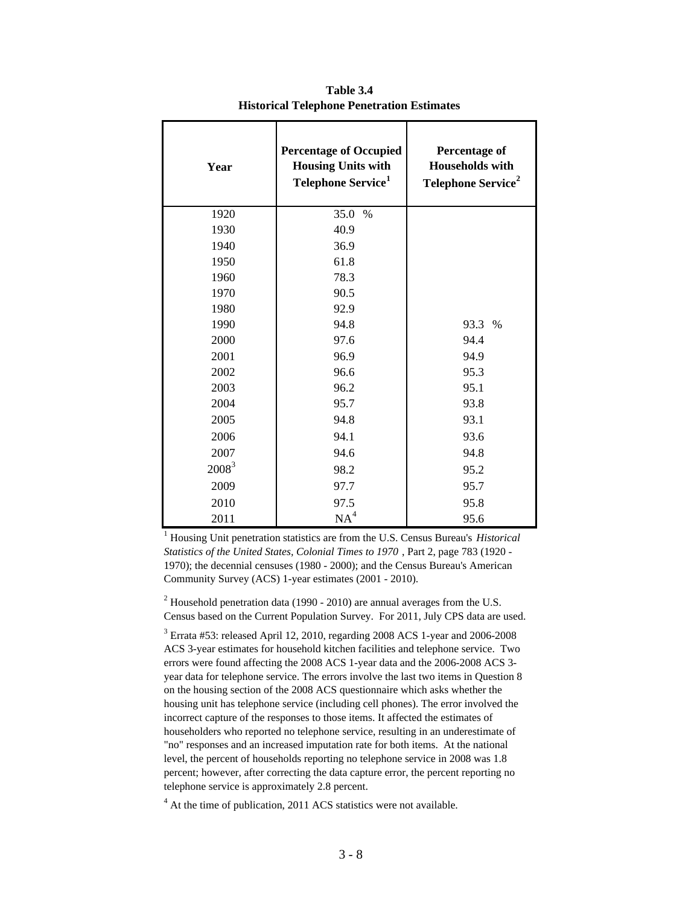| Year     | <b>Percentage of Occupied</b><br><b>Housing Units with</b><br>Telephone Service <sup>1</sup> | <b>Percentage of</b><br><b>Households with</b><br>Telephone Service <sup>2</sup> |
|----------|----------------------------------------------------------------------------------------------|----------------------------------------------------------------------------------|
| 1920     | 35.0 %                                                                                       |                                                                                  |
| 1930     | 40.9                                                                                         |                                                                                  |
| 1940     | 36.9                                                                                         |                                                                                  |
| 1950     | 61.8                                                                                         |                                                                                  |
| 1960     | 78.3                                                                                         |                                                                                  |
| 1970     | 90.5                                                                                         |                                                                                  |
| 1980     | 92.9                                                                                         |                                                                                  |
| 1990     | 94.8                                                                                         | 93.3<br>$\frac{0}{0}$                                                            |
| 2000     | 97.6                                                                                         | 94.4                                                                             |
| 2001     | 96.9                                                                                         | 94.9                                                                             |
| 2002     | 96.6                                                                                         | 95.3                                                                             |
| 2003     | 96.2                                                                                         | 95.1                                                                             |
| 2004     | 95.7                                                                                         | 93.8                                                                             |
| 2005     | 94.8                                                                                         | 93.1                                                                             |
| 2006     | 94.1                                                                                         | 93.6                                                                             |
| 2007     | 94.6                                                                                         | 94.8                                                                             |
| $2008^3$ | 98.2                                                                                         | 95.2                                                                             |
| 2009     | 97.7                                                                                         | 95.7                                                                             |
| 2010     | 97.5                                                                                         | 95.8                                                                             |
| 2011     | NA <sup>4</sup>                                                                              | 95.6                                                                             |

**Table 3.4 Historical Telephone Penetration Estimates**

1 Housing Unit penetration statistics are from the U.S. Census Bureau's *Historical Statistics of the United States, Colonial Times to 1970* , Part 2, page 783 (1920 - 1970); the decennial censuses (1980 - 2000); and the Census Bureau's American Community Survey (ACS) 1-year estimates (2001 - 2010).

<sup>2</sup> Household penetration data (1990 - 2010) are annual averages from the U.S. Census based on the Current Population Survey. For 2011, July CPS data are used.

<sup>3</sup> Errata #53: released April 12, 2010, regarding 2008 ACS 1-year and 2006-2008 ACS 3-year estimates for household kitchen facilities and telephone service. Two errors were found affecting the 2008 ACS 1-year data and the 2006-2008 ACS 3 year data for telephone service. The errors involve the last two items in Question 8 on the housing section of the 2008 ACS questionnaire which asks whether the housing unit has telephone service (including cell phones). The error involved the incorrect capture of the responses to those items. It affected the estimates of householders who reported no telephone service, resulting in an underestimate of "no" responses and an increased imputation rate for both items. At the national level, the percent of households reporting no telephone service in 2008 was 1.8 percent; however, after correcting the data capture error, the percent reporting no telephone service is approximately 2.8 percent.

<sup>4</sup> At the time of publication, 2011 ACS statistics were not available.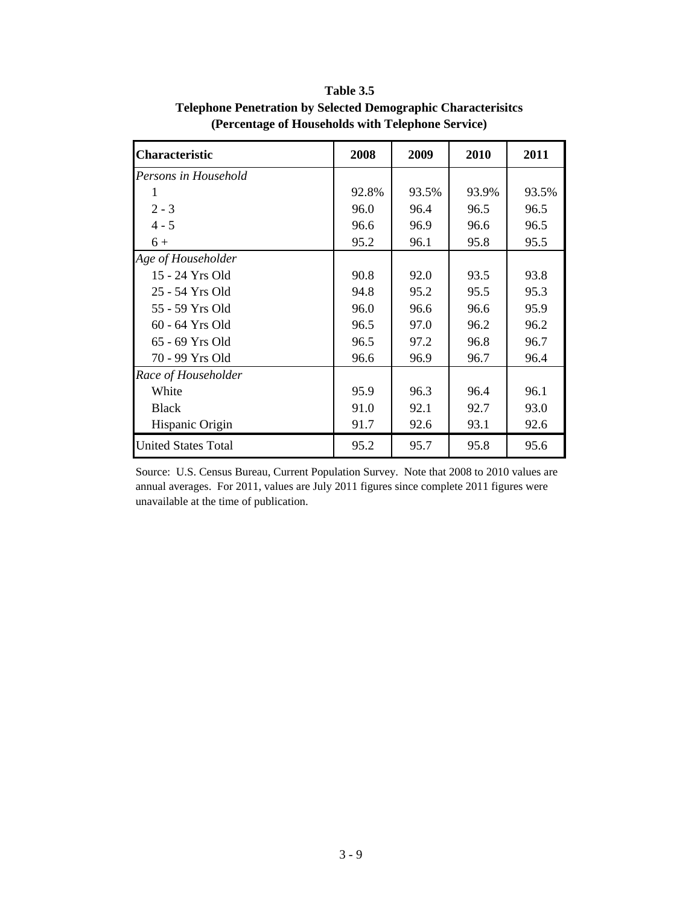| <b>Characteristic</b>      | 2008  | 2009  | 2010  | 2011  |
|----------------------------|-------|-------|-------|-------|
| Persons in Household       |       |       |       |       |
|                            | 92.8% | 93.5% | 93.9% | 93.5% |
| $2 - 3$                    | 96.0  | 96.4  | 96.5  | 96.5  |
| $4 - 5$                    | 96.6  | 96.9  | 96.6  | 96.5  |
| $6+$                       | 95.2  | 96.1  | 95.8  | 95.5  |
| Age of Householder         |       |       |       |       |
| 15 - 24 Yrs Old            | 90.8  | 92.0  | 93.5  | 93.8  |
| 25 - 54 Yrs Old            | 94.8  | 95.2  | 95.5  | 95.3  |
| 55 - 59 Yrs Old            | 96.0  | 96.6  | 96.6  | 95.9  |
| 60 - 64 Yrs Old            | 96.5  | 97.0  | 96.2  | 96.2  |
| 65 - 69 Yrs Old            | 96.5  | 97.2  | 96.8  | 96.7  |
| 70 - 99 Yrs Old            | 96.6  | 96.9  | 96.7  | 96.4  |
| Race of Householder        |       |       |       |       |
| White                      | 95.9  | 96.3  | 96.4  | 96.1  |
| <b>Black</b>               | 91.0  | 92.1  | 92.7  | 93.0  |
| Hispanic Origin            | 91.7  | 92.6  | 93.1  | 92.6  |
| <b>United States Total</b> | 95.2  | 95.7  | 95.8  | 95.6  |

**Table 3.5 Telephone Penetration by Selected Demographic Characterisitcs (Percentage of Households with Telephone Service)**

Source: U.S. Census Bureau, Current Population Survey. Note that 2008 to 2010 values are annual averages. For 2011, values are July 2011 figures since complete 2011 figures were unavailable at the time of publication.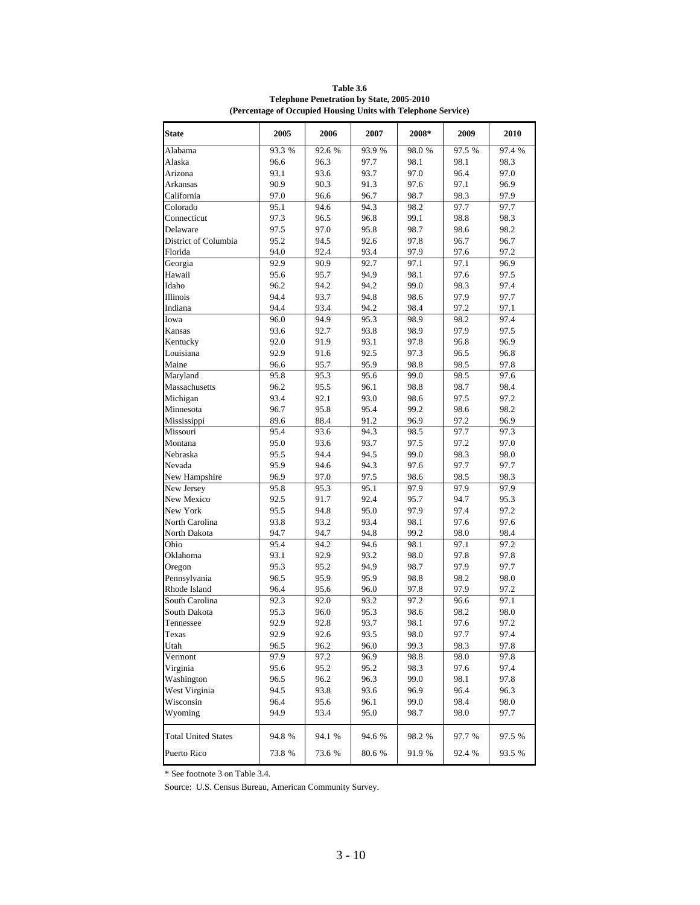| <b>State</b>               | 2005   | 2006   | 2007   | 2008*  | 2009   | 2010   |
|----------------------------|--------|--------|--------|--------|--------|--------|
| Alabama                    | 93.3 % | 92.6 % | 93.9 % | 98.0%  | 97.5 % | 97.4 % |
| Alaska                     | 96.6   | 96.3   | 97.7   | 98.1   | 98.1   | 98.3   |
| Arizona                    | 93.1   | 93.6   | 93.7   | 97.0   | 96.4   | 97.0   |
| <b>Arkansas</b>            | 90.9   | 90.3   | 91.3   | 97.6   | 97.1   | 96.9   |
| California                 | 97.0   | 96.6   | 96.7   | 98.7   | 98.3   | 97.9   |
| Colorado                   | 95.1   | 94.6   | 94.3   | 98.2   | 97.7   | 97.7   |
| Connecticut                | 97.3   | 96.5   | 96.8   | 99.1   | 98.8   | 98.3   |
| Delaware                   | 97.5   | 97.0   | 95.8   | 98.7   | 98.6   | 98.2   |
| District of Columbia       | 95.2   | 94.5   | 92.6   | 97.8   | 96.7   | 96.7   |
| Florida                    | 94.0   | 92.4   | 93.4   | 97.9   | 97.6   | 97.2   |
| Georgia                    | 92.9   | 90.9   | 92.7   | 97.1   | 97.1   | 96.9   |
| Hawaii                     | 95.6   | 95.7   | 94.9   | 98.1   | 97.6   | 97.5   |
| Idaho                      | 96.2   | 94.2   | 94.2   | 99.0   | 98.3   | 97.4   |
| Illinois                   | 94.4   | 93.7   | 94.8   | 98.6   | 97.9   | 97.7   |
| Indiana                    | 94.4   | 93.4   | 94.2   | 98.4   | 97.2   | 97.1   |
| Iowa                       | 96.0   | 94.9   | 95.3   | 98.9   | 98.2   | 97.4   |
| Kansas                     | 93.6   | 92.7   | 93.8   | 98.9   | 97.9   | 97.5   |
| Kentucky                   | 92.0   | 91.9   | 93.1   | 97.8   | 96.8   | 96.9   |
| Louisiana                  | 92.9   | 91.6   | 92.5   | 97.3   | 96.5   | 96.8   |
| Maine                      | 96.6   | 95.7   | 95.9   | 98.8   | 98.5   | 97.8   |
| Maryland                   | 95.8   | 95.3   | 95.6   | 99.0   | 98.5   | 97.6   |
| Massachusetts              | 96.2   | 95.5   | 96.1   | 98.8   | 98.7   | 98.4   |
| Michigan                   | 93.4   | 92.1   | 93.0   | 98.6   | 97.5   | 97.2   |
| Minnesota                  | 96.7   | 95.8   | 95.4   | 99.2   | 98.6   | 98.2   |
| Mississippi                | 89.6   | 88.4   | 91.2   | 96.9   | 97.2   | 96.9   |
| Missouri                   | 95.4   | 93.6   | 94.3   | 98.5   | 97.7   | 97.3   |
| Montana                    | 95.0   | 93.6   | 93.7   | 97.5   | 97.2   | 97.0   |
| Nebraska                   | 95.5   | 94.4   | 94.5   | 99.0   | 98.3   | 98.0   |
| Nevada                     | 95.9   | 94.6   | 94.3   | 97.6   | 97.7   | 97.7   |
| New Hampshire              | 96.9   | 97.0   | 97.5   | 98.6   | 98.5   | 98.3   |
| New Jersey                 | 95.8   | 95.3   | 95.1   | 97.9   | 97.9   | 97.9   |
| New Mexico                 | 92.5   | 91.7   | 92.4   | 95.7   | 94.7   | 95.3   |
| New York                   | 95.5   | 94.8   | 95.0   | 97.9   | 97.4   | 97.2   |
| North Carolina             | 93.8   | 93.2   | 93.4   | 98.1   | 97.6   | 97.6   |
| North Dakota               | 94.7   | 94.7   | 94.8   | 99.2   | 98.0   | 98.4   |
| Ohio                       | 95.4   | 94.2   | 94.6   | 98.1   | 97.1   | 97.2   |
| Oklahoma                   | 93.1   | 92.9   | 93.2   | 98.0   | 97.8   | 97.8   |
| Oregon                     | 95.3   | 95.2   | 94.9   | 98.7   | 97.9   | 97.7   |
| Pennsylvania               | 96.5   | 95.9   | 95.9   | 98.8   | 98.2   | 98.0   |
| Rhode Island               | 96.4   | 95.6   | 96.0   | 97.8   | 97.9   | 97.2   |
| South Carolina             | 92.3   | 92.0   | 93.2   | 97.2   | 96.6   | 97.1   |
| South Dakota               | 95.3   | 96.0   | 95.3   | 98.6   | 98.2   | 98.0   |
| Tennessee                  | 92.9   | 92.8   | 93.7   | 98.1   | 97.6   | 97.2   |
| Texas                      | 92.9   | 92.6   | 93.5   | 98.0   | 97.7   | 97.4   |
| Utah                       | 96.5   | 96.2   | 96.0   | 99.3   | 98.3   | 97.8   |
| Vermont                    | 97.9   | 97.2   | 96.9   | 98.8   | 98.0   | 97.8   |
| Virginia                   | 95.6   | 95.2   | 95.2   | 98.3   | 97.6   | 97.4   |
| Washington                 | 96.5   | 96.2   | 96.3   | 99.0   | 98.1   | 97.8   |
| West Virginia              | 94.5   | 93.8   | 93.6   | 96.9   | 96.4   | 96.3   |
| Wisconsin                  | 96.4   | 95.6   | 96.1   | 99.0   | 98.4   | 98.0   |
| Wyoming                    | 94.9   | 93.4   | 95.0   | 98.7   | 98.0   | 97.7   |
| <b>Total United States</b> | 94.8 % | 94.1 % | 94.6 % | 98.2 % | 97.7 % | 97.5 % |
| Puerto Rico                | 73.8 % | 73.6 % | 80.6 % | 91.9 % | 92.4 % | 93.5 % |

**Table 3.6 Telephone Penetration by State, 2005-2010 (Percentage of Occupied Housing Units with Telephone Service)**

\* See footnote 3 on Table 3.4.

Source: U.S. Census Bureau, American Community Survey.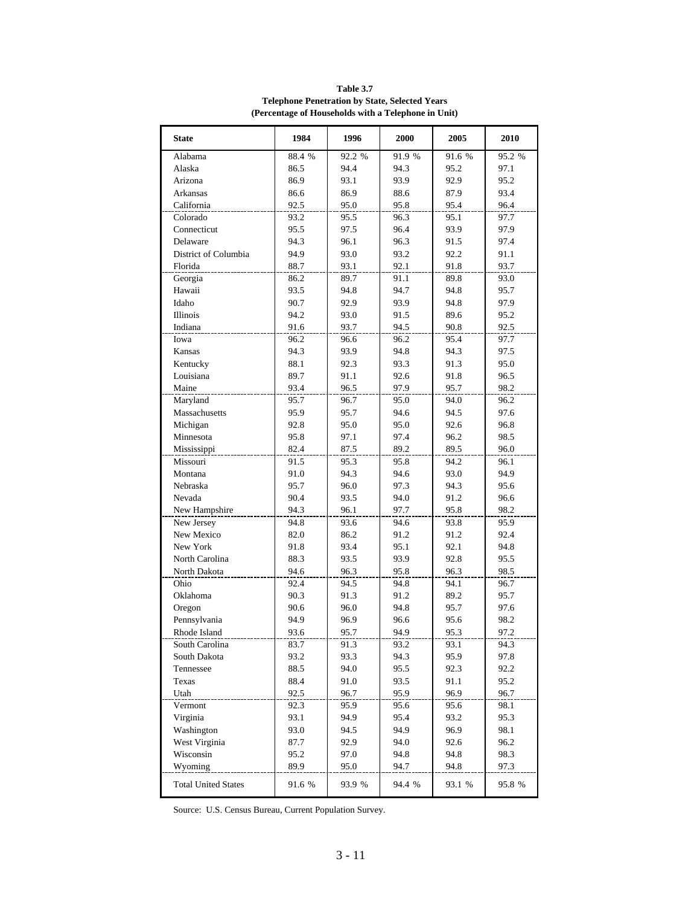| <b>State</b>               | 1984   | 1996   | 2000   | 2005   | 2010   |
|----------------------------|--------|--------|--------|--------|--------|
| Alabama                    | 88.4 % | 92.2 % | 91.9 % | 91.6 % | 95.2 % |
| Alaska                     | 86.5   | 94.4   | 94.3   | 95.2   | 97.1   |
| Arizona                    | 86.9   | 93.1   | 93.9   | 92.9   | 95.2   |
| Arkansas                   | 86.6   | 86.9   | 88.6   | 87.9   | 93.4   |
| California                 | 92.5   | 95.0   | 95.8   | 95.4   | 96.4   |
| Colorado                   | 93.2   | 95.5   | 96.3   | 95.1   | 97.7   |
| Connecticut                | 95.5   | 97.5   | 96.4   | 93.9   | 97.9   |
| Delaware                   | 94.3   | 96.1   | 96.3   | 91.5   | 97.4   |
| District of Columbia       | 94.9   | 93.0   | 93.2   | 92.2   | 91.1   |
| Florida                    | 88.7   | 93.1   | 92.1   | 91.8   | 93.7   |
| Georgia                    | 86.2   | 89.7   | 91.1   | 89.8   | 93.0   |
| Hawaii                     | 93.5   | 94.8   | 94.7   | 94.8   | 95.7   |
| Idaho                      | 90.7   | 92.9   | 93.9   | 94.8   | 97.9   |
| <b>Illinois</b>            | 94.2   | 93.0   | 91.5   | 89.6   | 95.2   |
| Indiana                    | 91.6   | 93.7   | 94.5   | 90.8   | 92.5   |
| Iowa                       | 96.2   | 96.6   | 96.2   | 95.4   | 97.7   |
| Kansas                     | 94.3   | 93.9   | 94.8   | 94.3   | 97.5   |
| Kentucky                   | 88.1   | 92.3   | 93.3   | 91.3   | 95.0   |
| Louisiana                  | 89.7   | 91.1   | 92.6   | 91.8   | 96.5   |
| Maine                      | 93.4   | 96.5   | 97.9   | 95.7   | 98.2   |
| Maryland                   | 95.7   | 96.7   | 95.0   | 94.0   | 96.2   |
| Massachusetts              | 95.9   | 95.7   | 94.6   | 94.5   | 97.6   |
| Michigan                   | 92.8   | 95.0   | 95.0   | 92.6   | 96.8   |
| Minnesota                  | 95.8   | 97.1   | 97.4   | 96.2   | 98.5   |
| Mississippi                | 82.4   | 87.5   | 89.2   | 89.5   | 96.0   |
| Missouri                   | 91.5   | 95.3   | 95.8   | 94.2   | 96.1   |
| Montana                    | 91.0   | 94.3   | 94.6   | 93.0   | 94.9   |
| Nebraska                   | 95.7   | 96.0   | 97.3   | 94.3   | 95.6   |
| Nevada                     | 90.4   | 93.5   | 94.0   | 91.2   | 96.6   |
| New Hampshire              | 94.3   | 96.1   | 97.7   | 95.8   | 98.2   |
| New Jersey                 | 94.8   | 93.6   | 94.6   | 93.8   | 95.9   |
| New Mexico                 | 82.0   | 86.2   | 91.2   | 91.2   | 92.4   |
| New York                   | 91.8   | 93.4   | 95.1   | 92.1   | 94.8   |
| North Carolina             | 88.3   | 93.5   | 93.9   | 92.8   | 95.5   |
| North Dakota               | 94.6   | 96.3   | 95.8   | 96.3   | 98.5   |
| Ohio                       | 92.4   | 94.5   | 94.8   | 94.1   | 96.7   |
| Oklahoma                   | 90.3   | 91.3   | 91.2   | 89.2   | 95.7   |
| Oregon                     | 90.6   | 96.0   | 94.8   | 95.7   | 97.6   |
| Pennsylvania               | 94.9   | 96.9   | 96.6   | 95.6   | 98.2   |
| Rhode Island               | 93.6   | 95.7   | 94.9   | 95.3   | 97.2   |
| South Carolina             | 83.7   | 91.3   | 93.2   | 93.1   | 94.3   |
| South Dakota               | 93.2   | 93.3   | 94.3   | 95.9   | 97.8   |
| Tennessee                  | 88.5   | 94.0   | 95.5   | 92.3   | 92.2   |
| Texas                      | 88.4   | 91.0   | 93.5   | 91.1   | 95.2   |
| Utah                       | 92.5   | 96.7   | 95.9   | 96.9   | 96.7   |
| Vermont                    | 92.3   | 95.9   | 95.6   | 95.6   | 98.1   |
| Virginia                   | 93.1   | 94.9   | 95.4   | 93.2   | 95.3   |
| Washington                 | 93.0   | 94.5   | 94.9   | 96.9   | 98.1   |
| West Virginia              | 87.7   | 92.9   | 94.0   | 92.6   | 96.2   |
| Wisconsin                  | 95.2   | 97.0   | 94.8   | 94.8   | 98.3   |
| Wyoming                    | 89.9   | 95.0   | 94.7   | 94.8   | 97.3   |
| <b>Total United States</b> | 91.6 % | 93.9 % | 94.4 % | 93.1 % | 95.8 % |

**Table 3.7 Telephone Penetration by State, Selected Years (Percentage of Households with a Telephone in Unit)**

Source: U.S. Census Bureau, Current Population Survey.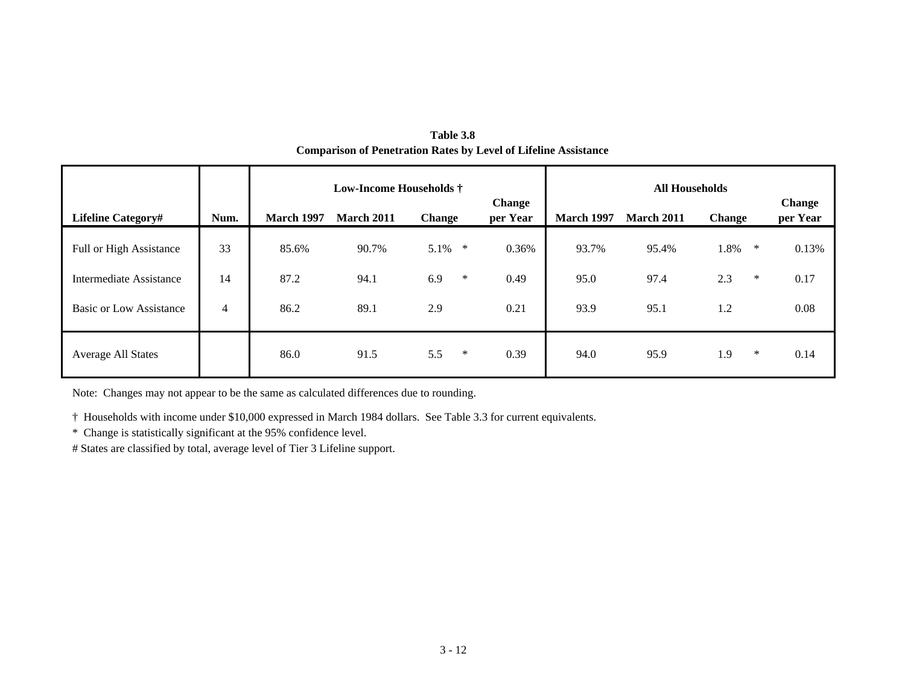| Table 3.8                                                              |
|------------------------------------------------------------------------|
| <b>Comparison of Penetration Rates by Level of Lifeline Assistance</b> |

|                                |                | <b>Low-Income Households</b> † |                   |               |                           |                   | <b>All Households</b> |               |                    |
|--------------------------------|----------------|--------------------------------|-------------------|---------------|---------------------------|-------------------|-----------------------|---------------|--------------------|
| <b>Lifeline Category#</b>      | Num.           | <b>March 1997</b>              | <b>March 2011</b> | <b>Change</b> | <b>Change</b><br>per Year | <b>March 1997</b> | <b>March 2011</b>     | <b>Change</b> | Change<br>per Year |
| <b>Full or High Assistance</b> | 33             | 85.6%                          | 90.7%             | 5.1%<br>∗     | 0.36%                     | 93.7%             | 95.4%                 | 1.8%<br>∗     | 0.13%              |
| <b>Intermediate Assistance</b> | 14             | 87.2                           | 94.1              | 6.9<br>$\ast$ | 0.49                      | 95.0              | 97.4                  | 2.3<br>$\ast$ | 0.17               |
| <b>Basic or Low Assistance</b> | $\overline{4}$ | 86.2                           | 89.1              | 2.9           | 0.21                      | 93.9              | 95.1                  | 1.2           | 0.08               |
| <b>Average All States</b>      |                | 86.0                           | 91.5              | 5.5<br>$\ast$ | 0.39                      | 94.0              | 95.9                  | ∗<br>1.9      | 0.14               |

Note: Changes may not appear to be the same as calculated differences due to rounding.

† Households with income under \$10,000 expressed in March 1984 dollars. See Table 3.3 for current equivalents.

\* Change is statistically significant at the 95% confidence level.

# States are classified by total, average level of Tier 3 Lifeline support.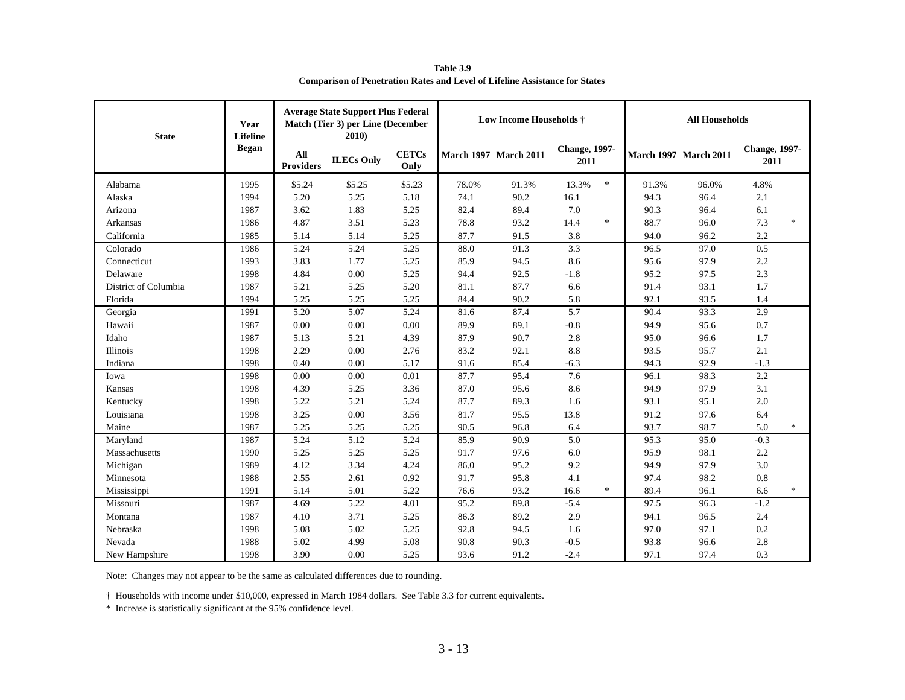| <b>State</b>         | Year<br><b>Lifeline</b> | <b>Average State Support Plus Federal</b><br>Match (Tier 3) per Line (December<br>2010 |                   | Low Income Households $\dagger$ |                              |       |                               | <b>All Households</b> |                              |                               |        |
|----------------------|-------------------------|----------------------------------------------------------------------------------------|-------------------|---------------------------------|------------------------------|-------|-------------------------------|-----------------------|------------------------------|-------------------------------|--------|
|                      | <b>Began</b>            | All<br><b>Providers</b>                                                                | <b>ILECs Only</b> | <b>CETCs</b><br>Only            | <b>March 1997 March 2011</b> |       | <b>Change</b> , 1997-<br>2011 |                       | <b>March 1997 March 2011</b> | <b>Change</b> , 1997-<br>2011 |        |
| Alabama              | 1995                    | \$5.24                                                                                 | \$5.25            | \$5.23                          | 78.0%                        | 91.3% | $\ast$<br>13.3%               | 91.3%                 | 96.0%                        | 4.8%                          |        |
| Alaska               | 1994                    | 5.20                                                                                   | 5.25              | 5.18                            | 74.1                         | 90.2  | 16.1                          | 94.3                  | 96.4                         | 2.1                           |        |
| Arizona              | 1987                    | 3.62                                                                                   | 1.83              | 5.25                            | 82.4                         | 89.4  | 7.0                           | 90.3                  | 96.4                         | 6.1                           |        |
| Arkansas             | 1986                    | 4.87                                                                                   | 3.51              | 5.23                            | 78.8                         | 93.2  | $\ast$<br>14.4                | 88.7                  | 96.0                         | 7.3                           | $\ast$ |
| California           | 1985                    | 5.14                                                                                   | 5.14              | 5.25                            | 87.7                         | 91.5  | 3.8                           | 94.0                  | 96.2                         | 2.2                           |        |
| Colorado             | 1986                    | 5.24                                                                                   | 5.24              | 5.25                            | 88.0                         | 91.3  | 3.3                           | 96.5                  | 97.0                         | 0.5                           |        |
| Connecticut          | 1993                    | 3.83                                                                                   | 1.77              | 5.25                            | 85.9                         | 94.5  | 8.6                           | 95.6                  | 97.9                         | 2.2                           |        |
| Delaware             | 1998                    | 4.84                                                                                   | 0.00              | 5.25                            | 94.4                         | 92.5  | $-1.8$                        | 95.2                  | 97.5                         | 2.3                           |        |
| District of Columbia | 1987                    | 5.21                                                                                   | 5.25              | 5.20                            | 81.1                         | 87.7  | 6.6                           | 91.4                  | 93.1                         | 1.7                           |        |
| Florida              | 1994                    | 5.25                                                                                   | 5.25              | 5.25                            | 84.4                         | 90.2  | 5.8                           | 92.1                  | 93.5                         | 1.4                           |        |
| Georgia              | 1991                    | 5.20                                                                                   | 5.07              | 5.24                            | 81.6                         | 87.4  | 5.7                           | 90.4                  | 93.3                         | 2.9                           |        |
| Hawaii               | 1987                    | 0.00                                                                                   | 0.00              | 0.00                            | 89.9                         | 89.1  | $-0.8$                        | 94.9                  | 95.6                         | 0.7                           |        |
| Idaho                | 1987                    | 5.13                                                                                   | 5.21              | 4.39                            | 87.9                         | 90.7  | 2.8                           | 95.0                  | 96.6                         | 1.7                           |        |
| Illinois             | 1998                    | 2.29                                                                                   | 0.00              | 2.76                            | 83.2                         | 92.1  | 8.8                           | 93.5                  | 95.7                         | 2.1                           |        |
| Indiana              | 1998                    | 0.40                                                                                   | 0.00              | 5.17                            | 91.6                         | 85.4  | $-6.3$                        | 94.3                  | 92.9                         | $-1.3$                        |        |
| Iowa                 | 1998                    | 0.00                                                                                   | 0.00              | 0.01                            | 87.7                         | 95.4  | 7.6                           | 96.1                  | 98.3                         | 2.2                           |        |
| Kansas               | 1998                    | 4.39                                                                                   | 5.25              | 3.36                            | 87.0                         | 95.6  | 8.6                           | 94.9                  | 97.9                         | 3.1                           |        |
| Kentucky             | 1998                    | 5.22                                                                                   | 5.21              | 5.24                            | 87.7                         | 89.3  | 1.6                           | 93.1                  | 95.1                         | 2.0                           |        |
| Louisiana            | 1998                    | 3.25                                                                                   | 0.00              | 3.56                            | 81.7                         | 95.5  | 13.8                          | 91.2                  | 97.6                         | 6.4                           |        |
| Maine                | 1987                    | 5.25                                                                                   | 5.25              | 5.25                            | 90.5                         | 96.8  | 6.4                           | 93.7                  | 98.7                         | 5.0                           | $\ast$ |
| Maryland             | 1987                    | 5.24                                                                                   | 5.12              | 5.24                            | 85.9                         | 90.9  | 5.0                           | 95.3                  | 95.0                         | $-0.3$                        |        |
| Massachusetts        | 1990                    | 5.25                                                                                   | 5.25              | 5.25                            | 91.7                         | 97.6  | 6.0                           | 95.9                  | 98.1                         | 2.2                           |        |
| Michigan             | 1989                    | 4.12                                                                                   | 3.34              | 4.24                            | 86.0                         | 95.2  | 9.2                           | 94.9                  | 97.9                         | 3.0                           |        |
| Minnesota            | 1988                    | 2.55                                                                                   | 2.61              | 0.92                            | 91.7                         | 95.8  | 4.1                           | 97.4                  | 98.2                         | 0.8                           |        |
| Mississippi          | 1991                    | 5.14                                                                                   | 5.01              | 5.22                            | 76.6                         | 93.2  | $\ast$<br>16.6                | 89.4                  | 96.1                         | 6.6                           | $\ast$ |
| Missouri             | 1987                    | 4.69                                                                                   | 5.22              | 4.01                            | 95.2                         | 89.8  | $-5.4$                        | 97.5                  | 96.3                         | $-1.2$                        |        |
| Montana              | 1987                    | 4.10                                                                                   | 3.71              | 5.25                            | 86.3                         | 89.2  | 2.9                           | 94.1                  | 96.5                         | 2.4                           |        |
| Nebraska             | 1998                    | 5.08                                                                                   | 5.02              | 5.25                            | 92.8                         | 94.5  | 1.6                           | 97.0                  | 97.1                         | 0.2                           |        |
| Nevada               | 1988                    | 5.02                                                                                   | 4.99              | 5.08                            | 90.8                         | 90.3  | $-0.5$                        | 93.8                  | 96.6                         | 2.8                           |        |
| New Hampshire        | 1998                    | 3.90                                                                                   | 0.00              | 5.25                            | 93.6                         | 91.2  | $-2.4$                        | 97.1                  | 97.4                         | 0.3                           |        |

**Table 3.9 Comparison of Penetration Rates and Level of Lifeline Assistance for States**

Note: Changes may not appear to be the same as calculated differences due to rounding.

† Households with income under \$10,000, expressed in March 1984 dollars. See Table 3.3 for current equivalents.

\* Increase is statistically significant at the 95% confidence level.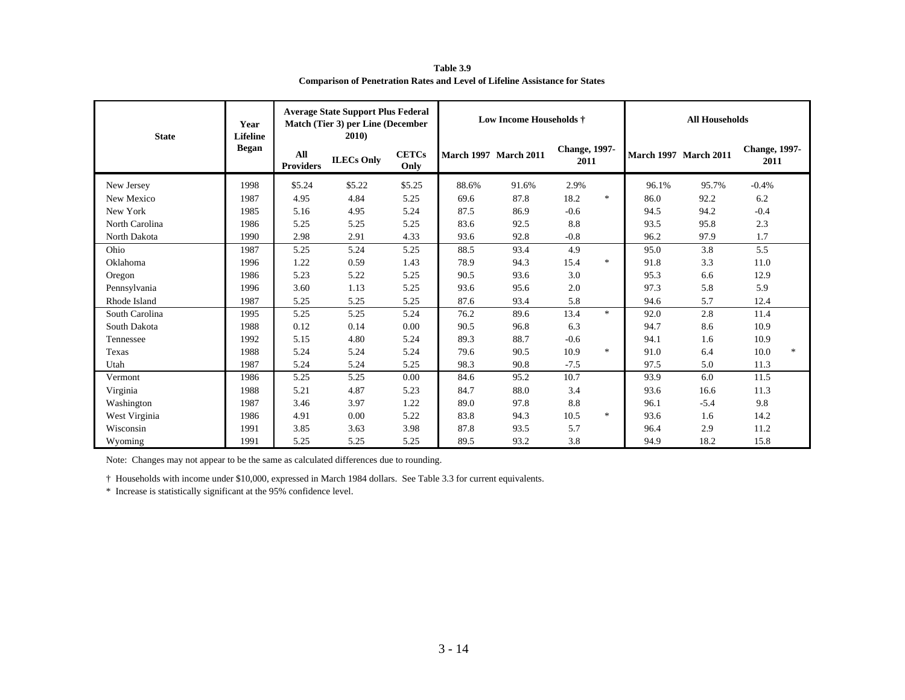| <b>State</b>   | Year<br><b>Lifeline</b> | <b>Average State Support Plus Federal</b><br>Match (Tier 3) per Line (December<br>2010) |                   | <b>Low Income Households †</b> |       |                              | <b>All Households</b>         |        |       |                              |                               |        |
|----------------|-------------------------|-----------------------------------------------------------------------------------------|-------------------|--------------------------------|-------|------------------------------|-------------------------------|--------|-------|------------------------------|-------------------------------|--------|
|                | <b>Began</b>            | All<br><b>Providers</b>                                                                 | <b>ILECs Only</b> | <b>CETCs</b><br>Only           |       | <b>March 1997 March 2011</b> | <b>Change</b> , 1997-<br>2011 |        |       | <b>March 1997 March 2011</b> | <b>Change</b> , 1997-<br>2011 |        |
| New Jersey     | 1998                    | \$5.24                                                                                  | \$5.22            | \$5.25                         | 88.6% | 91.6%                        | 2.9%                          |        | 96.1% | 95.7%                        | $-0.4%$                       |        |
| New Mexico     | 1987                    | 4.95                                                                                    | 4.84              | 5.25                           | 69.6  | 87.8                         | 18.2                          | $\ast$ | 86.0  | 92.2                         | 6.2                           |        |
| New York       | 1985                    | 5.16                                                                                    | 4.95              | 5.24                           | 87.5  | 86.9                         | $-0.6$                        |        | 94.5  | 94.2                         | $-0.4$                        |        |
| North Carolina | 1986                    | 5.25                                                                                    | 5.25              | 5.25                           | 83.6  | 92.5                         | 8.8                           |        | 93.5  | 95.8                         | 2.3                           |        |
| North Dakota   | 1990                    | 2.98                                                                                    | 2.91              | 4.33                           | 93.6  | 92.8                         | $-0.8$                        |        | 96.2  | 97.9                         | 1.7                           |        |
| Ohio           | 1987                    | 5.25                                                                                    | 5.24              | 5.25                           | 88.5  | 93.4                         | 4.9                           |        | 95.0  | 3.8                          | 5.5                           |        |
| Oklahoma       | 1996                    | 1.22                                                                                    | 0.59              | 1.43                           | 78.9  | 94.3                         | 15.4                          | $\ast$ | 91.8  | 3.3                          | 11.0                          |        |
| Oregon         | 1986                    | 5.23                                                                                    | 5.22              | 5.25                           | 90.5  | 93.6                         | 3.0                           |        | 95.3  | 6.6                          | 12.9                          |        |
| Pennsylvania   | 1996                    | 3.60                                                                                    | 1.13              | 5.25                           | 93.6  | 95.6                         | 2.0                           |        | 97.3  | 5.8                          | 5.9                           |        |
| Rhode Island   | 1987                    | 5.25                                                                                    | 5.25              | 5.25                           | 87.6  | 93.4                         | 5.8                           |        | 94.6  | 5.7                          | 12.4                          |        |
| South Carolina | 1995                    | 5.25                                                                                    | 5.25              | 5.24                           | 76.2  | 89.6                         | 13.4                          | $\ast$ | 92.0  | 2.8                          | 11.4                          |        |
| South Dakota   | 1988                    | 0.12                                                                                    | 0.14              | 0.00                           | 90.5  | 96.8                         | 6.3                           |        | 94.7  | 8.6                          | 10.9                          |        |
| Tennessee      | 1992                    | 5.15                                                                                    | 4.80              | 5.24                           | 89.3  | 88.7                         | $-0.6$                        |        | 94.1  | 1.6                          | 10.9                          |        |
| Texas          | 1988                    | 5.24                                                                                    | 5.24              | 5.24                           | 79.6  | 90.5                         | 10.9                          | $\ast$ | 91.0  | 6.4                          | 10.0                          | $\ast$ |
| Utah           | 1987                    | 5.24                                                                                    | 5.24              | 5.25                           | 98.3  | 90.8                         | $-7.5$                        |        | 97.5  | 5.0                          | 11.3                          |        |
| Vermont        | 1986                    | 5.25                                                                                    | 5.25              | 0.00                           | 84.6  | 95.2                         | 10.7                          |        | 93.9  | 6.0                          | 11.5                          |        |
| Virginia       | 1988                    | 5.21                                                                                    | 4.87              | 5.23                           | 84.7  | 88.0                         | 3.4                           |        | 93.6  | 16.6                         | 11.3                          |        |
| Washington     | 1987                    | 3.46                                                                                    | 3.97              | 1.22                           | 89.0  | 97.8                         | 8.8                           |        | 96.1  | $-5.4$                       | 9.8                           |        |
| West Virginia  | 1986                    | 4.91                                                                                    | 0.00              | 5.22                           | 83.8  | 94.3                         | 10.5                          | $\ast$ | 93.6  | 1.6                          | 14.2                          |        |
| Wisconsin      | 1991                    | 3.85                                                                                    | 3.63              | 3.98                           | 87.8  | 93.5                         | 5.7                           |        | 96.4  | 2.9                          | 11.2                          |        |
| Wyoming        | 1991                    | 5.25                                                                                    | 5.25              | 5.25                           | 89.5  | 93.2                         | 3.8                           |        | 94.9  | 18.2                         | 15.8                          |        |

**Table 3.9 Comparison of Penetration Rates and Level of Lifeline Assistance for States**

Note: Changes may not appear to be the same as calculated differences due to rounding.

† Households with income under \$10,000, expressed in March 1984 dollars. See Table 3.3 for current equivalents.

\* Increase is statistically significant at the 95% confidence level.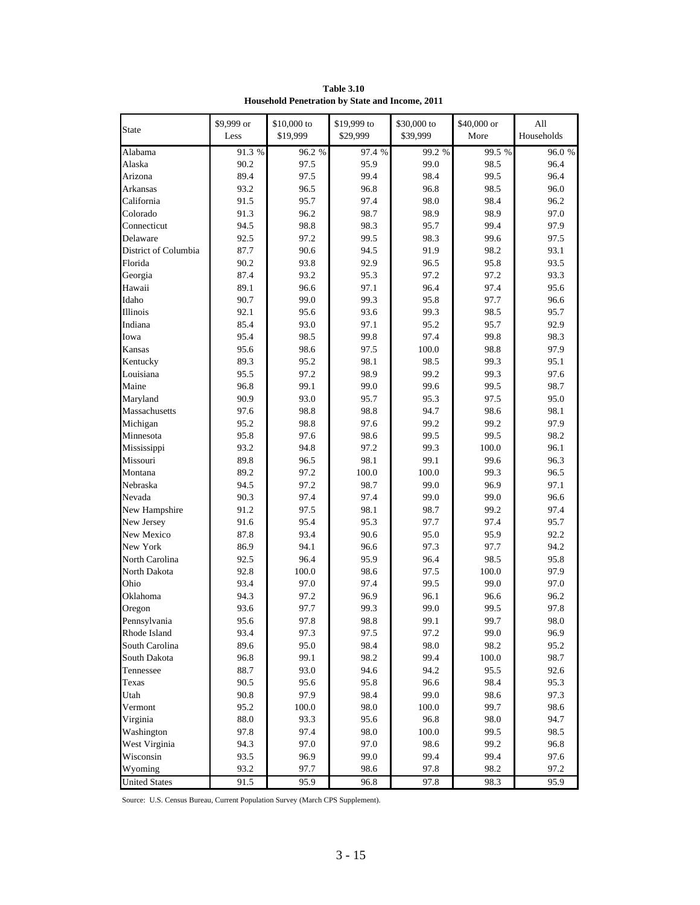| <b>State</b>         | \$9,999 or<br>Less | \$10,000 to<br>\$19,999 | \$19,999 to<br>\$29,999 | \$30,000 to<br>\$39,999 | \$40,000 or<br>More | A11<br>Households |
|----------------------|--------------------|-------------------------|-------------------------|-------------------------|---------------------|-------------------|
| Alabama              | 91.3 %             | 96.2 %                  | 97.4 %                  | 99.2 %                  | 99.5 %              | 96.0 %            |
| Alaska               | 90.2               | 97.5                    | 95.9                    | 99.0                    | 98.5                | 96.4              |
| Arizona              | 89.4               | 97.5                    | 99.4                    | 98.4                    | 99.5                | 96.4              |
| Arkansas             | 93.2               | 96.5                    | 96.8                    | 96.8                    | 98.5                | 96.0              |
| California           | 91.5               | 95.7                    | 97.4                    | 98.0                    | 98.4                | 96.2              |
| Colorado             | 91.3               | 96.2                    | 98.7                    | 98.9                    | 98.9                | 97.0              |
| Connecticut          | 94.5               | 98.8                    | 98.3                    | 95.7                    | 99.4                | 97.9              |
| Delaware             | 92.5               | 97.2                    | 99.5                    | 98.3                    | 99.6                | 97.5              |
| District of Columbia | 87.7               | 90.6                    | 94.5                    | 91.9                    | 98.2                | 93.1              |
| Florida              | 90.2               | 93.8                    | 92.9                    | 96.5                    | 95.8                | 93.5              |
| Georgia              | 87.4               | 93.2                    | 95.3                    | 97.2                    | 97.2                | 93.3              |
| Hawaii               | 89.1               | 96.6                    | 97.1                    | 96.4                    | 97.4                | 95.6              |
| Idaho                | 90.7               | 99.0                    | 99.3                    | 95.8                    | 97.7                | 96.6              |
| Illinois             | 92.1               | 95.6                    | 93.6                    | 99.3                    | 98.5                | 95.7              |
| Indiana              | 85.4               | 93.0                    | 97.1                    | 95.2                    | 95.7                | 92.9              |
| Iowa                 | 95.4               | 98.5                    | 99.8                    | 97.4                    | 99.8                | 98.3              |
| Kansas               | 95.6               | 98.6                    | 97.5                    | 100.0                   | 98.8                | 97.9              |
| Kentucky             | 89.3               | 95.2                    | 98.1                    | 98.5                    | 99.3                | 95.1              |
| Louisiana            | 95.5               | 97.2                    | 98.9                    | 99.2                    | 99.3                | 97.6              |
| Maine                | 96.8               | 99.1                    | 99.0                    | 99.6                    | 99.5                | 98.7              |
| Maryland             | 90.9               | 93.0                    | 95.7                    | 95.3                    | 97.5                | 95.0              |
| Massachusetts        | 97.6               | 98.8                    | 98.8                    | 94.7                    | 98.6                | 98.1              |
| Michigan             | 95.2               | 98.8                    | 97.6                    | 99.2                    | 99.2                | 97.9              |
| Minnesota            | 95.8               | 97.6                    | 98.6                    | 99.5                    | 99.5                | 98.2              |
| Mississippi          | 93.2               | 94.8                    | 97.2                    | 99.3                    | 100.0               | 96.1              |
| Missouri             | 89.8               | 96.5                    | 98.1                    | 99.1                    | 99.6                | 96.3              |
| Montana              | 89.2               | 97.2                    | 100.0                   | 100.0                   | 99.3                | 96.5              |
| Nebraska             | 94.5               | 97.2                    | 98.7                    | 99.0                    | 96.9                | 97.1              |
| Nevada               | 90.3               | 97.4                    | 97.4                    | 99.0                    | 99.0                | 96.6              |
| New Hampshire        | 91.2               | 97.5                    | 98.1                    | 98.7                    | 99.2                | 97.4              |
| New Jersey           | 91.6               | 95.4                    | 95.3                    | 97.7                    | 97.4                | 95.7              |
| New Mexico           | 87.8               | 93.4                    | 90.6                    | 95.0                    | 95.9                | 92.2              |
| New York             | 86.9               | 94.1                    | 96.6                    | 97.3                    | 97.7                | 94.2              |
| North Carolina       | 92.5               | 96.4                    | 95.9                    | 96.4                    | 98.5                | 95.8              |
| North Dakota         | 92.8               | 100.0                   | 98.6                    | 97.5                    | 100.0               | 97.9              |
| Ohio                 | 93.4               | 97.0                    | 97.4                    | 99.5                    | 99.0                | 97.0              |
| Oklahoma             | 94.3               | 97.2                    | 96.9                    | 96.1                    | 96.6                | 96.2              |
| Oregon               | 93.6               | 97.7                    | 99.3                    | 99.0                    | 99.5                | 97.8              |
| Pennsylvania         | 95.6               | 97.8                    | 98.8                    | 99.1                    | 99.7                | 98.0              |
| Rhode Island         | 93.4               | 97.3                    | 97.5                    | 97.2                    | 99.0                | 96.9              |
| South Carolina       | 89.6               | 95.0                    | 98.4                    | 98.0                    | 98.2                | 95.2              |
| South Dakota         | 96.8               | 99.1                    | 98.2                    | 99.4                    | 100.0               | 98.7              |
| Tennessee            | 88.7               | 93.0                    | 94.6                    | 94.2                    | 95.5                | 92.6              |
| Texas                | 90.5               | 95.6                    | 95.8                    | 96.6                    | 98.4                | 95.3              |
| Utah                 | 90.8               | 97.9                    | 98.4                    | 99.0                    | 98.6                | 97.3              |
| Vermont              | 95.2               | 100.0                   | 98.0                    | 100.0                   | 99.7                | 98.6              |
| Virginia             | 88.0               | 93.3                    | 95.6                    | 96.8                    | 98.0                | 94.7              |
| Washington           | 97.8               | 97.4                    | 98.0                    | 100.0                   | 99.5                | 98.5              |
| West Virginia        | 94.3               | 97.0                    | 97.0                    | 98.6                    | 99.2                | 96.8              |
| Wisconsin            | 93.5               | 96.9                    | 99.0                    | 99.4                    | 99.4                | 97.6              |
| Wyoming              | 93.2               | 97.7                    | 98.6                    | 97.8                    | 98.2                | 97.2              |
| <b>United States</b> | 91.5               | 95.9                    | 96.8                    | 97.8                    | 98.3                | 95.9              |

**Table 3.10 Household Penetration by State and Income, 2011**

Source: U.S. Census Bureau, Current Population Survey (March CPS Supplement).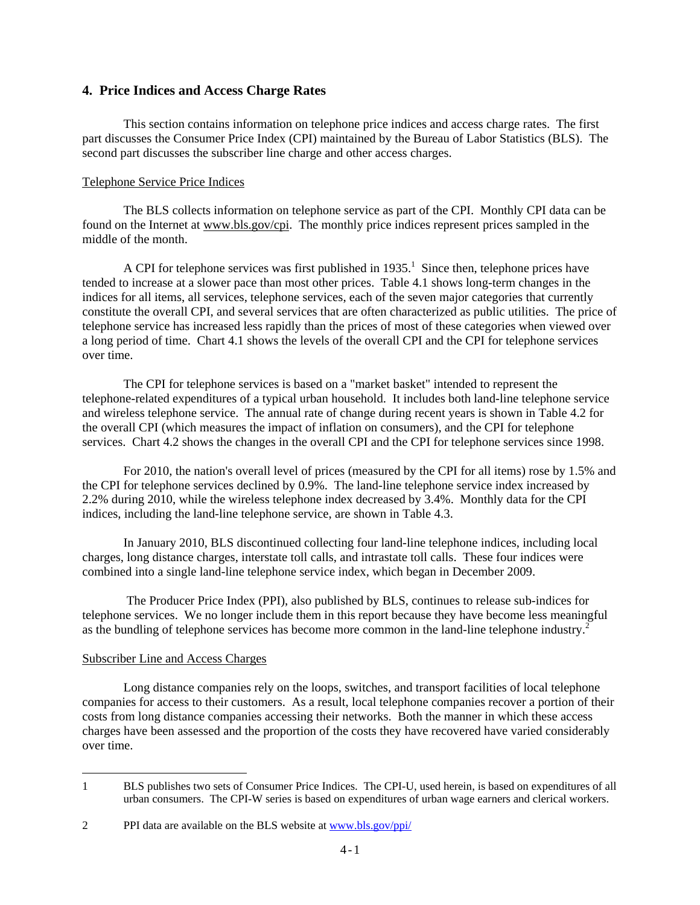#### **4. Price Indices and Access Charge Rates**

This section contains information on telephone price indices and access charge rates. The first part discusses the Consumer Price Index (CPI) maintained by the Bureau of Labor Statistics (BLS). The second part discusses the subscriber line charge and other access charges.

#### Telephone Service Price Indices

 The BLS collects information on telephone service as part of the CPI. Monthly CPI data can be found on the Internet at www.bls.gov/cpi. The monthly price indices represent prices sampled in the middle of the month.

A CPI for telephone services was first published in  $1935<sup>1</sup>$ . Since then, telephone prices have tended to increase at a slower pace than most other prices. Table 4.1 shows long-term changes in the indices for all items, all services, telephone services, each of the seven major categories that currently constitute the overall CPI, and several services that are often characterized as public utilities. The price of telephone service has increased less rapidly than the prices of most of these categories when viewed over a long period of time. Chart 4.1 shows the levels of the overall CPI and the CPI for telephone services over time.

 The CPI for telephone services is based on a "market basket" intended to represent the telephone-related expenditures of a typical urban household. It includes both land-line telephone service and wireless telephone service. The annual rate of change during recent years is shown in Table 4.2 for the overall CPI (which measures the impact of inflation on consumers), and the CPI for telephone services. Chart 4.2 shows the changes in the overall CPI and the CPI for telephone services since 1998.

 For 2010, the nation's overall level of prices (measured by the CPI for all items) rose by 1.5% and the CPI for telephone services declined by 0.9%. The land-line telephone service index increased by 2.2% during 2010, while the wireless telephone index decreased by 3.4%. Monthly data for the CPI indices, including the land-line telephone service, are shown in Table 4.3.

In January 2010, BLS discontinued collecting four land-line telephone indices, including local charges, long distance charges, interstate toll calls, and intrastate toll calls. These four indices were combined into a single land-line telephone service index, which began in December 2009.

 The Producer Price Index (PPI), also published by BLS, continues to release sub-indices for telephone services. We no longer include them in this report because they have become less meaningful as the bundling of telephone services has become more common in the land-line telephone industry.<sup>2</sup>

#### Subscriber Line and Access Charges

i<br>L

Long distance companies rely on the loops, switches, and transport facilities of local telephone companies for access to their customers. As a result, local telephone companies recover a portion of their costs from long distance companies accessing their networks. Both the manner in which these access charges have been assessed and the proportion of the costs they have recovered have varied considerably over time.

<sup>1</sup> BLS publishes two sets of Consumer Price Indices. The CPI-U, used herein, is based on expenditures of all urban consumers. The CPI-W series is based on expenditures of urban wage earners and clerical workers.

<sup>2</sup> PPI data are available on the BLS website at www.bls.gov/ppi/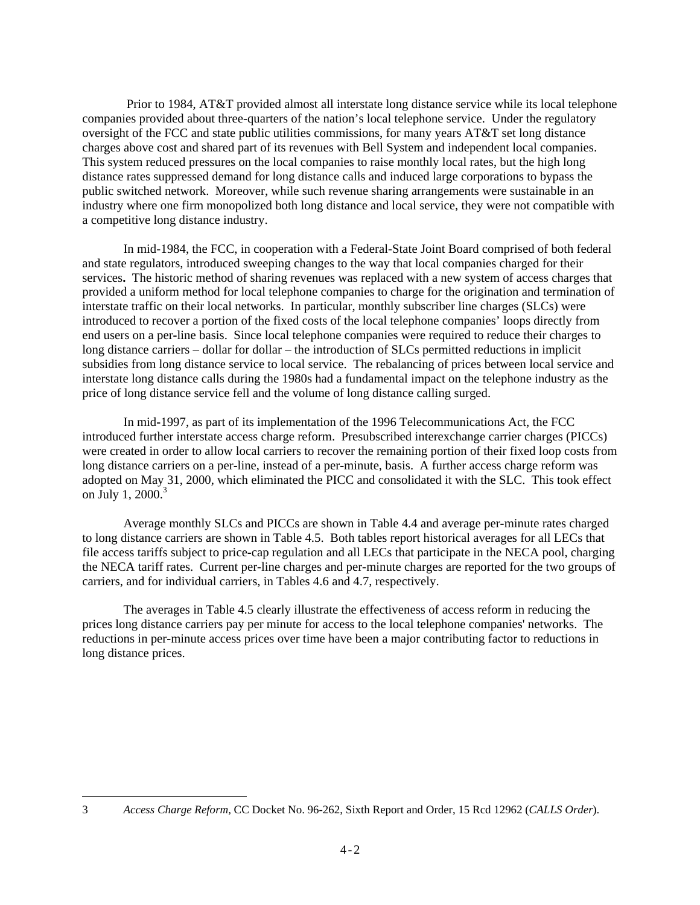Prior to 1984, AT&T provided almost all interstate long distance service while its local telephone companies provided about three-quarters of the nation's local telephone service. Under the regulatory oversight of the FCC and state public utilities commissions, for many years AT&T set long distance charges above cost and shared part of its revenues with Bell System and independent local companies. This system reduced pressures on the local companies to raise monthly local rates, but the high long distance rates suppressed demand for long distance calls and induced large corporations to bypass the public switched network. Moreover, while such revenue sharing arrangements were sustainable in an industry where one firm monopolized both long distance and local service, they were not compatible with a competitive long distance industry.

In mid-1984, the FCC, in cooperation with a Federal-State Joint Board comprised of both federal and state regulators, introduced sweeping changes to the way that local companies charged for their services**.** The historic method of sharing revenues was replaced with a new system of access charges that provided a uniform method for local telephone companies to charge for the origination and termination of interstate traffic on their local networks. In particular, monthly subscriber line charges (SLCs) were introduced to recover a portion of the fixed costs of the local telephone companies' loops directly from end users on a per**-**line basis. Since local telephone companies were required to reduce their charges to long distance carriers – dollar for dollar – the introduction of SLCs permitted reductions in implicit subsidies from long distance service to local service. The rebalancing of prices between local service and interstate long distance calls during the 1980s had a fundamental impact on the telephone industry as the price of long distance service fell and the volume of long distance calling surged.

 In mid**-**1997, as part of its implementation of the 1996 Telecommunications Act, the FCC introduced further interstate access charge reform. Presubscribed interexchange carrier charges (PICCs) were created in order to allow local carriers to recover the remaining portion of their fixed loop costs from long distance carriers on a per**-**line, instead of a per**-**minute, basis. A further access charge reform was adopted on May 31, 2000, which eliminated the PICC and consolidated it with the SLC. This took effect on July 1,  $2000^3$ 

 Average monthly SLCs and PICCs are shown in Table 4.4 and average per-minute rates charged to long distance carriers are shown in Table 4.5. Both tables report historical averages for all LECs that file access tariffs subject to price**-**cap regulation and all LECs that participate in the NECA pool, charging the NECA tariff rates. Current per**-**line charges and per**-**minute charges are reported for the two groups of carriers, and for individual carriers, in Tables 4.6 and 4.7, respectively.

 The averages in Table 4.5 clearly illustrate the effectiveness of access reform in reducing the prices long distance carriers pay per minute for access to the local telephone companies' networks. The reductions in per**-**minute access prices over time have been a major contributing factor to reductions in long distance prices.

<sup>3</sup> *Access Charge Reform,* CC Docket No. 96-262, Sixth Report and Order, 15 Rcd 12962 (*CALLS Order*).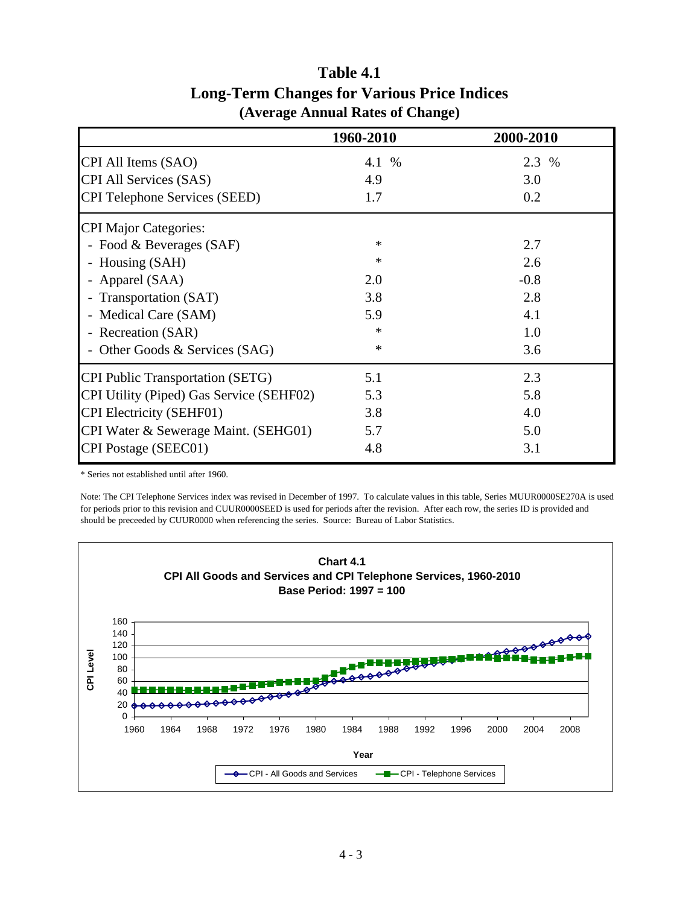|                                          | 1960-2010 | 2000-2010 |
|------------------------------------------|-----------|-----------|
| CPI All Items (SAO)                      | 4.1 %     | 2.3 %     |
| <b>CPI All Services (SAS)</b>            | 4.9       | 3.0       |
| <b>CPI Telephone Services (SEED)</b>     | 1.7       | 0.2       |
| <b>CPI Major Categories:</b>             |           |           |
| - Food & Beverages (SAF)                 | $\ast$    | 2.7       |
| - Housing (SAH)                          | $\ast$    | 2.6       |
| - Apparel (SAA)                          | 2.0       | $-0.8$    |
| Transportation (SAT)                     | 3.8       | 2.8       |
| - Medical Care (SAM)                     | 5.9       | 4.1       |
| - Recreation (SAR)                       | $\ast$    | 1.0       |
| - Other Goods & Services (SAG)           | $\ast$    | 3.6       |
| <b>CPI Public Transportation (SETG)</b>  | 5.1       | 2.3       |
| CPI Utility (Piped) Gas Service (SEHF02) | 5.3       | 5.8       |
| <b>CPI Electricity (SEHF01)</b>          | 3.8       | 4.0       |
| CPI Water & Sewerage Maint. (SEHG01)     | 5.7       | 5.0       |
| CPI Postage (SEEC01)                     | 4.8       | 3.1       |

# **Table 4.1 Long-Term Changes for Various Price Indices (Average Annual Rates of Change)**

\* Series not established until after 1960.

Note: The CPI Telephone Services index was revised in December of 1997. To calculate values in this table, Series MUUR0000SE270A is used for periods prior to this revision and CUUR0000SEED is used for periods after the revision. After each row, the series ID is provided and should be preceeded by CUUR0000 when referencing the series. Source: Bureau of Labor Statistics.

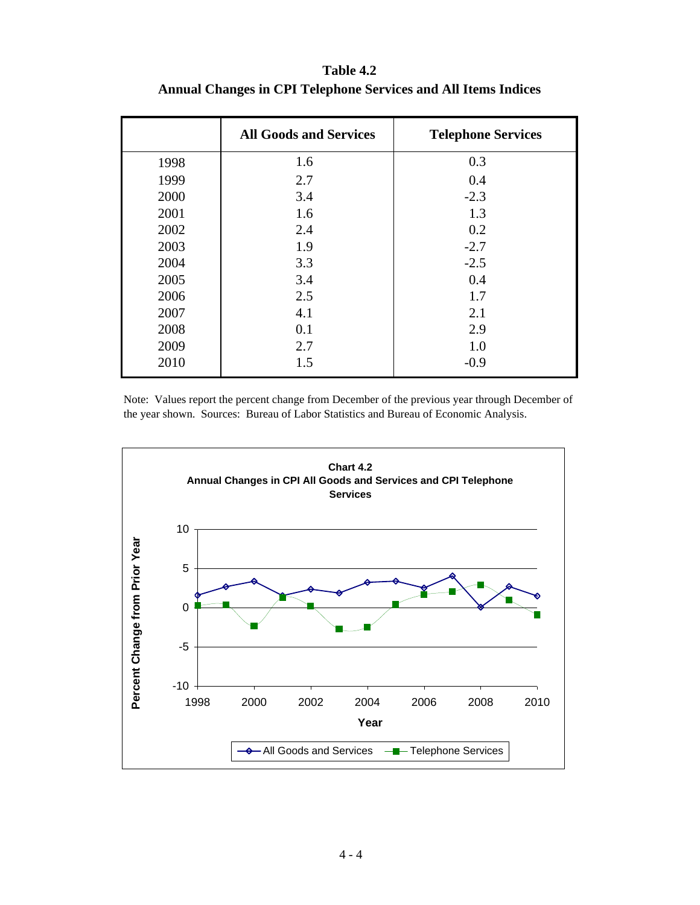**Table 4.2 Annual Changes in CPI Telephone Services and All Items Indices**

|      | <b>All Goods and Services</b> | <b>Telephone Services</b> |
|------|-------------------------------|---------------------------|
| 1998 | 1.6                           | 0.3                       |
| 1999 | 2.7                           | 0.4                       |
| 2000 | 3.4                           | $-2.3$                    |
| 2001 | 1.6                           | 1.3                       |
| 2002 | 2.4                           | 0.2                       |
| 2003 | 1.9                           | $-2.7$                    |
| 2004 | 3.3                           | $-2.5$                    |
| 2005 | 3.4                           | 0.4                       |
| 2006 | 2.5                           | 1.7                       |
| 2007 | 4.1                           | 2.1                       |
| 2008 | 0.1                           | 2.9                       |
| 2009 | 2.7                           | 1.0                       |
| 2010 | 1.5                           | $-0.9$                    |

Note: Values report the percent change from December of the previous year through December of the year shown. Sources: Bureau of Labor Statistics and Bureau of Economic Analysis.

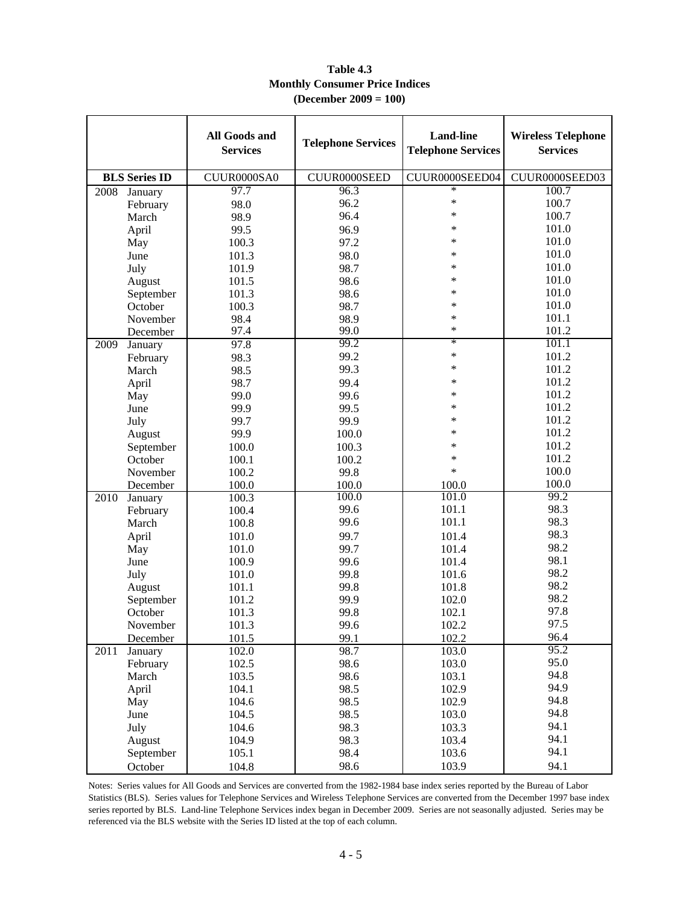|                      | <b>All Goods and</b><br><b>Services</b> | <b>Telephone Services</b> | <b>Land-line</b><br><b>Telephone Services</b> | <b>Wireless Telephone</b><br><b>Services</b> |
|----------------------|-----------------------------------------|---------------------------|-----------------------------------------------|----------------------------------------------|
| <b>BLS</b> Series ID | CUUR0000SA0                             | CUUR0000SEED              | CUUR0000SEED04                                | CUUR0000SEED03                               |
| 2008<br>January      | 97.7                                    | 96.3                      | $\ast$                                        | 100.7                                        |
| February             | 98.0                                    | 96.2                      | $\ast$                                        | 100.7                                        |
| March                | 98.9                                    | 96.4                      | $\ast$                                        | 100.7                                        |
| April                | 99.5                                    | 96.9                      | $\ast$                                        | 101.0                                        |
| May                  | 100.3                                   | 97.2                      | $\ast$                                        | 101.0                                        |
| June                 | 101.3                                   | 98.0                      | *                                             | 101.0                                        |
| July                 | 101.9                                   | 98.7                      | $\ast$                                        | 101.0                                        |
| August               | 101.5                                   | 98.6                      | $\ast$                                        | 101.0                                        |
| September            | 101.3                                   | 98.6                      | $\ast$                                        | 101.0                                        |
| October              | 100.3                                   | 98.7                      | $\ast$                                        | 101.0                                        |
| November             | 98.4                                    | 98.9                      | $\ast$                                        | 101.1                                        |
| December             | 97.4                                    | 99.0                      | $\ast$                                        | 101.2                                        |
| 2009<br>January      | 97.8                                    | 99.2                      | $\ast$                                        | 101.1                                        |
| February             | 98.3                                    | 99.2                      | $\ast$                                        | 101.2                                        |
| March                | 98.5                                    | 99.3                      | $\ast$                                        | 101.2                                        |
| April                | 98.7                                    | 99.4                      | $\ast$                                        | 101.2                                        |
| May                  | 99.0                                    | 99.6                      | $\ast$                                        | 101.2                                        |
| June                 | 99.9                                    | 99.5                      | $\ast$                                        | 101.2                                        |
| July                 | 99.7                                    | 99.9                      | $\ast$                                        | 101.2                                        |
| August               | 99.9                                    | 100.0                     | *                                             | 101.2                                        |
| September            | 100.0                                   | 100.3                     | $\ast$                                        | 101.2                                        |
| October              | 100.1                                   | 100.2                     | $\ast$                                        | 101.2                                        |
| November             | 100.2                                   | 99.8                      | $\ast$                                        | 100.0                                        |
| December             | 100.0<br>100.0                          |                           | 100.0                                         | 100.0                                        |
| 2010<br>January      | 100.3                                   | 100.0                     | 101.0                                         | 99.2                                         |
| February             | 100.4                                   | 99.6                      | 101.1                                         | 98.3                                         |
| March                | 100.8                                   | 99.6                      | 101.1                                         | 98.3                                         |
| April                | 101.0                                   | 99.7                      | 101.4                                         | 98.3                                         |
| May                  | 101.0                                   | 99.7                      | 101.4                                         | 98.2                                         |
| June                 | 100.9                                   | 99.6                      | 101.4                                         | 98.1                                         |
| July                 | 101.0                                   | 99.8                      | 101.6                                         | 98.2                                         |
| August               | 101.1                                   | 99.8                      | 101.8                                         | 98.2                                         |
| September            | 101.2                                   | 99.9                      | 102.0                                         | 98.2                                         |
| October              | 101.3                                   | 99.8                      | 102.1                                         | 97.8                                         |
| November             | 101.3                                   | 99.6                      | 102.2                                         | 97.5                                         |
| December             | 101.5                                   | 99.1                      | 102.2                                         | 96.4                                         |
| 2011<br>January      | 102.0                                   | 98.7                      | 103.0                                         | 95.2                                         |
| February             | 102.5                                   | 98.6                      | 103.0                                         | 95.0                                         |
| March                | 103.5                                   | 98.6                      | 103.1                                         | 94.8                                         |
| April                | 104.1                                   | 98.5                      | 102.9                                         | 94.9                                         |
| May                  | 104.6                                   | 98.5                      | 102.9                                         | 94.8                                         |
| June                 | 104.5                                   | 98.5                      | 103.0                                         | 94.8                                         |
| July                 | 104.6                                   | 98.3                      | 103.3                                         | 94.1                                         |
| August               | 104.9                                   | 98.3                      | 103.4                                         | 94.1                                         |
| September            | 105.1                                   | 98.4                      | 103.6                                         | 94.1                                         |
| October              | 104.8                                   | 98.6                      | 103.9                                         | 94.1                                         |

#### **Table 4.3 Monthly Consumer Price Indices (December 2009 = 100)**

Notes: Series values for All Goods and Services are converted from the 1982-1984 base index series reported by the Bureau of Labor Statistics (BLS). Series values for Telephone Services and Wireless Telephone Services are converted from the December 1997 base index series reported by BLS. Land-line Telephone Services index began in December 2009. Series are not seasonally adjusted. Series may be referenced via the BLS website with the Series ID listed at the top of each column.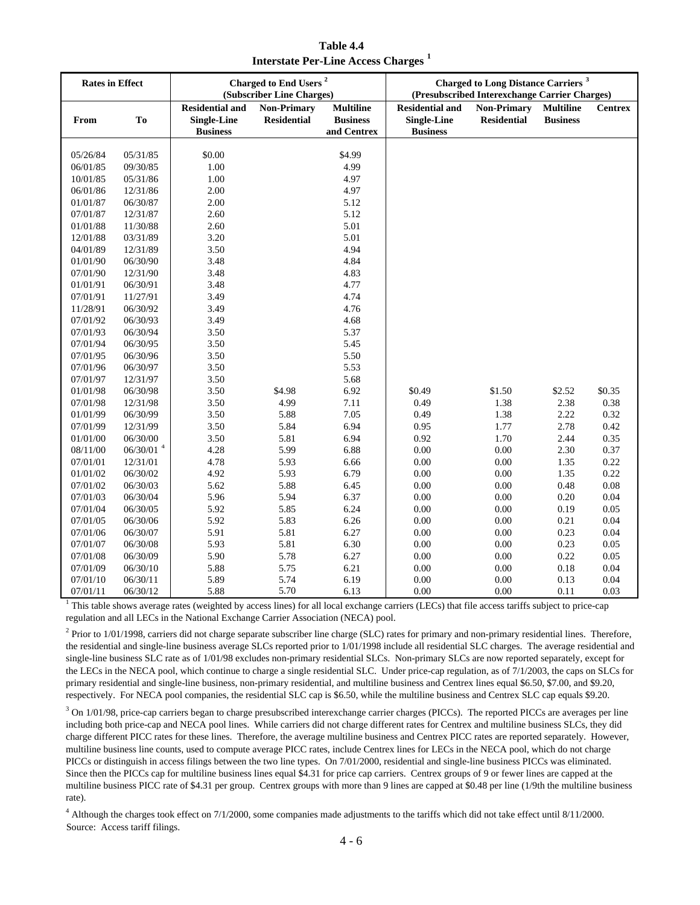**Table 4.4 Interstate Per-Line Access Charges <sup>1</sup>**

| <b>Rates in Effect</b> |                             |                                                                 | Charged to End Users <sup>2</sup><br>(Subscriber Line Charges) |                                                    |                                                                 | <b>Charged to Long Distance Carriers</b> <sup>3</sup><br>(Presubscribed Interexchange Carrier Charges) |                                     |                |
|------------------------|-----------------------------|-----------------------------------------------------------------|----------------------------------------------------------------|----------------------------------------------------|-----------------------------------------------------------------|--------------------------------------------------------------------------------------------------------|-------------------------------------|----------------|
| From                   | To                          | <b>Residential and</b><br><b>Single-Line</b><br><b>Business</b> | <b>Non-Primary</b><br><b>Residential</b>                       | <b>Multiline</b><br><b>Business</b><br>and Centrex | <b>Residential and</b><br><b>Single-Line</b><br><b>Business</b> | <b>Non-Primary</b><br><b>Residential</b>                                                               | <b>Multiline</b><br><b>Business</b> | <b>Centrex</b> |
|                        |                             |                                                                 |                                                                |                                                    |                                                                 |                                                                                                        |                                     |                |
| 05/26/84               | 05/31/85                    | \$0.00                                                          |                                                                | \$4.99<br>4.99                                     |                                                                 |                                                                                                        |                                     |                |
| 06/01/85               | 09/30/85                    | 1.00                                                            |                                                                | 4.97                                               |                                                                 |                                                                                                        |                                     |                |
| 10/01/85               | 05/31/86                    | 1.00                                                            |                                                                |                                                    |                                                                 |                                                                                                        |                                     |                |
| 06/01/86               | 12/31/86                    | 2.00                                                            |                                                                | 4.97                                               |                                                                 |                                                                                                        |                                     |                |
| 01/01/87               | 06/30/87                    | 2.00                                                            |                                                                | 5.12                                               |                                                                 |                                                                                                        |                                     |                |
| 07/01/87               | 12/31/87                    | 2.60                                                            |                                                                | 5.12                                               |                                                                 |                                                                                                        |                                     |                |
| 01/01/88               | 11/30/88                    | 2.60                                                            |                                                                | 5.01                                               |                                                                 |                                                                                                        |                                     |                |
| 12/01/88               | 03/31/89                    | 3.20                                                            |                                                                | 5.01                                               |                                                                 |                                                                                                        |                                     |                |
| 04/01/89               | 12/31/89                    | 3.50                                                            |                                                                | 4.94                                               |                                                                 |                                                                                                        |                                     |                |
| 01/01/90               | 06/30/90                    | 3.48                                                            |                                                                | 4.84                                               |                                                                 |                                                                                                        |                                     |                |
| 07/01/90               | 12/31/90                    | 3.48                                                            |                                                                | 4.83                                               |                                                                 |                                                                                                        |                                     |                |
| 01/01/91               | 06/30/91                    | 3.48                                                            |                                                                | 4.77                                               |                                                                 |                                                                                                        |                                     |                |
| 07/01/91               | 11/27/91                    | 3.49                                                            |                                                                | 4.74                                               |                                                                 |                                                                                                        |                                     |                |
| 11/28/91               | 06/30/92                    | 3.49                                                            |                                                                | 4.76                                               |                                                                 |                                                                                                        |                                     |                |
| 07/01/92               | 06/30/93                    | 3.49                                                            |                                                                | 4.68                                               |                                                                 |                                                                                                        |                                     |                |
| 07/01/93               | 06/30/94                    | 3.50                                                            |                                                                | 5.37                                               |                                                                 |                                                                                                        |                                     |                |
| 07/01/94               | 06/30/95                    | 3.50                                                            |                                                                | 5.45                                               |                                                                 |                                                                                                        |                                     |                |
| 07/01/95               | 06/30/96                    | 3.50                                                            |                                                                | 5.50                                               |                                                                 |                                                                                                        |                                     |                |
| 07/01/96               | 06/30/97                    | 3.50                                                            |                                                                | 5.53                                               |                                                                 |                                                                                                        |                                     |                |
| 07/01/97               | 12/31/97                    | 3.50                                                            |                                                                | 5.68                                               |                                                                 |                                                                                                        |                                     |                |
| 01/01/98               | 06/30/98                    | 3.50                                                            | \$4.98                                                         | 6.92                                               | \$0.49                                                          | \$1.50                                                                                                 | \$2.52                              | \$0.35         |
| 07/01/98               | 12/31/98                    | 3.50                                                            | 4.99                                                           | 7.11                                               | 0.49                                                            | 1.38                                                                                                   | 2.38                                | 0.38           |
| 01/01/99               | 06/30/99                    | 3.50                                                            | 5.88                                                           | 7.05                                               | 0.49                                                            | 1.38                                                                                                   | 2.22                                | 0.32           |
| 07/01/99               | 12/31/99                    | 3.50                                                            | 5.84                                                           | 6.94                                               | 0.95                                                            | 1.77                                                                                                   | 2.78                                | 0.42           |
| 01/01/00               | 06/30/00                    | 3.50                                                            | 5.81                                                           | 6.94                                               | 0.92                                                            | 1.70                                                                                                   | 2.44                                | 0.35           |
| 08/11/00               | $06\slash 30\slash 01$ $^4$ | 4.28                                                            | 5.99                                                           | 6.88                                               | 0.00                                                            | 0.00                                                                                                   | 2.30                                | 0.37           |
| 07/01/01               | 12/31/01                    | 4.78                                                            | 5.93                                                           | 6.66                                               | 0.00                                                            | 0.00                                                                                                   | 1.35                                | 0.22           |
| 01/01/02               | 06/30/02                    | 4.92                                                            | 5.93                                                           | 6.79                                               | 0.00                                                            | $0.00\,$                                                                                               | 1.35                                | 0.22           |
| 07/01/02               | 06/30/03                    | 5.62                                                            | 5.88                                                           | 6.45                                               | 0.00                                                            | 0.00                                                                                                   | 0.48                                | 0.08           |
| 07/01/03               | 06/30/04                    | 5.96                                                            | 5.94                                                           | 6.37                                               | 0.00                                                            | 0.00                                                                                                   | 0.20                                | 0.04           |
| 07/01/04               | 06/30/05                    | 5.92                                                            | 5.85                                                           | 6.24                                               | 0.00                                                            | $0.00\,$                                                                                               | 0.19                                | 0.05           |
| 07/01/05               | 06/30/06                    | 5.92                                                            | 5.83                                                           | 6.26                                               | 0.00                                                            | 0.00                                                                                                   | 0.21                                | 0.04           |
| 07/01/06               | 06/30/07                    | 5.91                                                            | 5.81                                                           | 6.27                                               | 0.00                                                            | 0.00                                                                                                   | 0.23                                | 0.04           |
| 07/01/07               | 06/30/08                    | 5.93                                                            | 5.81                                                           | 6.30                                               | 0.00                                                            | $0.00\,$                                                                                               | 0.23                                | 0.05           |
| 07/01/08               | 06/30/09                    | 5.90                                                            | 5.78                                                           | 6.27                                               | 0.00                                                            | 0.00                                                                                                   | 0.22                                | 0.05           |
| 07/01/09               | 06/30/10                    | 5.88                                                            | 5.75                                                           | 6.21                                               | 0.00                                                            | 0.00                                                                                                   | 0.18                                | 0.04           |
| 07/01/10               | 06/30/11                    | 5.89                                                            | 5.74                                                           | 6.19                                               | 0.00                                                            | 0.00                                                                                                   | 0.13                                | 0.04           |
| 07/01/11               | 06/30/12                    | 5.88                                                            | 5.70                                                           | 6.13                                               | 0.00                                                            | 0.00                                                                                                   | 0.11                                | 0.03           |

<sup>1</sup> This table shows average rates (weighted by access lines) for all local exchange carriers (LECs) that file access tariffs subject to price-cap regulation and all LECs in the National Exchange Carrier Association (NECA) pool.

 $^2$  Prior to 1/01/1998, carriers did not charge separate subscriber line charge (SLC) rates for primary and non-primary residential lines. Therefore, the residential and single-line business average SLCs reported prior to 1/01/1998 include all residential SLC charges. The average residential and single-line business SLC rate as of 1/01/98 excludes non-primary residential SLCs. Non-primary SLCs are now reported separately, except for the LECs in the NECA pool, which continue to charge a single residential SLC. Under price-cap regulation, as of 7/1/2003, the caps on SLCs for primary residential and single-line business, non-primary residential, and multiline business and Centrex lines equal \$6.50, \$7.00, and \$9.20, respectively. For NECA pool companies, the residential SLC cap is \$6.50, while the multiline business and Centrex SLC cap equals \$9.20.

 $3$  On 1/01/98, price-cap carriers began to charge presubscribed interexchange carrier charges (PICCs). The reported PICCs are averages per line including both price-cap and NECA pool lines. While carriers did not charge different rates for Centrex and multiline business SLCs, they did charge different PICC rates for these lines. Therefore, the average multiline business and Centrex PICC rates are reported separately. However, multiline business line counts, used to compute average PICC rates, include Centrex lines for LECs in the NECA pool, which do not charge PICCs or distinguish in access filings between the two line types. On 7/01/2000, residential and single-line business PICCs was eliminated. Since then the PICCs cap for multiline business lines equal \$4.31 for price cap carriers. Centrex groups of 9 or fewer lines are capped at the multiline business PICC rate of \$4.31 per group. Centrex groups with more than 9 lines are capped at \$0.48 per line (1/9th the multiline business rate).

Source: Access tariff filings. <sup>4</sup> Although the charges took effect on 7/1/2000, some companies made adjustments to the tariffs which did not take effect until 8/11/2000.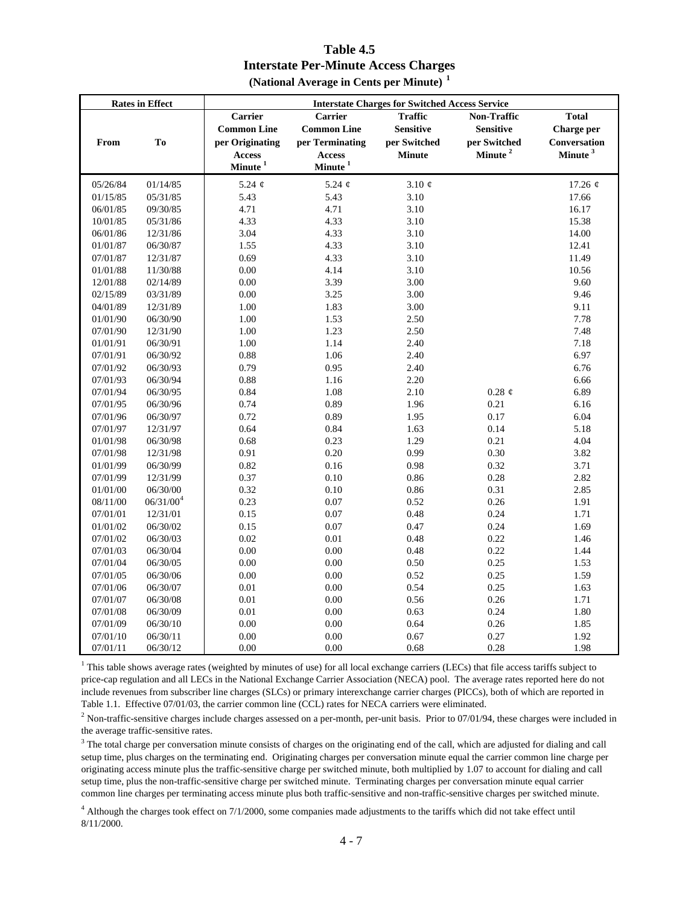#### **Table 4.5 Interstate Per-Minute Access Charges (National Average in Cents per Minute) <sup>1</sup>**

|          | <b>Rates in Effect</b> | <b>Interstate Charges for Switched Access Service</b> |                       |                  |                     |                     |  |  |
|----------|------------------------|-------------------------------------------------------|-----------------------|------------------|---------------------|---------------------|--|--|
|          |                        | Carrier                                               | <b>Carrier</b>        | <b>Traffic</b>   | <b>Non-Traffic</b>  | <b>Total</b>        |  |  |
|          |                        | <b>Common Line</b>                                    | <b>Common Line</b>    | <b>Sensitive</b> | <b>Sensitive</b>    | <b>Charge per</b>   |  |  |
| From     | T <sub>0</sub>         | per Originating                                       | per Terminating       | per Switched     | per Switched        | <b>Conversation</b> |  |  |
|          |                        | <b>Access</b>                                         | Access                | <b>Minute</b>    | Minute <sup>2</sup> | Minute <sup>3</sup> |  |  |
|          |                        | $\mathbf{Minute}^{\,1}$                               | $\mbox{Minute}^{\,1}$ |                  |                     |                     |  |  |
| 05/26/84 | 01/14/85               | 5.24 $\phi$                                           | 5.24 $\phi$           | 3.10 $\phi$      |                     | 17.26 $¢$           |  |  |
| 01/15/85 | 05/31/85               | 5.43                                                  | 5.43                  | 3.10             |                     | 17.66               |  |  |
| 06/01/85 | 09/30/85               | 4.71                                                  | 4.71                  | 3.10             |                     | 16.17               |  |  |
| 10/01/85 | 05/31/86               | 4.33                                                  | 4.33                  | 3.10             |                     | 15.38               |  |  |
| 06/01/86 | 12/31/86               | 3.04                                                  | 4.33                  | 3.10             |                     | 14.00               |  |  |
| 01/01/87 | 06/30/87               | 1.55                                                  | 4.33                  | 3.10             |                     | 12.41               |  |  |
| 07/01/87 | 12/31/87               | 0.69                                                  | 4.33                  | 3.10             |                     | 11.49               |  |  |
| 01/01/88 | 11/30/88               | 0.00                                                  | 4.14                  | 3.10             |                     | 10.56               |  |  |
| 12/01/88 | 02/14/89               | 0.00                                                  | 3.39                  | 3.00             |                     | 9.60                |  |  |
| 02/15/89 | 03/31/89               | 0.00                                                  | 3.25                  | 3.00             |                     | 9.46                |  |  |
| 04/01/89 | 12/31/89               | 1.00                                                  | 1.83                  | 3.00             |                     | 9.11                |  |  |
| 01/01/90 | 06/30/90               | 1.00                                                  | 1.53                  | 2.50             |                     | 7.78                |  |  |
| 07/01/90 | 12/31/90               | 1.00                                                  | 1.23                  | 2.50             |                     | 7.48                |  |  |
| 01/01/91 | 06/30/91               | 1.00                                                  | 1.14                  | 2.40             |                     | 7.18                |  |  |
| 07/01/91 | 06/30/92               | 0.88                                                  | 1.06                  | 2.40             |                     | 6.97                |  |  |
| 07/01/92 | 06/30/93               | 0.79                                                  | 0.95                  | 2.40             |                     | 6.76                |  |  |
| 07/01/93 | 06/30/94               | 0.88                                                  | 1.16                  | 2.20             |                     | 6.66                |  |  |
| 07/01/94 | 06/30/95               | 0.84                                                  | 1.08                  | 2.10             | $0.28 \notin$       | 6.89                |  |  |
| 07/01/95 | 06/30/96               | 0.74                                                  | 0.89                  | 1.96             | 0.21                | 6.16                |  |  |
| 07/01/96 | 06/30/97               | 0.72                                                  | 0.89                  | 1.95             | 0.17                | 6.04                |  |  |
| 07/01/97 | 12/31/97               | 0.64                                                  | 0.84                  | 1.63             | 0.14                | 5.18                |  |  |
| 01/01/98 | 06/30/98               | 0.68                                                  | 0.23                  | 1.29             | 0.21                | 4.04                |  |  |
| 07/01/98 | 12/31/98               | 0.91                                                  | 0.20                  | 0.99             | 0.30                | 3.82                |  |  |
| 01/01/99 | 06/30/99               | 0.82                                                  | 0.16                  | 0.98             | 0.32                | 3.71                |  |  |
| 07/01/99 | 12/31/99               | 0.37                                                  | 0.10                  | 0.86             | 0.28                | 2.82                |  |  |
| 01/01/00 | 06/30/00               | 0.32                                                  | $0.10\,$              | 0.86             | 0.31                | 2.85                |  |  |
| 08/11/00 | $06/31/00^4$           | 0.23                                                  | $0.07\,$              | 0.52             | 0.26                | 1.91                |  |  |
| 07/01/01 | 12/31/01               | 0.15                                                  | $0.07\,$              | 0.48             | 0.24                | 1.71                |  |  |
| 01/01/02 | 06/30/02               | 0.15                                                  | 0.07                  | 0.47             | 0.24                | 1.69                |  |  |
| 07/01/02 | 06/30/03               | 0.02                                                  | $0.01\,$              | 0.48             | 0.22                | 1.46                |  |  |
| 07/01/03 | 06/30/04               | 0.00                                                  | $0.00\,$              | 0.48             | 0.22                | 1.44                |  |  |
| 07/01/04 | 06/30/05               | 0.00                                                  | 0.00                  | 0.50             | 0.25                | 1.53                |  |  |
| 07/01/05 | 06/30/06               | 0.00                                                  | $0.00\,$              | 0.52             | 0.25                | 1.59                |  |  |
| 07/01/06 | 06/30/07               | 0.01                                                  | 0.00                  | 0.54             | 0.25                | 1.63                |  |  |
| 07/01/07 | 06/30/08               | $0.01\,$                                              | $0.00\,$              | 0.56             | 0.26                | 1.71                |  |  |
| 07/01/08 | 06/30/09               | $0.01\,$                                              | $0.00\,$              | 0.63             | 0.24                | 1.80                |  |  |
| 07/01/09 | 06/30/10               | 0.00                                                  | $0.00\,$              | 0.64             | 0.26                | 1.85                |  |  |
| 07/01/10 | 06/30/11               | 0.00                                                  | $0.00\,$              | 0.67             | 0.27                | 1.92                |  |  |
| 07/01/11 | 06/30/12               | 0.00                                                  | 0.00                  | 0.68             | 0.28                | 1.98                |  |  |

<sup>1</sup> This table shows average rates (weighted by minutes of use) for all local exchange carriers (LECs) that file access tariffs subject to price-cap regulation and all LECs in the National Exchange Carrier Association (NECA) pool. The average rates reported here do not include revenues from subscriber line charges (SLCs) or primary interexchange carrier charges (PICCs), both of which are reported in Table 1.1. Effective 07/01/03, the carrier common line (CCL) rates for NECA carriers were eliminated.

 $<sup>2</sup>$  Non-traffic-sensitive charges include charges assessed on a per-month, per-unit basis. Prior to 07/01/94, these charges were included in</sup> the average traffic-sensitive rates.

 $3$  The total charge per conversation minute consists of charges on the originating end of the call, which are adjusted for dialing and call setup time, plus charges on the terminating end. Originating charges per conversation minute equal the carrier common line charge per originating access minute plus the traffic-sensitive charge per switched minute, both multiplied by 1.07 to account for dialing and call setup time, plus the non-traffic-sensitive charge per switched minute. Terminating charges per conversation minute equal carrier common line charges per terminating access minute plus both traffic-sensitive and non-traffic-sensitive charges per switched minute.

<sup>4</sup> Although the charges took effect on 7/1/2000, some companies made adjustments to the tariffs which did not take effect until 8/11/2000.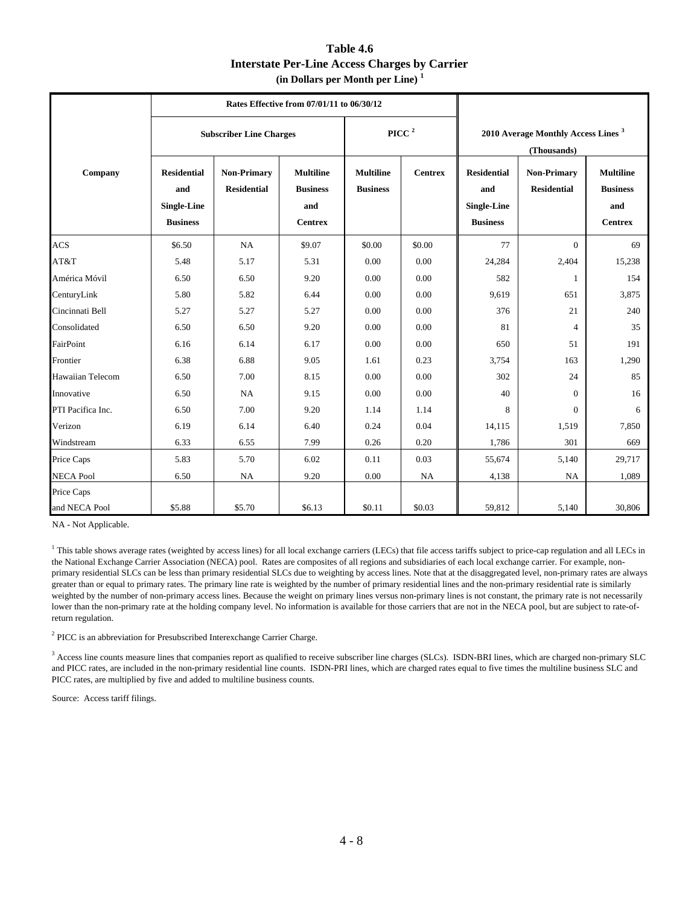| Table 4.6                                            |
|------------------------------------------------------|
| <b>Interstate Per-Line Access Charges by Carrier</b> |
| $(in$ Dollars per Month per Line) $1$                |

|                   |                                                                    | Rates Effective from 07/01/11 to 06/30/12 |                                                              |                                     |                |                                                                    |                                          |                                                              |  |
|-------------------|--------------------------------------------------------------------|-------------------------------------------|--------------------------------------------------------------|-------------------------------------|----------------|--------------------------------------------------------------------|------------------------------------------|--------------------------------------------------------------|--|
|                   |                                                                    | <b>Subscriber Line Charges</b>            |                                                              |                                     | PICC $^2$      | 2010 Average Monthly Access Lines <sup>3</sup><br>(Thousands)      |                                          |                                                              |  |
| Company           | <b>Residential</b><br>and<br><b>Single-Line</b><br><b>Business</b> | <b>Non-Primary</b><br><b>Residential</b>  | <b>Multiline</b><br><b>Business</b><br>and<br><b>Centrex</b> | <b>Multiline</b><br><b>Business</b> | <b>Centrex</b> | <b>Residential</b><br>and<br><b>Single-Line</b><br><b>Business</b> | <b>Non-Primary</b><br><b>Residential</b> | <b>Multiline</b><br><b>Business</b><br>and<br><b>Centrex</b> |  |
| ACS               | \$6.50                                                             | NA                                        | \$9.07                                                       | \$0.00                              | \$0.00         | 77                                                                 | $\Omega$                                 | 69                                                           |  |
| AT&T              | 5.48                                                               | 5.17                                      | 5.31                                                         | 0.00                                | 0.00           | 24,284                                                             | 2,404                                    | 15,238                                                       |  |
| América Móvil     | 6.50                                                               | 6.50                                      | 9.20                                                         | 0.00                                | 0.00           | 582                                                                | 1                                        | 154                                                          |  |
| CenturyLink       | 5.80                                                               | 5.82                                      | 6.44                                                         | 0.00                                | 0.00           | 9,619                                                              | 651                                      | 3,875                                                        |  |
| Cincinnati Bell   | 5.27                                                               | 5.27                                      | 5.27                                                         | 0.00                                | 0.00           | 376                                                                | 21                                       | 240                                                          |  |
| Consolidated      | 6.50                                                               | 6.50                                      | 9.20                                                         | 0.00                                | 0.00           | 81                                                                 | 4                                        | 35                                                           |  |
| FairPoint         | 6.16                                                               | 6.14                                      | 6.17                                                         | 0.00                                | 0.00           | 650                                                                | 51                                       | 191                                                          |  |
| Frontier          | 6.38                                                               | 6.88                                      | 9.05                                                         | 1.61                                | 0.23           | 3,754                                                              | 163                                      | 1,290                                                        |  |
| Hawaiian Telecom  | 6.50                                                               | 7.00                                      | 8.15                                                         | 0.00                                | 0.00           | 302                                                                | 24                                       | 85                                                           |  |
| Innovative        | 6.50                                                               | <b>NA</b>                                 | 9.15                                                         | 0.00                                | 0.00           | 40                                                                 | $\Omega$                                 | 16                                                           |  |
| PTI Pacifica Inc. | 6.50                                                               | 7.00                                      | 9.20                                                         | 1.14                                | 1.14           | 8                                                                  | $\Omega$                                 | 6                                                            |  |
| Verizon           | 6.19                                                               | 6.14                                      | 6.40                                                         | 0.24                                | 0.04           | 14,115                                                             | 1,519                                    | 7,850                                                        |  |
| Windstream        | 6.33                                                               | 6.55                                      | 7.99                                                         | 0.26                                | 0.20           | 1,786                                                              | 301                                      | 669                                                          |  |
| Price Caps        | 5.83                                                               | 5.70                                      | 6.02                                                         | 0.11                                | 0.03           | 55,674                                                             | 5,140                                    | 29,717                                                       |  |
| <b>NECA Pool</b>  | 6.50                                                               | <b>NA</b>                                 | 9.20                                                         | 0.00                                | <b>NA</b>      | 4,138                                                              | <b>NA</b>                                | 1,089                                                        |  |
| Price Caps        |                                                                    |                                           |                                                              |                                     |                |                                                                    |                                          |                                                              |  |
| and NECA Pool     | \$5.88                                                             | \$5.70                                    | \$6.13                                                       | \$0.11                              | \$0.03         | 59,812                                                             | 5,140                                    | 30,806                                                       |  |

NA - Not Applicable.

<sup>1</sup> This table shows average rates (weighted by access lines) for all local exchange carriers (LECs) that file access tariffs subject to price-cap regulation and all LECs in the National Exchange Carrier Association (NECA) pool. Rates are composites of all regions and subsidiaries of each local exchange carrier. For example, nonprimary residential SLCs can be less than primary residential SLCs due to weighting by access lines. Note that at the disaggregated level, non-primary rates are always greater than or equal to primary rates. The primary line rate is weighted by the number of primary residential lines and the non-primary residential rate is similarly weighted by the number of non-primary access lines. Because the weight on primary lines versus non-primary lines is not constant, the primary rate is not necessarily lower than the non-primary rate at the holding company level. No information is available for those carriers that are not in the NECA pool, but are subject to rate-ofreturn regulation.

 $2$  PICC is an abbreviation for Presubscribed Interexchange Carrier Charge.

<sup>3</sup> Access line counts measure lines that companies report as qualified to receive subscriber line charges (SLCs). ISDN-BRI lines, which are charged non-primary SLC and PICC rates, are included in the non-primary residential line counts. ISDN-PRI lines, which are charged rates equal to five times the multiline business SLC and PICC rates, are multiplied by five and added to multiline business counts.

Source: Access tariff filings.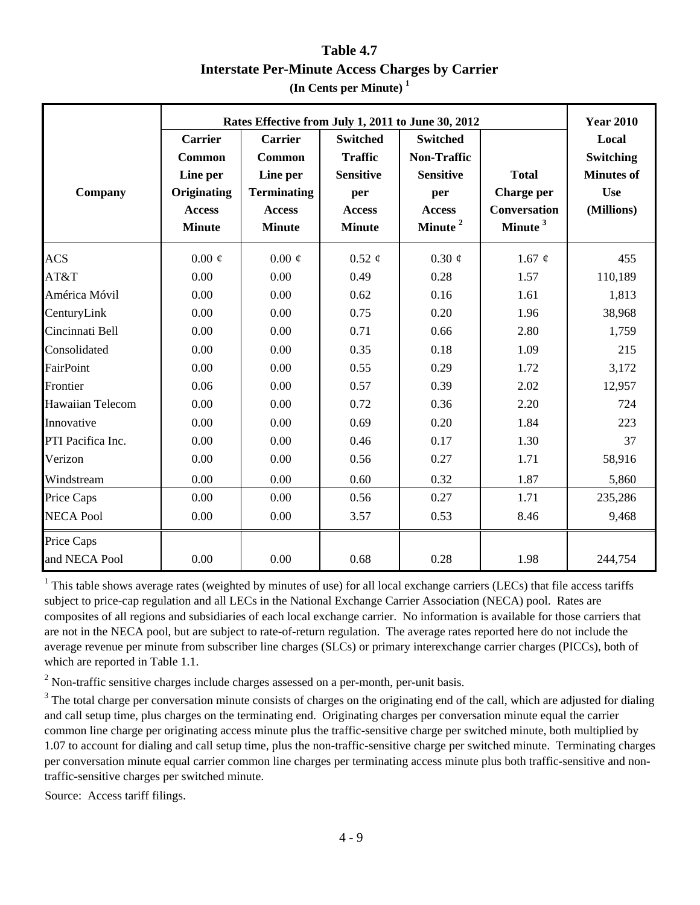## **Table 4.7 Interstate Per-Minute Access Charges by Carrier (In Cents per Minute) 1**

|                             |                                                                                | Rates Effective from July 1, 2011 to June 30, 2012                                    |                                                                                                |                                                                                                          |                                                                          |                                                                                                |  |  |  |  |
|-----------------------------|--------------------------------------------------------------------------------|---------------------------------------------------------------------------------------|------------------------------------------------------------------------------------------------|----------------------------------------------------------------------------------------------------------|--------------------------------------------------------------------------|------------------------------------------------------------------------------------------------|--|--|--|--|
| Company                     | Carrier<br>Common<br>Line per<br>Originating<br><b>Access</b><br><b>Minute</b> | Carrier<br>Common<br>Line per<br><b>Terminating</b><br><b>Access</b><br><b>Minute</b> | <b>Switched</b><br><b>Traffic</b><br><b>Sensitive</b><br>per<br><b>Access</b><br><b>Minute</b> | <b>Switched</b><br><b>Non-Traffic</b><br><b>Sensitive</b><br>per<br><b>Access</b><br>Minute <sup>2</sup> | <b>Total</b><br>Charge per<br><b>Conversation</b><br>Minute <sup>3</sup> | <b>Year 2010</b><br>Local<br><b>Switching</b><br><b>Minutes of</b><br><b>Use</b><br>(Millions) |  |  |  |  |
| <b>ACS</b>                  | $0.00 \notin$                                                                  | $0.00 \notin$                                                                         | $0.52 \notin$                                                                                  | $0.30 \notin$                                                                                            | 1.67 $\phi$                                                              | 455                                                                                            |  |  |  |  |
| AT&T                        | 0.00                                                                           | 0.00                                                                                  | 0.49                                                                                           | 0.28                                                                                                     | 1.57                                                                     | 110,189                                                                                        |  |  |  |  |
| América Móvil               | 0.00                                                                           | 0.00                                                                                  | 0.62                                                                                           | 0.16                                                                                                     | 1.61                                                                     | 1,813                                                                                          |  |  |  |  |
| CenturyLink                 | 0.00                                                                           | 0.00                                                                                  | 0.75                                                                                           | 0.20                                                                                                     | 1.96                                                                     | 38,968                                                                                         |  |  |  |  |
| Cincinnati Bell             | 0.00                                                                           | 0.00                                                                                  | 0.71                                                                                           | 0.66                                                                                                     | 2.80                                                                     | 1,759                                                                                          |  |  |  |  |
| Consolidated                | 0.00                                                                           | 0.00                                                                                  | 0.35                                                                                           | 0.18                                                                                                     | 1.09                                                                     | 215                                                                                            |  |  |  |  |
| FairPoint                   | 0.00                                                                           | 0.00                                                                                  | 0.55                                                                                           | 0.29                                                                                                     | 1.72                                                                     | 3,172                                                                                          |  |  |  |  |
| Frontier                    | 0.06                                                                           | 0.00                                                                                  | 0.57                                                                                           | 0.39                                                                                                     | 2.02                                                                     | 12,957                                                                                         |  |  |  |  |
| Hawaiian Telecom            | 0.00                                                                           | 0.00                                                                                  | 0.72                                                                                           | 0.36                                                                                                     | 2.20                                                                     | 724                                                                                            |  |  |  |  |
| Innovative                  | 0.00                                                                           | 0.00                                                                                  | 0.69                                                                                           | 0.20                                                                                                     | 1.84                                                                     | 223                                                                                            |  |  |  |  |
| PTI Pacifica Inc.           | 0.00                                                                           | 0.00                                                                                  | 0.46                                                                                           | 0.17                                                                                                     | 1.30                                                                     | 37                                                                                             |  |  |  |  |
| Verizon                     | 0.00                                                                           | 0.00                                                                                  | 0.56                                                                                           | 0.27                                                                                                     | 1.71                                                                     | 58,916                                                                                         |  |  |  |  |
| Windstream                  | 0.00                                                                           | 0.00                                                                                  | 0.60                                                                                           | 0.32                                                                                                     | 1.87                                                                     | 5,860                                                                                          |  |  |  |  |
| Price Caps                  | 0.00                                                                           | 0.00                                                                                  | 0.56                                                                                           | 0.27                                                                                                     | 1.71                                                                     | 235,286                                                                                        |  |  |  |  |
| <b>NECA Pool</b>            | 0.00                                                                           | 0.00                                                                                  | 3.57                                                                                           | 0.53                                                                                                     | 8.46                                                                     | 9,468                                                                                          |  |  |  |  |
| Price Caps<br>and NECA Pool | 0.00                                                                           | 0.00                                                                                  | 0.68                                                                                           | 0.28                                                                                                     | 1.98                                                                     | 244,754                                                                                        |  |  |  |  |

 $1$  This table shows average rates (weighted by minutes of use) for all local exchange carriers (LECs) that file access tariffs subject to price-cap regulation and all LECs in the National Exchange Carrier Association (NECA) pool. Rates are composites of all regions and subsidiaries of each local exchange carrier. No information is available for those carriers that are not in the NECA pool, but are subject to rate-of-return regulation. The average rates reported here do not include the average revenue per minute from subscriber line charges (SLCs) or primary interexchange carrier charges (PICCs), both of which are reported in Table 1.1.

 $2$  Non-traffic sensitive charges include charges assessed on a per-month, per-unit basis.

 $3$  The total charge per conversation minute consists of charges on the originating end of the call, which are adjusted for dialing and call setup time, plus charges on the terminating end. Originating charges per conversation minute equal the carrier common line charge per originating access minute plus the traffic-sensitive charge per switched minute, both multiplied by 1.07 to account for dialing and call setup time, plus the non-traffic-sensitive charge per switched minute. Terminating charges per conversation minute equal carrier common line charges per terminating access minute plus both traffic-sensitive and nontraffic-sensitive charges per switched minute.

Source: Access tariff filings.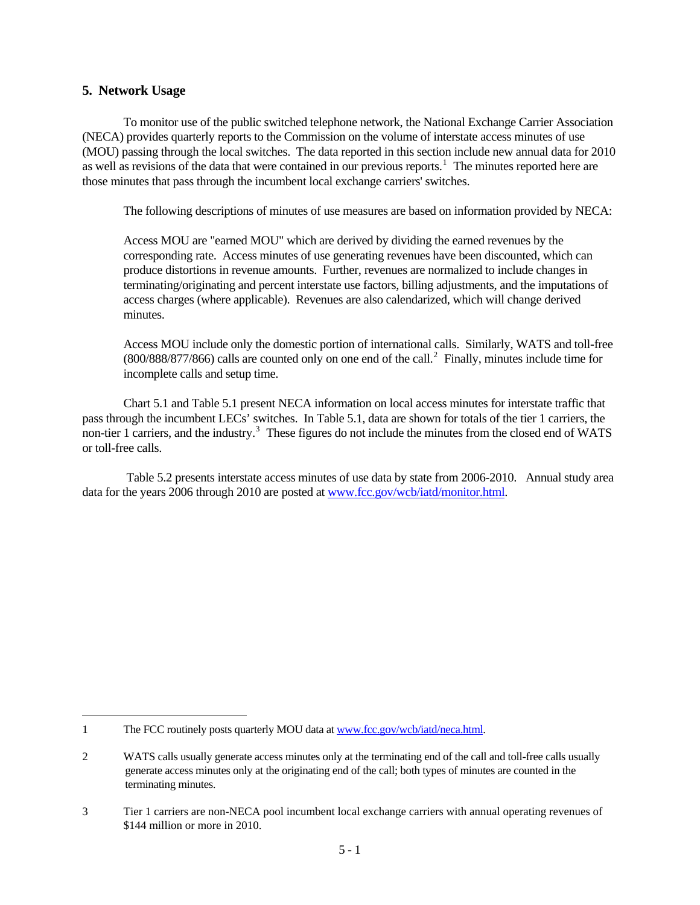#### **5. Network Usage**

To monitor use of the public switched telephone network, the National Exchange Carrier Association (NECA) provides quarterly reports to the Commission on the volume of interstate access minutes of use (MOU) passing through the local switches. The data reported in this section include new annual data for 2010 as well as revisions of the data that were contained in our previous reports.<sup>[1](#page-101-0)</sup> The minutes reported here are those minutes that pass through the incumbent local exchange carriers' switches.

The following descriptions of minutes of use measures are based on information provided by NECA:

 Access MOU are "earned MOU" which are derived by dividing the earned revenues by the corresponding rate. Access minutes of use generating revenues have been discounted, which can produce distortions in revenue amounts. Further, revenues are normalized to include changes in terminating/originating and percent interstate use factors, billing adjustments, and the imputations of access charges (where applicable). Revenues are also calendarized, which will change derived minutes.

 Access MOU include only the domestic portion of international calls. Similarly, WATS and toll-free  $(800/888/877/866)$  calls are counted only on one end of the call.<sup>[2](#page-101-1)</sup> Finally, minutes include time for incomplete calls and setup time.

Chart 5.1 and Table 5.1 present NECA information on local access minutes for interstate traffic that pass through the incumbent LECs' switches. In Table 5.1, data are shown for totals of the tier 1 carriers, the non-tier 1 carriers, and the industry.<sup>[3](#page-101-2)</sup> These figures do not include the minutes from the closed end of WATS or toll-free calls.

 Table 5.2 presents interstate access minutes of use data by state from 2006-2010. Annual study area data for the years 2006 through 2010 are posted at [www.fcc.gov/wcb/iatd/monitor.html.](http://www.fcc.gov/wcb/iatd/monitor.html)

<span id="page-101-0"></span><sup>1</sup> The FCC routinely posts quarterly MOU data at [www.fcc.gov/wcb/iatd/neca.html.](http://www.fcc.gov/wcb/iatd/neca.html)

<span id="page-101-1"></span><sup>2</sup> WATS calls usually generate access minutes only at the terminating end of the call and toll-free calls usually generate access minutes only at the originating end of the call; both types of minutes are counted in the terminating minutes.

<span id="page-101-2"></span><sup>3</sup> Tier 1 carriers are non-NECA pool incumbent local exchange carriers with annual operating revenues of \$144 million or more in 2010.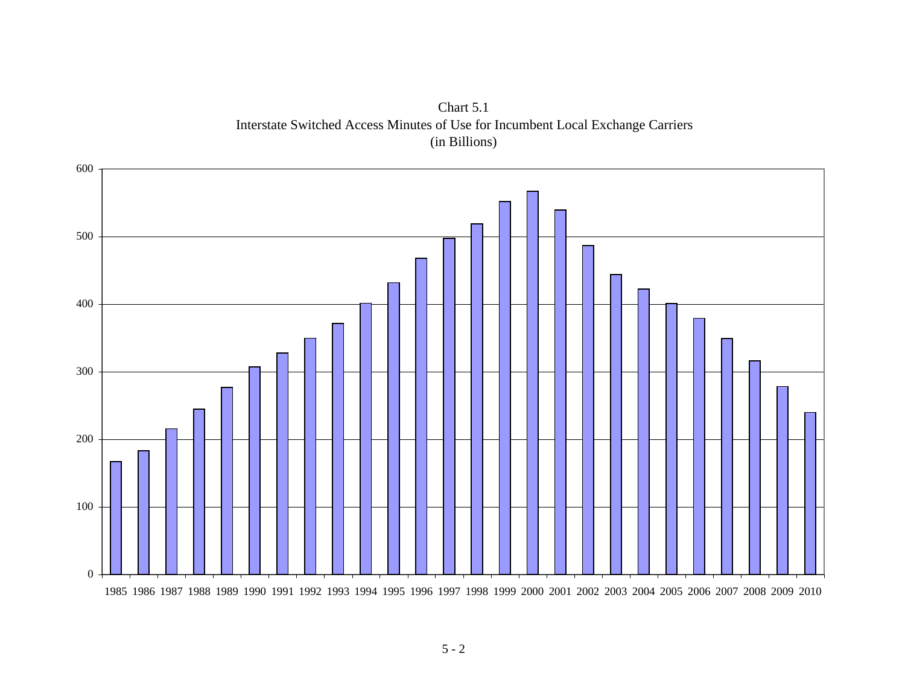

Chart 5.1 Interstate Switched Access Minutes of Use for Incumbent Local Exchange Carriers (in Billions)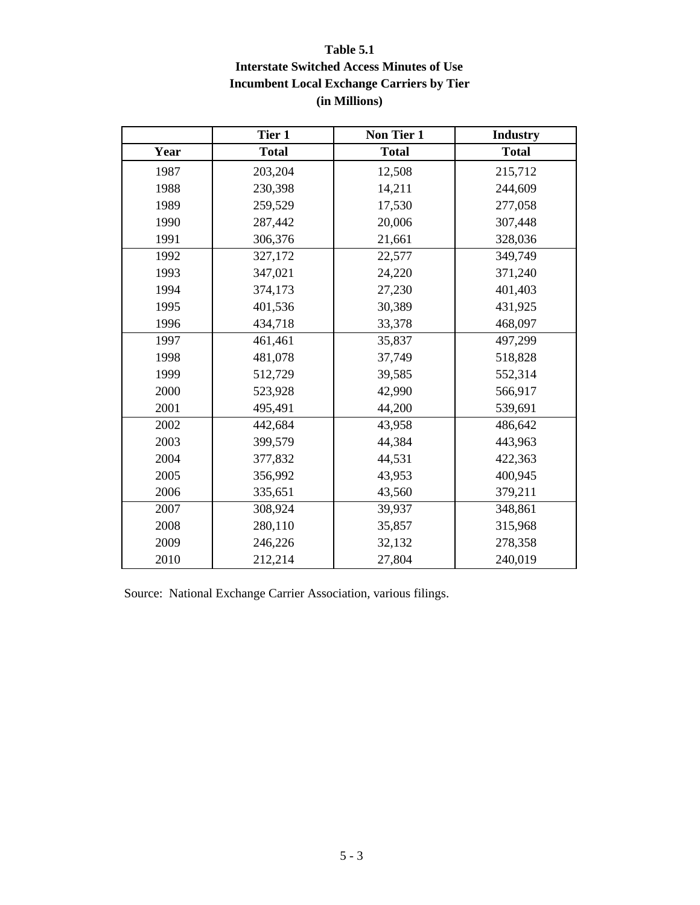## **Table 5.1 Interstate Switched Access Minutes of Use Incumbent Local Exchange Carriers by Tier (in Millions)**

|      | Tier 1       | Non Tier 1        | <b>Industry</b> |
|------|--------------|-------------------|-----------------|
| Year | <b>Total</b> | <b>Total</b>      | <b>Total</b>    |
| 1987 | 203,204      | 12,508<br>215,712 |                 |
| 1988 | 230,398      | 14,211            | 244,609         |
| 1989 | 259,529      | 17,530            | 277,058         |
| 1990 | 287,442      | 20,006            | 307,448         |
| 1991 | 306,376      | 21,661            | 328,036         |
| 1992 | 327,172      | 22,577            | 349,749         |
| 1993 | 347,021      | 24,220            | 371,240         |
| 1994 | 374,173      | 27,230            | 401,403         |
| 1995 | 401,536      | 30,389            | 431,925         |
| 1996 | 434,718      | 33,378            | 468,097         |
| 1997 | 461,461      | 35,837            | 497,299         |
| 1998 | 481,078      | 37,749            | 518,828         |
| 1999 | 512,729      | 39,585            | 552,314         |
| 2000 | 523,928      | 42,990            | 566,917         |
| 2001 | 495,491      | 44,200            | 539,691         |
| 2002 | 442,684      | 43,958            | 486,642         |
| 2003 | 399,579      | 44,384            | 443,963         |
| 2004 | 377,832      | 44,531            | 422,363         |
| 2005 | 356,992      | 43,953            | 400,945         |
| 2006 | 335,651      | 43,560            | 379,211         |
| 2007 | 308,924      | 39,937            | 348,861         |
| 2008 | 280,110      | 35,857            | 315,968         |
| 2009 | 246,226      | 32,132            | 278,358         |
| 2010 | 212,214      | 27,804            | 240,019         |

Source: National Exchange Carrier Association, various filings.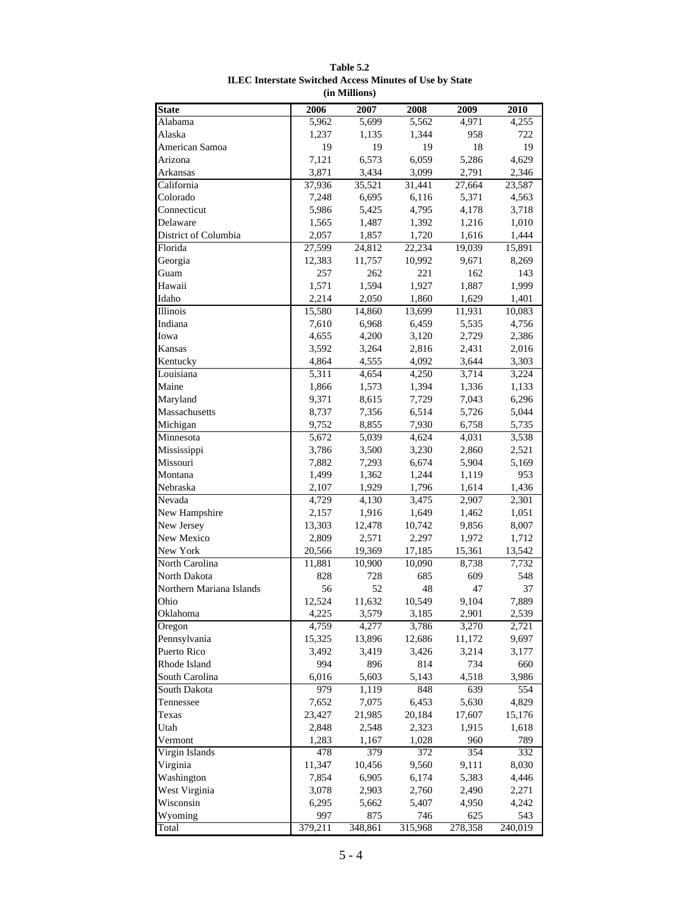| <b>State</b>             | 2006    | 2007    | 2008              | 2009    | 2010    |
|--------------------------|---------|---------|-------------------|---------|---------|
| Alabama                  | 5,962   | 5,699   | 5,562             | 4,971   | 4,255   |
| Alaska                   | 1,237   | 1,135   | 1,344             | 958     | 722     |
| American Samoa           | 19      | 19      | 19                | 18      | 19      |
| Arizona                  | 7,121   | 6,573   | 6,059             | 5,286   | 4,629   |
| Arkansas                 | 3,871   | 3,434   | 3,099             | 2,791   | 2,346   |
| California               | 37,936  | 35,521  | 31,441            | 27,664  | 23,587  |
| Colorado                 | 7,248   | 6,695   | 6,116             | 5,371   | 4,563   |
| Connecticut              | 5,986   | 5,425   | 4,795             | 4,178   | 3,718   |
| Delaware                 | 1,565   | 1,487   | 1,392             | 1,216   | 1,010   |
| District of Columbia     | 2,057   | 1,857   | 1,720             | 1,616   | 1,444   |
| Florida                  | 27,599  | 24,812  | 22,234            | 19,039  | 15,891  |
| Georgia                  | 12,383  | 11,757  | 10,992            | 9,671   | 8,269   |
| Guam                     | 257     | 262     | 221               | 162     | 143     |
| Hawaii                   | 1,571   | 1,594   | 1,927             | 1,887   | 1,999   |
| Idaho                    | 2,214   | 2,050   | 1,860             | 1,629   | 1,401   |
| Illinois                 | 15,580  | 14,860  | 13,699            | 11,931  | 10,083  |
| Indiana                  | 7,610   | 6,968   | 6,459             | 5,535   | 4,756   |
| Iowa                     | 4,655   | 4,200   | 3,120             | 2,729   | 2,386   |
| Kansas                   | 3,592   | 3,264   | 2,816             | 2,431   | 2,016   |
| Kentucky                 | 4,864   | 4,555   | 4,092             | 3,644   | 3,303   |
| Louisiana                | 5,311   | 4,654   | 4,250             | 3,714   | 3,224   |
| Maine                    | 1,866   | 1,573   | 1,394             | 1,336   | 1,133   |
| Maryland                 | 9,371   | 8,615   | 7,729             | 7,043   | 6,296   |
| Massachusetts            | 8,737   | 7,356   | 6,514             | 5,726   | 5,044   |
| Michigan                 | 9,752   | 8,855   | 7,930             | 6,758   | 5,735   |
| Minnesota                | 5,672   | 5,039   | 4,624             | 4,031   | 3,538   |
| Mississippi              | 3,786   | 3,500   | 3,230             | 2,860   | 2,521   |
| Missouri                 | 7,882   | 7,293   | 6,674             | 5,904   | 5,169   |
| Montana                  | 1,499   | 1,362   | 1,244             | 1,119   | 953     |
| Nebraska                 | 2,107   | 1,929   | 1,796             | 1,614   | 1,436   |
| Nevada                   | 4,729   | 4,130   | 3,475             | 2,907   | 2,301   |
| New Hampshire            | 2,157   | 1,916   | 1,649             | 1,462   | 1,051   |
| New Jersey               | 13,303  | 12,478  | 10,742            | 9,856   | 8,007   |
| New Mexico               | 2,809   | 2,571   | 2,297             | 1,972   | 1,712   |
| New York                 | 20,566  | 19,369  | 17,185            | 15,361  | 13,542  |
| North Carolina           | 11,881  | 10,900  | 10,090            | 8,738   | 7,732   |
| North Dakota             | 828     | 728     | 685               | 609     | 548     |
| Northern Mariana Islands | 56      | 52      | 48                | 47      | 37      |
| Ohio                     | 12,524  | 11,632  | 10,549            | 9,104   | 7,889   |
| Oklahoma                 | 4,225   | 3,579   | 3,185             | 2,901   | 2,539   |
| Oregon                   | 4,759   | 4,277   | 3,786             | 3,270   | 2,721   |
| Pennsylvania             | 15,325  | 13,896  | 12,686            | 11,172  | 9,697   |
| Puerto Rico              | 3,492   | 3,419   | 3,426             | 3,214   | 3,177   |
| Rhode Island             | 994     | 896     | 814               | 734     | 660     |
| South Carolina           | 6,016   | 5,603   | 5,143             | 4,518   | 3,986   |
| South Dakota             | 979     | 1,119   | 848               | 639     | 554     |
| Tennessee                | 7,652   | 7,075   | 6,453             | 5,630   | 4,829   |
| Texas                    | 23,427  | 21,985  | 20,184            | 17,607  | 15,176  |
| Utah                     | 2,848   | 2,548   | 2,323             | 1,915   | 1,618   |
| Vermont                  | 1,283   | 1,167   | 1,028             | 960     | 789     |
| Virgin Islands           | 478     | 379     | $\overline{3}$ 72 | 354     | 332     |
| Virginia                 | 11,347  | 10,456  | 9,560             | 9,111   | 8,030   |
| Washington               | 7,854   | 6,905   | 6,174             | 5,383   | 4,446   |
| West Virginia            | 3,078   | 2,903   | 2,760             | 2,490   | 2,271   |
| Wisconsin                | 6,295   | 5,662   | 5,407             | 4,950   | 4,242   |
| Wyoming                  | 997     | 875     | 746               | 625     | 543     |
| Total                    | 379,211 | 348,861 | 315,968           | 278,358 | 240,019 |

#### **Table 5.2 ILEC Interstate Switched Access Minutes of Use by State (in Millions)**